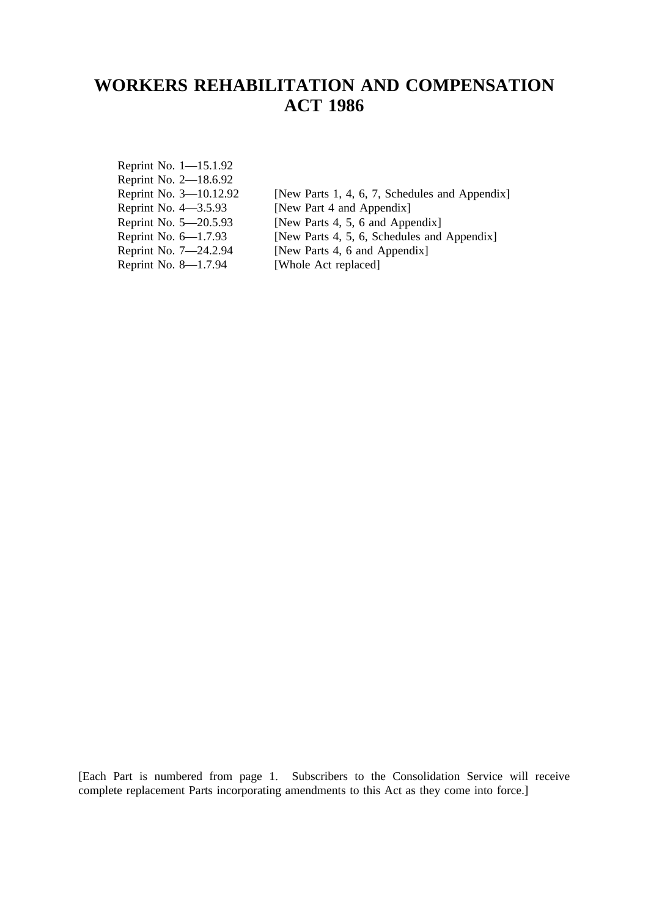# **WORKERS REHABILITATION AND COMPENSATION ACT 1986**

| Reprint No. 1–15.1.92<br>Reprint No. 2–18.6.92 |                                                |
|------------------------------------------------|------------------------------------------------|
| Reprint No. 3–10.12.92                         | [New Parts 1, 4, 6, 7, Schedules and Appendix] |
| Reprint No. 4–3.5.93                           | [New Part 4 and Appendix]                      |
| Reprint No. 5–20.5.93                          | [New Parts 4, 5, 6 and Appendix]               |
| Reprint No. 6–1.7.93                           | [New Parts 4, 5, 6, Schedules and Appendix]    |
| Reprint No. 7-24.2.94                          | [New Parts 4, 6 and Appendix]                  |
| Reprint No. 8-1.7.94                           | [Whole Act replaced]                           |

[Each Part is numbered from page 1. Subscribers to the Consolidation Service will receive complete replacement Parts incorporating amendments to this Act as they come into force.]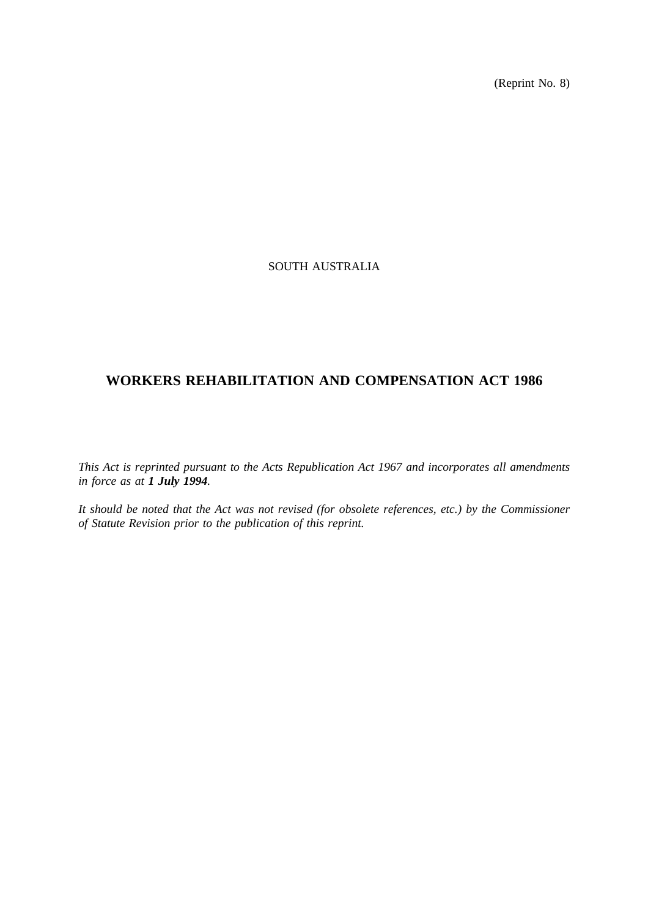(Reprint No. 8)

# SOUTH AUSTRALIA

# **WORKERS REHABILITATION AND COMPENSATION ACT 1986**

*This Act is reprinted pursuant to the Acts Republication Act 1967 and incorporates all amendments in force as at 1 July 1994.*

*It should be noted that the Act was not revised (for obsolete references, etc.) by the Commissioner of Statute Revision prior to the publication of this reprint.*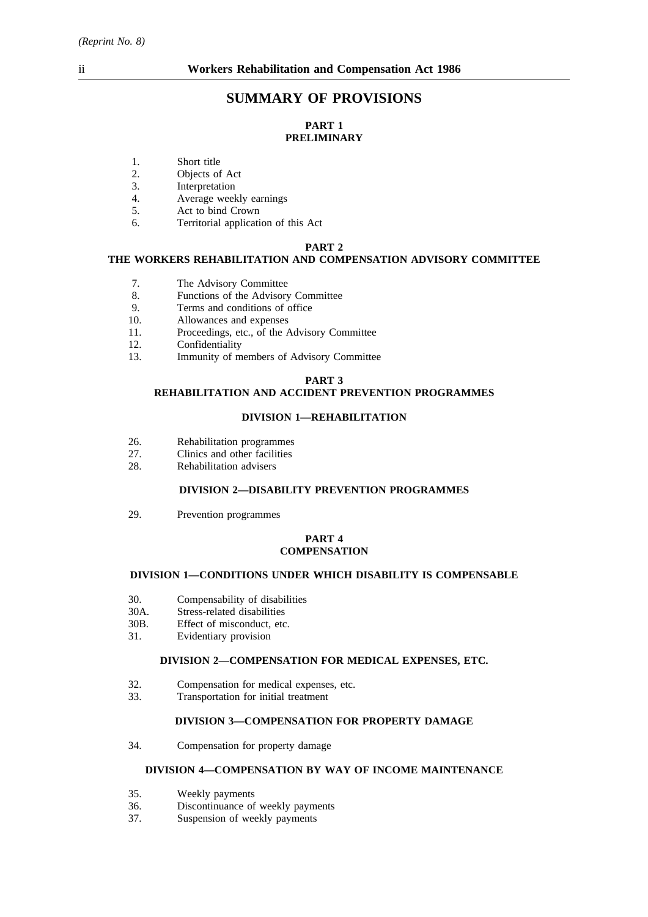# **SUMMARY OF PROVISIONS**

# **PART 1 PRELIMINARY**

- 1. Short title
- 2. Objects of Act
- 3. Interpretation
- 4. Average weekly earnings
- 5. Act to bind Crown
- 6. Territorial application of this Act

#### **PART 2**

# **THE WORKERS REHABILITATION AND COMPENSATION ADVISORY COMMITTEE**

- 7. The Advisory Committee
- 8. Functions of the Advisory Committee
- 9. Terms and conditions of office<br>10. Allowances and expenses
- 10. Allowances and expenses
- 11. Proceedings, etc., of the Advisory Committee
- 12. Confidentiality
- 13. Immunity of members of Advisory Committee

## **PART 3**

# **REHABILITATION AND ACCIDENT PREVENTION PROGRAMMES**

### **DIVISION 1—REHABILITATION**

- 26. Rehabilitation programmes<br>27 Clinics and other facilities
- 27. Clinics and other facilities<br>28. Rehabilitation advisers
- Rehabilitation advisers

# **DIVISION 2—DISABILITY PREVENTION PROGRAMMES**

29. Prevention programmes

### **PART 4 COMPENSATION**

#### **DIVISION 1—CONDITIONS UNDER WHICH DISABILITY IS COMPENSABLE**

- 30. Compensability of disabilities
- 30A. Stress-related disabilities
- 30B. Effect of misconduct, etc.<br>31. Evidentiary provision
- Evidentiary provision

#### **DIVISION 2—COMPENSATION FOR MEDICAL EXPENSES, ETC.**

- 32. Compensation for medical expenses, etc.
- 33. Transportation for initial treatment

## **DIVISION 3—COMPENSATION FOR PROPERTY DAMAGE**

34. Compensation for property damage

### **DIVISION 4—COMPENSATION BY WAY OF INCOME MAINTENANCE**

- 35. Weekly payments
- 36. Discontinuance of weekly payments
- 37. Suspension of weekly payments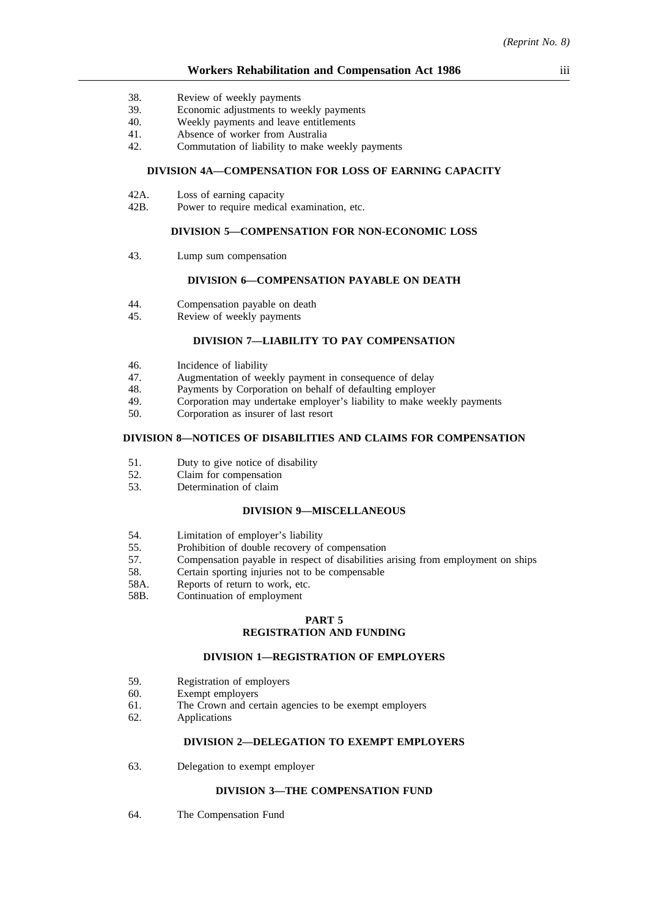- 38. Review of weekly payments
- 39. Economic adjustments to weekly payments
- 40. Weekly payments and leave entitlements
- 41. Absence of worker from Australia
- 42. Commutation of liability to make weekly payments

### **DIVISION 4A—COMPENSATION FOR LOSS OF EARNING CAPACITY**

- 42A. Loss of earning capacity
- 42B. Power to require medical examination, etc.

#### **DIVISION 5—COMPENSATION FOR NON-ECONOMIC LOSS**

43. Lump sum compensation

### **DIVISION 6—COMPENSATION PAYABLE ON DEATH**

- 44. Compensation payable on death<br>45. Review of weekly payments
- Review of weekly payments

# **DIVISION 7—LIABILITY TO PAY COMPENSATION**

- 46. Incidence of liability<br>47. Augmentation of wee
- 47. Augmentation of weekly payment in consequence of delay<br>48. Payments by Corporation on behalf of defaulting employer
- 48. Payments by Corporation on behalf of defaulting employer<br>49 Corporation may undertake employer's liability to make we
- 49. Corporation may undertake employer's liability to make weekly payments<br>50 Corporation as insurer of last resort
- 50. Corporation as insurer of last resort

### **DIVISION 8—NOTICES OF DISABILITIES AND CLAIMS FOR COMPENSATION**

- 51. Duty to give notice of disability
- 52. Claim for compensation<br>53. Determination of claim
- Determination of claim

### **DIVISION 9—MISCELLANEOUS**

- 54. Limitation of employer's liability
- 55. Prohibition of double recovery of compensation
- 57. Compensation payable in respect of disabilities arising from employment on ships
- 58. Certain sporting injuries not to be compensable
- 58A. Reports of return to work, etc.
- 58B. Continuation of employment

#### **PART 5 REGISTRATION AND FUNDING**

#### **DIVISION 1—REGISTRATION OF EMPLOYERS**

- 59. Registration of employers
- 60. Exempt employers
- 61. The Crown and certain agencies to be exempt employers
- 62. Applications

#### **DIVISION 2—DELEGATION TO EXEMPT EMPLOYERS**

63. Delegation to exempt employer

#### **DIVISION 3—THE COMPENSATION FUND**

64. The Compensation Fund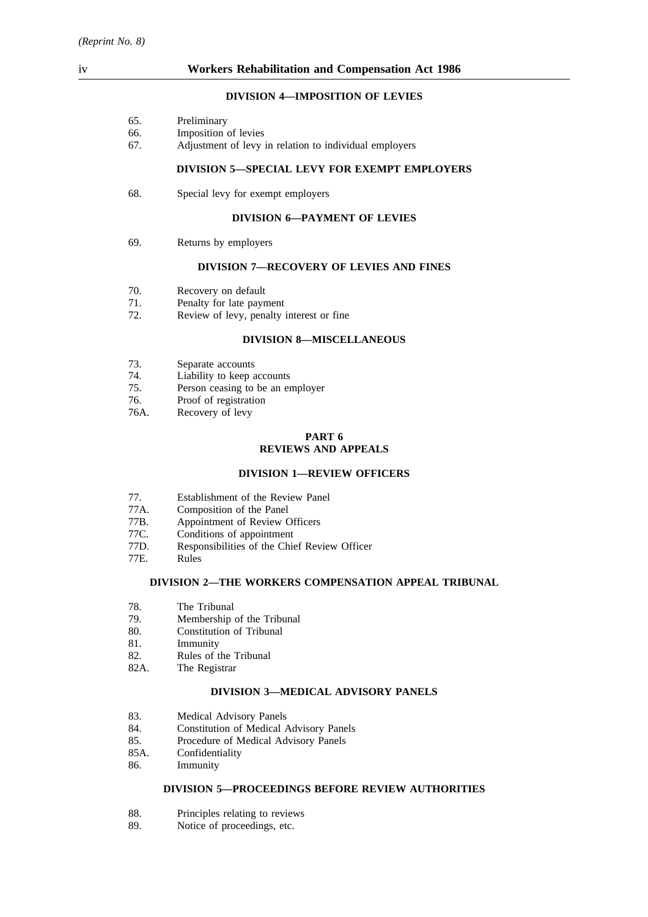# iv **Workers Rehabilitation and Compensation Act 1986**

### **DIVISION 4—IMPOSITION OF LEVIES**

| 65. | Preliminary |
|-----|-------------|
|     |             |

- 66. Imposition of levies
- 67. Adjustment of levy in relation to individual employers

### **DIVISION 5—SPECIAL LEVY FOR EXEMPT EMPLOYERS**

68. Special levy for exempt employers

### **DIVISION 6—PAYMENT OF LEVIES**

69. Returns by employers

### **DIVISION 7—RECOVERY OF LEVIES AND FINES**

- 70. Recovery on default
- 71. Penalty for late payment<br>72. Review of levy, penalty
- Review of levy, penalty interest or fine

### **DIVISION 8—MISCELLANEOUS**

- 73. Separate accounts
- 74. Liability to keep accounts
- 75. Person ceasing to be an employer
- 76. Proof of registration
- 76A. Recovery of levy

# **PART 6**

# **REVIEWS AND APPEALS**

### **DIVISION 1—REVIEW OFFICERS**

- 77. Establishment of the Review Panel
- 77A. Composition of the Panel
- 77B. Appointment of Review Officers
- 77C. Conditions of appointment
- 77D. Responsibilities of the Chief Review Officer
- **Rules**

# **DIVISION 2—THE WORKERS COMPENSATION APPEAL TRIBUNAL**

- 78. The Tribunal
- 79. Membership of the Tribunal<br>80. Constitution of Tribunal
- 80. Constitution of Tribunal<br>81. Immunity
- **Immunity**
- 82. Rules of the Tribunal
- 82A. The Registrar

### **DIVISION 3—MEDICAL ADVISORY PANELS**

- 83. Medical Advisory Panels
- 84. Constitution of Medical Advisory Panels
- 85. Procedure of Medical Advisory Panels
- 85A. Confidentiality
- 86. Immunity

### **DIVISION 5—PROCEEDINGS BEFORE REVIEW AUTHORITIES**

- 88. Principles relating to reviews
- 89. Notice of proceedings, etc.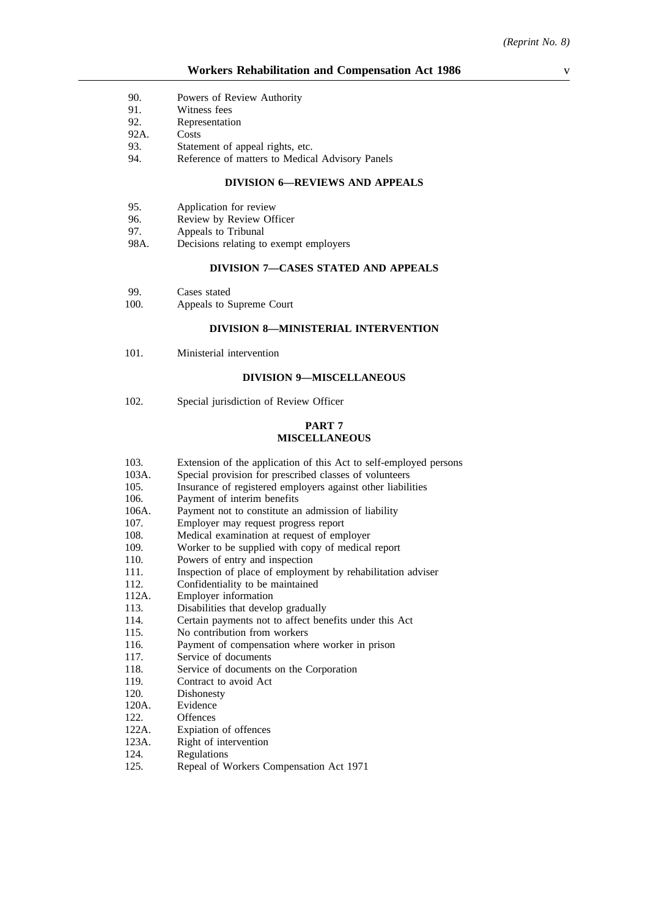- 90. Powers of Review Authority
- 91. Witness fees
- 92. Representation
- 92A. Costs
- 93. Statement of appeal rights, etc.
- 94. Reference of matters to Medical Advisory Panels

#### **DIVISION 6—REVIEWS AND APPEALS**

- 95. Application for review
- 96. Review by Review Officer
- 97. Appeals to Tribunal
- 98A. Decisions relating to exempt employers

### **DIVISION 7—CASES STATED AND APPEALS**

- 99. Cases stated<br>100. Appeals to S
- Appeals to Supreme Court

# **DIVISION 8—MINISTERIAL INTERVENTION**

101. Ministerial intervention

### **DIVISION 9—MISCELLANEOUS**

102. Special jurisdiction of Review Officer

#### **PART 7 MISCELLANEOUS**

- 103. Extension of the application of this Act to self-employed persons
- 103A. Special provision for prescribed classes of volunteers<br>105. Insurance of registered employers against other liabili
- 105. Insurance of registered employers against other liabilities<br>106. Payment of interim benefits
- Payment of interim benefits
- 106A. Payment not to constitute an admission of liability
- 107. Employer may request progress report
- 108. Medical examination at request of employer
- 109. Worker to be supplied with copy of medical report
- 110. Powers of entry and inspection
- 111. Inspection of place of employment by rehabilitation adviser
- 112. Confidentiality to be maintained
- 112A. Employer information
- 113. Disabilities that develop gradually
- 114. Certain payments not to affect benefits under this Act
- 115. No contribution from workers
- 116. Payment of compensation where worker in prison
- 117. Service of documents
- 118. Service of documents on the Corporation
- 119. Contract to avoid Act
- 120. Dishonesty
- 120A. Evidence
- 122. Offences
- 122A. Expiation of offences
- 123A. Right of intervention
- 124. Regulations
- 125. Repeal of Workers Compensation Act 1971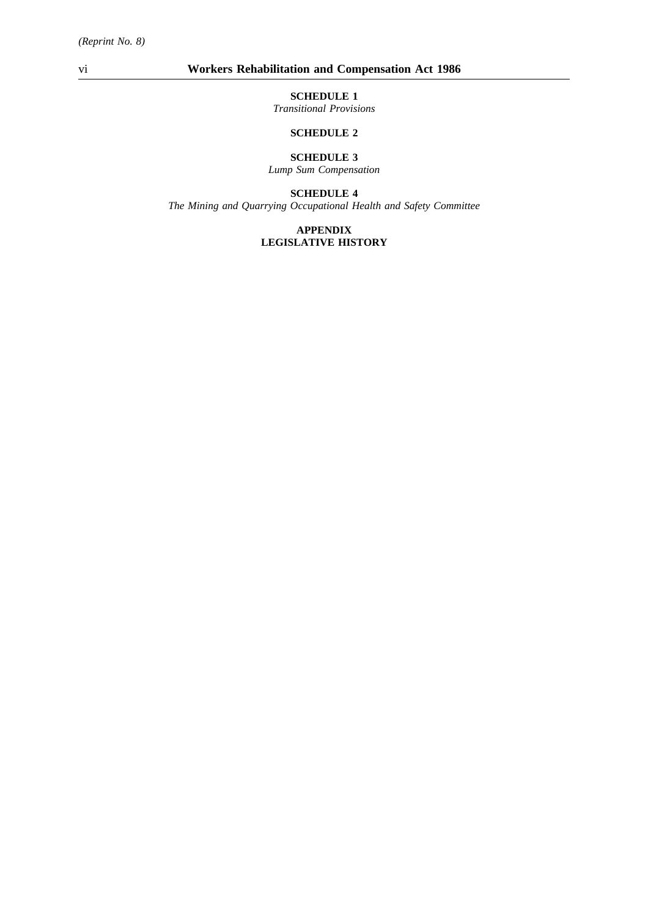# vi **Workers Rehabilitation and Compensation Act 1986**

# **SCHEDULE 1**

*Transitional Provisions*

# **SCHEDULE 2**

# **SCHEDULE 3**

*Lump Sum Compensation*

# **SCHEDULE 4**

*The Mining and Quarrying Occupational Health and Safety Committee*

#### **APPENDIX LEGISLATIVE HISTORY**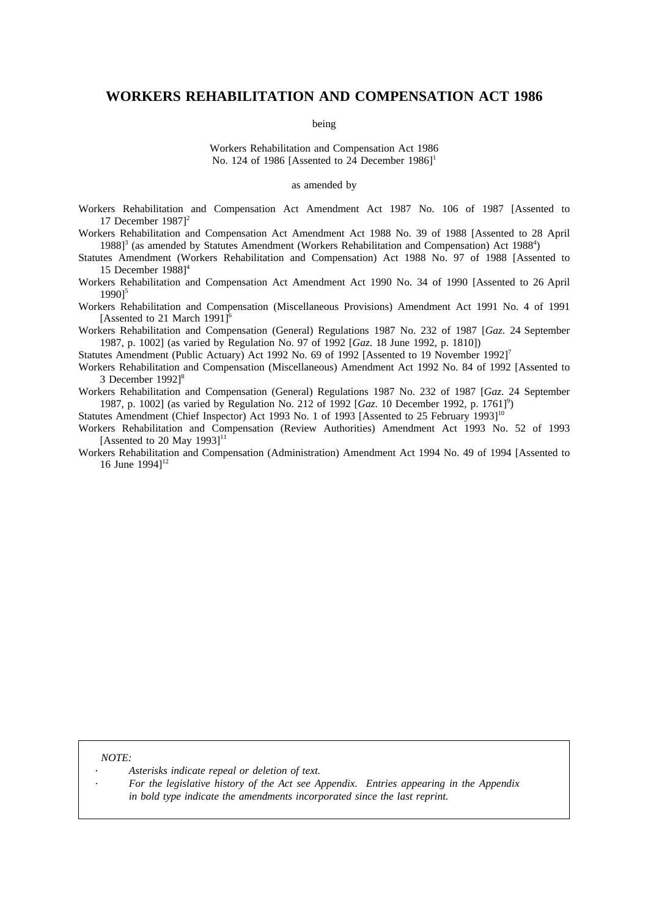# **WORKERS REHABILITATION AND COMPENSATION ACT 1986**

being

Workers Rehabilitation and Compensation Act 1986 No. 124 of 1986 [Assented to  $24$  December 1986]<sup>1</sup>

#### as amended by

Workers Rehabilitation and Compensation Act Amendment Act 1987 No. 106 of 1987 [Assented to 17 December 1987]<sup>2</sup>

Workers Rehabilitation and Compensation Act Amendment Act 1988 No. 39 of 1988 [Assented to 28 April 1988]<sup>3</sup> (as amended by Statutes Amendment (Workers Rehabilitation and Compensation) Act 1988<sup>4</sup>)

Statutes Amendment (Workers Rehabilitation and Compensation) Act 1988 No. 97 of 1988 [Assented to 15 December 1988]<sup>4</sup>

Workers Rehabilitation and Compensation Act Amendment Act 1990 No. 34 of 1990 [Assented to 26 April 1990]5

Workers Rehabilitation and Compensation (Miscellaneous Provisions) Amendment Act 1991 No. 4 of 1991 [Assented to 21 March 1991]<sup>6</sup>

Workers Rehabilitation and Compensation (General) Regulations 1987 No. 232 of 1987 [*Gaz*. 24 September 1987, p. 1002] (as varied by Regulation No. 97 of 1992 [*Gaz*. 18 June 1992, p. 1810])

Statutes Amendment (Public Actuary) Act 1992 No. 69 of 1992 [Assented to 19 November 1992]7

Workers Rehabilitation and Compensation (Miscellaneous) Amendment Act 1992 No. 84 of 1992 [Assented to 3 December 1992]<sup>8</sup>

Workers Rehabilitation and Compensation (General) Regulations 1987 No. 232 of 1987 [*Gaz*. 24 September 1987, p. 1002] (as varied by Regulation No. 212 of 1992 [Gaz. 10 December 1992, p. 1761]<sup>9</sup>)

Statutes Amendment (Chief Inspector) Act 1993 No. 1 of 1993 [Assented to 25 February 1993]<sup>10</sup>

Workers Rehabilitation and Compensation (Review Authorities) Amendment Act 1993 No. 52 of 1993 [Assented to 20 May 1993]<sup>11</sup>

Workers Rehabilitation and Compensation (Administration) Amendment Act 1994 No. 49 of 1994 [Assented to 16 June  $1994$ <sup>12</sup>

*NOTE:*

*Asterisks indicate repeal or deletion of text.*

*For the legislative history of the Act see Appendix. Entries appearing in the Appendix in bold type indicate the amendments incorporated since the last reprint.*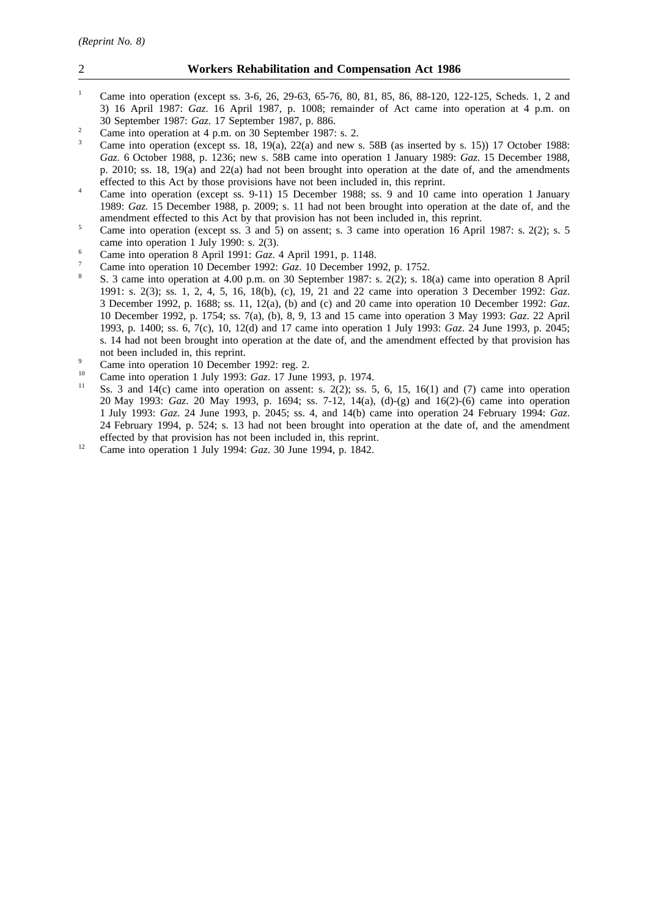### 2 **Workers Rehabilitation and Compensation Act 1986**

- <sup>1</sup> Came into operation (except ss. 3-6, 26, 29-63, 65-76, 80, 81, 85, 86, 88-120, 122-125, Scheds. 1, 2 and 3) 16 April 1987: *Gaz*. 16 April 1987, p. 1008; remainder of Act came into operation at 4 p.m. on 30 September 1987: *Gaz*. 17 September 1987, p. 886.
- <sup>2</sup> Came into operation at 4 p.m. on 30 September 1987: s. 2.<br>Come into operation (mappi to  $19(10\%)$  22(a) and name
- Came into operation (except ss. 18, 19 $(a)$ , 22 $(a)$  and new s. 58B (as inserted by s. 15)) 17 October 1988: *Gaz.* 6 October 1988, p. 1236; new s. 58B came into operation 1 January 1989: *Gaz.* 15 December 1988, p. 2010; ss. 18, 19(a) and 22(a) had not been brought into operation at the date of, and the amendments effected to this Act by those provisions have not been included in, this reprint.
- <sup>4</sup> Came into operation (except ss. 9-11) 15 December 1988; ss. 9 and 10 came into operation 1 January 1989: *Gaz.* 15 December 1988, p. 2009; s. 11 had not been brought into operation at the date of, and the amendment effected to this Act by that provision has not been included in, this reprint.
- <sup>5</sup> Came into operation (except ss.  $\overline{3}$  and  $\overline{5}$ ) on assent; s.  $\overline{3}$  came into operation 16 April 1987: s. 2(2); s.  $\overline{5}$ came into operation 1 July 1990: s. 2(3).
- <sup>6</sup> Came into operation 8 April 1991: *Gaz*. 4 April 1991, p. 1148.
- <sup>7</sup> Came into operation 10 December 1992: *Gaz*. 10 December 1992, p. 1752.
- <sup>8</sup> S. 3 came into operation at 4.00 p.m. on 30 September 1987: s. 2(2); s. 18(a) came into operation 8 April 1991: s. 2(3); ss. 1, 2, 4, 5, 16, 18(b), (c), 19, 21 and 22 came into operation 3 December 1992: *Gaz*. 3 December 1992, p. 1688; ss. 11, 12(a), (b) and (c) and 20 came into operation 10 December 1992: *Gaz*. 10 December 1992, p. 1754; ss. 7(a), (b), 8, 9, 13 and 15 came into operation 3 May 1993: *Gaz*. 22 April 1993, p. 1400; ss. 6, 7(c), 10, 12(d) and 17 came into operation 1 July 1993: *Gaz*. 24 June 1993, p. 2045; s. 14 had not been brought into operation at the date of, and the amendment effected by that provision has not been included in, this reprint.
- $\frac{9}{2}$  Came into operation 10 December 1992: reg. 2.
- <sup>10</sup> Came into operation 1 July 1993: *Gaz*. 17 June 1993, p. 1974.
- Ss. 3 and  $14(c)$  came into operation on assent: s. 2(2); ss. 5, 6, 15, 16(1) and (7) came into operation 20 May 1993: *Gaz*. 20 May 1993, p. 1694; ss. 7-12, 14(a), (d)-(g) and 16(2)-(6) came into operation 1 July 1993: *Gaz*. 24 June 1993, p. 2045; ss. 4, and 14(b) came into operation 24 February 1994: *Gaz*. 24 February 1994, p. 524; s. 13 had not been brought into operation at the date of, and the amendment effected by that provision has not been included in, this reprint.
- <sup>12</sup> Came into operation 1 July 1994: *Gaz*. 30 June 1994, p. 1842.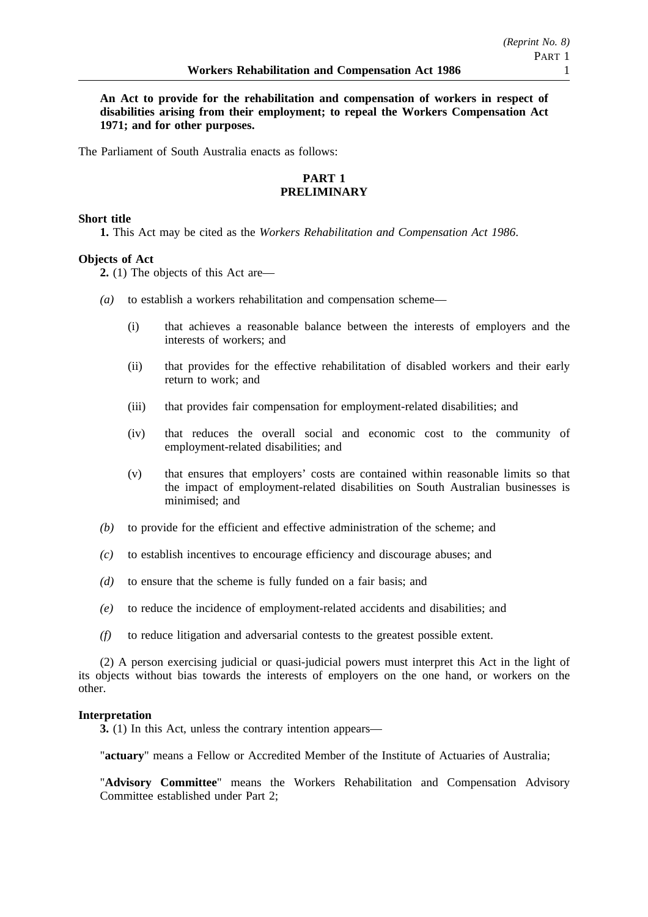**An Act to provide for the rehabilitation and compensation of workers in respect of disabilities arising from their employment; to repeal the Workers Compensation Act 1971; and for other purposes.**

The Parliament of South Australia enacts as follows:

# **PART 1 PRELIMINARY**

# **Short title**

**1.** This Act may be cited as the *Workers Rehabilitation and Compensation Act 1986*.

# **Objects of Act**

**2.** (1) The objects of this Act are—

- *(a)* to establish a workers rehabilitation and compensation scheme—
	- (i) that achieves a reasonable balance between the interests of employers and the interests of workers; and
	- (ii) that provides for the effective rehabilitation of disabled workers and their early return to work; and
	- (iii) that provides fair compensation for employment-related disabilities; and
	- (iv) that reduces the overall social and economic cost to the community of employment-related disabilities; and
	- (v) that ensures that employers' costs are contained within reasonable limits so that the impact of employment-related disabilities on South Australian businesses is minimised; and
- *(b)* to provide for the efficient and effective administration of the scheme; and
- *(c)* to establish incentives to encourage efficiency and discourage abuses; and
- *(d)* to ensure that the scheme is fully funded on a fair basis; and
- *(e)* to reduce the incidence of employment-related accidents and disabilities; and
- *(f)* to reduce litigation and adversarial contests to the greatest possible extent.

(2) A person exercising judicial or quasi-judicial powers must interpret this Act in the light of its objects without bias towards the interests of employers on the one hand, or workers on the other.

### **Interpretation**

**3.** (1) In this Act, unless the contrary intention appears—

"**actuary**" means a Fellow or Accredited Member of the Institute of Actuaries of Australia;

"**Advisory Committee**" means the Workers Rehabilitation and Compensation Advisory Committee established under Part 2;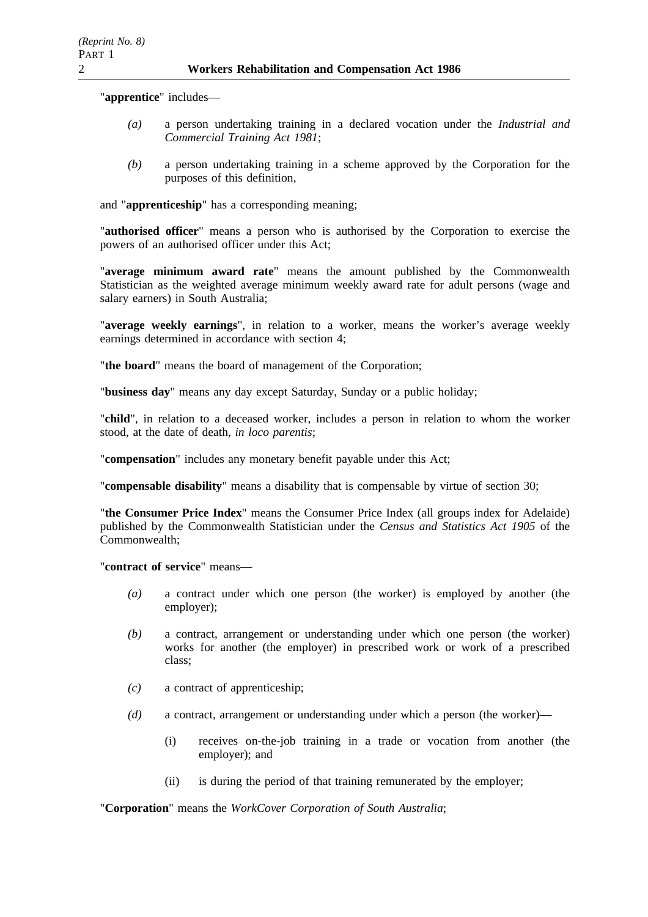"**apprentice**" includes—

- *(a)* a person undertaking training in a declared vocation under the *Industrial and Commercial Training Act 1981*;
- *(b)* a person undertaking training in a scheme approved by the Corporation for the purposes of this definition,

and "**apprenticeship**" has a corresponding meaning;

"**authorised officer**" means a person who is authorised by the Corporation to exercise the powers of an authorised officer under this Act;

"**average minimum award rate**" means the amount published by the Commonwealth Statistician as the weighted average minimum weekly award rate for adult persons (wage and salary earners) in South Australia;

"**average weekly earnings**", in relation to a worker, means the worker's average weekly earnings determined in accordance with section 4;

"**the board**" means the board of management of the Corporation;

"**business day**" means any day except Saturday, Sunday or a public holiday;

"**child**", in relation to a deceased worker, includes a person in relation to whom the worker stood, at the date of death, *in loco parentis*;

"**compensation**" includes any monetary benefit payable under this Act;

"**compensable disability**" means a disability that is compensable by virtue of section 30;

"**the Consumer Price Index**" means the Consumer Price Index (all groups index for Adelaide) published by the Commonwealth Statistician under the *Census and Statistics Act 1905* of the Commonwealth;

"**contract of service**" means—

- *(a)* a contract under which one person (the worker) is employed by another (the employer);
- *(b)* a contract, arrangement or understanding under which one person (the worker) works for another (the employer) in prescribed work or work of a prescribed class;
- *(c)* a contract of apprenticeship;
- *(d)* a contract, arrangement or understanding under which a person (the worker)—
	- (i) receives on-the-job training in a trade or vocation from another (the employer); and
	- (ii) is during the period of that training remunerated by the employer;

"**Corporation**" means the *WorkCover Corporation of South Australia*;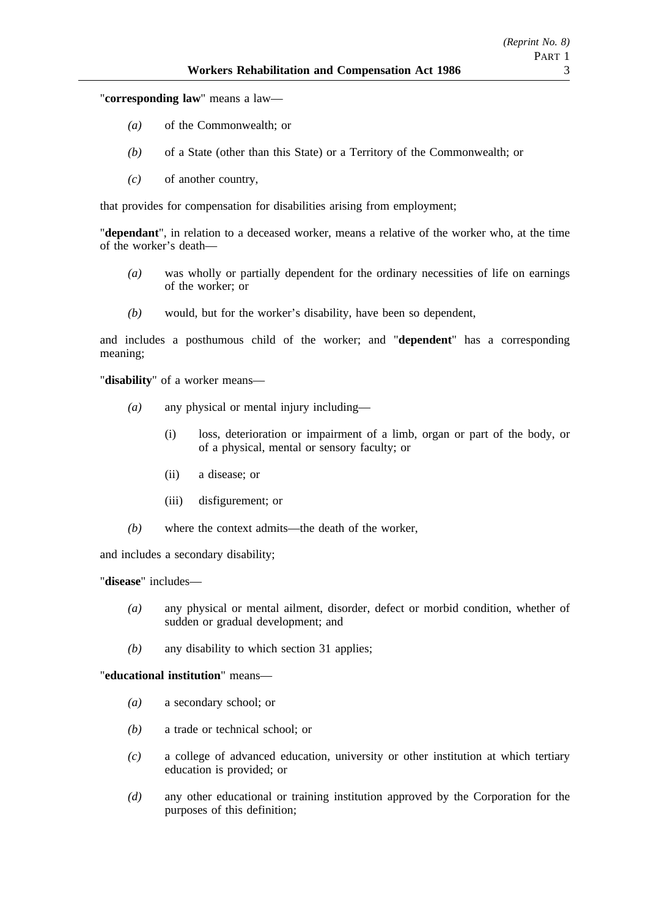"**corresponding law**" means a law—

- *(a)* of the Commonwealth; or
- *(b)* of a State (other than this State) or a Territory of the Commonwealth; or
- *(c)* of another country,

that provides for compensation for disabilities arising from employment;

"**dependant**", in relation to a deceased worker, means a relative of the worker who, at the time of the worker's death—

- *(a)* was wholly or partially dependent for the ordinary necessities of life on earnings of the worker; or
- *(b)* would, but for the worker's disability, have been so dependent,

and includes a posthumous child of the worker; and "**dependent**" has a corresponding meaning;

"**disability**" of a worker means—

- *(a)* any physical or mental injury including—
	- (i) loss, deterioration or impairment of a limb, organ or part of the body, or of a physical, mental or sensory faculty; or
	- (ii) a disease; or
	- (iii) disfigurement; or
- *(b)* where the context admits—the death of the worker,

and includes a secondary disability;

"**disease**" includes—

- *(a)* any physical or mental ailment, disorder, defect or morbid condition, whether of sudden or gradual development; and
- *(b)* any disability to which section 31 applies;

"**educational institution**" means—

- *(a)* a secondary school; or
- *(b)* a trade or technical school; or
- *(c)* a college of advanced education, university or other institution at which tertiary education is provided; or
- *(d)* any other educational or training institution approved by the Corporation for the purposes of this definition;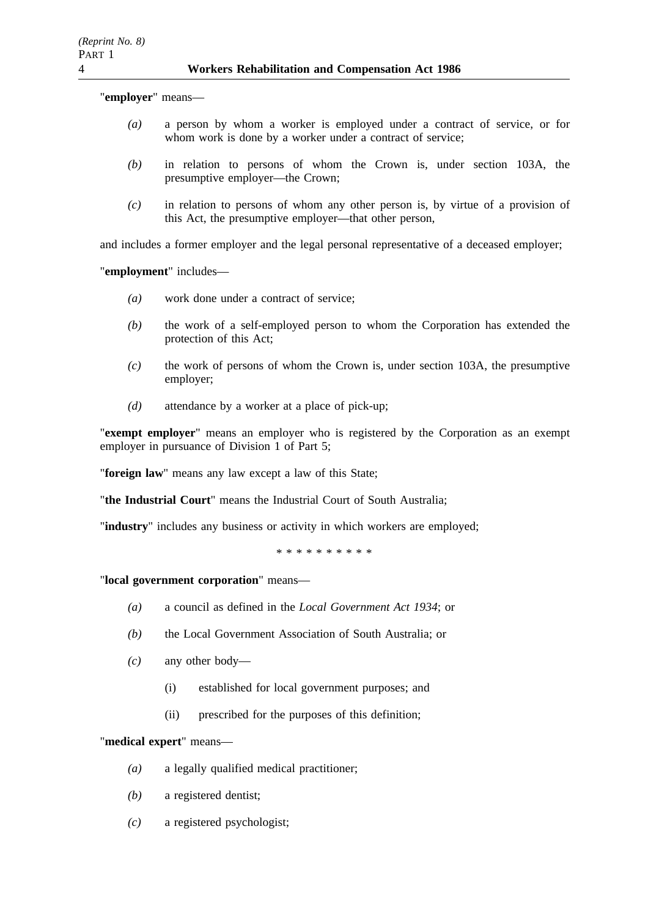"**employer**" means—

- *(a)* a person by whom a worker is employed under a contract of service, or for whom work is done by a worker under a contract of service;
- *(b)* in relation to persons of whom the Crown is, under section 103A, the presumptive employer—the Crown;
- *(c)* in relation to persons of whom any other person is, by virtue of a provision of this Act, the presumptive employer—that other person,

and includes a former employer and the legal personal representative of a deceased employer;

"**employment**" includes—

- *(a)* work done under a contract of service;
- *(b)* the work of a self-employed person to whom the Corporation has extended the protection of this Act;
- *(c)* the work of persons of whom the Crown is, under section 103A, the presumptive employer;
- *(d)* attendance by a worker at a place of pick-up;

"**exempt employer**" means an employer who is registered by the Corporation as an exempt employer in pursuance of Division 1 of Part 5:

"**foreign law**" means any law except a law of this State;

"**the Industrial Court**" means the Industrial Court of South Australia;

"**industry**" includes any business or activity in which workers are employed;

\*\*\*\*\*\*\*\*\*\*

"**local government corporation**" means—

- *(a)* a council as defined in the *Local Government Act 1934*; or
- *(b)* the Local Government Association of South Australia; or
- *(c)* any other body—
	- (i) established for local government purposes; and
	- (ii) prescribed for the purposes of this definition;

"**medical expert**" means—

- *(a)* a legally qualified medical practitioner;
- *(b)* a registered dentist;
- *(c)* a registered psychologist;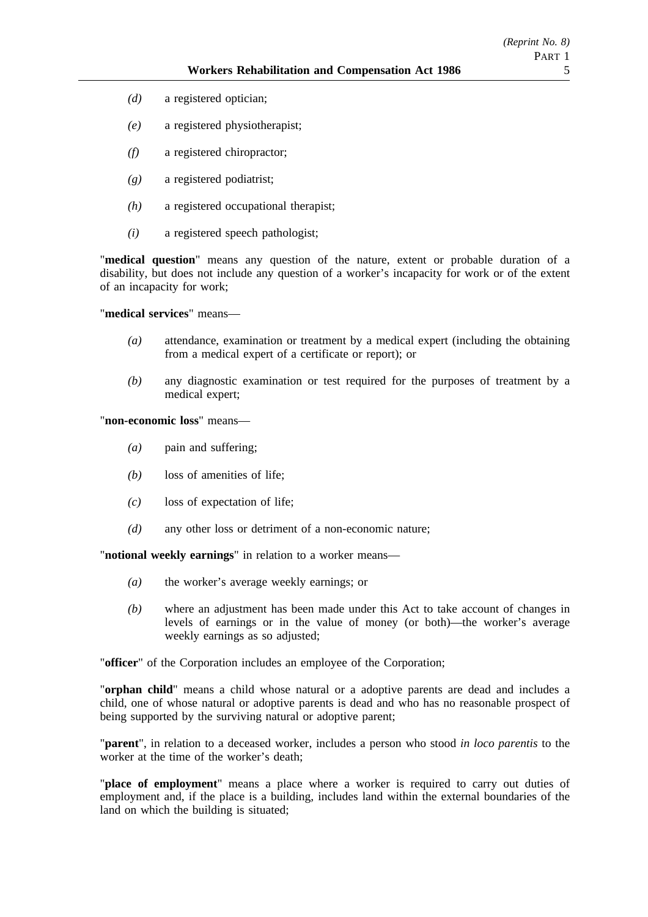- *(d)* a registered optician;
- *(e)* a registered physiotherapist;
- *(f)* a registered chiropractor;
- *(g)* a registered podiatrist;
- *(h)* a registered occupational therapist;
- *(i)* a registered speech pathologist;

"**medical question**" means any question of the nature, extent or probable duration of a disability, but does not include any question of a worker's incapacity for work or of the extent of an incapacity for work;

"**medical services**" means—

- *(a)* attendance, examination or treatment by a medical expert (including the obtaining from a medical expert of a certificate or report); or
- *(b)* any diagnostic examination or test required for the purposes of treatment by a medical expert;

"**non-economic loss**" means—

- *(a)* pain and suffering;
- *(b)* loss of amenities of life;
- *(c)* loss of expectation of life;
- *(d)* any other loss or detriment of a non-economic nature;

"**notional weekly earnings**" in relation to a worker means—

- *(a)* the worker's average weekly earnings; or
- *(b)* where an adjustment has been made under this Act to take account of changes in levels of earnings or in the value of money (or both)—the worker's average weekly earnings as so adjusted;

"**officer**" of the Corporation includes an employee of the Corporation;

"**orphan child**" means a child whose natural or a adoptive parents are dead and includes a child, one of whose natural or adoptive parents is dead and who has no reasonable prospect of being supported by the surviving natural or adoptive parent;

"**parent**", in relation to a deceased worker, includes a person who stood *in loco parentis* to the worker at the time of the worker's death;

"**place of employment**" means a place where a worker is required to carry out duties of employment and, if the place is a building, includes land within the external boundaries of the land on which the building is situated;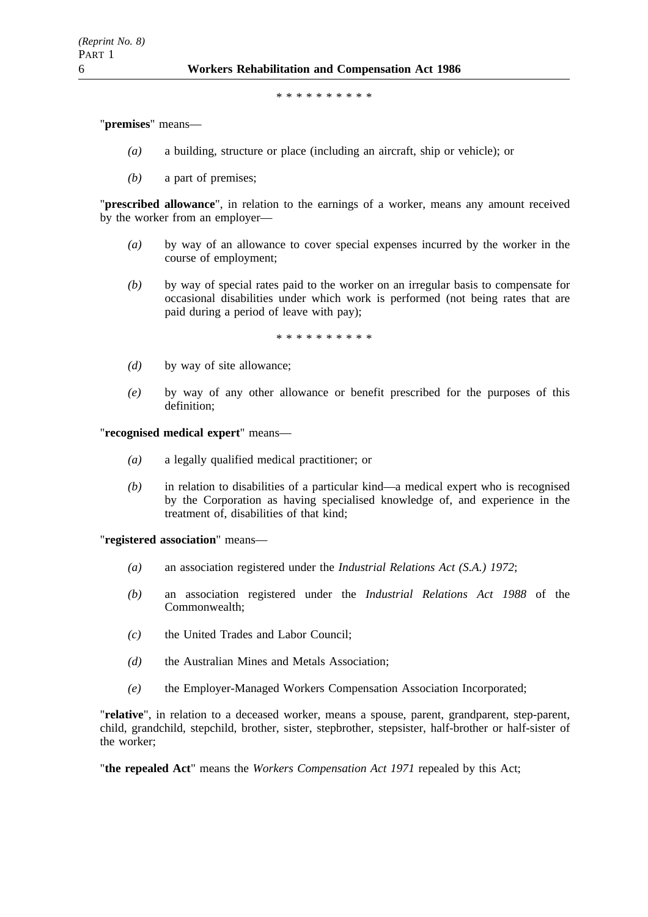\*\*\*\*\*\*\*\*\*\*

"**premises**" means—

- *(a)* a building, structure or place (including an aircraft, ship or vehicle); or
- *(b)* a part of premises;

"**prescribed allowance**", in relation to the earnings of a worker, means any amount received by the worker from an employer—

- *(a)* by way of an allowance to cover special expenses incurred by the worker in the course of employment;
- *(b)* by way of special rates paid to the worker on an irregular basis to compensate for occasional disabilities under which work is performed (not being rates that are paid during a period of leave with pay);

\*\*\*\*\*\*\*\*\*\*

- *(d)* by way of site allowance;
- *(e)* by way of any other allowance or benefit prescribed for the purposes of this definition;

"**recognised medical expert**" means—

- *(a)* a legally qualified medical practitioner; or
- *(b)* in relation to disabilities of a particular kind—a medical expert who is recognised by the Corporation as having specialised knowledge of, and experience in the treatment of, disabilities of that kind;

"**registered association**" means—

- *(a)* an association registered under the *Industrial Relations Act (S.A.) 1972*;
- *(b)* an association registered under the *Industrial Relations Act 1988* of the Commonwealth;
- *(c)* the United Trades and Labor Council;
- *(d)* the Australian Mines and Metals Association;
- *(e)* the Employer-Managed Workers Compensation Association Incorporated;

"**relative**", in relation to a deceased worker, means a spouse, parent, grandparent, step-parent, child, grandchild, stepchild, brother, sister, stepbrother, stepsister, half-brother or half-sister of the worker;

"**the repealed Act**" means the *Workers Compensation Act 1971* repealed by this Act;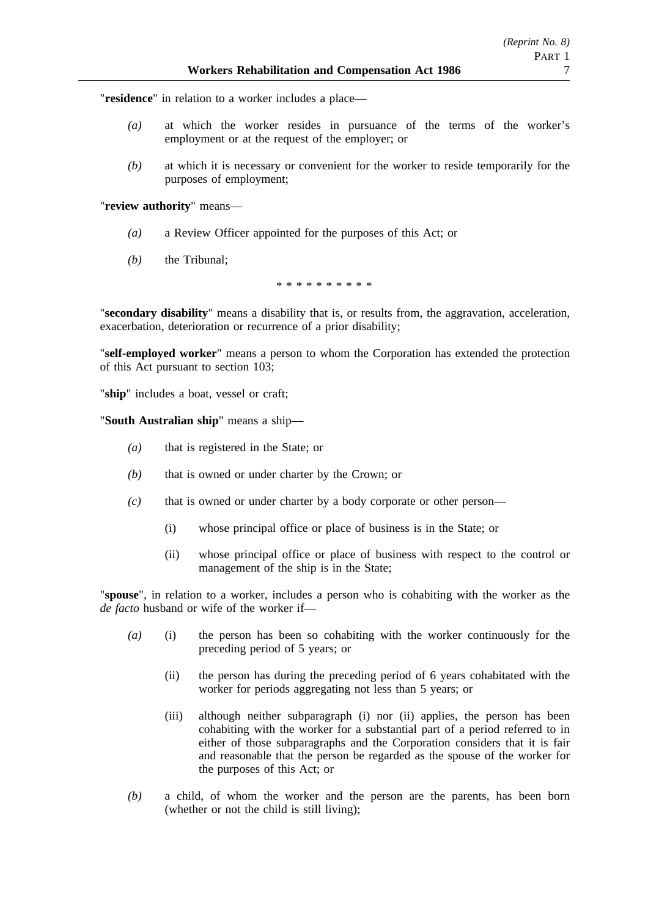"**residence**" in relation to a worker includes a place—

- *(a)* at which the worker resides in pursuance of the terms of the worker's employment or at the request of the employer; or
- *(b)* at which it is necessary or convenient for the worker to reside temporarily for the purposes of employment;

"**review authority**" means—

- *(a)* a Review Officer appointed for the purposes of this Act; or
- *(b)* the Tribunal;

\*\*\*\*\*\*\*\*\*\*

"**secondary disability**" means a disability that is, or results from, the aggravation, acceleration, exacerbation, deterioration or recurrence of a prior disability;

"**self-employed worker**" means a person to whom the Corporation has extended the protection of this Act pursuant to section 103;

"**ship**" includes a boat, vessel or craft;

"**South Australian ship**" means a ship—

- *(a)* that is registered in the State; or
- *(b)* that is owned or under charter by the Crown; or
- *(c)* that is owned or under charter by a body corporate or other person—
	- (i) whose principal office or place of business is in the State; or
	- (ii) whose principal office or place of business with respect to the control or management of the ship is in the State;

"**spouse**", in relation to a worker, includes a person who is cohabiting with the worker as the *de facto* husband or wife of the worker if—

- *(a)* (i) the person has been so cohabiting with the worker continuously for the preceding period of 5 years; or
	- (ii) the person has during the preceding period of 6 years cohabitated with the worker for periods aggregating not less than 5 years; or
	- (iii) although neither subparagraph (i) nor (ii) applies, the person has been cohabiting with the worker for a substantial part of a period referred to in either of those subparagraphs and the Corporation considers that it is fair and reasonable that the person be regarded as the spouse of the worker for the purposes of this Act; or
- *(b)* a child, of whom the worker and the person are the parents, has been born (whether or not the child is still living);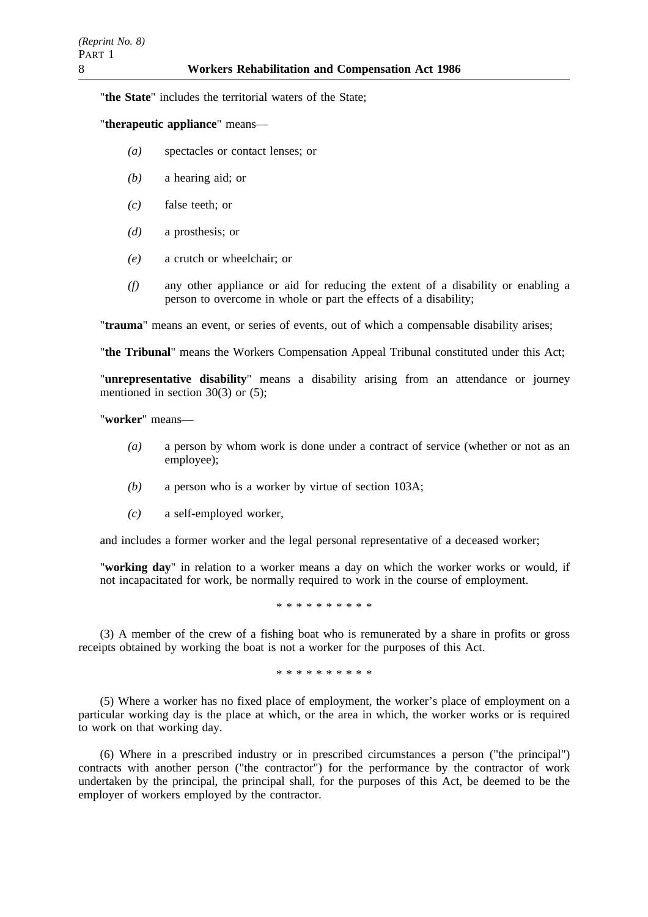"**the State**" includes the territorial waters of the State;

# "**therapeutic appliance**" means—

- *(a)* spectacles or contact lenses; or
- *(b)* a hearing aid; or
- *(c)* false teeth; or
- *(d)* a prosthesis; or
- *(e)* a crutch or wheelchair; or
- *(f)* any other appliance or aid for reducing the extent of a disability or enabling a person to overcome in whole or part the effects of a disability;

"**trauma**" means an event, or series of events, out of which a compensable disability arises;

"**the Tribunal**" means the Workers Compensation Appeal Tribunal constituted under this Act;

"**unrepresentative disability**" means a disability arising from an attendance or journey mentioned in section 30(3) or (5);

"**worker**" means—

- *(a)* a person by whom work is done under a contract of service (whether or not as an employee);
- *(b)* a person who is a worker by virtue of section 103A;
- *(c)* a self-employed worker,

and includes a former worker and the legal personal representative of a deceased worker;

"**working day**" in relation to a worker means a day on which the worker works or would, if not incapacitated for work, be normally required to work in the course of employment.

\*\*\*\*\*\*\*\*\*\*

(3) A member of the crew of a fishing boat who is remunerated by a share in profits or gross receipts obtained by working the boat is not a worker for the purposes of this Act.

\*\*\*\*\*\*\*\*\*\*

(5) Where a worker has no fixed place of employment, the worker's place of employment on a particular working day is the place at which, or the area in which, the worker works or is required to work on that working day.

(6) Where in a prescribed industry or in prescribed circumstances a person ("the principal") contracts with another person ("the contractor") for the performance by the contractor of work undertaken by the principal, the principal shall, for the purposes of this Act, be deemed to be the employer of workers employed by the contractor.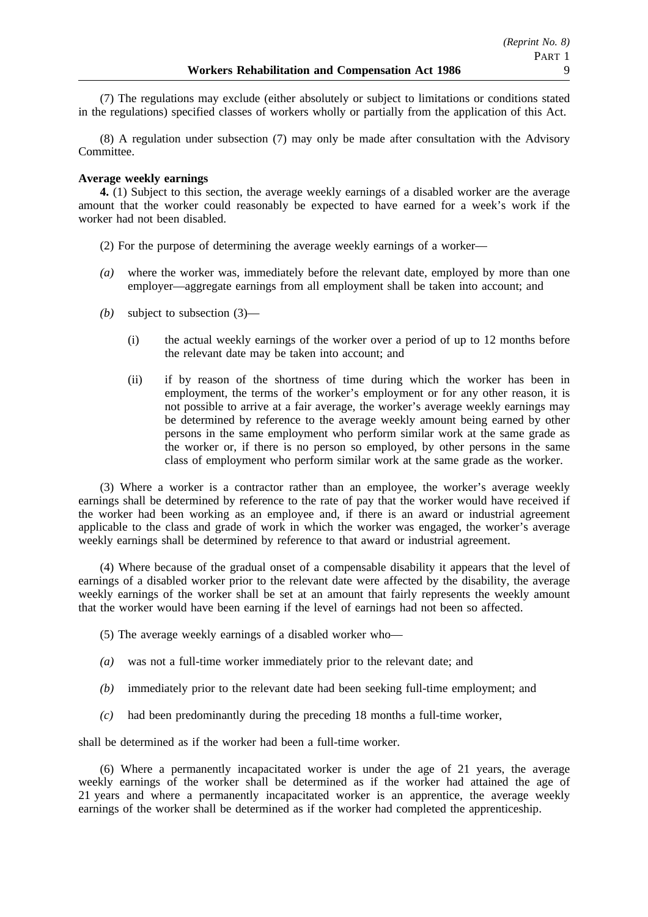(7) The regulations may exclude (either absolutely or subject to limitations or conditions stated in the regulations) specified classes of workers wholly or partially from the application of this Act.

(8) A regulation under subsection (7) may only be made after consultation with the Advisory Committee.

# **Average weekly earnings**

**4.** (1) Subject to this section, the average weekly earnings of a disabled worker are the average amount that the worker could reasonably be expected to have earned for a week's work if the worker had not been disabled.

- (2) For the purpose of determining the average weekly earnings of a worker—
- *(a)* where the worker was, immediately before the relevant date, employed by more than one employer—aggregate earnings from all employment shall be taken into account; and
- *(b)* subject to subsection (3)—
	- (i) the actual weekly earnings of the worker over a period of up to 12 months before the relevant date may be taken into account; and
	- (ii) if by reason of the shortness of time during which the worker has been in employment, the terms of the worker's employment or for any other reason, it is not possible to arrive at a fair average, the worker's average weekly earnings may be determined by reference to the average weekly amount being earned by other persons in the same employment who perform similar work at the same grade as the worker or, if there is no person so employed, by other persons in the same class of employment who perform similar work at the same grade as the worker.

(3) Where a worker is a contractor rather than an employee, the worker's average weekly earnings shall be determined by reference to the rate of pay that the worker would have received if the worker had been working as an employee and, if there is an award or industrial agreement applicable to the class and grade of work in which the worker was engaged, the worker's average weekly earnings shall be determined by reference to that award or industrial agreement.

(4) Where because of the gradual onset of a compensable disability it appears that the level of earnings of a disabled worker prior to the relevant date were affected by the disability, the average weekly earnings of the worker shall be set at an amount that fairly represents the weekly amount that the worker would have been earning if the level of earnings had not been so affected.

- (5) The average weekly earnings of a disabled worker who—
- *(a)* was not a full-time worker immediately prior to the relevant date; and
- *(b)* immediately prior to the relevant date had been seeking full-time employment; and
- *(c)* had been predominantly during the preceding 18 months a full-time worker,

shall be determined as if the worker had been a full-time worker.

(6) Where a permanently incapacitated worker is under the age of 21 years, the average weekly earnings of the worker shall be determined as if the worker had attained the age of 21 years and where a permanently incapacitated worker is an apprentice, the average weekly earnings of the worker shall be determined as if the worker had completed the apprenticeship.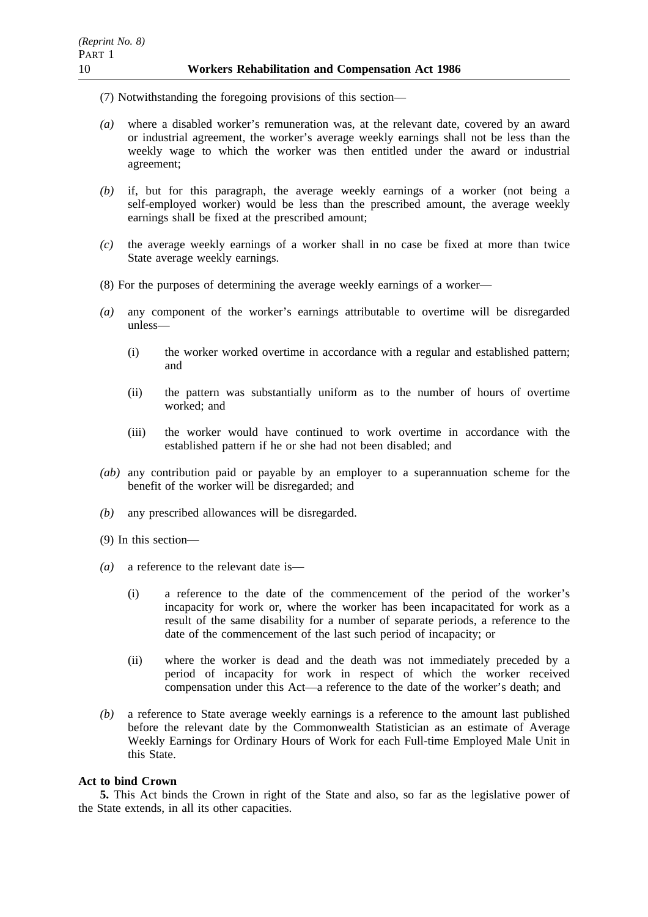- (7) Notwithstanding the foregoing provisions of this section—
- *(a)* where a disabled worker's remuneration was, at the relevant date, covered by an award or industrial agreement, the worker's average weekly earnings shall not be less than the weekly wage to which the worker was then entitled under the award or industrial agreement;
- *(b)* if, but for this paragraph, the average weekly earnings of a worker (not being a self-employed worker) would be less than the prescribed amount, the average weekly earnings shall be fixed at the prescribed amount;
- *(c)* the average weekly earnings of a worker shall in no case be fixed at more than twice State average weekly earnings.
- (8) For the purposes of determining the average weekly earnings of a worker—
- *(a)* any component of the worker's earnings attributable to overtime will be disregarded unless—
	- (i) the worker worked overtime in accordance with a regular and established pattern; and
	- (ii) the pattern was substantially uniform as to the number of hours of overtime worked; and
	- (iii) the worker would have continued to work overtime in accordance with the established pattern if he or she had not been disabled; and
- *(ab)* any contribution paid or payable by an employer to a superannuation scheme for the benefit of the worker will be disregarded; and
- *(b)* any prescribed allowances will be disregarded.
- (9) In this section—
- *(a)* a reference to the relevant date is—
	- (i) a reference to the date of the commencement of the period of the worker's incapacity for work or, where the worker has been incapacitated for work as a result of the same disability for a number of separate periods, a reference to the date of the commencement of the last such period of incapacity; or
	- (ii) where the worker is dead and the death was not immediately preceded by a period of incapacity for work in respect of which the worker received compensation under this Act—a reference to the date of the worker's death; and
- *(b)* a reference to State average weekly earnings is a reference to the amount last published before the relevant date by the Commonwealth Statistician as an estimate of Average Weekly Earnings for Ordinary Hours of Work for each Full-time Employed Male Unit in this State.

### **Act to bind Crown**

**5.** This Act binds the Crown in right of the State and also, so far as the legislative power of the State extends, in all its other capacities.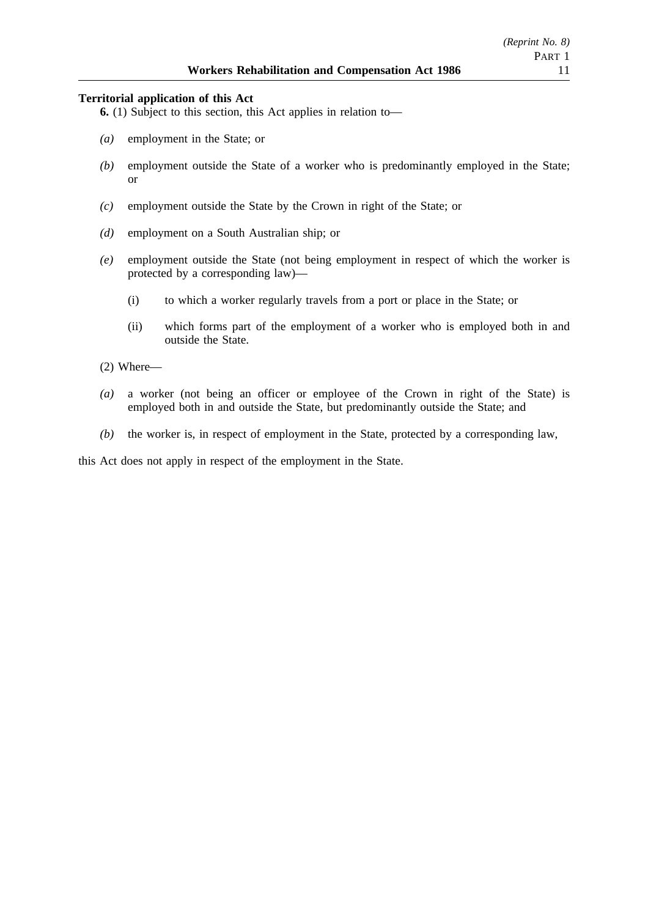### **Territorial application of this Act**

**6.** (1) Subject to this section, this Act applies in relation to—

- *(a)* employment in the State; or
- *(b)* employment outside the State of a worker who is predominantly employed in the State; or
- *(c)* employment outside the State by the Crown in right of the State; or
- *(d)* employment on a South Australian ship; or
- *(e)* employment outside the State (not being employment in respect of which the worker is protected by a corresponding law)—
	- (i) to which a worker regularly travels from a port or place in the State; or
	- (ii) which forms part of the employment of a worker who is employed both in and outside the State.
- (2) Where—
- *(a)* a worker (not being an officer or employee of the Crown in right of the State) is employed both in and outside the State, but predominantly outside the State; and
- *(b)* the worker is, in respect of employment in the State, protected by a corresponding law,

this Act does not apply in respect of the employment in the State.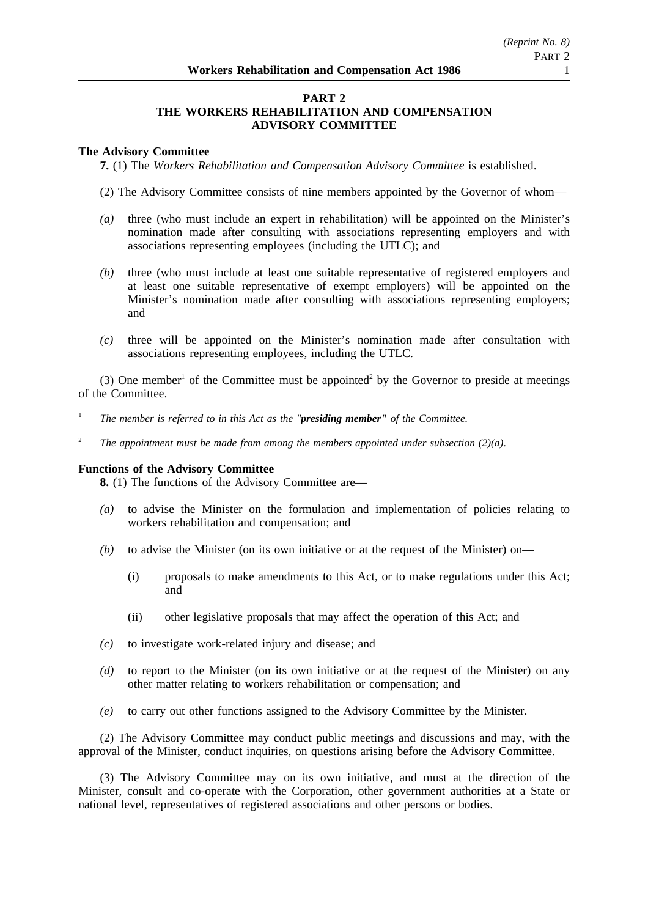## **PART 2 THE WORKERS REHABILITATION AND COMPENSATION ADVISORY COMMITTEE**

## **The Advisory Committee**

**7.** (1) The *Workers Rehabilitation and Compensation Advisory Committee* is established.

- (2) The Advisory Committee consists of nine members appointed by the Governor of whom—
- *(a)* three (who must include an expert in rehabilitation) will be appointed on the Minister's nomination made after consulting with associations representing employers and with associations representing employees (including the UTLC); and
- *(b)* three (who must include at least one suitable representative of registered employers and at least one suitable representative of exempt employers) will be appointed on the Minister's nomination made after consulting with associations representing employers; and
- *(c)* three will be appointed on the Minister's nomination made after consultation with associations representing employees, including the UTLC.

(3) One member<sup>1</sup> of the Committee must be appointed<sup>2</sup> by the Governor to preside at meetings of the Committee.

- <sup>1</sup> *The member is referred to in this Act as the "presiding member" of the Committee.*
- <sup>2</sup> *The appointment must be made from among the members appointed under subsection (2)(a).*

### **Functions of the Advisory Committee**

**8.** (1) The functions of the Advisory Committee are—

- *(a)* to advise the Minister on the formulation and implementation of policies relating to workers rehabilitation and compensation; and
- *(b)* to advise the Minister (on its own initiative or at the request of the Minister) on—
	- (i) proposals to make amendments to this Act, or to make regulations under this Act; and
	- (ii) other legislative proposals that may affect the operation of this Act; and
- *(c)* to investigate work-related injury and disease; and
- *(d)* to report to the Minister (on its own initiative or at the request of the Minister) on any other matter relating to workers rehabilitation or compensation; and
- *(e)* to carry out other functions assigned to the Advisory Committee by the Minister.

(2) The Advisory Committee may conduct public meetings and discussions and may, with the approval of the Minister, conduct inquiries, on questions arising before the Advisory Committee.

(3) The Advisory Committee may on its own initiative, and must at the direction of the Minister, consult and co-operate with the Corporation, other government authorities at a State or national level, representatives of registered associations and other persons or bodies.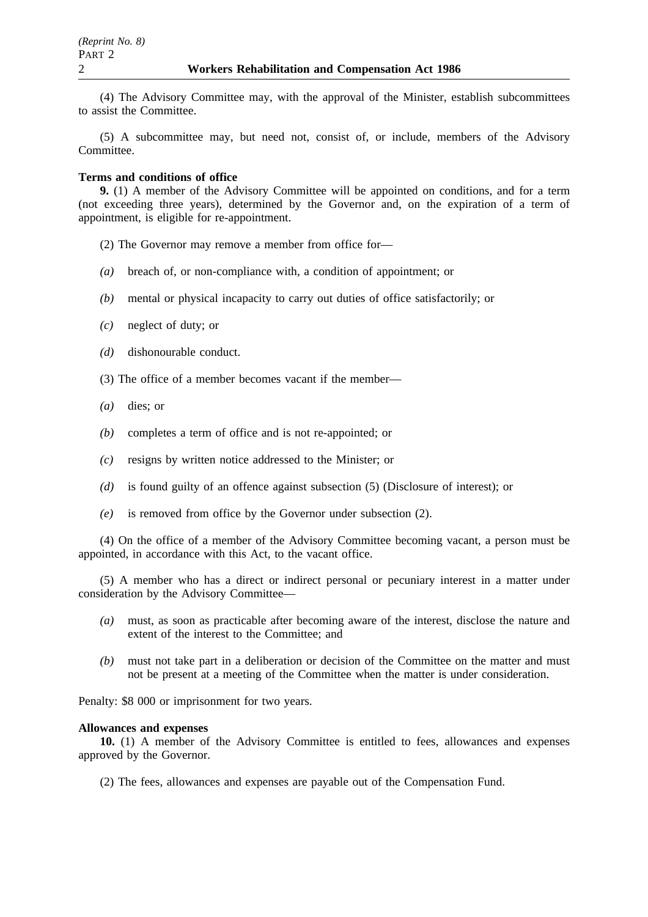(4) The Advisory Committee may, with the approval of the Minister, establish subcommittees to assist the Committee.

(5) A subcommittee may, but need not, consist of, or include, members of the Advisory Committee.

### **Terms and conditions of office**

**9.** (1) A member of the Advisory Committee will be appointed on conditions, and for a term (not exceeding three years), determined by the Governor and, on the expiration of a term of appointment, is eligible for re-appointment.

- (2) The Governor may remove a member from office for—
- *(a)* breach of, or non-compliance with, a condition of appointment; or
- *(b)* mental or physical incapacity to carry out duties of office satisfactorily; or
- *(c)* neglect of duty; or
- *(d)* dishonourable conduct.
- (3) The office of a member becomes vacant if the member—
- *(a)* dies; or
- *(b)* completes a term of office and is not re-appointed; or
- *(c)* resigns by written notice addressed to the Minister; or
- *(d)* is found guilty of an offence against subsection (5) (Disclosure of interest); or
- *(e)* is removed from office by the Governor under subsection (2).

(4) On the office of a member of the Advisory Committee becoming vacant, a person must be appointed, in accordance with this Act, to the vacant office.

(5) A member who has a direct or indirect personal or pecuniary interest in a matter under consideration by the Advisory Committee—

- *(a)* must, as soon as practicable after becoming aware of the interest, disclose the nature and extent of the interest to the Committee; and
- *(b)* must not take part in a deliberation or decision of the Committee on the matter and must not be present at a meeting of the Committee when the matter is under consideration.

Penalty: \$8 000 or imprisonment for two years.

### **Allowances and expenses**

**10.** (1) A member of the Advisory Committee is entitled to fees, allowances and expenses approved by the Governor.

(2) The fees, allowances and expenses are payable out of the Compensation Fund.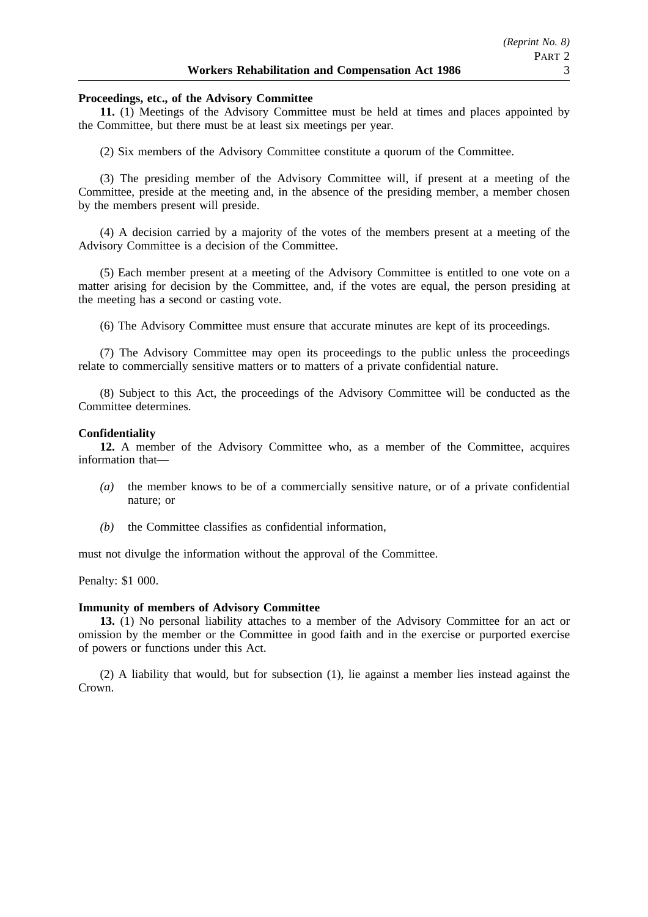### **Proceedings, etc., of the Advisory Committee**

**11.** (1) Meetings of the Advisory Committee must be held at times and places appointed by the Committee, but there must be at least six meetings per year.

(2) Six members of the Advisory Committee constitute a quorum of the Committee.

(3) The presiding member of the Advisory Committee will, if present at a meeting of the Committee, preside at the meeting and, in the absence of the presiding member, a member chosen by the members present will preside.

(4) A decision carried by a majority of the votes of the members present at a meeting of the Advisory Committee is a decision of the Committee.

(5) Each member present at a meeting of the Advisory Committee is entitled to one vote on a matter arising for decision by the Committee, and, if the votes are equal, the person presiding at the meeting has a second or casting vote.

(6) The Advisory Committee must ensure that accurate minutes are kept of its proceedings.

(7) The Advisory Committee may open its proceedings to the public unless the proceedings relate to commercially sensitive matters or to matters of a private confidential nature.

(8) Subject to this Act, the proceedings of the Advisory Committee will be conducted as the Committee determines.

### **Confidentiality**

**12.** A member of the Advisory Committee who, as a member of the Committee, acquires information that—

- *(a)* the member knows to be of a commercially sensitive nature, or of a private confidential nature; or
- *(b)* the Committee classifies as confidential information,

must not divulge the information without the approval of the Committee.

Penalty: \$1 000.

#### **Immunity of members of Advisory Committee**

**13.** (1) No personal liability attaches to a member of the Advisory Committee for an act or omission by the member or the Committee in good faith and in the exercise or purported exercise of powers or functions under this Act.

(2) A liability that would, but for subsection (1), lie against a member lies instead against the Crown.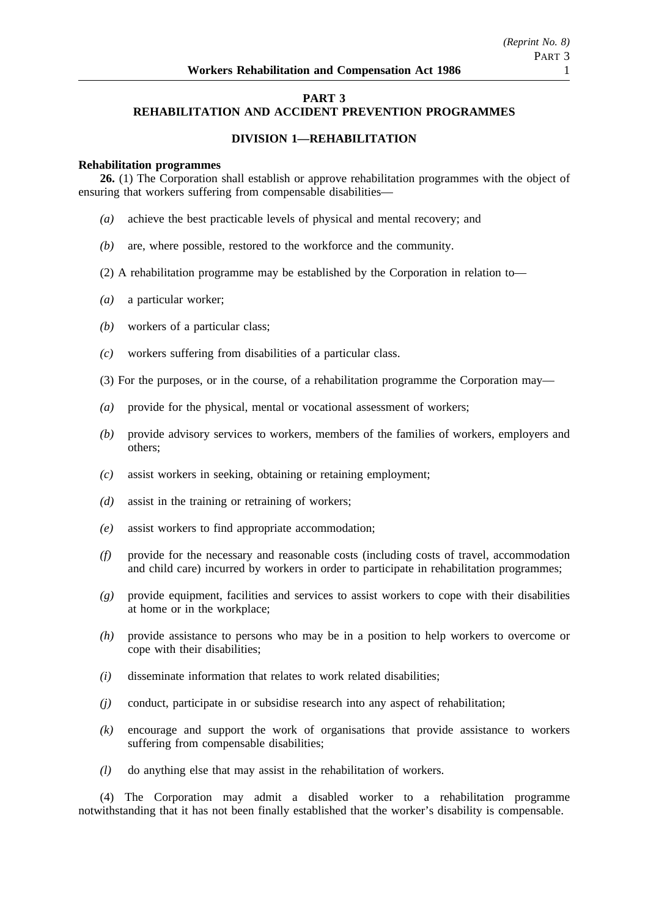# **PART 3**

# **REHABILITATION AND ACCIDENT PREVENTION PROGRAMMES**

# **DIVISION 1—REHABILITATION**

#### **Rehabilitation programmes**

**26.** (1) The Corporation shall establish or approve rehabilitation programmes with the object of ensuring that workers suffering from compensable disabilities—

- *(a)* achieve the best practicable levels of physical and mental recovery; and
- *(b)* are, where possible, restored to the workforce and the community.
- (2) A rehabilitation programme may be established by the Corporation in relation to—
- *(a)* a particular worker;
- *(b)* workers of a particular class;
- *(c)* workers suffering from disabilities of a particular class.
- (3) For the purposes, or in the course, of a rehabilitation programme the Corporation may—
- *(a)* provide for the physical, mental or vocational assessment of workers;
- *(b)* provide advisory services to workers, members of the families of workers, employers and others;
- *(c)* assist workers in seeking, obtaining or retaining employment;
- *(d)* assist in the training or retraining of workers;
- *(e)* assist workers to find appropriate accommodation;
- *(f)* provide for the necessary and reasonable costs (including costs of travel, accommodation and child care) incurred by workers in order to participate in rehabilitation programmes;
- *(g)* provide equipment, facilities and services to assist workers to cope with their disabilities at home or in the workplace;
- *(h)* provide assistance to persons who may be in a position to help workers to overcome or cope with their disabilities;
- *(i)* disseminate information that relates to work related disabilities;
- *(j)* conduct, participate in or subsidise research into any aspect of rehabilitation;
- *(k)* encourage and support the work of organisations that provide assistance to workers suffering from compensable disabilities;
- *(l)* do anything else that may assist in the rehabilitation of workers.

(4) The Corporation may admit a disabled worker to a rehabilitation programme notwithstanding that it has not been finally established that the worker's disability is compensable.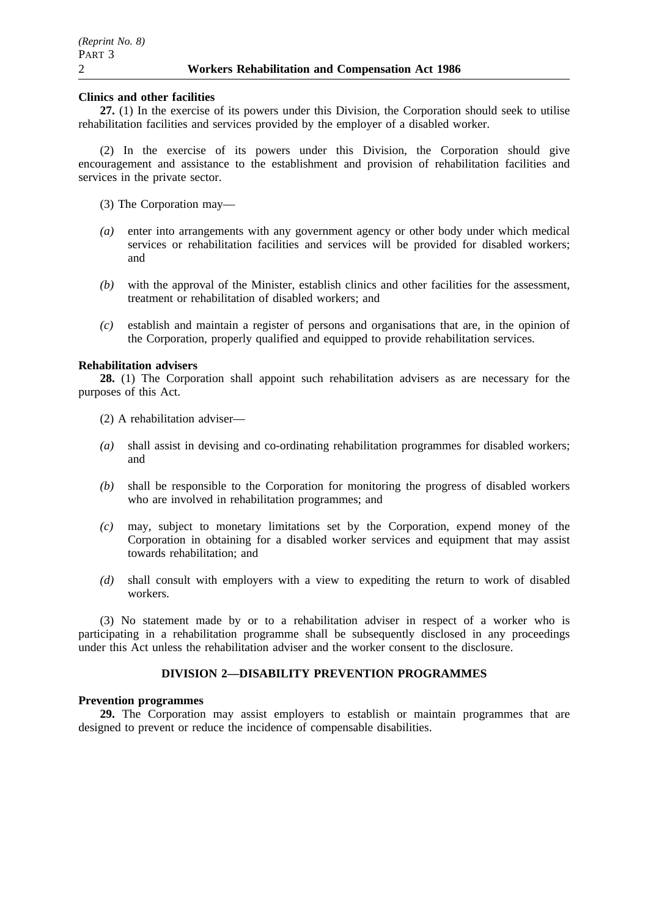### **Clinics and other facilities**

**27.** (1) In the exercise of its powers under this Division, the Corporation should seek to utilise rehabilitation facilities and services provided by the employer of a disabled worker.

(2) In the exercise of its powers under this Division, the Corporation should give encouragement and assistance to the establishment and provision of rehabilitation facilities and services in the private sector.

- (3) The Corporation may—
- *(a)* enter into arrangements with any government agency or other body under which medical services or rehabilitation facilities and services will be provided for disabled workers; and
- *(b)* with the approval of the Minister, establish clinics and other facilities for the assessment, treatment or rehabilitation of disabled workers; and
- *(c)* establish and maintain a register of persons and organisations that are, in the opinion of the Corporation, properly qualified and equipped to provide rehabilitation services.

### **Rehabilitation advisers**

**28.** (1) The Corporation shall appoint such rehabilitation advisers as are necessary for the purposes of this Act.

(2) A rehabilitation adviser—

- *(a)* shall assist in devising and co-ordinating rehabilitation programmes for disabled workers; and
- *(b)* shall be responsible to the Corporation for monitoring the progress of disabled workers who are involved in rehabilitation programmes; and
- *(c)* may, subject to monetary limitations set by the Corporation, expend money of the Corporation in obtaining for a disabled worker services and equipment that may assist towards rehabilitation; and
- *(d)* shall consult with employers with a view to expediting the return to work of disabled workers.

(3) No statement made by or to a rehabilitation adviser in respect of a worker who is participating in a rehabilitation programme shall be subsequently disclosed in any proceedings under this Act unless the rehabilitation adviser and the worker consent to the disclosure.

# **DIVISION 2—DISABILITY PREVENTION PROGRAMMES**

### **Prevention programmes**

**29.** The Corporation may assist employers to establish or maintain programmes that are designed to prevent or reduce the incidence of compensable disabilities.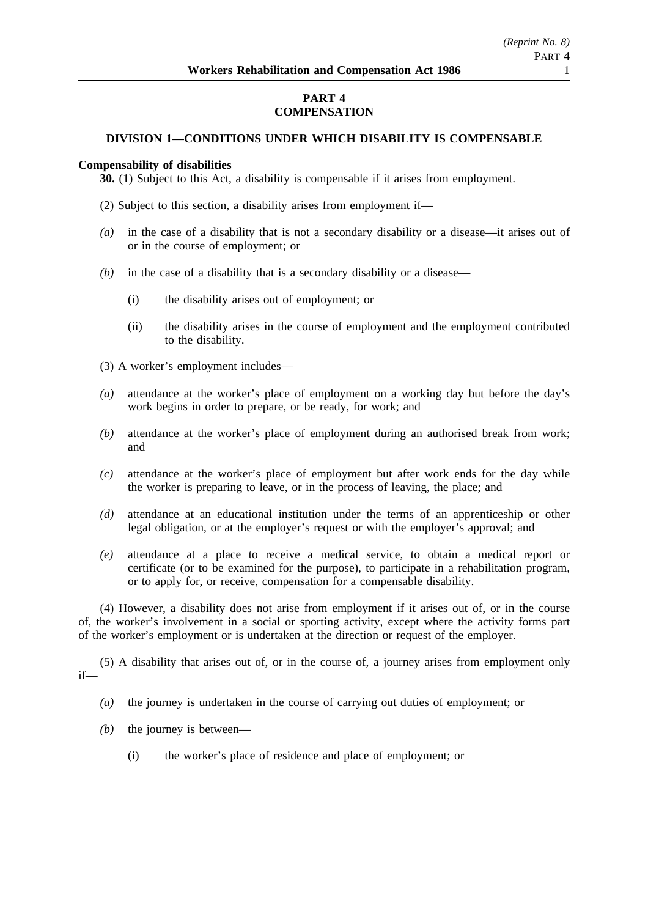# **PART 4 COMPENSATION**

# **DIVISION 1—CONDITIONS UNDER WHICH DISABILITY IS COMPENSABLE**

## **Compensability of disabilities**

**30.** (1) Subject to this Act, a disability is compensable if it arises from employment.

- (2) Subject to this section, a disability arises from employment if—
- *(a)* in the case of a disability that is not a secondary disability or a disease—it arises out of or in the course of employment; or
- *(b)* in the case of a disability that is a secondary disability or a disease—
	- (i) the disability arises out of employment; or
	- (ii) the disability arises in the course of employment and the employment contributed to the disability.
- (3) A worker's employment includes—
- *(a)* attendance at the worker's place of employment on a working day but before the day's work begins in order to prepare, or be ready, for work; and
- *(b)* attendance at the worker's place of employment during an authorised break from work; and
- *(c)* attendance at the worker's place of employment but after work ends for the day while the worker is preparing to leave, or in the process of leaving, the place; and
- *(d)* attendance at an educational institution under the terms of an apprenticeship or other legal obligation, or at the employer's request or with the employer's approval; and
- *(e)* attendance at a place to receive a medical service, to obtain a medical report or certificate (or to be examined for the purpose), to participate in a rehabilitation program, or to apply for, or receive, compensation for a compensable disability.

(4) However, a disability does not arise from employment if it arises out of, or in the course of, the worker's involvement in a social or sporting activity, except where the activity forms part of the worker's employment or is undertaken at the direction or request of the employer.

(5) A disability that arises out of, or in the course of, a journey arises from employment only if—

- *(a)* the journey is undertaken in the course of carrying out duties of employment; or
- *(b)* the journey is between—
	- (i) the worker's place of residence and place of employment; or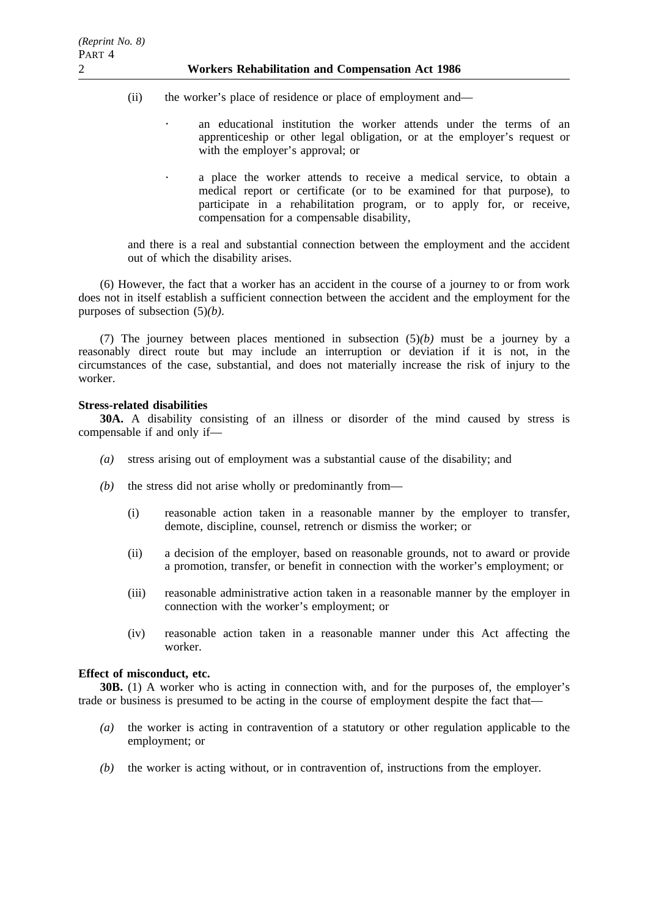- (ii) the worker's place of residence or place of employment and
	- an educational institution the worker attends under the terms of an apprenticeship or other legal obligation, or at the employer's request or with the employer's approval; or
		- a place the worker attends to receive a medical service, to obtain a medical report or certificate (or to be examined for that purpose), to participate in a rehabilitation program, or to apply for, or receive, compensation for a compensable disability,

and there is a real and substantial connection between the employment and the accident out of which the disability arises.

(6) However, the fact that a worker has an accident in the course of a journey to or from work does not in itself establish a sufficient connection between the accident and the employment for the purposes of subsection (5)*(b)*.

(7) The journey between places mentioned in subsection (5)*(b)* must be a journey by a reasonably direct route but may include an interruption or deviation if it is not, in the circumstances of the case, substantial, and does not materially increase the risk of injury to the worker.

# **Stress-related disabilities**

 $\ddot{\phantom{a}}$ 

**30A.** A disability consisting of an illness or disorder of the mind caused by stress is compensable if and only if—

- *(a)* stress arising out of employment was a substantial cause of the disability; and
- *(b)* the stress did not arise wholly or predominantly from—
	- (i) reasonable action taken in a reasonable manner by the employer to transfer, demote, discipline, counsel, retrench or dismiss the worker; or
	- (ii) a decision of the employer, based on reasonable grounds, not to award or provide a promotion, transfer, or benefit in connection with the worker's employment; or
	- (iii) reasonable administrative action taken in a reasonable manner by the employer in connection with the worker's employment; or
	- (iv) reasonable action taken in a reasonable manner under this Act affecting the worker.

# **Effect of misconduct, etc.**

**30B.** (1) A worker who is acting in connection with, and for the purposes of, the employer's trade or business is presumed to be acting in the course of employment despite the fact that—

- *(a)* the worker is acting in contravention of a statutory or other regulation applicable to the employment; or
- *(b)* the worker is acting without, or in contravention of, instructions from the employer.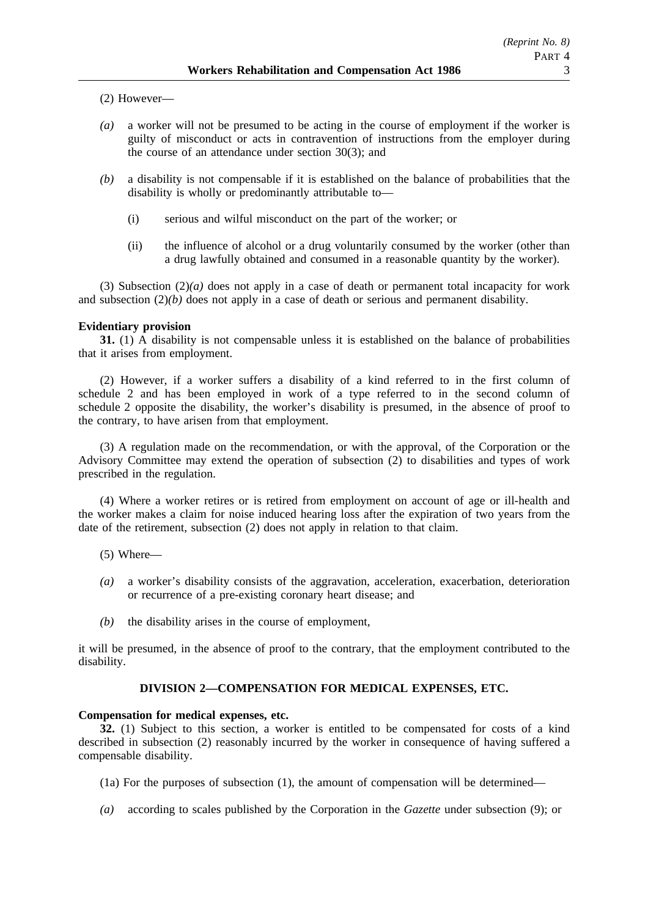(2) However—

- *(a)* a worker will not be presumed to be acting in the course of employment if the worker is guilty of misconduct or acts in contravention of instructions from the employer during the course of an attendance under section 30(3); and
- *(b)* a disability is not compensable if it is established on the balance of probabilities that the disability is wholly or predominantly attributable to—
	- (i) serious and wilful misconduct on the part of the worker; or
	- (ii) the influence of alcohol or a drug voluntarily consumed by the worker (other than a drug lawfully obtained and consumed in a reasonable quantity by the worker).

(3) Subsection  $(2)(a)$  does not apply in a case of death or permanent total incapacity for work and subsection  $(2)(b)$  does not apply in a case of death or serious and permanent disability.

# **Evidentiary provision**

**31.** (1) A disability is not compensable unless it is established on the balance of probabilities that it arises from employment.

(2) However, if a worker suffers a disability of a kind referred to in the first column of schedule 2 and has been employed in work of a type referred to in the second column of schedule 2 opposite the disability, the worker's disability is presumed, in the absence of proof to the contrary, to have arisen from that employment.

(3) A regulation made on the recommendation, or with the approval, of the Corporation or the Advisory Committee may extend the operation of subsection (2) to disabilities and types of work prescribed in the regulation.

(4) Where a worker retires or is retired from employment on account of age or ill-health and the worker makes a claim for noise induced hearing loss after the expiration of two years from the date of the retirement, subsection (2) does not apply in relation to that claim.

- (5) Where—
- *(a)* a worker's disability consists of the aggravation, acceleration, exacerbation, deterioration or recurrence of a pre-existing coronary heart disease; and
- *(b)* the disability arises in the course of employment,

it will be presumed, in the absence of proof to the contrary, that the employment contributed to the disability.

# **DIVISION 2—COMPENSATION FOR MEDICAL EXPENSES, ETC.**

### **Compensation for medical expenses, etc.**

**32.** (1) Subject to this section, a worker is entitled to be compensated for costs of a kind described in subsection (2) reasonably incurred by the worker in consequence of having suffered a compensable disability.

- (1a) For the purposes of subsection (1), the amount of compensation will be determined—
- *(a)* according to scales published by the Corporation in the *Gazette* under subsection (9); or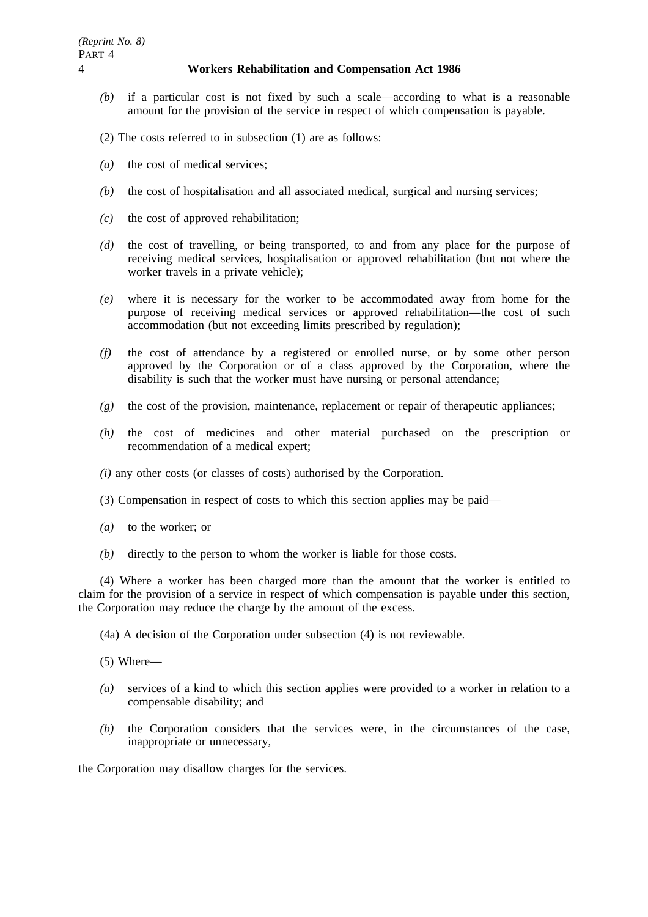- *(b)* if a particular cost is not fixed by such a scale—according to what is a reasonable amount for the provision of the service in respect of which compensation is payable.
- (2) The costs referred to in subsection (1) are as follows:
- *(a)* the cost of medical services;
- *(b)* the cost of hospitalisation and all associated medical, surgical and nursing services;
- *(c)* the cost of approved rehabilitation;
- *(d)* the cost of travelling, or being transported, to and from any place for the purpose of receiving medical services, hospitalisation or approved rehabilitation (but not where the worker travels in a private vehicle);
- *(e)* where it is necessary for the worker to be accommodated away from home for the purpose of receiving medical services or approved rehabilitation—the cost of such accommodation (but not exceeding limits prescribed by regulation);
- *(f)* the cost of attendance by a registered or enrolled nurse, or by some other person approved by the Corporation or of a class approved by the Corporation, where the disability is such that the worker must have nursing or personal attendance;
- *(g)* the cost of the provision, maintenance, replacement or repair of therapeutic appliances;
- *(h)* the cost of medicines and other material purchased on the prescription or recommendation of a medical expert;
- *(i)* any other costs (or classes of costs) authorised by the Corporation.
- (3) Compensation in respect of costs to which this section applies may be paid—
- *(a)* to the worker; or
- *(b)* directly to the person to whom the worker is liable for those costs.

(4) Where a worker has been charged more than the amount that the worker is entitled to claim for the provision of a service in respect of which compensation is payable under this section, the Corporation may reduce the charge by the amount of the excess.

(4a) A decision of the Corporation under subsection (4) is not reviewable.

(5) Where—

- *(a)* services of a kind to which this section applies were provided to a worker in relation to a compensable disability; and
- *(b)* the Corporation considers that the services were, in the circumstances of the case, inappropriate or unnecessary,

the Corporation may disallow charges for the services.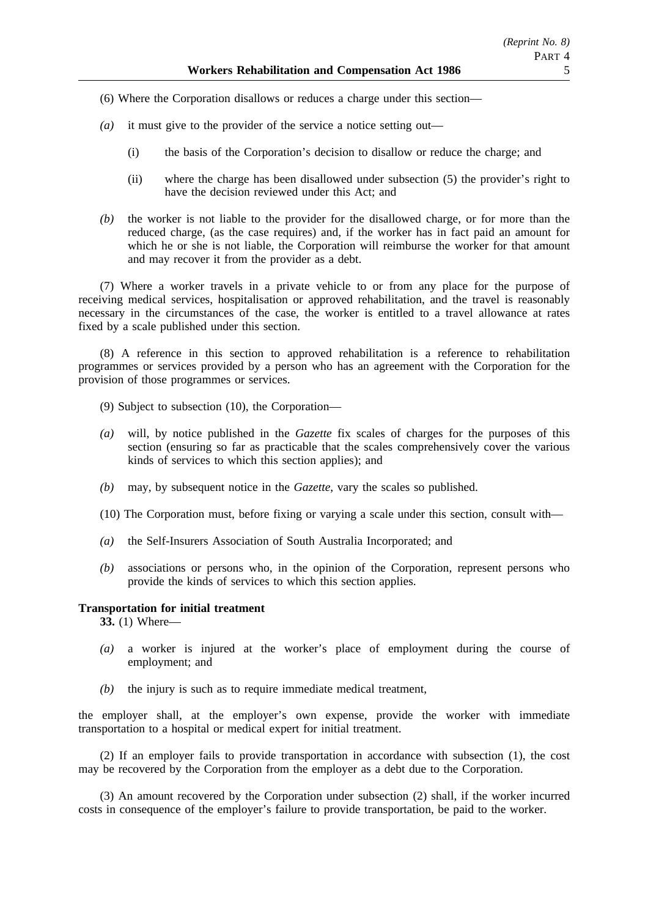(6) Where the Corporation disallows or reduces a charge under this section—

- *(a)* it must give to the provider of the service a notice setting out—
	- (i) the basis of the Corporation's decision to disallow or reduce the charge; and
	- (ii) where the charge has been disallowed under subsection (5) the provider's right to have the decision reviewed under this Act; and
- *(b)* the worker is not liable to the provider for the disallowed charge, or for more than the reduced charge, (as the case requires) and, if the worker has in fact paid an amount for which he or she is not liable, the Corporation will reimburse the worker for that amount and may recover it from the provider as a debt.

(7) Where a worker travels in a private vehicle to or from any place for the purpose of receiving medical services, hospitalisation or approved rehabilitation, and the travel is reasonably necessary in the circumstances of the case, the worker is entitled to a travel allowance at rates fixed by a scale published under this section.

(8) A reference in this section to approved rehabilitation is a reference to rehabilitation programmes or services provided by a person who has an agreement with the Corporation for the provision of those programmes or services.

- (9) Subject to subsection (10), the Corporation—
- *(a)* will, by notice published in the *Gazette* fix scales of charges for the purposes of this section (ensuring so far as practicable that the scales comprehensively cover the various kinds of services to which this section applies); and
- *(b)* may, by subsequent notice in the *Gazette*, vary the scales so published.
- (10) The Corporation must, before fixing or varying a scale under this section, consult with—
- *(a)* the Self-Insurers Association of South Australia Incorporated; and
- *(b)* associations or persons who, in the opinion of the Corporation, represent persons who provide the kinds of services to which this section applies.

### **Transportation for initial treatment**

**33.** (1) Where—

- *(a)* a worker is injured at the worker's place of employment during the course of employment; and
- *(b)* the injury is such as to require immediate medical treatment,

the employer shall, at the employer's own expense, provide the worker with immediate transportation to a hospital or medical expert for initial treatment.

(2) If an employer fails to provide transportation in accordance with subsection (1), the cost may be recovered by the Corporation from the employer as a debt due to the Corporation.

(3) An amount recovered by the Corporation under subsection (2) shall, if the worker incurred costs in consequence of the employer's failure to provide transportation, be paid to the worker.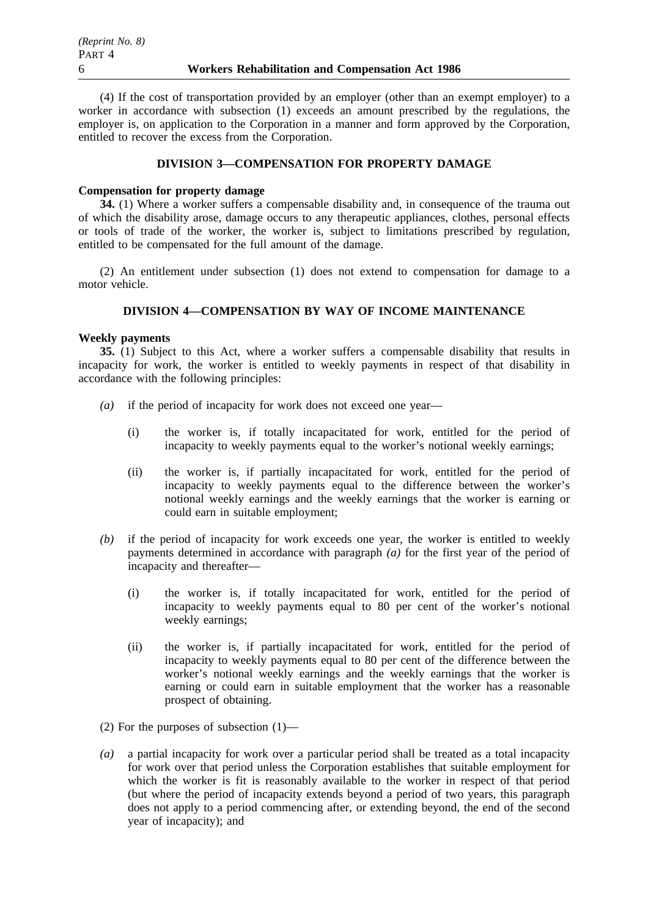(4) If the cost of transportation provided by an employer (other than an exempt employer) to a worker in accordance with subsection (1) exceeds an amount prescribed by the regulations, the employer is, on application to the Corporation in a manner and form approved by the Corporation, entitled to recover the excess from the Corporation.

# **DIVISION 3—COMPENSATION FOR PROPERTY DAMAGE**

### **Compensation for property damage**

**34.** (1) Where a worker suffers a compensable disability and, in consequence of the trauma out of which the disability arose, damage occurs to any therapeutic appliances, clothes, personal effects or tools of trade of the worker, the worker is, subject to limitations prescribed by regulation, entitled to be compensated for the full amount of the damage.

(2) An entitlement under subsection (1) does not extend to compensation for damage to a motor vehicle.

# **DIVISION 4—COMPENSATION BY WAY OF INCOME MAINTENANCE**

### **Weekly payments**

**35.** (1) Subject to this Act, where a worker suffers a compensable disability that results in incapacity for work, the worker is entitled to weekly payments in respect of that disability in accordance with the following principles:

- *(a)* if the period of incapacity for work does not exceed one year—
	- (i) the worker is, if totally incapacitated for work, entitled for the period of incapacity to weekly payments equal to the worker's notional weekly earnings;
	- (ii) the worker is, if partially incapacitated for work, entitled for the period of incapacity to weekly payments equal to the difference between the worker's notional weekly earnings and the weekly earnings that the worker is earning or could earn in suitable employment;
- *(b)* if the period of incapacity for work exceeds one year, the worker is entitled to weekly payments determined in accordance with paragraph *(a)* for the first year of the period of incapacity and thereafter—
	- (i) the worker is, if totally incapacitated for work, entitled for the period of incapacity to weekly payments equal to 80 per cent of the worker's notional weekly earnings;
	- (ii) the worker is, if partially incapacitated for work, entitled for the period of incapacity to weekly payments equal to 80 per cent of the difference between the worker's notional weekly earnings and the weekly earnings that the worker is earning or could earn in suitable employment that the worker has a reasonable prospect of obtaining.
- (2) For the purposes of subsection  $(1)$ —
- *(a)* a partial incapacity for work over a particular period shall be treated as a total incapacity for work over that period unless the Corporation establishes that suitable employment for which the worker is fit is reasonably available to the worker in respect of that period (but where the period of incapacity extends beyond a period of two years, this paragraph does not apply to a period commencing after, or extending beyond, the end of the second year of incapacity); and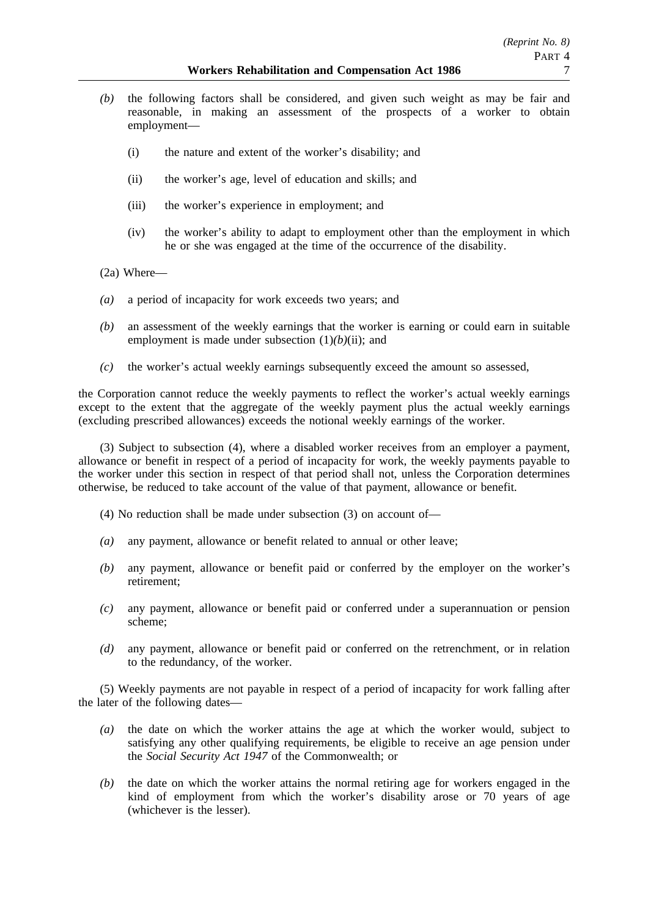- *(b)* the following factors shall be considered, and given such weight as may be fair and reasonable, in making an assessment of the prospects of a worker to obtain employment—
	- (i) the nature and extent of the worker's disability; and
	- (ii) the worker's age, level of education and skills; and
	- (iii) the worker's experience in employment; and
	- (iv) the worker's ability to adapt to employment other than the employment in which he or she was engaged at the time of the occurrence of the disability.
- (2a) Where—
- *(a)* a period of incapacity for work exceeds two years; and
- *(b)* an assessment of the weekly earnings that the worker is earning or could earn in suitable employment is made under subsection  $(1)(b)(ii)$ ; and
- *(c)* the worker's actual weekly earnings subsequently exceed the amount so assessed,

the Corporation cannot reduce the weekly payments to reflect the worker's actual weekly earnings except to the extent that the aggregate of the weekly payment plus the actual weekly earnings (excluding prescribed allowances) exceeds the notional weekly earnings of the worker.

(3) Subject to subsection (4), where a disabled worker receives from an employer a payment, allowance or benefit in respect of a period of incapacity for work, the weekly payments payable to the worker under this section in respect of that period shall not, unless the Corporation determines otherwise, be reduced to take account of the value of that payment, allowance or benefit.

- (4) No reduction shall be made under subsection (3) on account of—
- *(a)* any payment, allowance or benefit related to annual or other leave;
- *(b)* any payment, allowance or benefit paid or conferred by the employer on the worker's retirement;
- *(c)* any payment, allowance or benefit paid or conferred under a superannuation or pension scheme;
- *(d)* any payment, allowance or benefit paid or conferred on the retrenchment, or in relation to the redundancy, of the worker.

(5) Weekly payments are not payable in respect of a period of incapacity for work falling after the later of the following dates—

- *(a)* the date on which the worker attains the age at which the worker would, subject to satisfying any other qualifying requirements, be eligible to receive an age pension under the *Social Security Act 1947* of the Commonwealth; or
- *(b)* the date on which the worker attains the normal retiring age for workers engaged in the kind of employment from which the worker's disability arose or 70 years of age (whichever is the lesser).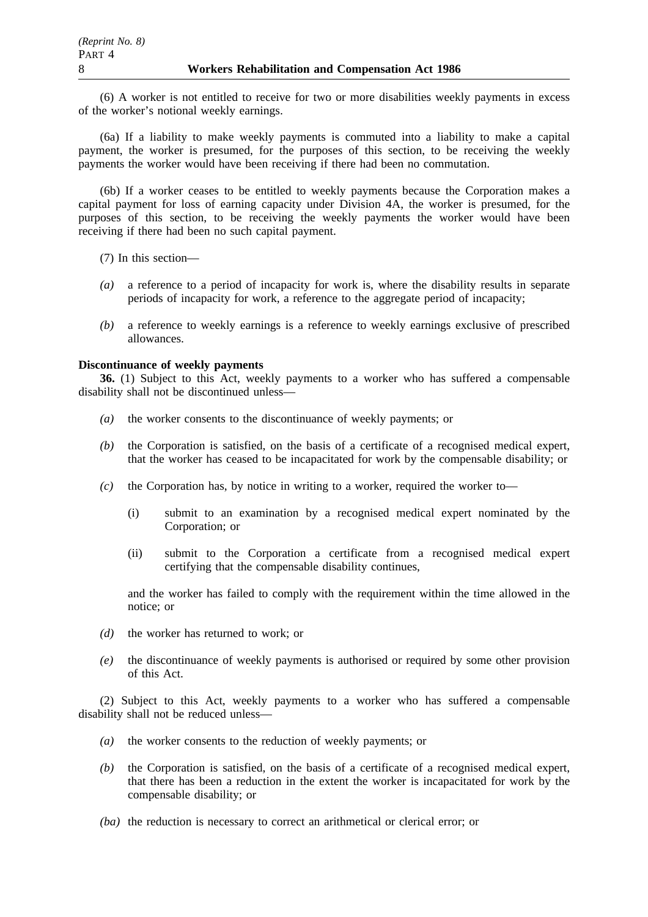(6) A worker is not entitled to receive for two or more disabilities weekly payments in excess of the worker's notional weekly earnings.

(6a) If a liability to make weekly payments is commuted into a liability to make a capital payment, the worker is presumed, for the purposes of this section, to be receiving the weekly payments the worker would have been receiving if there had been no commutation.

(6b) If a worker ceases to be entitled to weekly payments because the Corporation makes a capital payment for loss of earning capacity under Division 4A, the worker is presumed, for the purposes of this section, to be receiving the weekly payments the worker would have been receiving if there had been no such capital payment.

- (7) In this section—
- *(a)* a reference to a period of incapacity for work is, where the disability results in separate periods of incapacity for work, a reference to the aggregate period of incapacity;
- *(b)* a reference to weekly earnings is a reference to weekly earnings exclusive of prescribed allowances.

### **Discontinuance of weekly payments**

**36.** (1) Subject to this Act, weekly payments to a worker who has suffered a compensable disability shall not be discontinued unless—

- *(a)* the worker consents to the discontinuance of weekly payments; or
- *(b)* the Corporation is satisfied, on the basis of a certificate of a recognised medical expert, that the worker has ceased to be incapacitated for work by the compensable disability; or
- *(c)* the Corporation has, by notice in writing to a worker, required the worker to—
	- (i) submit to an examination by a recognised medical expert nominated by the Corporation; or
	- (ii) submit to the Corporation a certificate from a recognised medical expert certifying that the compensable disability continues,

and the worker has failed to comply with the requirement within the time allowed in the notice; or

- *(d)* the worker has returned to work; or
- *(e)* the discontinuance of weekly payments is authorised or required by some other provision of this Act.

(2) Subject to this Act, weekly payments to a worker who has suffered a compensable disability shall not be reduced unless—

- *(a)* the worker consents to the reduction of weekly payments; or
- *(b)* the Corporation is satisfied, on the basis of a certificate of a recognised medical expert, that there has been a reduction in the extent the worker is incapacitated for work by the compensable disability; or
- *(ba)* the reduction is necessary to correct an arithmetical or clerical error; or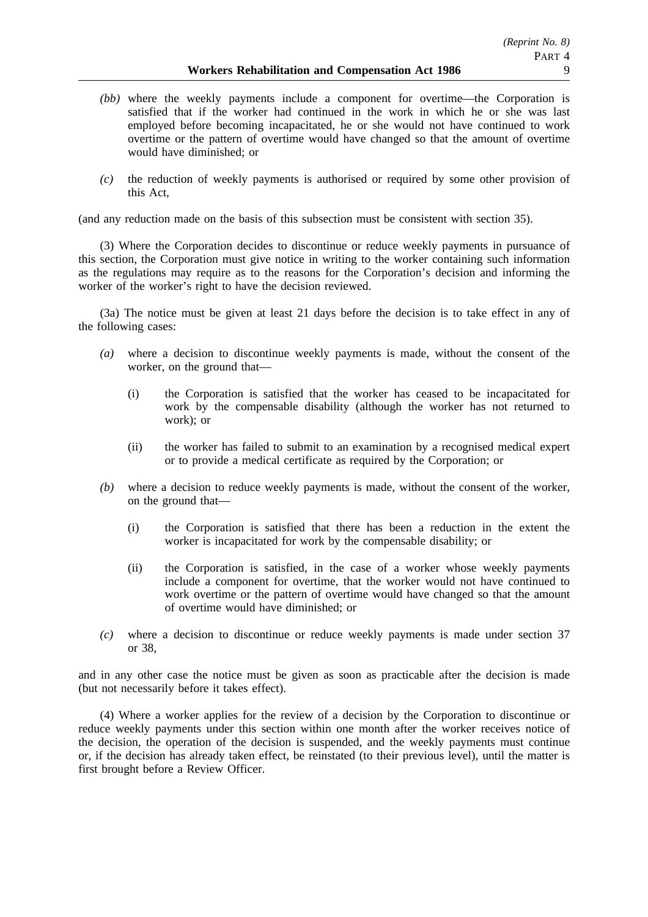- *(bb)* where the weekly payments include a component for overtime—the Corporation is satisfied that if the worker had continued in the work in which he or she was last employed before becoming incapacitated, he or she would not have continued to work overtime or the pattern of overtime would have changed so that the amount of overtime would have diminished; or
- *(c)* the reduction of weekly payments is authorised or required by some other provision of this Act,

(and any reduction made on the basis of this subsection must be consistent with section 35).

(3) Where the Corporation decides to discontinue or reduce weekly payments in pursuance of this section, the Corporation must give notice in writing to the worker containing such information as the regulations may require as to the reasons for the Corporation's decision and informing the worker of the worker's right to have the decision reviewed.

(3a) The notice must be given at least 21 days before the decision is to take effect in any of the following cases:

- *(a)* where a decision to discontinue weekly payments is made, without the consent of the worker, on the ground that—
	- (i) the Corporation is satisfied that the worker has ceased to be incapacitated for work by the compensable disability (although the worker has not returned to work); or
	- (ii) the worker has failed to submit to an examination by a recognised medical expert or to provide a medical certificate as required by the Corporation; or
- *(b)* where a decision to reduce weekly payments is made, without the consent of the worker, on the ground that—
	- (i) the Corporation is satisfied that there has been a reduction in the extent the worker is incapacitated for work by the compensable disability; or
	- (ii) the Corporation is satisfied, in the case of a worker whose weekly payments include a component for overtime, that the worker would not have continued to work overtime or the pattern of overtime would have changed so that the amount of overtime would have diminished; or
- *(c)* where a decision to discontinue or reduce weekly payments is made under section 37 or 38,

and in any other case the notice must be given as soon as practicable after the decision is made (but not necessarily before it takes effect).

(4) Where a worker applies for the review of a decision by the Corporation to discontinue or reduce weekly payments under this section within one month after the worker receives notice of the decision, the operation of the decision is suspended, and the weekly payments must continue or, if the decision has already taken effect, be reinstated (to their previous level), until the matter is first brought before a Review Officer.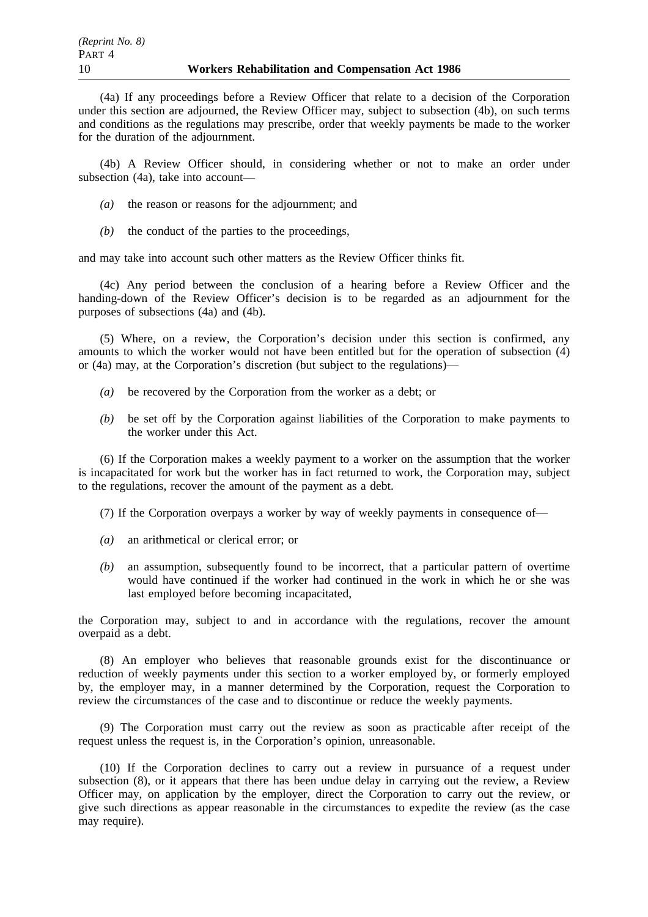(4a) If any proceedings before a Review Officer that relate to a decision of the Corporation under this section are adjourned, the Review Officer may, subject to subsection (4b), on such terms and conditions as the regulations may prescribe, order that weekly payments be made to the worker for the duration of the adjournment.

(4b) A Review Officer should, in considering whether or not to make an order under subsection (4a), take into account—

- *(a)* the reason or reasons for the adjournment; and
- *(b)* the conduct of the parties to the proceedings,

and may take into account such other matters as the Review Officer thinks fit.

(4c) Any period between the conclusion of a hearing before a Review Officer and the handing-down of the Review Officer's decision is to be regarded as an adjournment for the purposes of subsections (4a) and (4b).

(5) Where, on a review, the Corporation's decision under this section is confirmed, any amounts to which the worker would not have been entitled but for the operation of subsection (4) or (4a) may, at the Corporation's discretion (but subject to the regulations)—

- *(a)* be recovered by the Corporation from the worker as a debt; or
- *(b)* be set off by the Corporation against liabilities of the Corporation to make payments to the worker under this Act.

(6) If the Corporation makes a weekly payment to a worker on the assumption that the worker is incapacitated for work but the worker has in fact returned to work, the Corporation may, subject to the regulations, recover the amount of the payment as a debt.

(7) If the Corporation overpays a worker by way of weekly payments in consequence of—

- *(a)* an arithmetical or clerical error; or
- *(b)* an assumption, subsequently found to be incorrect, that a particular pattern of overtime would have continued if the worker had continued in the work in which he or she was last employed before becoming incapacitated,

the Corporation may, subject to and in accordance with the regulations, recover the amount overpaid as a debt.

(8) An employer who believes that reasonable grounds exist for the discontinuance or reduction of weekly payments under this section to a worker employed by, or formerly employed by, the employer may, in a manner determined by the Corporation, request the Corporation to review the circumstances of the case and to discontinue or reduce the weekly payments.

(9) The Corporation must carry out the review as soon as practicable after receipt of the request unless the request is, in the Corporation's opinion, unreasonable.

(10) If the Corporation declines to carry out a review in pursuance of a request under subsection (8), or it appears that there has been undue delay in carrying out the review, a Review Officer may, on application by the employer, direct the Corporation to carry out the review, or give such directions as appear reasonable in the circumstances to expedite the review (as the case may require).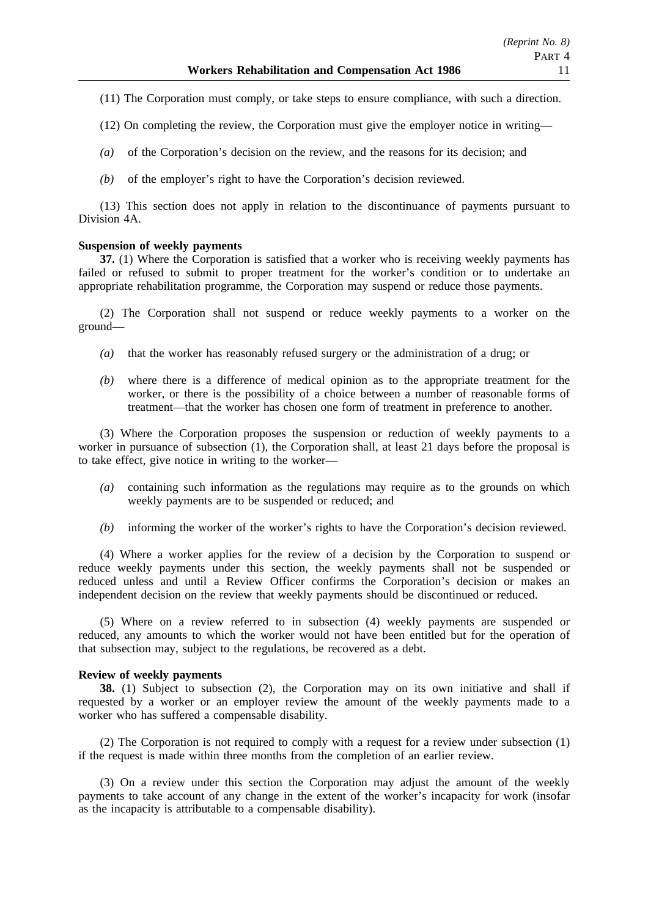- (11) The Corporation must comply, or take steps to ensure compliance, with such a direction.
- (12) On completing the review, the Corporation must give the employer notice in writing—
- *(a)* of the Corporation's decision on the review, and the reasons for its decision; and
- *(b)* of the employer's right to have the Corporation's decision reviewed.

(13) This section does not apply in relation to the discontinuance of payments pursuant to Division 4A.

#### **Suspension of weekly payments**

**37.** (1) Where the Corporation is satisfied that a worker who is receiving weekly payments has failed or refused to submit to proper treatment for the worker's condition or to undertake an appropriate rehabilitation programme, the Corporation may suspend or reduce those payments.

(2) The Corporation shall not suspend or reduce weekly payments to a worker on the ground—

- *(a)* that the worker has reasonably refused surgery or the administration of a drug; or
- *(b)* where there is a difference of medical opinion as to the appropriate treatment for the worker, or there is the possibility of a choice between a number of reasonable forms of treatment—that the worker has chosen one form of treatment in preference to another.

(3) Where the Corporation proposes the suspension or reduction of weekly payments to a worker in pursuance of subsection (1), the Corporation shall, at least 21 days before the proposal is to take effect, give notice in writing to the worker—

- *(a)* containing such information as the regulations may require as to the grounds on which weekly payments are to be suspended or reduced; and
- *(b)* informing the worker of the worker's rights to have the Corporation's decision reviewed.

(4) Where a worker applies for the review of a decision by the Corporation to suspend or reduce weekly payments under this section, the weekly payments shall not be suspended or reduced unless and until a Review Officer confirms the Corporation's decision or makes an independent decision on the review that weekly payments should be discontinued or reduced.

(5) Where on a review referred to in subsection (4) weekly payments are suspended or reduced, any amounts to which the worker would not have been entitled but for the operation of that subsection may, subject to the regulations, be recovered as a debt.

### **Review of weekly payments**

**38.** (1) Subject to subsection (2), the Corporation may on its own initiative and shall if requested by a worker or an employer review the amount of the weekly payments made to a worker who has suffered a compensable disability.

(2) The Corporation is not required to comply with a request for a review under subsection (1) if the request is made within three months from the completion of an earlier review.

(3) On a review under this section the Corporation may adjust the amount of the weekly payments to take account of any change in the extent of the worker's incapacity for work (insofar as the incapacity is attributable to a compensable disability).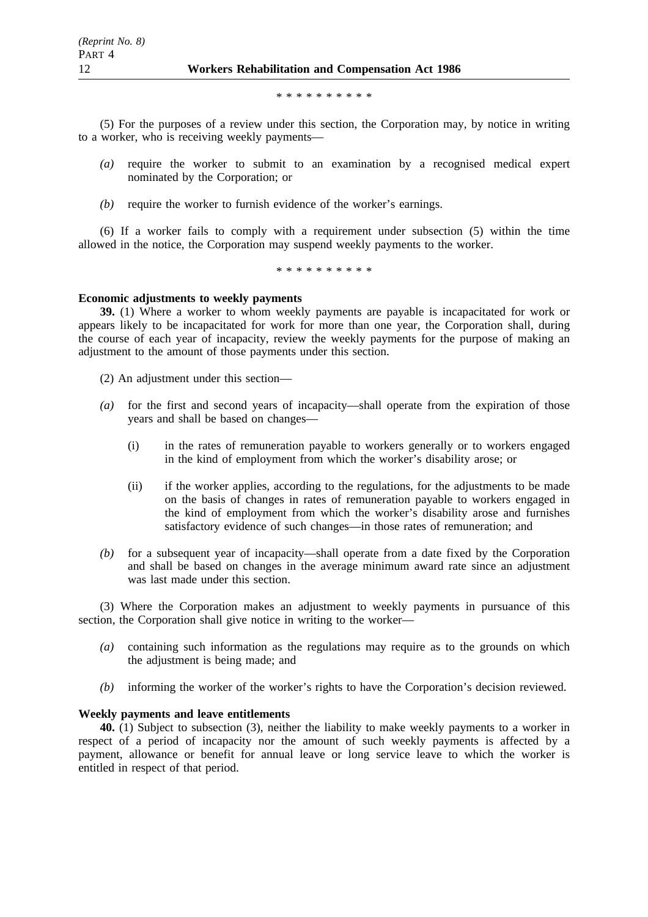\*\*\*\*\*\*\*\*\*\*

(5) For the purposes of a review under this section, the Corporation may, by notice in writing to a worker, who is receiving weekly payments—

- *(a)* require the worker to submit to an examination by a recognised medical expert nominated by the Corporation; or
- *(b)* require the worker to furnish evidence of the worker's earnings.

(6) If a worker fails to comply with a requirement under subsection (5) within the time allowed in the notice, the Corporation may suspend weekly payments to the worker.

\*\*\*\*\*\*\*\*\*\*

### **Economic adjustments to weekly payments**

**39.** (1) Where a worker to whom weekly payments are payable is incapacitated for work or appears likely to be incapacitated for work for more than one year, the Corporation shall, during the course of each year of incapacity, review the weekly payments for the purpose of making an adjustment to the amount of those payments under this section.

(2) An adjustment under this section—

- *(a)* for the first and second years of incapacity—shall operate from the expiration of those years and shall be based on changes—
	- (i) in the rates of remuneration payable to workers generally or to workers engaged in the kind of employment from which the worker's disability arose; or
	- (ii) if the worker applies, according to the regulations, for the adjustments to be made on the basis of changes in rates of remuneration payable to workers engaged in the kind of employment from which the worker's disability arose and furnishes satisfactory evidence of such changes—in those rates of remuneration; and
- *(b)* for a subsequent year of incapacity—shall operate from a date fixed by the Corporation and shall be based on changes in the average minimum award rate since an adjustment was last made under this section.

(3) Where the Corporation makes an adjustment to weekly payments in pursuance of this section, the Corporation shall give notice in writing to the worker—

- *(a)* containing such information as the regulations may require as to the grounds on which the adjustment is being made; and
- *(b)* informing the worker of the worker's rights to have the Corporation's decision reviewed.

## **Weekly payments and leave entitlements**

**40.** (1) Subject to subsection (3), neither the liability to make weekly payments to a worker in respect of a period of incapacity nor the amount of such weekly payments is affected by a payment, allowance or benefit for annual leave or long service leave to which the worker is entitled in respect of that period.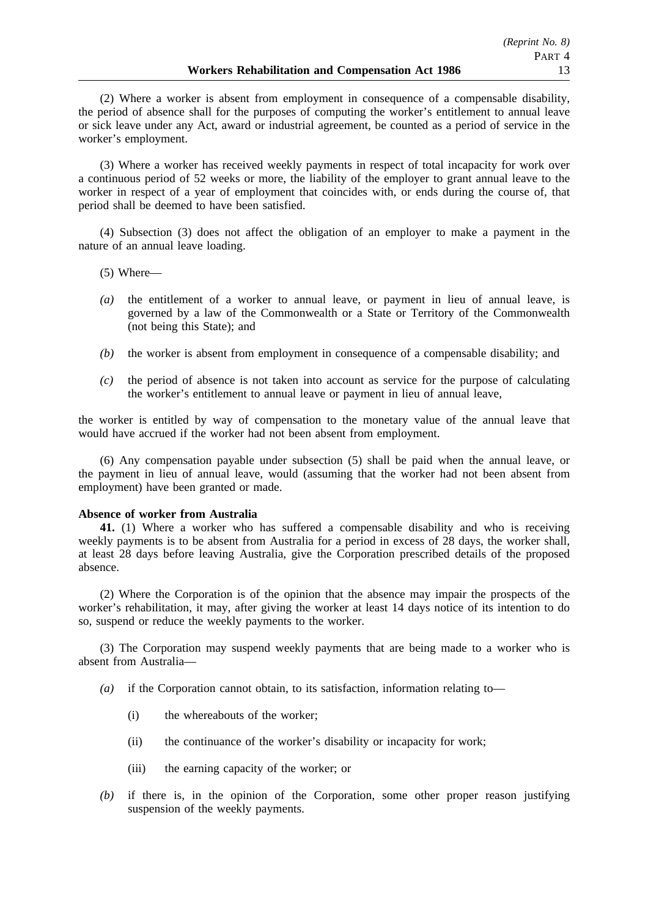(2) Where a worker is absent from employment in consequence of a compensable disability, the period of absence shall for the purposes of computing the worker's entitlement to annual leave or sick leave under any Act, award or industrial agreement, be counted as a period of service in the worker's employment.

(3) Where a worker has received weekly payments in respect of total incapacity for work over a continuous period of 52 weeks or more, the liability of the employer to grant annual leave to the worker in respect of a year of employment that coincides with, or ends during the course of, that period shall be deemed to have been satisfied.

(4) Subsection (3) does not affect the obligation of an employer to make a payment in the nature of an annual leave loading.

(5) Where—

- *(a)* the entitlement of a worker to annual leave, or payment in lieu of annual leave, is governed by a law of the Commonwealth or a State or Territory of the Commonwealth (not being this State); and
- *(b)* the worker is absent from employment in consequence of a compensable disability; and
- *(c)* the period of absence is not taken into account as service for the purpose of calculating the worker's entitlement to annual leave or payment in lieu of annual leave,

the worker is entitled by way of compensation to the monetary value of the annual leave that would have accrued if the worker had not been absent from employment.

(6) Any compensation payable under subsection (5) shall be paid when the annual leave, or the payment in lieu of annual leave, would (assuming that the worker had not been absent from employment) have been granted or made.

### **Absence of worker from Australia**

**41.** (1) Where a worker who has suffered a compensable disability and who is receiving weekly payments is to be absent from Australia for a period in excess of 28 days, the worker shall, at least 28 days before leaving Australia, give the Corporation prescribed details of the proposed absence.

(2) Where the Corporation is of the opinion that the absence may impair the prospects of the worker's rehabilitation, it may, after giving the worker at least 14 days notice of its intention to do so, suspend or reduce the weekly payments to the worker.

(3) The Corporation may suspend weekly payments that are being made to a worker who is absent from Australia—

- *(a)* if the Corporation cannot obtain, to its satisfaction, information relating to—
	- (i) the whereabouts of the worker;
	- (ii) the continuance of the worker's disability or incapacity for work;
	- (iii) the earning capacity of the worker; or
- *(b)* if there is, in the opinion of the Corporation, some other proper reason justifying suspension of the weekly payments.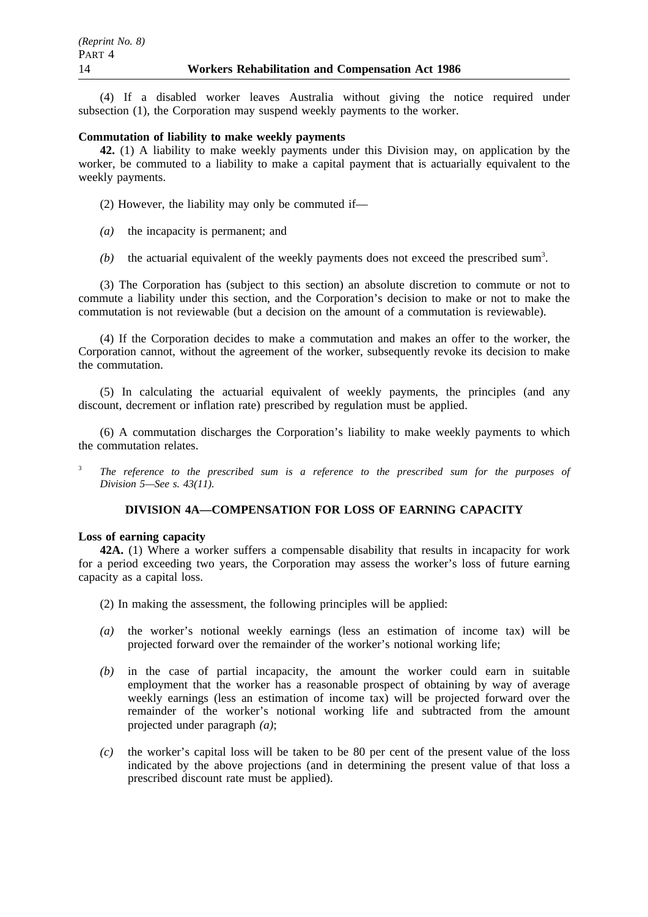(4) If a disabled worker leaves Australia without giving the notice required under subsection (1), the Corporation may suspend weekly payments to the worker.

### **Commutation of liability to make weekly payments**

**42.** (1) A liability to make weekly payments under this Division may, on application by the worker, be commuted to a liability to make a capital payment that is actuarially equivalent to the weekly payments.

- (2) However, the liability may only be commuted if—
- *(a)* the incapacity is permanent; and
- $(b)$  the actuarial equivalent of the weekly payments does not exceed the prescribed sum<sup>3</sup>.

(3) The Corporation has (subject to this section) an absolute discretion to commute or not to commute a liability under this section, and the Corporation's decision to make or not to make the commutation is not reviewable (but a decision on the amount of a commutation is reviewable).

(4) If the Corporation decides to make a commutation and makes an offer to the worker, the Corporation cannot, without the agreement of the worker, subsequently revoke its decision to make the commutation.

(5) In calculating the actuarial equivalent of weekly payments, the principles (and any discount, decrement or inflation rate) prescribed by regulation must be applied.

(6) A commutation discharges the Corporation's liability to make weekly payments to which the commutation relates.

<sup>3</sup> *The reference to the prescribed sum is a reference to the prescribed sum for the purposes of Division 5—See s. 43(11).*

## **DIVISION 4A—COMPENSATION FOR LOSS OF EARNING CAPACITY**

### **Loss of earning capacity**

**42A.** (1) Where a worker suffers a compensable disability that results in incapacity for work for a period exceeding two years, the Corporation may assess the worker's loss of future earning capacity as a capital loss.

(2) In making the assessment, the following principles will be applied:

- *(a)* the worker's notional weekly earnings (less an estimation of income tax) will be projected forward over the remainder of the worker's notional working life;
- *(b)* in the case of partial incapacity, the amount the worker could earn in suitable employment that the worker has a reasonable prospect of obtaining by way of average weekly earnings (less an estimation of income tax) will be projected forward over the remainder of the worker's notional working life and subtracted from the amount projected under paragraph *(a)*;
- *(c)* the worker's capital loss will be taken to be 80 per cent of the present value of the loss indicated by the above projections (and in determining the present value of that loss a prescribed discount rate must be applied).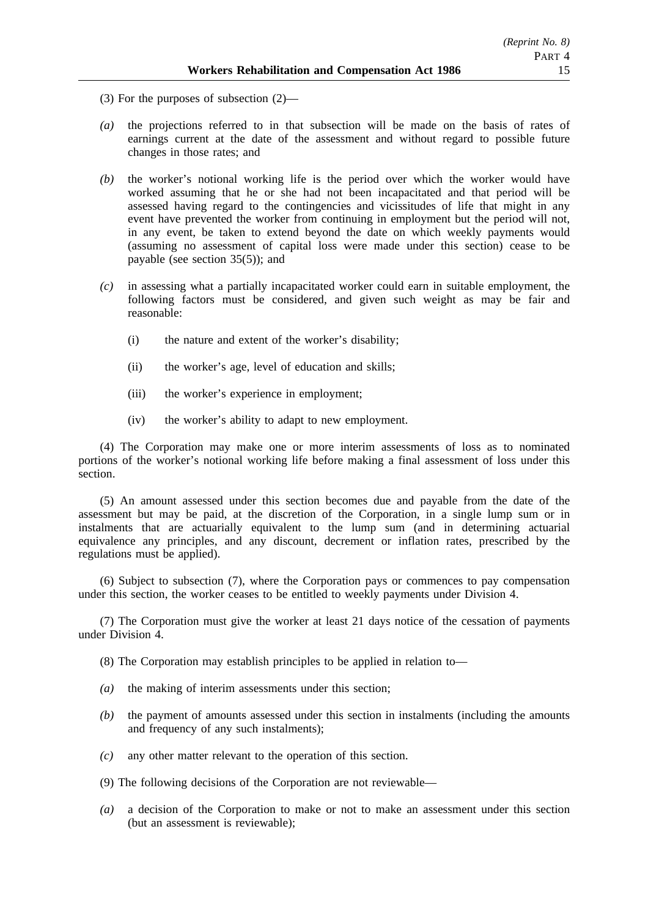- (3) For the purposes of subsection (2)—
- *(a)* the projections referred to in that subsection will be made on the basis of rates of earnings current at the date of the assessment and without regard to possible future changes in those rates; and
- *(b)* the worker's notional working life is the period over which the worker would have worked assuming that he or she had not been incapacitated and that period will be assessed having regard to the contingencies and vicissitudes of life that might in any event have prevented the worker from continuing in employment but the period will not, in any event, be taken to extend beyond the date on which weekly payments would (assuming no assessment of capital loss were made under this section) cease to be payable (see section 35(5)); and
- *(c)* in assessing what a partially incapacitated worker could earn in suitable employment, the following factors must be considered, and given such weight as may be fair and reasonable:
	- (i) the nature and extent of the worker's disability;
	- (ii) the worker's age, level of education and skills;
	- (iii) the worker's experience in employment;
	- (iv) the worker's ability to adapt to new employment.

(4) The Corporation may make one or more interim assessments of loss as to nominated portions of the worker's notional working life before making a final assessment of loss under this section.

(5) An amount assessed under this section becomes due and payable from the date of the assessment but may be paid, at the discretion of the Corporation, in a single lump sum or in instalments that are actuarially equivalent to the lump sum (and in determining actuarial equivalence any principles, and any discount, decrement or inflation rates, prescribed by the regulations must be applied).

(6) Subject to subsection (7), where the Corporation pays or commences to pay compensation under this section, the worker ceases to be entitled to weekly payments under Division 4.

(7) The Corporation must give the worker at least 21 days notice of the cessation of payments under Division 4.

(8) The Corporation may establish principles to be applied in relation to—

- *(a)* the making of interim assessments under this section;
- *(b)* the payment of amounts assessed under this section in instalments (including the amounts and frequency of any such instalments);
- *(c)* any other matter relevant to the operation of this section.
- (9) The following decisions of the Corporation are not reviewable—
- *(a)* a decision of the Corporation to make or not to make an assessment under this section (but an assessment is reviewable);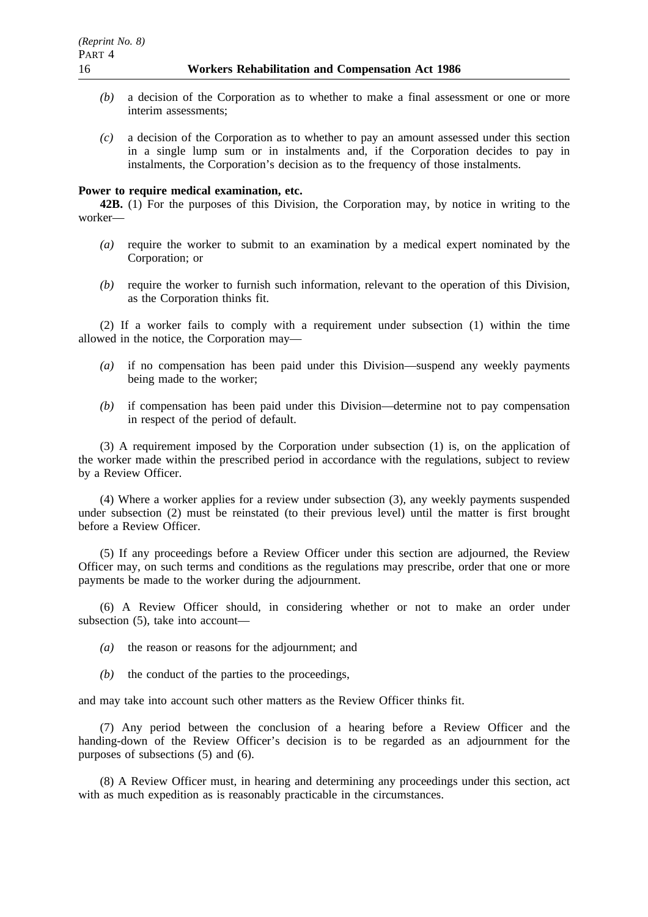- *(b)* a decision of the Corporation as to whether to make a final assessment or one or more interim assessments;
- *(c)* a decision of the Corporation as to whether to pay an amount assessed under this section in a single lump sum or in instalments and, if the Corporation decides to pay in instalments, the Corporation's decision as to the frequency of those instalments.

### **Power to require medical examination, etc.**

**42B.** (1) For the purposes of this Division, the Corporation may, by notice in writing to the worker—

- *(a)* require the worker to submit to an examination by a medical expert nominated by the Corporation; or
- *(b)* require the worker to furnish such information, relevant to the operation of this Division, as the Corporation thinks fit.

(2) If a worker fails to comply with a requirement under subsection (1) within the time allowed in the notice, the Corporation may—

- *(a)* if no compensation has been paid under this Division—suspend any weekly payments being made to the worker;
- *(b)* if compensation has been paid under this Division—determine not to pay compensation in respect of the period of default.

(3) A requirement imposed by the Corporation under subsection (1) is, on the application of the worker made within the prescribed period in accordance with the regulations, subject to review by a Review Officer.

(4) Where a worker applies for a review under subsection (3), any weekly payments suspended under subsection (2) must be reinstated (to their previous level) until the matter is first brought before a Review Officer.

(5) If any proceedings before a Review Officer under this section are adjourned, the Review Officer may, on such terms and conditions as the regulations may prescribe, order that one or more payments be made to the worker during the adjournment.

(6) A Review Officer should, in considering whether or not to make an order under subsection (5), take into account—

- *(a)* the reason or reasons for the adjournment; and
- *(b)* the conduct of the parties to the proceedings,

and may take into account such other matters as the Review Officer thinks fit.

(7) Any period between the conclusion of a hearing before a Review Officer and the handing-down of the Review Officer's decision is to be regarded as an adjournment for the purposes of subsections (5) and (6).

(8) A Review Officer must, in hearing and determining any proceedings under this section, act with as much expedition as is reasonably practicable in the circumstances.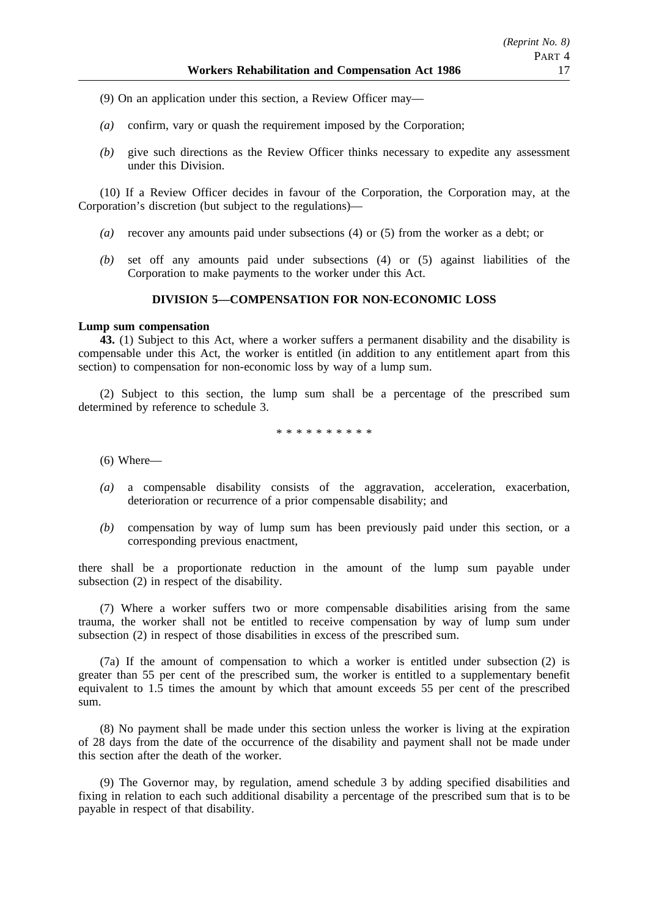- (9) On an application under this section, a Review Officer may—
- *(a)* confirm, vary or quash the requirement imposed by the Corporation;
- *(b)* give such directions as the Review Officer thinks necessary to expedite any assessment under this Division.

(10) If a Review Officer decides in favour of the Corporation, the Corporation may, at the Corporation's discretion (but subject to the regulations)—

- *(a)* recover any amounts paid under subsections (4) or (5) from the worker as a debt; or
- *(b)* set off any amounts paid under subsections (4) or (5) against liabilities of the Corporation to make payments to the worker under this Act.

## **DIVISION 5—COMPENSATION FOR NON-ECONOMIC LOSS**

### **Lump sum compensation**

**43.** (1) Subject to this Act, where a worker suffers a permanent disability and the disability is compensable under this Act, the worker is entitled (in addition to any entitlement apart from this section) to compensation for non-economic loss by way of a lump sum.

(2) Subject to this section, the lump sum shall be a percentage of the prescribed sum determined by reference to schedule 3.

\*\*\*\*\*\*\*\*\*\*

(6) Where—

- *(a)* a compensable disability consists of the aggravation, acceleration, exacerbation, deterioration or recurrence of a prior compensable disability; and
- *(b)* compensation by way of lump sum has been previously paid under this section, or a corresponding previous enactment,

there shall be a proportionate reduction in the amount of the lump sum payable under subsection (2) in respect of the disability.

(7) Where a worker suffers two or more compensable disabilities arising from the same trauma, the worker shall not be entitled to receive compensation by way of lump sum under subsection (2) in respect of those disabilities in excess of the prescribed sum.

(7a) If the amount of compensation to which a worker is entitled under subsection (2) is greater than 55 per cent of the prescribed sum, the worker is entitled to a supplementary benefit equivalent to 1.5 times the amount by which that amount exceeds 55 per cent of the prescribed sum.

(8) No payment shall be made under this section unless the worker is living at the expiration of 28 days from the date of the occurrence of the disability and payment shall not be made under this section after the death of the worker.

(9) The Governor may, by regulation, amend schedule 3 by adding specified disabilities and fixing in relation to each such additional disability a percentage of the prescribed sum that is to be payable in respect of that disability.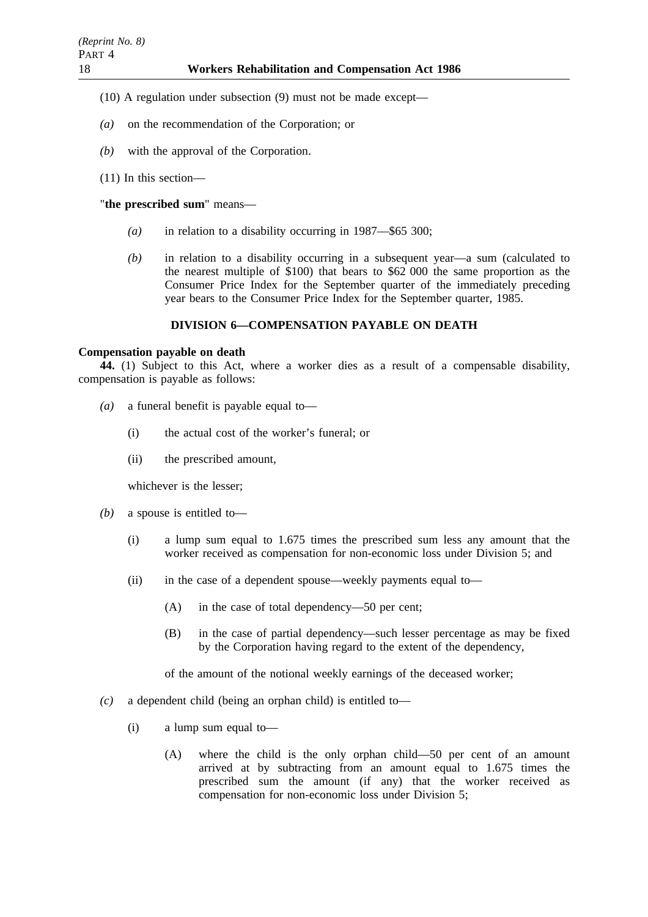(10) A regulation under subsection (9) must not be made except—

- *(a)* on the recommendation of the Corporation; or
- *(b)* with the approval of the Corporation.
- (11) In this section—

## "**the prescribed sum**" means—

- *(a)* in relation to a disability occurring in 1987—\$65 300;
- *(b)* in relation to a disability occurring in a subsequent year—a sum (calculated to the nearest multiple of \$100) that bears to \$62 000 the same proportion as the Consumer Price Index for the September quarter of the immediately preceding year bears to the Consumer Price Index for the September quarter, 1985.

## **DIVISION 6—COMPENSATION PAYABLE ON DEATH**

### **Compensation payable on death**

**44.** (1) Subject to this Act, where a worker dies as a result of a compensable disability, compensation is payable as follows:

- *(a)* a funeral benefit is payable equal to—
	- (i) the actual cost of the worker's funeral; or
	- (ii) the prescribed amount,

whichever is the lesser;

- *(b)* a spouse is entitled to—
	- (i) a lump sum equal to 1.675 times the prescribed sum less any amount that the worker received as compensation for non-economic loss under Division 5; and
	- (ii) in the case of a dependent spouse—weekly payments equal to—
		- (A) in the case of total dependency—50 per cent;
		- (B) in the case of partial dependency—such lesser percentage as may be fixed by the Corporation having regard to the extent of the dependency,

of the amount of the notional weekly earnings of the deceased worker;

- *(c)* a dependent child (being an orphan child) is entitled to—
	- (i) a lump sum equal to—
		- (A) where the child is the only orphan child—50 per cent of an amount arrived at by subtracting from an amount equal to 1.675 times the prescribed sum the amount (if any) that the worker received as compensation for non-economic loss under Division 5;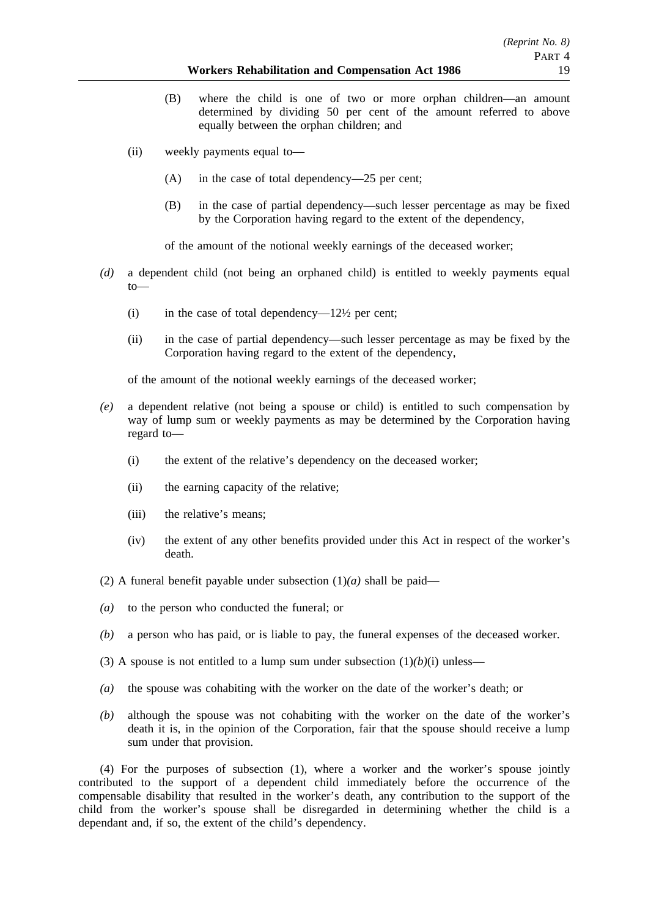- (B) where the child is one of two or more orphan children—an amount determined by dividing 50 per cent of the amount referred to above equally between the orphan children; and
- (ii) weekly payments equal to—
	- (A) in the case of total dependency—25 per cent;
	- (B) in the case of partial dependency—such lesser percentage as may be fixed by the Corporation having regard to the extent of the dependency,

of the amount of the notional weekly earnings of the deceased worker;

- *(d)* a dependent child (not being an orphaned child) is entitled to weekly payments equal to—
	- (i) in the case of total dependency— $12\frac{1}{2}$  per cent;
	- (ii) in the case of partial dependency—such lesser percentage as may be fixed by the Corporation having regard to the extent of the dependency,

of the amount of the notional weekly earnings of the deceased worker;

- *(e)* a dependent relative (not being a spouse or child) is entitled to such compensation by way of lump sum or weekly payments as may be determined by the Corporation having regard to—
	- (i) the extent of the relative's dependency on the deceased worker;
	- (ii) the earning capacity of the relative;
	- (iii) the relative's means;
	- (iv) the extent of any other benefits provided under this Act in respect of the worker's death.
- (2) A funeral benefit payable under subsection  $(1)(a)$  shall be paid—
- *(a)* to the person who conducted the funeral; or
- *(b)* a person who has paid, or is liable to pay, the funeral expenses of the deceased worker.
- (3) A spouse is not entitled to a lump sum under subsection  $(1)(b)(i)$  unless—
- *(a)* the spouse was cohabiting with the worker on the date of the worker's death; or
- *(b)* although the spouse was not cohabiting with the worker on the date of the worker's death it is, in the opinion of the Corporation, fair that the spouse should receive a lump sum under that provision.

(4) For the purposes of subsection (1), where a worker and the worker's spouse jointly contributed to the support of a dependent child immediately before the occurrence of the compensable disability that resulted in the worker's death, any contribution to the support of the child from the worker's spouse shall be disregarded in determining whether the child is a dependant and, if so, the extent of the child's dependency.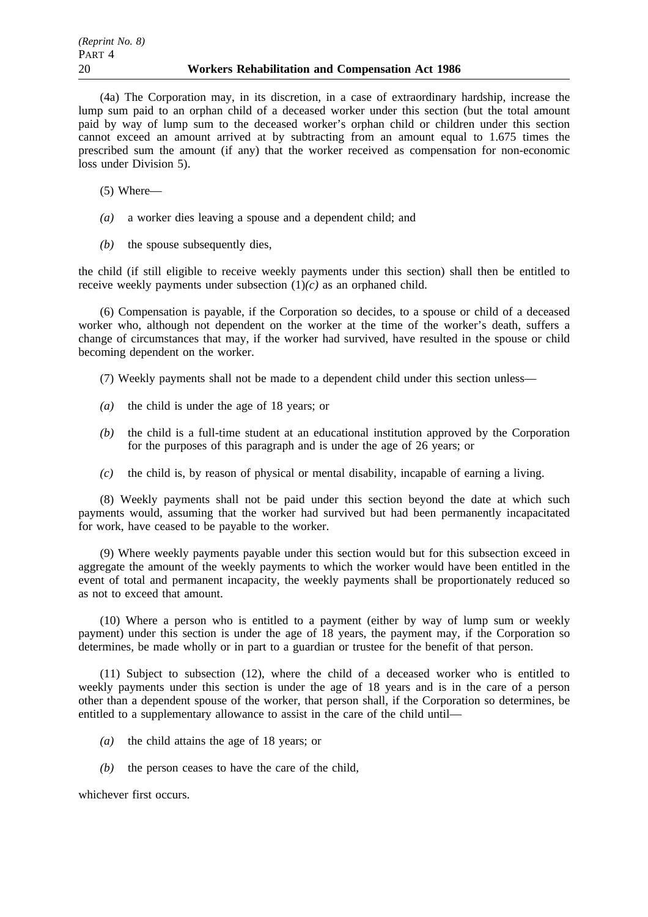(4a) The Corporation may, in its discretion, in a case of extraordinary hardship, increase the lump sum paid to an orphan child of a deceased worker under this section (but the total amount paid by way of lump sum to the deceased worker's orphan child or children under this section cannot exceed an amount arrived at by subtracting from an amount equal to 1.675 times the prescribed sum the amount (if any) that the worker received as compensation for non-economic loss under Division 5).

(5) Where—

- *(a)* a worker dies leaving a spouse and a dependent child; and
- *(b)* the spouse subsequently dies,

the child (if still eligible to receive weekly payments under this section) shall then be entitled to receive weekly payments under subsection (1)*(c)* as an orphaned child.

(6) Compensation is payable, if the Corporation so decides, to a spouse or child of a deceased worker who, although not dependent on the worker at the time of the worker's death, suffers a change of circumstances that may, if the worker had survived, have resulted in the spouse or child becoming dependent on the worker.

(7) Weekly payments shall not be made to a dependent child under this section unless—

- *(a)* the child is under the age of 18 years; or
- *(b)* the child is a full-time student at an educational institution approved by the Corporation for the purposes of this paragraph and is under the age of 26 years; or
- *(c)* the child is, by reason of physical or mental disability, incapable of earning a living.

(8) Weekly payments shall not be paid under this section beyond the date at which such payments would, assuming that the worker had survived but had been permanently incapacitated for work, have ceased to be payable to the worker.

(9) Where weekly payments payable under this section would but for this subsection exceed in aggregate the amount of the weekly payments to which the worker would have been entitled in the event of total and permanent incapacity, the weekly payments shall be proportionately reduced so as not to exceed that amount.

(10) Where a person who is entitled to a payment (either by way of lump sum or weekly payment) under this section is under the age of 18 years, the payment may, if the Corporation so determines, be made wholly or in part to a guardian or trustee for the benefit of that person.

(11) Subject to subsection (12), where the child of a deceased worker who is entitled to weekly payments under this section is under the age of 18 years and is in the care of a person other than a dependent spouse of the worker, that person shall, if the Corporation so determines, be entitled to a supplementary allowance to assist in the care of the child until—

- *(a)* the child attains the age of 18 years; or
- *(b)* the person ceases to have the care of the child,

whichever first occurs.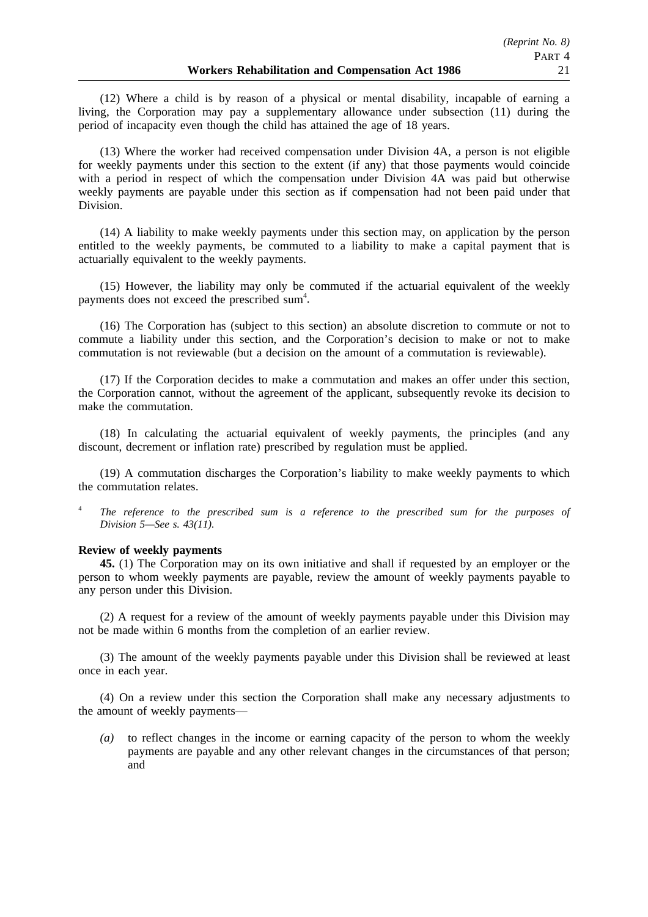(12) Where a child is by reason of a physical or mental disability, incapable of earning a living, the Corporation may pay a supplementary allowance under subsection (11) during the period of incapacity even though the child has attained the age of 18 years.

(13) Where the worker had received compensation under Division 4A, a person is not eligible for weekly payments under this section to the extent (if any) that those payments would coincide with a period in respect of which the compensation under Division 4A was paid but otherwise weekly payments are payable under this section as if compensation had not been paid under that Division.

(14) A liability to make weekly payments under this section may, on application by the person entitled to the weekly payments, be commuted to a liability to make a capital payment that is actuarially equivalent to the weekly payments.

(15) However, the liability may only be commuted if the actuarial equivalent of the weekly payments does not exceed the prescribed sum<sup>4</sup>.

(16) The Corporation has (subject to this section) an absolute discretion to commute or not to commute a liability under this section, and the Corporation's decision to make or not to make commutation is not reviewable (but a decision on the amount of a commutation is reviewable).

(17) If the Corporation decides to make a commutation and makes an offer under this section, the Corporation cannot, without the agreement of the applicant, subsequently revoke its decision to make the commutation.

(18) In calculating the actuarial equivalent of weekly payments, the principles (and any discount, decrement or inflation rate) prescribed by regulation must be applied.

(19) A commutation discharges the Corporation's liability to make weekly payments to which the commutation relates.

<sup>4</sup> *The reference to the prescribed sum is a reference to the prescribed sum for the purposes of Division 5—See s. 43(11).*

### **Review of weekly payments**

**45.** (1) The Corporation may on its own initiative and shall if requested by an employer or the person to whom weekly payments are payable, review the amount of weekly payments payable to any person under this Division.

(2) A request for a review of the amount of weekly payments payable under this Division may not be made within 6 months from the completion of an earlier review.

(3) The amount of the weekly payments payable under this Division shall be reviewed at least once in each year.

(4) On a review under this section the Corporation shall make any necessary adjustments to the amount of weekly payments—

*(a)* to reflect changes in the income or earning capacity of the person to whom the weekly payments are payable and any other relevant changes in the circumstances of that person; and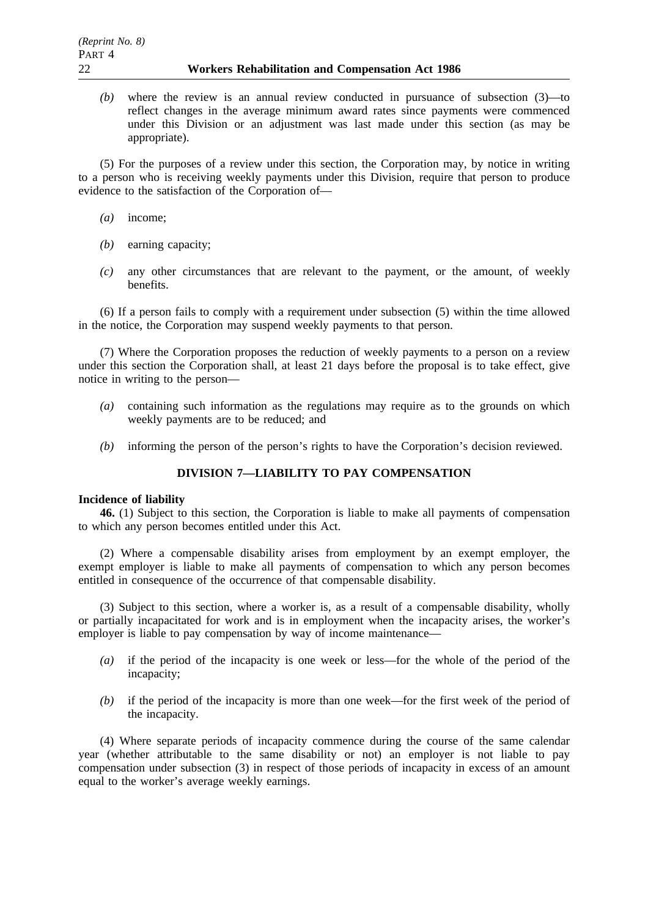*(b)* where the review is an annual review conducted in pursuance of subsection (3)—to reflect changes in the average minimum award rates since payments were commenced under this Division or an adjustment was last made under this section (as may be appropriate).

(5) For the purposes of a review under this section, the Corporation may, by notice in writing to a person who is receiving weekly payments under this Division, require that person to produce evidence to the satisfaction of the Corporation of—

- *(a)* income;
- *(b)* earning capacity;
- *(c)* any other circumstances that are relevant to the payment, or the amount, of weekly benefits.

(6) If a person fails to comply with a requirement under subsection (5) within the time allowed in the notice, the Corporation may suspend weekly payments to that person.

(7) Where the Corporation proposes the reduction of weekly payments to a person on a review under this section the Corporation shall, at least 21 days before the proposal is to take effect, give notice in writing to the person—

- *(a)* containing such information as the regulations may require as to the grounds on which weekly payments are to be reduced; and
- *(b)* informing the person of the person's rights to have the Corporation's decision reviewed.

## **DIVISION 7—LIABILITY TO PAY COMPENSATION**

### **Incidence of liability**

**46.** (1) Subject to this section, the Corporation is liable to make all payments of compensation to which any person becomes entitled under this Act.

(2) Where a compensable disability arises from employment by an exempt employer, the exempt employer is liable to make all payments of compensation to which any person becomes entitled in consequence of the occurrence of that compensable disability.

(3) Subject to this section, where a worker is, as a result of a compensable disability, wholly or partially incapacitated for work and is in employment when the incapacity arises, the worker's employer is liable to pay compensation by way of income maintenance—

- *(a)* if the period of the incapacity is one week or less—for the whole of the period of the incapacity;
- *(b)* if the period of the incapacity is more than one week—for the first week of the period of the incapacity.

(4) Where separate periods of incapacity commence during the course of the same calendar year (whether attributable to the same disability or not) an employer is not liable to pay compensation under subsection (3) in respect of those periods of incapacity in excess of an amount equal to the worker's average weekly earnings.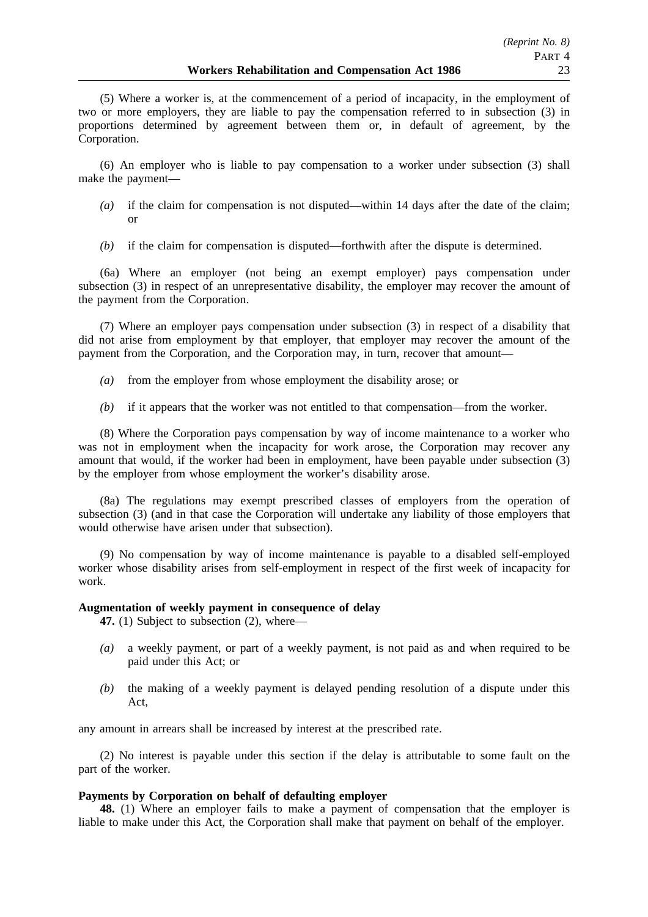(5) Where a worker is, at the commencement of a period of incapacity, in the employment of two or more employers, they are liable to pay the compensation referred to in subsection (3) in proportions determined by agreement between them or, in default of agreement, by the Corporation.

(6) An employer who is liable to pay compensation to a worker under subsection (3) shall make the payment—

- *(a)* if the claim for compensation is not disputed—within 14 days after the date of the claim; or
- *(b)* if the claim for compensation is disputed—forthwith after the dispute is determined.

(6a) Where an employer (not being an exempt employer) pays compensation under subsection (3) in respect of an unrepresentative disability, the employer may recover the amount of the payment from the Corporation.

(7) Where an employer pays compensation under subsection (3) in respect of a disability that did not arise from employment by that employer, that employer may recover the amount of the payment from the Corporation, and the Corporation may, in turn, recover that amount—

- *(a)* from the employer from whose employment the disability arose; or
- *(b)* if it appears that the worker was not entitled to that compensation—from the worker.

(8) Where the Corporation pays compensation by way of income maintenance to a worker who was not in employment when the incapacity for work arose, the Corporation may recover any amount that would, if the worker had been in employment, have been payable under subsection (3) by the employer from whose employment the worker's disability arose.

(8a) The regulations may exempt prescribed classes of employers from the operation of subsection (3) (and in that case the Corporation will undertake any liability of those employers that would otherwise have arisen under that subsection).

(9) No compensation by way of income maintenance is payable to a disabled self-employed worker whose disability arises from self-employment in respect of the first week of incapacity for work.

### **Augmentation of weekly payment in consequence of delay**

**47.** (1) Subject to subsection (2), where—

- *(a)* a weekly payment, or part of a weekly payment, is not paid as and when required to be paid under this Act; or
- *(b)* the making of a weekly payment is delayed pending resolution of a dispute under this Act,

any amount in arrears shall be increased by interest at the prescribed rate.

(2) No interest is payable under this section if the delay is attributable to some fault on the part of the worker.

## **Payments by Corporation on behalf of defaulting employer**

**48.** (1) Where an employer fails to make a payment of compensation that the employer is liable to make under this Act, the Corporation shall make that payment on behalf of the employer.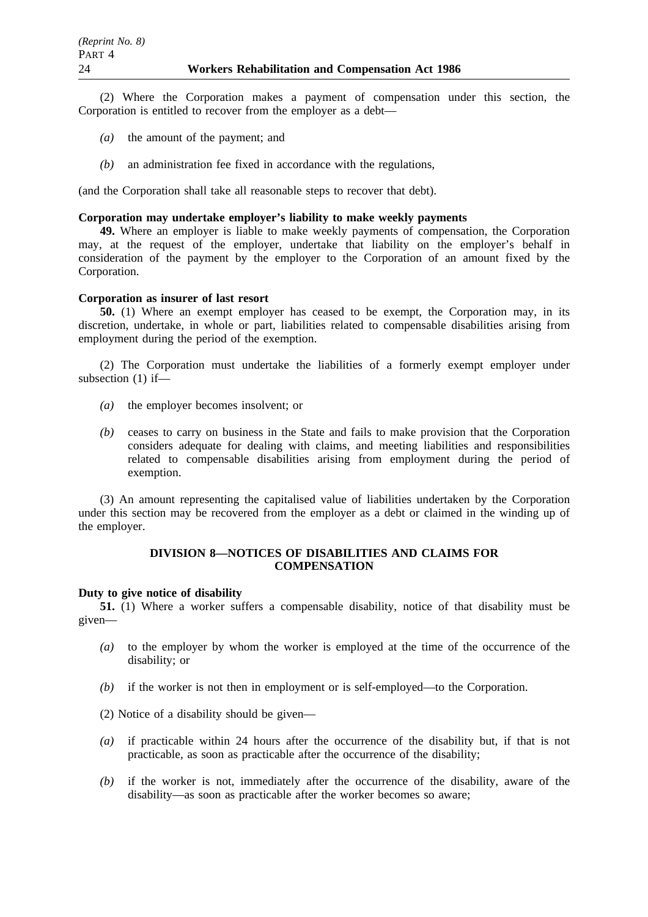(2) Where the Corporation makes a payment of compensation under this section, the Corporation is entitled to recover from the employer as a debt—

- *(a)* the amount of the payment; and
- *(b)* an administration fee fixed in accordance with the regulations,

(and the Corporation shall take all reasonable steps to recover that debt).

## **Corporation may undertake employer's liability to make weekly payments**

**49.** Where an employer is liable to make weekly payments of compensation, the Corporation may, at the request of the employer, undertake that liability on the employer's behalf in consideration of the payment by the employer to the Corporation of an amount fixed by the Corporation.

#### **Corporation as insurer of last resort**

**50.** (1) Where an exempt employer has ceased to be exempt, the Corporation may, in its discretion, undertake, in whole or part, liabilities related to compensable disabilities arising from employment during the period of the exemption.

(2) The Corporation must undertake the liabilities of a formerly exempt employer under subsection (1) if—

- *(a)* the employer becomes insolvent; or
- *(b)* ceases to carry on business in the State and fails to make provision that the Corporation considers adequate for dealing with claims, and meeting liabilities and responsibilities related to compensable disabilities arising from employment during the period of exemption.

(3) An amount representing the capitalised value of liabilities undertaken by the Corporation under this section may be recovered from the employer as a debt or claimed in the winding up of the employer.

### **DIVISION 8—NOTICES OF DISABILITIES AND CLAIMS FOR COMPENSATION**

#### **Duty to give notice of disability**

**51.** (1) Where a worker suffers a compensable disability, notice of that disability must be given—

- *(a)* to the employer by whom the worker is employed at the time of the occurrence of the disability; or
- *(b)* if the worker is not then in employment or is self-employed—to the Corporation.

(2) Notice of a disability should be given—

- *(a)* if practicable within 24 hours after the occurrence of the disability but, if that is not practicable, as soon as practicable after the occurrence of the disability;
- *(b)* if the worker is not, immediately after the occurrence of the disability, aware of the disability—as soon as practicable after the worker becomes so aware;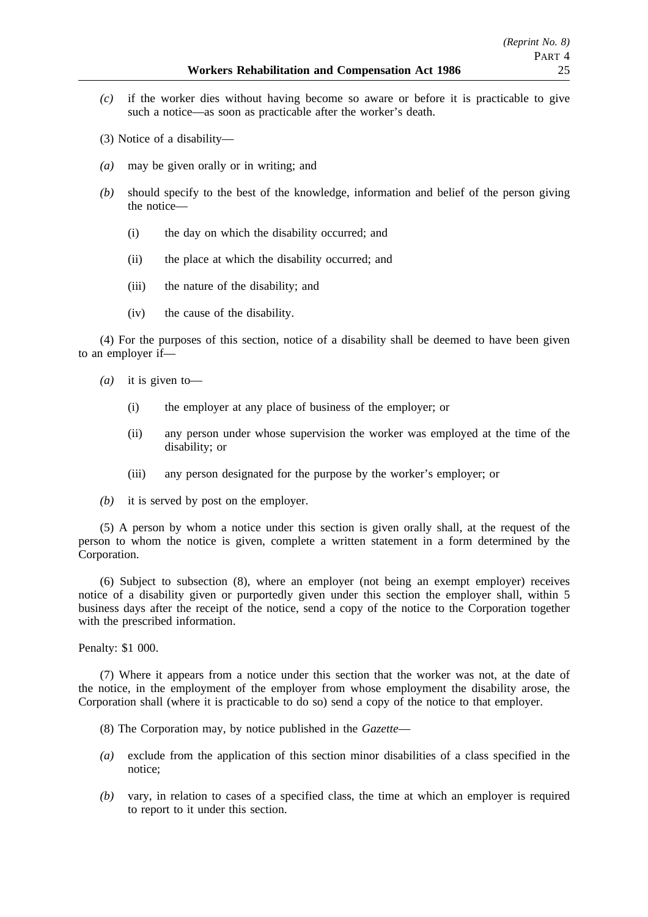- *(c)* if the worker dies without having become so aware or before it is practicable to give such a notice—as soon as practicable after the worker's death.
- (3) Notice of a disability—
- *(a)* may be given orally or in writing; and
- *(b)* should specify to the best of the knowledge, information and belief of the person giving the notice—
	- (i) the day on which the disability occurred; and
	- (ii) the place at which the disability occurred; and
	- (iii) the nature of the disability; and
	- (iv) the cause of the disability.

(4) For the purposes of this section, notice of a disability shall be deemed to have been given to an employer if—

- *(a)* it is given to—
	- (i) the employer at any place of business of the employer; or
	- (ii) any person under whose supervision the worker was employed at the time of the disability; or
	- (iii) any person designated for the purpose by the worker's employer; or
- *(b)* it is served by post on the employer.

(5) A person by whom a notice under this section is given orally shall, at the request of the person to whom the notice is given, complete a written statement in a form determined by the Corporation.

(6) Subject to subsection (8), where an employer (not being an exempt employer) receives notice of a disability given or purportedly given under this section the employer shall, within 5 business days after the receipt of the notice, send a copy of the notice to the Corporation together with the prescribed information.

Penalty: \$1 000.

(7) Where it appears from a notice under this section that the worker was not, at the date of the notice, in the employment of the employer from whose employment the disability arose, the Corporation shall (where it is practicable to do so) send a copy of the notice to that employer.

- (8) The Corporation may, by notice published in the *Gazette*—
- *(a)* exclude from the application of this section minor disabilities of a class specified in the notice;
- *(b)* vary, in relation to cases of a specified class, the time at which an employer is required to report to it under this section.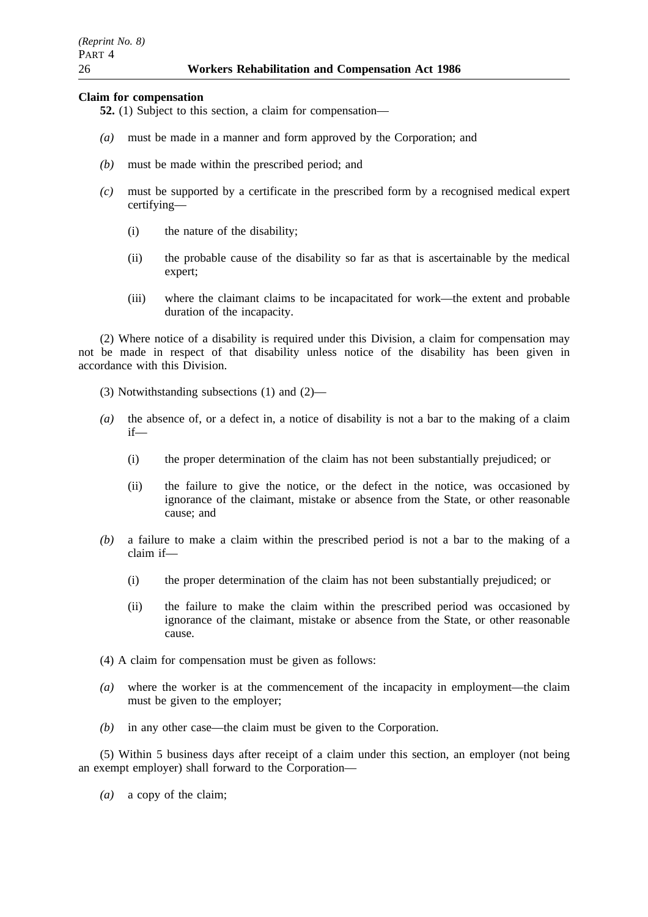#### **Claim for compensation**

- **52.** (1) Subject to this section, a claim for compensation—
- *(a)* must be made in a manner and form approved by the Corporation; and
- *(b)* must be made within the prescribed period; and
- *(c)* must be supported by a certificate in the prescribed form by a recognised medical expert certifying—
	- (i) the nature of the disability;
	- (ii) the probable cause of the disability so far as that is ascertainable by the medical expert;
	- (iii) where the claimant claims to be incapacitated for work—the extent and probable duration of the incapacity.

(2) Where notice of a disability is required under this Division, a claim for compensation may not be made in respect of that disability unless notice of the disability has been given in accordance with this Division.

(3) Notwithstanding subsections (1) and (2)—

- *(a)* the absence of, or a defect in, a notice of disability is not a bar to the making of a claim if—
	- (i) the proper determination of the claim has not been substantially prejudiced; or
	- (ii) the failure to give the notice, or the defect in the notice, was occasioned by ignorance of the claimant, mistake or absence from the State, or other reasonable cause; and
- *(b)* a failure to make a claim within the prescribed period is not a bar to the making of a claim if—
	- (i) the proper determination of the claim has not been substantially prejudiced; or
	- (ii) the failure to make the claim within the prescribed period was occasioned by ignorance of the claimant, mistake or absence from the State, or other reasonable cause.
- (4) A claim for compensation must be given as follows:
- *(a)* where the worker is at the commencement of the incapacity in employment—the claim must be given to the employer;
- *(b)* in any other case—the claim must be given to the Corporation.

(5) Within 5 business days after receipt of a claim under this section, an employer (not being an exempt employer) shall forward to the Corporation—

*(a)* a copy of the claim;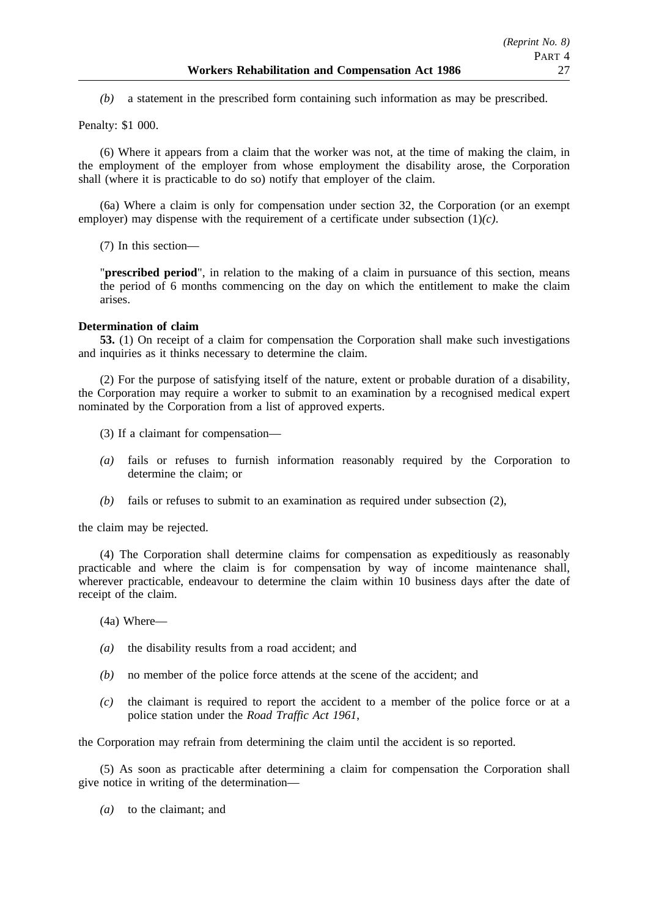*(b)* a statement in the prescribed form containing such information as may be prescribed.

Penalty: \$1 000.

(6) Where it appears from a claim that the worker was not, at the time of making the claim, in the employment of the employer from whose employment the disability arose, the Corporation shall (where it is practicable to do so) notify that employer of the claim.

(6a) Where a claim is only for compensation under section 32, the Corporation (or an exempt employer) may dispense with the requirement of a certificate under subsection (1)*(c)*.

(7) In this section—

"**prescribed period**", in relation to the making of a claim in pursuance of this section, means the period of 6 months commencing on the day on which the entitlement to make the claim arises.

### **Determination of claim**

**53.** (1) On receipt of a claim for compensation the Corporation shall make such investigations and inquiries as it thinks necessary to determine the claim.

(2) For the purpose of satisfying itself of the nature, extent or probable duration of a disability, the Corporation may require a worker to submit to an examination by a recognised medical expert nominated by the Corporation from a list of approved experts.

- (3) If a claimant for compensation—
- *(a)* fails or refuses to furnish information reasonably required by the Corporation to determine the claim; or
- *(b)* fails or refuses to submit to an examination as required under subsection (2),

the claim may be rejected.

(4) The Corporation shall determine claims for compensation as expeditiously as reasonably practicable and where the claim is for compensation by way of income maintenance shall, wherever practicable, endeavour to determine the claim within 10 business days after the date of receipt of the claim.

(4a) Where—

- *(a)* the disability results from a road accident; and
- *(b)* no member of the police force attends at the scene of the accident; and
- *(c)* the claimant is required to report the accident to a member of the police force or at a police station under the *Road Traffic Act 1961*,

the Corporation may refrain from determining the claim until the accident is so reported.

(5) As soon as practicable after determining a claim for compensation the Corporation shall give notice in writing of the determination—

*(a)* to the claimant; and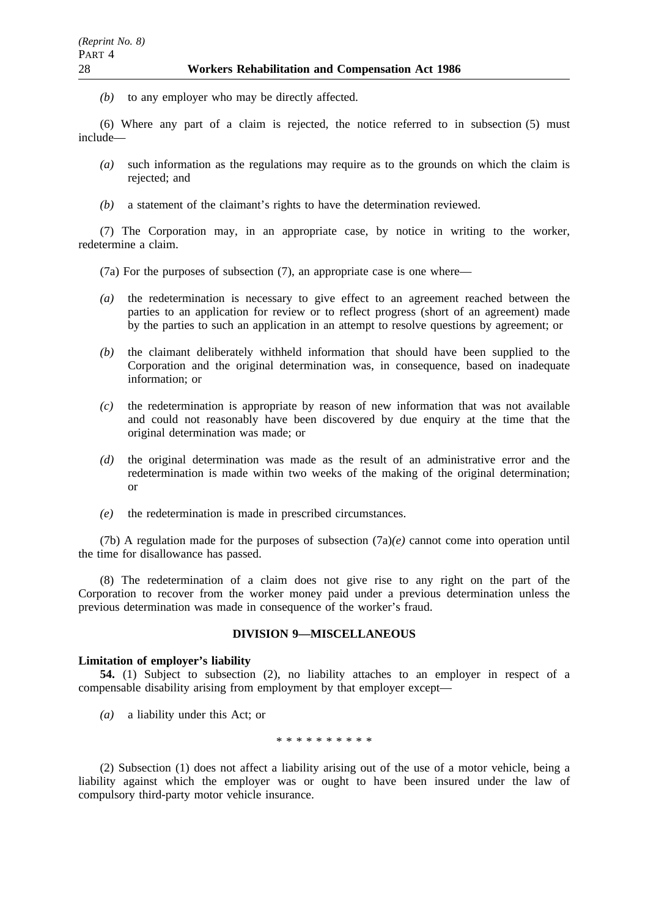*(b)* to any employer who may be directly affected.

(6) Where any part of a claim is rejected, the notice referred to in subsection (5) must include—

- *(a)* such information as the regulations may require as to the grounds on which the claim is rejected; and
- *(b)* a statement of the claimant's rights to have the determination reviewed.

(7) The Corporation may, in an appropriate case, by notice in writing to the worker, redetermine a claim.

(7a) For the purposes of subsection (7), an appropriate case is one where—

- *(a)* the redetermination is necessary to give effect to an agreement reached between the parties to an application for review or to reflect progress (short of an agreement) made by the parties to such an application in an attempt to resolve questions by agreement; or
- *(b)* the claimant deliberately withheld information that should have been supplied to the Corporation and the original determination was, in consequence, based on inadequate information; or
- *(c)* the redetermination is appropriate by reason of new information that was not available and could not reasonably have been discovered by due enquiry at the time that the original determination was made; or
- *(d)* the original determination was made as the result of an administrative error and the redetermination is made within two weeks of the making of the original determination; or
- *(e)* the redetermination is made in prescribed circumstances.

(7b) A regulation made for the purposes of subsection (7a)*(e)* cannot come into operation until the time for disallowance has passed.

(8) The redetermination of a claim does not give rise to any right on the part of the Corporation to recover from the worker money paid under a previous determination unless the previous determination was made in consequence of the worker's fraud.

#### **DIVISION 9—MISCELLANEOUS**

#### **Limitation of employer's liability**

**54.** (1) Subject to subsection (2), no liability attaches to an employer in respect of a compensable disability arising from employment by that employer except—

*(a)* a liability under this Act; or

\*\*\*\*\*\*\*\*\*\*

(2) Subsection (1) does not affect a liability arising out of the use of a motor vehicle, being a liability against which the employer was or ought to have been insured under the law of compulsory third-party motor vehicle insurance.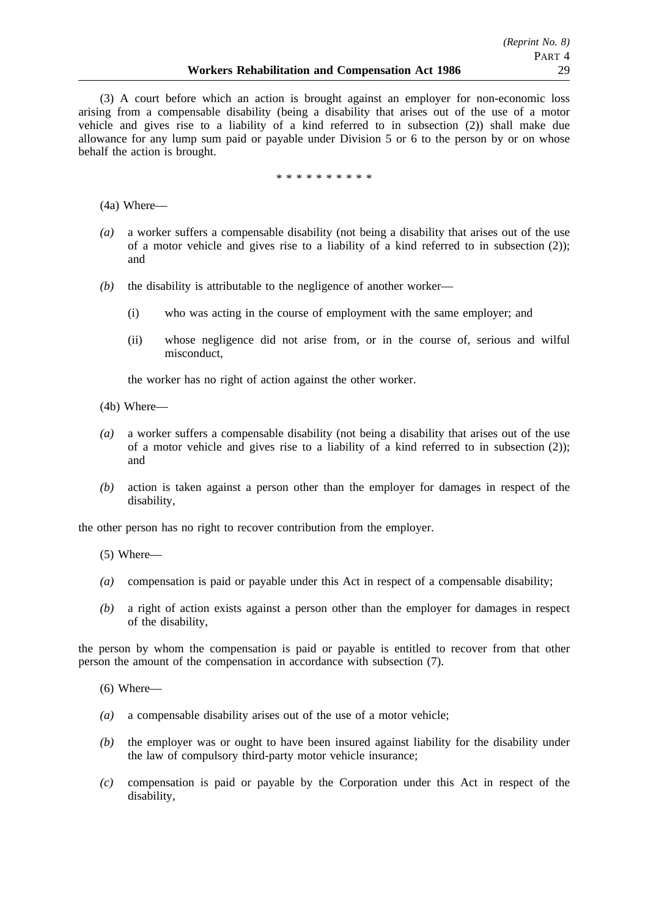(3) A court before which an action is brought against an employer for non-economic loss arising from a compensable disability (being a disability that arises out of the use of a motor vehicle and gives rise to a liability of a kind referred to in subsection (2)) shall make due allowance for any lump sum paid or payable under Division 5 or 6 to the person by or on whose behalf the action is brought.

\*\*\*\*\*\*\*\*\*\*

(4a) Where—

- *(a)* a worker suffers a compensable disability (not being a disability that arises out of the use of a motor vehicle and gives rise to a liability of a kind referred to in subsection (2)); and
- *(b)* the disability is attributable to the negligence of another worker—
	- (i) who was acting in the course of employment with the same employer; and
	- (ii) whose negligence did not arise from, or in the course of, serious and wilful misconduct,

the worker has no right of action against the other worker.

- (4b) Where—
- *(a)* a worker suffers a compensable disability (not being a disability that arises out of the use of a motor vehicle and gives rise to a liability of a kind referred to in subsection (2)); and
- *(b)* action is taken against a person other than the employer for damages in respect of the disability,

the other person has no right to recover contribution from the employer.

- (5) Where—
- *(a)* compensation is paid or payable under this Act in respect of a compensable disability;
- *(b)* a right of action exists against a person other than the employer for damages in respect of the disability,

the person by whom the compensation is paid or payable is entitled to recover from that other person the amount of the compensation in accordance with subsection (7).

- (6) Where—
- *(a)* a compensable disability arises out of the use of a motor vehicle;
- *(b)* the employer was or ought to have been insured against liability for the disability under the law of compulsory third-party motor vehicle insurance;
- *(c)* compensation is paid or payable by the Corporation under this Act in respect of the disability,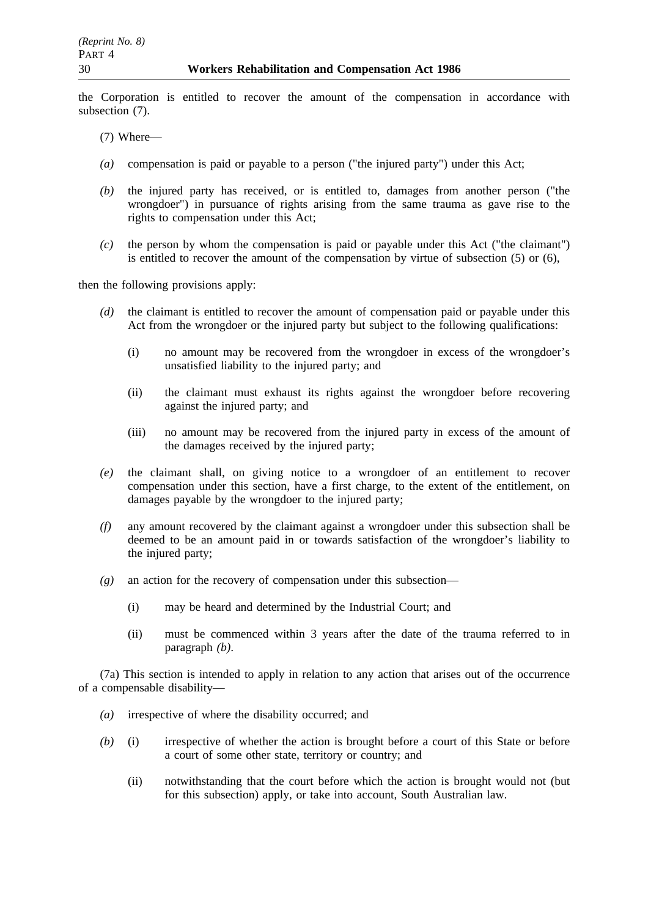the Corporation is entitled to recover the amount of the compensation in accordance with subsection (7).

- (7) Where—
- *(a)* compensation is paid or payable to a person ("the injured party") under this Act;
- *(b)* the injured party has received, or is entitled to, damages from another person ("the wrongdoer") in pursuance of rights arising from the same trauma as gave rise to the rights to compensation under this Act;
- *(c)* the person by whom the compensation is paid or payable under this Act ("the claimant") is entitled to recover the amount of the compensation by virtue of subsection (5) or (6),

then the following provisions apply:

- *(d)* the claimant is entitled to recover the amount of compensation paid or payable under this Act from the wrongdoer or the injured party but subject to the following qualifications:
	- (i) no amount may be recovered from the wrongdoer in excess of the wrongdoer's unsatisfied liability to the injured party; and
	- (ii) the claimant must exhaust its rights against the wrongdoer before recovering against the injured party; and
	- (iii) no amount may be recovered from the injured party in excess of the amount of the damages received by the injured party;
- *(e)* the claimant shall, on giving notice to a wrongdoer of an entitlement to recover compensation under this section, have a first charge, to the extent of the entitlement, on damages payable by the wrongdoer to the injured party;
- *(f)* any amount recovered by the claimant against a wrongdoer under this subsection shall be deemed to be an amount paid in or towards satisfaction of the wrongdoer's liability to the injured party;
- *(g)* an action for the recovery of compensation under this subsection—
	- (i) may be heard and determined by the Industrial Court; and
	- (ii) must be commenced within 3 years after the date of the trauma referred to in paragraph *(b)*.

(7a) This section is intended to apply in relation to any action that arises out of the occurrence of a compensable disability—

- *(a)* irrespective of where the disability occurred; and
- *(b)* (i) irrespective of whether the action is brought before a court of this State or before a court of some other state, territory or country; and
	- (ii) notwithstanding that the court before which the action is brought would not (but for this subsection) apply, or take into account, South Australian law.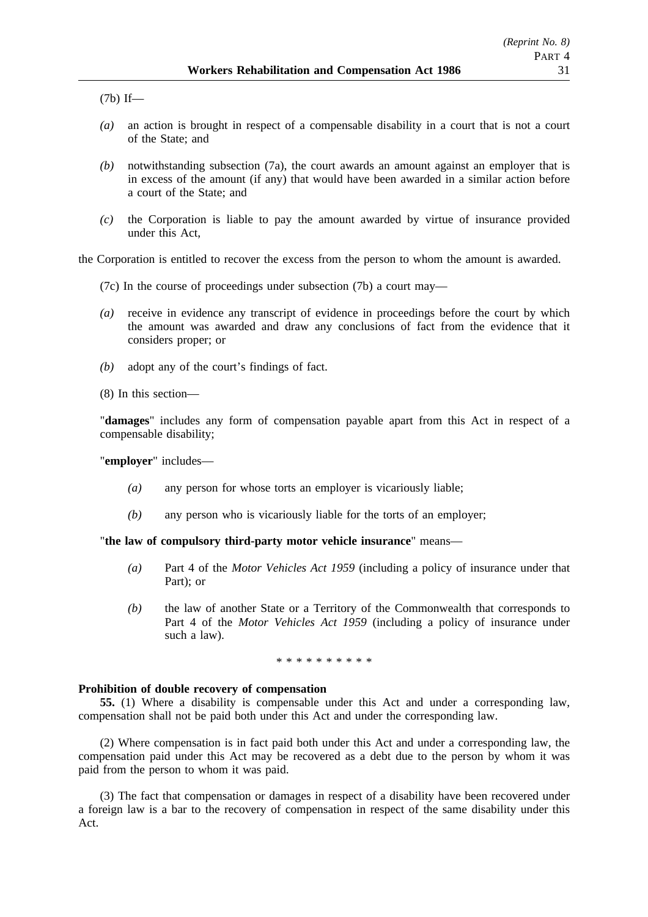(7b) If—

- *(a)* an action is brought in respect of a compensable disability in a court that is not a court of the State; and
- *(b)* notwithstanding subsection (7a), the court awards an amount against an employer that is in excess of the amount (if any) that would have been awarded in a similar action before a court of the State; and
- *(c)* the Corporation is liable to pay the amount awarded by virtue of insurance provided under this Act,

the Corporation is entitled to recover the excess from the person to whom the amount is awarded.

- (7c) In the course of proceedings under subsection (7b) a court may—
- *(a)* receive in evidence any transcript of evidence in proceedings before the court by which the amount was awarded and draw any conclusions of fact from the evidence that it considers proper; or
- *(b)* adopt any of the court's findings of fact.
- (8) In this section—

"**damages**" includes any form of compensation payable apart from this Act in respect of a compensable disability;

"**employer**" includes—

- *(a)* any person for whose torts an employer is vicariously liable;
- *(b)* any person who is vicariously liable for the torts of an employer;

"**the law of compulsory third-party motor vehicle insurance**" means—

- *(a)* Part 4 of the *Motor Vehicles Act 1959* (including a policy of insurance under that Part); or
- *(b)* the law of another State or a Territory of the Commonwealth that corresponds to Part 4 of the *Motor Vehicles Act 1959* (including a policy of insurance under such a law).

\*\*\*\*\*\*\*\*\*\*

### **Prohibition of double recovery of compensation**

**55.** (1) Where a disability is compensable under this Act and under a corresponding law, compensation shall not be paid both under this Act and under the corresponding law.

(2) Where compensation is in fact paid both under this Act and under a corresponding law, the compensation paid under this Act may be recovered as a debt due to the person by whom it was paid from the person to whom it was paid.

(3) The fact that compensation or damages in respect of a disability have been recovered under a foreign law is a bar to the recovery of compensation in respect of the same disability under this Act.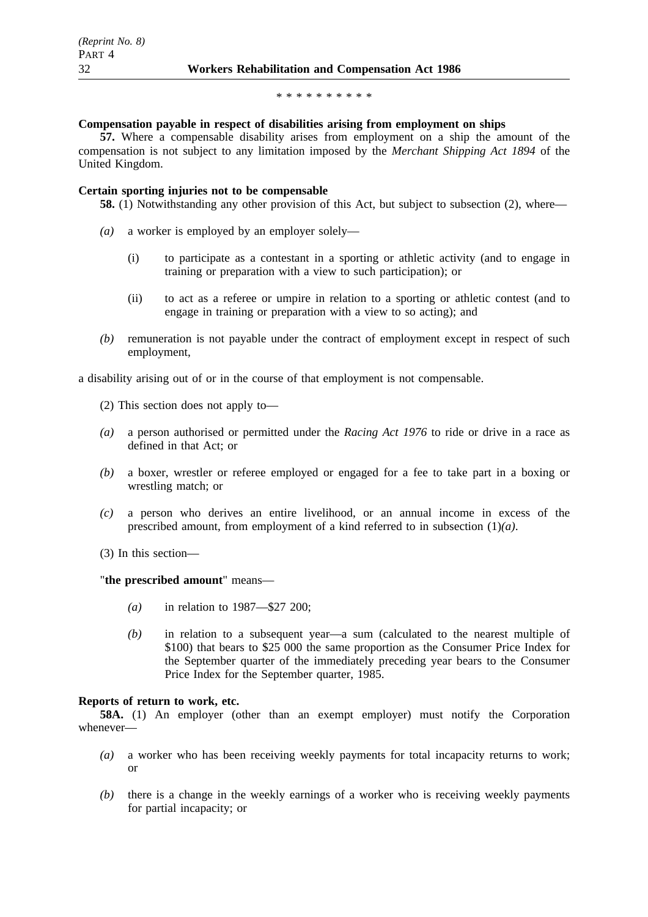#### \*\*\*\*\*\*\*\*\*\*

#### **Compensation payable in respect of disabilities arising from employment on ships**

**57.** Where a compensable disability arises from employment on a ship the amount of the compensation is not subject to any limitation imposed by the *Merchant Shipping Act 1894* of the United Kingdom.

### **Certain sporting injuries not to be compensable**

- **58.** (1) Notwithstanding any other provision of this Act, but subject to subsection (2), where—
- *(a)* a worker is employed by an employer solely—
	- (i) to participate as a contestant in a sporting or athletic activity (and to engage in training or preparation with a view to such participation); or
	- (ii) to act as a referee or umpire in relation to a sporting or athletic contest (and to engage in training or preparation with a view to so acting); and
- *(b)* remuneration is not payable under the contract of employment except in respect of such employment,

a disability arising out of or in the course of that employment is not compensable.

- (2) This section does not apply to—
- *(a)* a person authorised or permitted under the *Racing Act 1976* to ride or drive in a race as defined in that Act; or
- *(b)* a boxer, wrestler or referee employed or engaged for a fee to take part in a boxing or wrestling match; or
- *(c)* a person who derives an entire livelihood, or an annual income in excess of the prescribed amount, from employment of a kind referred to in subsection (1)*(a)*.
- (3) In this section—

"**the prescribed amount**" means—

- *(a)* in relation to 1987—\$27 200;
- *(b)* in relation to a subsequent year—a sum (calculated to the nearest multiple of \$100) that bears to \$25 000 the same proportion as the Consumer Price Index for the September quarter of the immediately preceding year bears to the Consumer Price Index for the September quarter, 1985.

### **Reports of return to work, etc.**

**58A.** (1) An employer (other than an exempt employer) must notify the Corporation whenever—

- *(a)* a worker who has been receiving weekly payments for total incapacity returns to work; or
- *(b)* there is a change in the weekly earnings of a worker who is receiving weekly payments for partial incapacity; or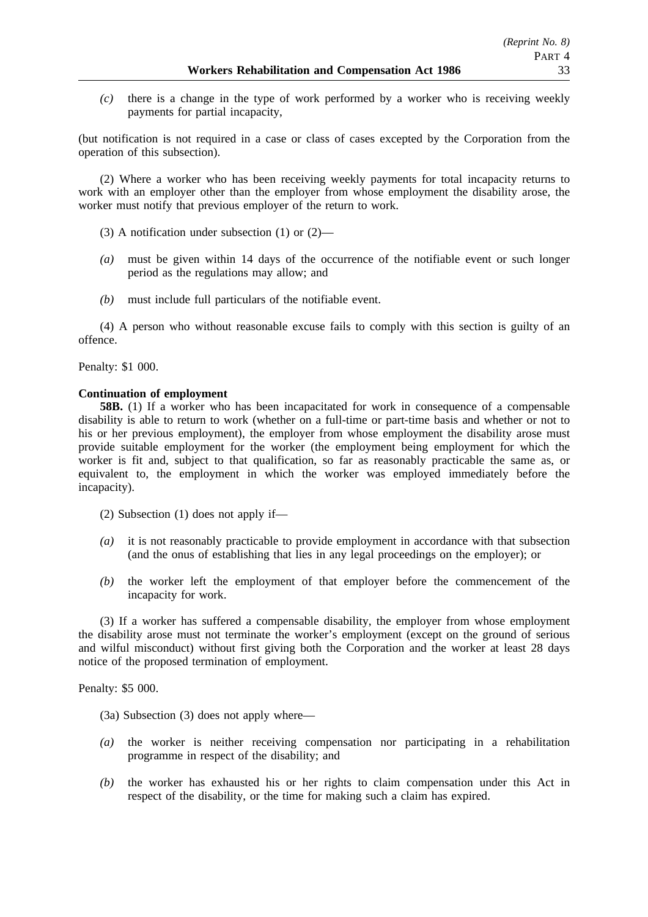*(c)* there is a change in the type of work performed by a worker who is receiving weekly payments for partial incapacity,

(but notification is not required in a case or class of cases excepted by the Corporation from the operation of this subsection).

(2) Where a worker who has been receiving weekly payments for total incapacity returns to work with an employer other than the employer from whose employment the disability arose, the worker must notify that previous employer of the return to work.

(3) A notification under subsection (1) or (2)—

- *(a)* must be given within 14 days of the occurrence of the notifiable event or such longer period as the regulations may allow; and
- *(b)* must include full particulars of the notifiable event.

(4) A person who without reasonable excuse fails to comply with this section is guilty of an offence.

Penalty: \$1 000.

## **Continuation of employment**

**58B.** (1) If a worker who has been incapacitated for work in consequence of a compensable disability is able to return to work (whether on a full-time or part-time basis and whether or not to his or her previous employment), the employer from whose employment the disability arose must provide suitable employment for the worker (the employment being employment for which the worker is fit and, subject to that qualification, so far as reasonably practicable the same as, or equivalent to, the employment in which the worker was employed immediately before the incapacity).

(2) Subsection (1) does not apply if—

- *(a)* it is not reasonably practicable to provide employment in accordance with that subsection (and the onus of establishing that lies in any legal proceedings on the employer); or
- *(b)* the worker left the employment of that employer before the commencement of the incapacity for work.

(3) If a worker has suffered a compensable disability, the employer from whose employment the disability arose must not terminate the worker's employment (except on the ground of serious and wilful misconduct) without first giving both the Corporation and the worker at least 28 days notice of the proposed termination of employment.

Penalty: \$5 000.

- (3a) Subsection (3) does not apply where—
- *(a)* the worker is neither receiving compensation nor participating in a rehabilitation programme in respect of the disability; and
- *(b)* the worker has exhausted his or her rights to claim compensation under this Act in respect of the disability, or the time for making such a claim has expired.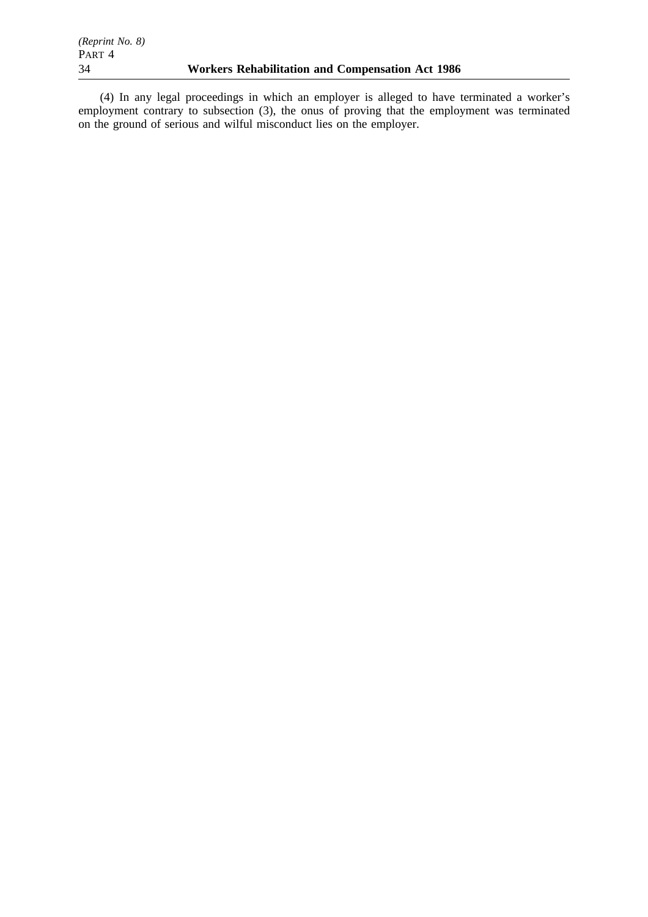(4) In any legal proceedings in which an employer is alleged to have terminated a worker's employment contrary to subsection (3), the onus of proving that the employment was terminated on the ground of serious and wilful misconduct lies on the employer.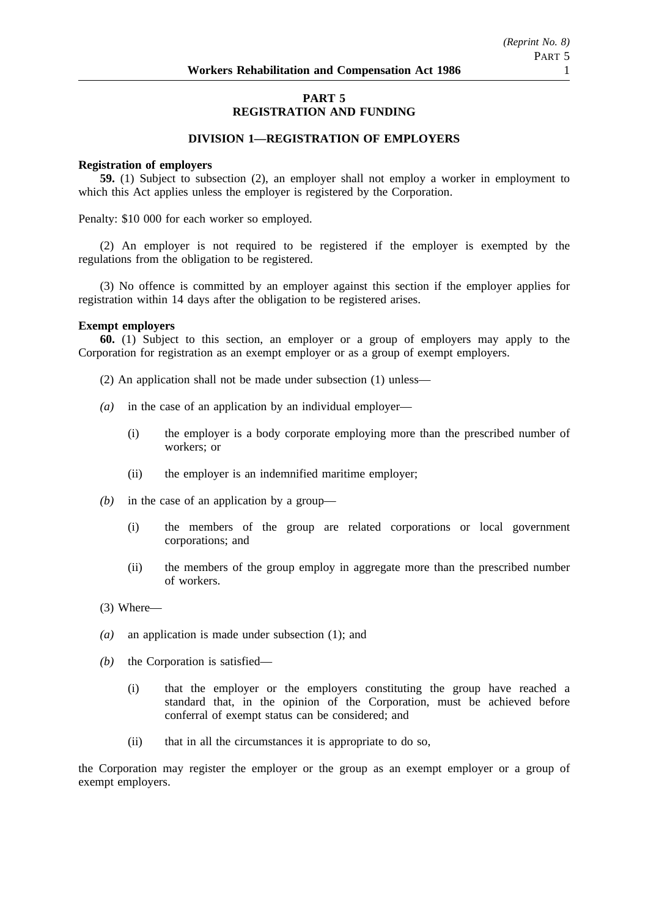# **PART 5 REGISTRATION AND FUNDING**

## **DIVISION 1—REGISTRATION OF EMPLOYERS**

### **Registration of employers**

**59.** (1) Subject to subsection (2), an employer shall not employ a worker in employment to which this Act applies unless the employer is registered by the Corporation.

Penalty: \$10 000 for each worker so employed.

(2) An employer is not required to be registered if the employer is exempted by the regulations from the obligation to be registered.

(3) No offence is committed by an employer against this section if the employer applies for registration within 14 days after the obligation to be registered arises.

## **Exempt employers**

**60.** (1) Subject to this section, an employer or a group of employers may apply to the Corporation for registration as an exempt employer or as a group of exempt employers.

- (2) An application shall not be made under subsection (1) unless—
- *(a)* in the case of an application by an individual employer—
	- (i) the employer is a body corporate employing more than the prescribed number of workers; or
	- (ii) the employer is an indemnified maritime employer;
- *(b)* in the case of an application by a group—
	- (i) the members of the group are related corporations or local government corporations; and
	- (ii) the members of the group employ in aggregate more than the prescribed number of workers.
- (3) Where—
- *(a)* an application is made under subsection (1); and
- *(b)* the Corporation is satisfied—
	- (i) that the employer or the employers constituting the group have reached a standard that, in the opinion of the Corporation, must be achieved before conferral of exempt status can be considered; and
	- (ii) that in all the circumstances it is appropriate to do so,

the Corporation may register the employer or the group as an exempt employer or a group of exempt employers.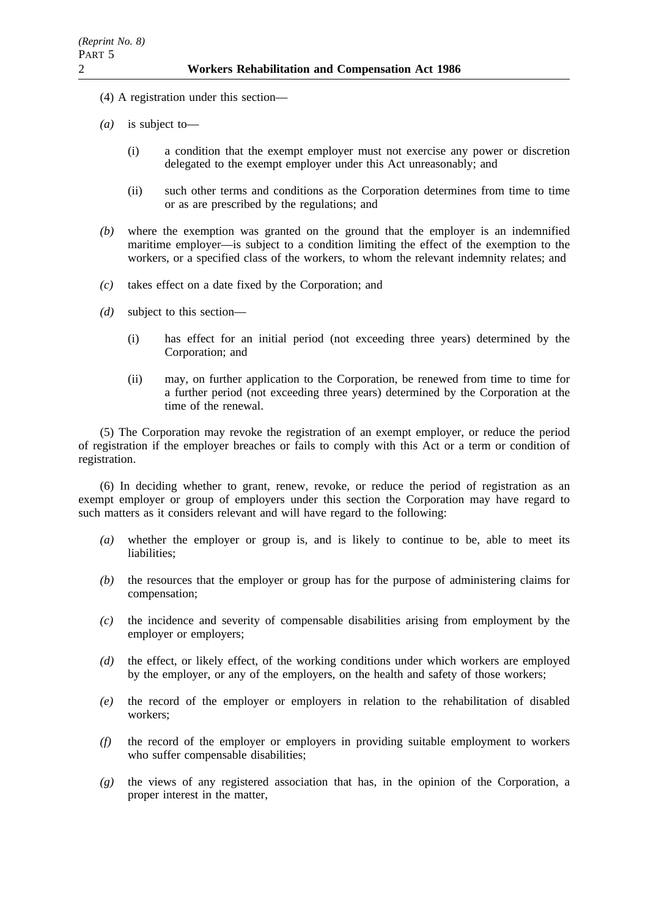- (4) A registration under this section—
- *(a)* is subject to—
	- (i) a condition that the exempt employer must not exercise any power or discretion delegated to the exempt employer under this Act unreasonably; and
	- (ii) such other terms and conditions as the Corporation determines from time to time or as are prescribed by the regulations; and
- *(b)* where the exemption was granted on the ground that the employer is an indemnified maritime employer—is subject to a condition limiting the effect of the exemption to the workers, or a specified class of the workers, to whom the relevant indemnity relates; and
- *(c)* takes effect on a date fixed by the Corporation; and
- *(d)* subject to this section—
	- (i) has effect for an initial period (not exceeding three years) determined by the Corporation; and
	- (ii) may, on further application to the Corporation, be renewed from time to time for a further period (not exceeding three years) determined by the Corporation at the time of the renewal.

(5) The Corporation may revoke the registration of an exempt employer, or reduce the period of registration if the employer breaches or fails to comply with this Act or a term or condition of registration.

(6) In deciding whether to grant, renew, revoke, or reduce the period of registration as an exempt employer or group of employers under this section the Corporation may have regard to such matters as it considers relevant and will have regard to the following:

- *(a)* whether the employer or group is, and is likely to continue to be, able to meet its liabilities;
- *(b)* the resources that the employer or group has for the purpose of administering claims for compensation;
- *(c)* the incidence and severity of compensable disabilities arising from employment by the employer or employers;
- *(d)* the effect, or likely effect, of the working conditions under which workers are employed by the employer, or any of the employers, on the health and safety of those workers;
- *(e)* the record of the employer or employers in relation to the rehabilitation of disabled workers;
- *(f)* the record of the employer or employers in providing suitable employment to workers who suffer compensable disabilities;
- *(g)* the views of any registered association that has, in the opinion of the Corporation, a proper interest in the matter,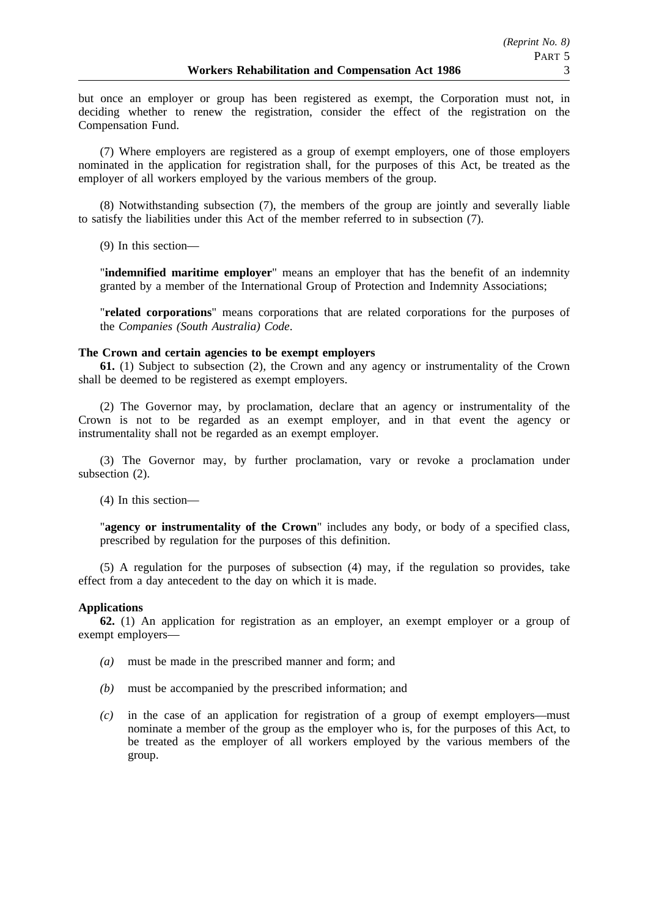but once an employer or group has been registered as exempt, the Corporation must not, in deciding whether to renew the registration, consider the effect of the registration on the Compensation Fund.

(7) Where employers are registered as a group of exempt employers, one of those employers nominated in the application for registration shall, for the purposes of this Act, be treated as the employer of all workers employed by the various members of the group.

(8) Notwithstanding subsection (7), the members of the group are jointly and severally liable to satisfy the liabilities under this Act of the member referred to in subsection (7).

(9) In this section—

"**indemnified maritime employer**" means an employer that has the benefit of an indemnity granted by a member of the International Group of Protection and Indemnity Associations;

"**related corporations**" means corporations that are related corporations for the purposes of the *Companies (South Australia) Code*.

## **The Crown and certain agencies to be exempt employers**

**61.** (1) Subject to subsection (2), the Crown and any agency or instrumentality of the Crown shall be deemed to be registered as exempt employers.

(2) The Governor may, by proclamation, declare that an agency or instrumentality of the Crown is not to be regarded as an exempt employer, and in that event the agency or instrumentality shall not be regarded as an exempt employer.

(3) The Governor may, by further proclamation, vary or revoke a proclamation under subsection (2).

(4) In this section—

"**agency or instrumentality of the Crown**" includes any body, or body of a specified class, prescribed by regulation for the purposes of this definition.

(5) A regulation for the purposes of subsection (4) may, if the regulation so provides, take effect from a day antecedent to the day on which it is made.

### **Applications**

**62.** (1) An application for registration as an employer, an exempt employer or a group of exempt employers—

- *(a)* must be made in the prescribed manner and form; and
- *(b)* must be accompanied by the prescribed information; and
- *(c)* in the case of an application for registration of a group of exempt employers—must nominate a member of the group as the employer who is, for the purposes of this Act, to be treated as the employer of all workers employed by the various members of the group.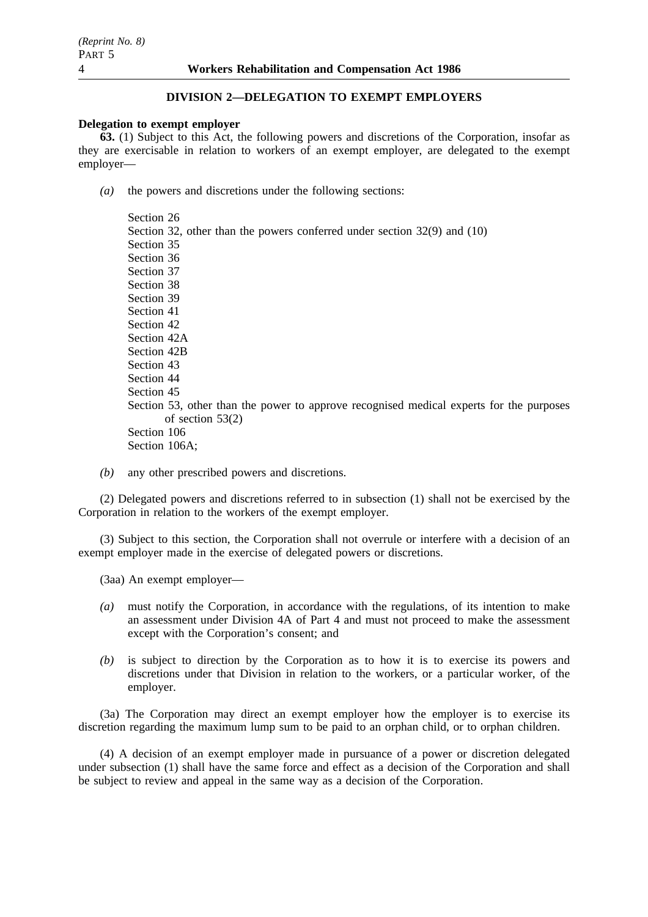## **DIVISION 2—DELEGATION TO EXEMPT EMPLOYERS**

### **Delegation to exempt employer**

**63.** (1) Subject to this Act, the following powers and discretions of the Corporation, insofar as they are exercisable in relation to workers of an exempt employer, are delegated to the exempt employer—

*(a)* the powers and discretions under the following sections:

Section 26 Section 32, other than the powers conferred under section 32(9) and (10) Section 35 Section 36 Section 37 Section 38 Section 39 Section 41 Section 42 Section 42A Section 42B Section 43 Section 44 Section 45 Section 53, other than the power to approve recognised medical experts for the purposes of section 53(2) Section 106 Section 106A;

*(b)* any other prescribed powers and discretions.

(2) Delegated powers and discretions referred to in subsection (1) shall not be exercised by the Corporation in relation to the workers of the exempt employer.

(3) Subject to this section, the Corporation shall not overrule or interfere with a decision of an exempt employer made in the exercise of delegated powers or discretions.

(3aa) An exempt employer—

- *(a)* must notify the Corporation, in accordance with the regulations, of its intention to make an assessment under Division 4A of Part 4 and must not proceed to make the assessment except with the Corporation's consent; and
- *(b)* is subject to direction by the Corporation as to how it is to exercise its powers and discretions under that Division in relation to the workers, or a particular worker, of the employer.

(3a) The Corporation may direct an exempt employer how the employer is to exercise its discretion regarding the maximum lump sum to be paid to an orphan child, or to orphan children.

(4) A decision of an exempt employer made in pursuance of a power or discretion delegated under subsection (1) shall have the same force and effect as a decision of the Corporation and shall be subject to review and appeal in the same way as a decision of the Corporation.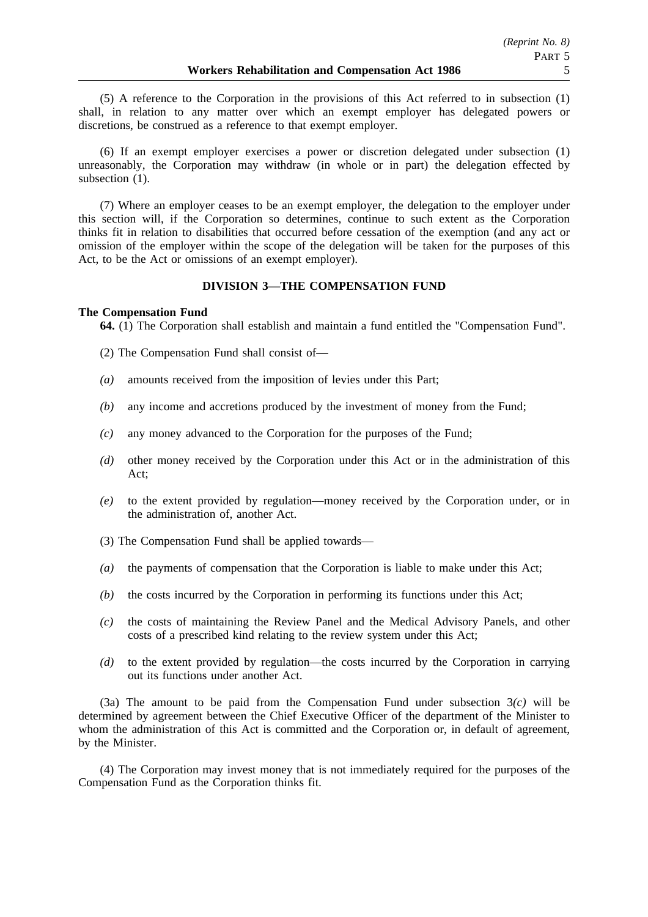(5) A reference to the Corporation in the provisions of this Act referred to in subsection (1) shall, in relation to any matter over which an exempt employer has delegated powers or discretions, be construed as a reference to that exempt employer.

(6) If an exempt employer exercises a power or discretion delegated under subsection (1) unreasonably, the Corporation may withdraw (in whole or in part) the delegation effected by subsection  $(1)$ .

(7) Where an employer ceases to be an exempt employer, the delegation to the employer under this section will, if the Corporation so determines, continue to such extent as the Corporation thinks fit in relation to disabilities that occurred before cessation of the exemption (and any act or omission of the employer within the scope of the delegation will be taken for the purposes of this Act, to be the Act or omissions of an exempt employer).

## **DIVISION 3—THE COMPENSATION FUND**

## **The Compensation Fund**

**64.** (1) The Corporation shall establish and maintain a fund entitled the "Compensation Fund".

- (2) The Compensation Fund shall consist of—
- *(a)* amounts received from the imposition of levies under this Part;
- *(b)* any income and accretions produced by the investment of money from the Fund;
- *(c)* any money advanced to the Corporation for the purposes of the Fund;
- *(d)* other money received by the Corporation under this Act or in the administration of this Act;
- *(e)* to the extent provided by regulation—money received by the Corporation under, or in the administration of, another Act.
- (3) The Compensation Fund shall be applied towards—
- *(a)* the payments of compensation that the Corporation is liable to make under this Act;
- *(b)* the costs incurred by the Corporation in performing its functions under this Act;
- *(c)* the costs of maintaining the Review Panel and the Medical Advisory Panels, and other costs of a prescribed kind relating to the review system under this Act;
- *(d)* to the extent provided by regulation—the costs incurred by the Corporation in carrying out its functions under another Act.

(3a) The amount to be paid from the Compensation Fund under subsection 3*(c)* will be determined by agreement between the Chief Executive Officer of the department of the Minister to whom the administration of this Act is committed and the Corporation or, in default of agreement, by the Minister.

(4) The Corporation may invest money that is not immediately required for the purposes of the Compensation Fund as the Corporation thinks fit.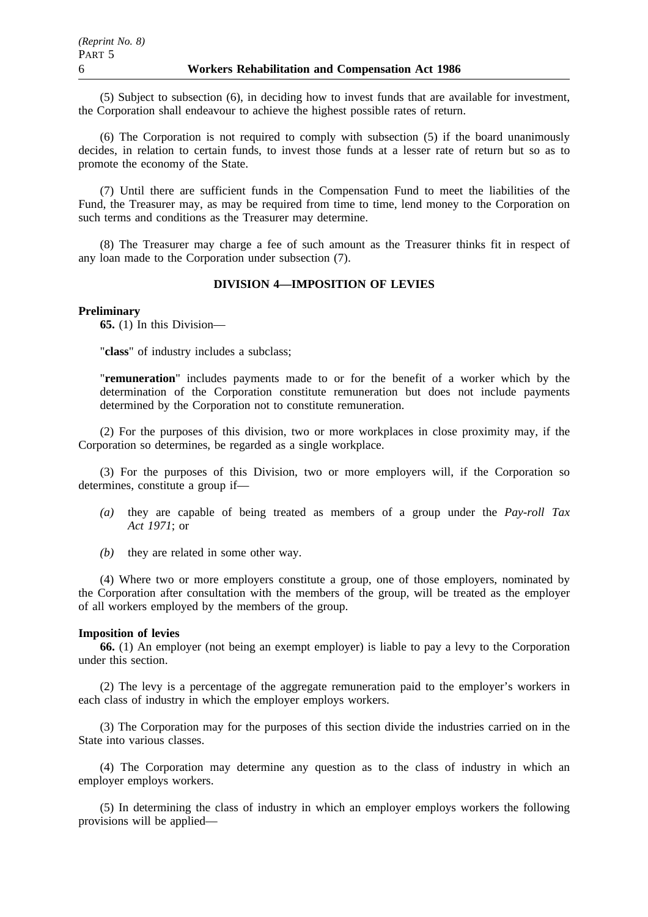(5) Subject to subsection (6), in deciding how to invest funds that are available for investment, the Corporation shall endeavour to achieve the highest possible rates of return.

(6) The Corporation is not required to comply with subsection (5) if the board unanimously decides, in relation to certain funds, to invest those funds at a lesser rate of return but so as to promote the economy of the State.

(7) Until there are sufficient funds in the Compensation Fund to meet the liabilities of the Fund, the Treasurer may, as may be required from time to time, lend money to the Corporation on such terms and conditions as the Treasurer may determine.

(8) The Treasurer may charge a fee of such amount as the Treasurer thinks fit in respect of any loan made to the Corporation under subsection (7).

## **DIVISION 4—IMPOSITION OF LEVIES**

#### **Preliminary**

**65.** (1) In this Division—

"**class**" of industry includes a subclass;

"**remuneration**" includes payments made to or for the benefit of a worker which by the determination of the Corporation constitute remuneration but does not include payments determined by the Corporation not to constitute remuneration.

(2) For the purposes of this division, two or more workplaces in close proximity may, if the Corporation so determines, be regarded as a single workplace.

(3) For the purposes of this Division, two or more employers will, if the Corporation so determines, constitute a group if—

- *(a)* they are capable of being treated as members of a group under the *Pay-roll Tax Act 1971*; or
- *(b)* they are related in some other way.

(4) Where two or more employers constitute a group, one of those employers, nominated by the Corporation after consultation with the members of the group, will be treated as the employer of all workers employed by the members of the group.

#### **Imposition of levies**

**66.** (1) An employer (not being an exempt employer) is liable to pay a levy to the Corporation under this section.

(2) The levy is a percentage of the aggregate remuneration paid to the employer's workers in each class of industry in which the employer employs workers.

(3) The Corporation may for the purposes of this section divide the industries carried on in the State into various classes.

(4) The Corporation may determine any question as to the class of industry in which an employer employs workers.

(5) In determining the class of industry in which an employer employs workers the following provisions will be applied—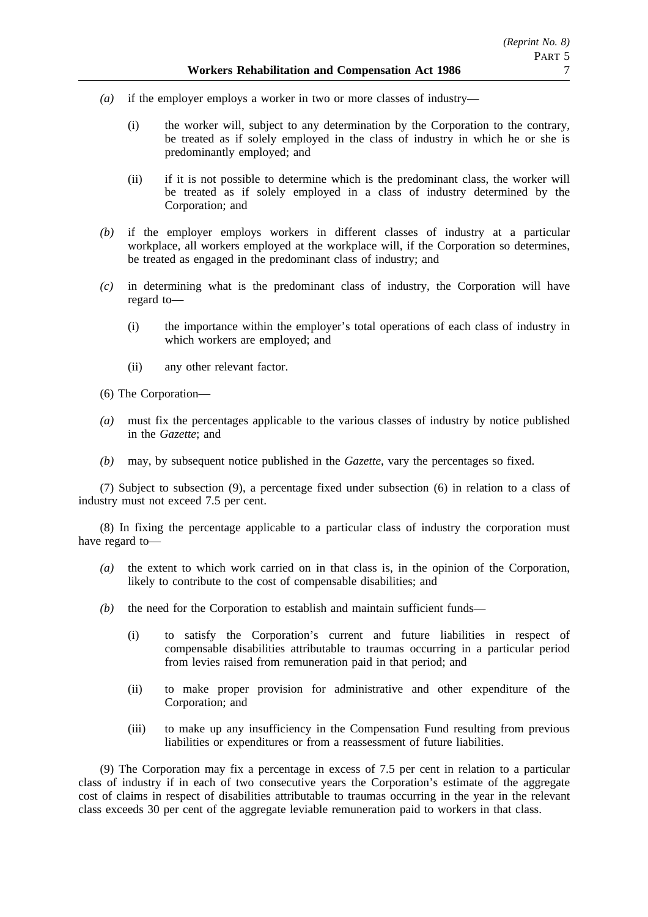- *(a)* if the employer employs a worker in two or more classes of industry—
	- (i) the worker will, subject to any determination by the Corporation to the contrary, be treated as if solely employed in the class of industry in which he or she is predominantly employed; and
	- (ii) if it is not possible to determine which is the predominant class, the worker will be treated as if solely employed in a class of industry determined by the Corporation; and
- *(b)* if the employer employs workers in different classes of industry at a particular workplace, all workers employed at the workplace will, if the Corporation so determines, be treated as engaged in the predominant class of industry; and
- *(c)* in determining what is the predominant class of industry, the Corporation will have regard to—
	- (i) the importance within the employer's total operations of each class of industry in which workers are employed; and
	- (ii) any other relevant factor.
- (6) The Corporation—
- *(a)* must fix the percentages applicable to the various classes of industry by notice published in the *Gazette*; and
- *(b)* may, by subsequent notice published in the *Gazette*, vary the percentages so fixed.

(7) Subject to subsection (9), a percentage fixed under subsection (6) in relation to a class of industry must not exceed 7.5 per cent.

(8) In fixing the percentage applicable to a particular class of industry the corporation must have regard to—

- *(a)* the extent to which work carried on in that class is, in the opinion of the Corporation, likely to contribute to the cost of compensable disabilities; and
- *(b)* the need for the Corporation to establish and maintain sufficient funds—
	- (i) to satisfy the Corporation's current and future liabilities in respect of compensable disabilities attributable to traumas occurring in a particular period from levies raised from remuneration paid in that period; and
	- (ii) to make proper provision for administrative and other expenditure of the Corporation; and
	- (iii) to make up any insufficiency in the Compensation Fund resulting from previous liabilities or expenditures or from a reassessment of future liabilities.

(9) The Corporation may fix a percentage in excess of 7.5 per cent in relation to a particular class of industry if in each of two consecutive years the Corporation's estimate of the aggregate cost of claims in respect of disabilities attributable to traumas occurring in the year in the relevant class exceeds 30 per cent of the aggregate leviable remuneration paid to workers in that class.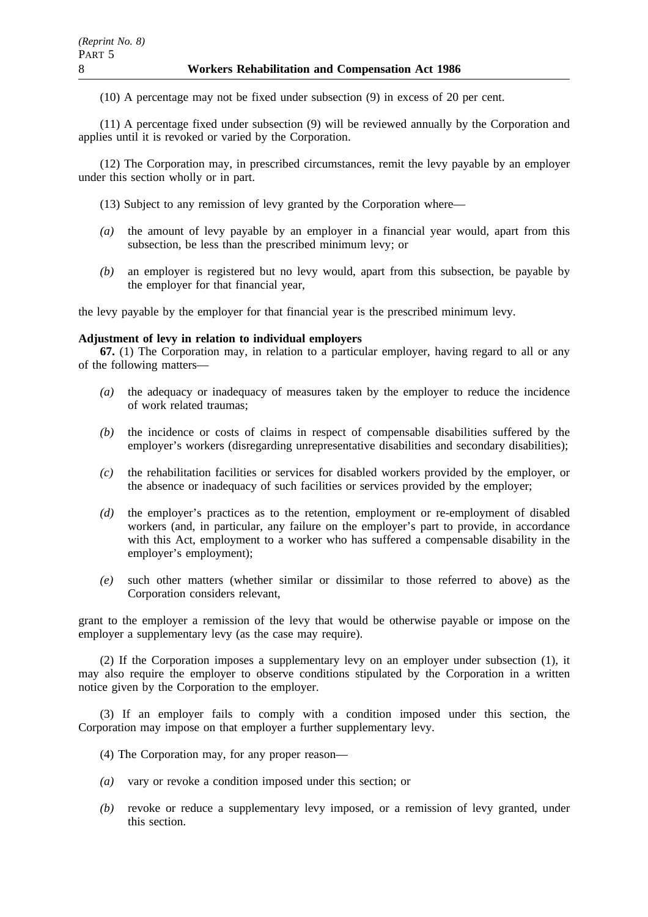(10) A percentage may not be fixed under subsection (9) in excess of 20 per cent.

(11) A percentage fixed under subsection (9) will be reviewed annually by the Corporation and applies until it is revoked or varied by the Corporation.

(12) The Corporation may, in prescribed circumstances, remit the levy payable by an employer under this section wholly or in part.

(13) Subject to any remission of levy granted by the Corporation where—

- *(a)* the amount of levy payable by an employer in a financial year would, apart from this subsection, be less than the prescribed minimum levy; or
- *(b)* an employer is registered but no levy would, apart from this subsection, be payable by the employer for that financial year,

the levy payable by the employer for that financial year is the prescribed minimum levy.

### **Adjustment of levy in relation to individual employers**

**67.** (1) The Corporation may, in relation to a particular employer, having regard to all or any of the following matters—

- *(a)* the adequacy or inadequacy of measures taken by the employer to reduce the incidence of work related traumas;
- *(b)* the incidence or costs of claims in respect of compensable disabilities suffered by the employer's workers (disregarding unrepresentative disabilities and secondary disabilities);
- *(c)* the rehabilitation facilities or services for disabled workers provided by the employer, or the absence or inadequacy of such facilities or services provided by the employer;
- *(d)* the employer's practices as to the retention, employment or re-employment of disabled workers (and, in particular, any failure on the employer's part to provide, in accordance with this Act, employment to a worker who has suffered a compensable disability in the employer's employment);
- *(e)* such other matters (whether similar or dissimilar to those referred to above) as the Corporation considers relevant,

grant to the employer a remission of the levy that would be otherwise payable or impose on the employer a supplementary levy (as the case may require).

(2) If the Corporation imposes a supplementary levy on an employer under subsection (1), it may also require the employer to observe conditions stipulated by the Corporation in a written notice given by the Corporation to the employer.

(3) If an employer fails to comply with a condition imposed under this section, the Corporation may impose on that employer a further supplementary levy.

- (4) The Corporation may, for any proper reason—
- *(a)* vary or revoke a condition imposed under this section; or
- *(b)* revoke or reduce a supplementary levy imposed, or a remission of levy granted, under this section.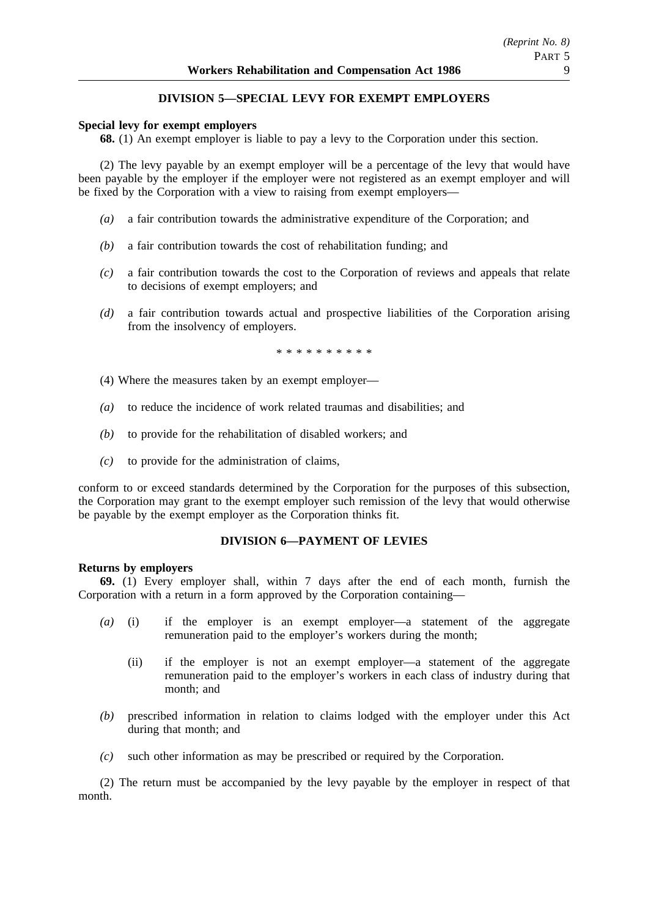# **DIVISION 5—SPECIAL LEVY FOR EXEMPT EMPLOYERS**

## **Special levy for exempt employers**

**68.** (1) An exempt employer is liable to pay a levy to the Corporation under this section.

(2) The levy payable by an exempt employer will be a percentage of the levy that would have been payable by the employer if the employer were not registered as an exempt employer and will be fixed by the Corporation with a view to raising from exempt employers—

- *(a)* a fair contribution towards the administrative expenditure of the Corporation; and
- *(b)* a fair contribution towards the cost of rehabilitation funding; and
- *(c)* a fair contribution towards the cost to the Corporation of reviews and appeals that relate to decisions of exempt employers; and
- *(d)* a fair contribution towards actual and prospective liabilities of the Corporation arising from the insolvency of employers.

\*\*\*\*\*\*\*\*\*\*

- (4) Where the measures taken by an exempt employer—
- *(a)* to reduce the incidence of work related traumas and disabilities; and
- *(b)* to provide for the rehabilitation of disabled workers; and
- *(c)* to provide for the administration of claims,

conform to or exceed standards determined by the Corporation for the purposes of this subsection, the Corporation may grant to the exempt employer such remission of the levy that would otherwise be payable by the exempt employer as the Corporation thinks fit.

## **DIVISION 6—PAYMENT OF LEVIES**

### **Returns by employers**

**69.** (1) Every employer shall, within 7 days after the end of each month, furnish the Corporation with a return in a form approved by the Corporation containing—

- *(a)* (i) if the employer is an exempt employer—a statement of the aggregate remuneration paid to the employer's workers during the month;
	- (ii) if the employer is not an exempt employer—a statement of the aggregate remuneration paid to the employer's workers in each class of industry during that month; and
- *(b)* prescribed information in relation to claims lodged with the employer under this Act during that month; and
- *(c)* such other information as may be prescribed or required by the Corporation.

(2) The return must be accompanied by the levy payable by the employer in respect of that month.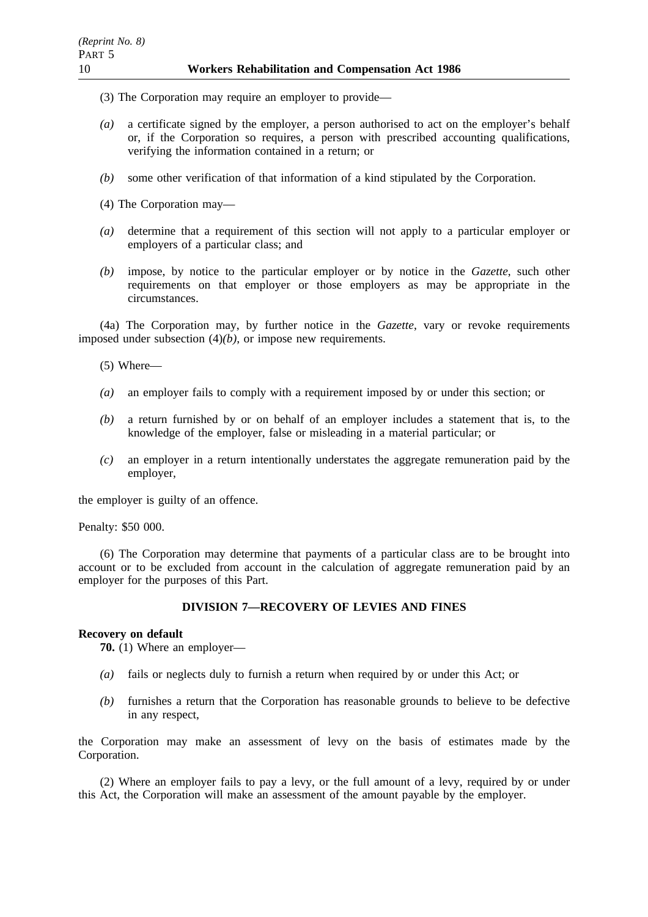- (3) The Corporation may require an employer to provide—
- *(a)* a certificate signed by the employer, a person authorised to act on the employer's behalf or, if the Corporation so requires, a person with prescribed accounting qualifications, verifying the information contained in a return; or
- *(b)* some other verification of that information of a kind stipulated by the Corporation.
- (4) The Corporation may—
- *(a)* determine that a requirement of this section will not apply to a particular employer or employers of a particular class; and
- *(b)* impose, by notice to the particular employer or by notice in the *Gazette*, such other requirements on that employer or those employers as may be appropriate in the circumstances.

(4a) The Corporation may, by further notice in the *Gazette*, vary or revoke requirements imposed under subsection (4)*(b)*, or impose new requirements.

- (5) Where—
- *(a)* an employer fails to comply with a requirement imposed by or under this section; or
- *(b)* a return furnished by or on behalf of an employer includes a statement that is, to the knowledge of the employer, false or misleading in a material particular; or
- *(c)* an employer in a return intentionally understates the aggregate remuneration paid by the employer,

the employer is guilty of an offence.

Penalty: \$50 000.

(6) The Corporation may determine that payments of a particular class are to be brought into account or to be excluded from account in the calculation of aggregate remuneration paid by an employer for the purposes of this Part.

## **DIVISION 7—RECOVERY OF LEVIES AND FINES**

### **Recovery on default**

**70.** (1) Where an employer—

- *(a)* fails or neglects duly to furnish a return when required by or under this Act; or
- *(b)* furnishes a return that the Corporation has reasonable grounds to believe to be defective in any respect,

the Corporation may make an assessment of levy on the basis of estimates made by the Corporation.

(2) Where an employer fails to pay a levy, or the full amount of a levy, required by or under this Act, the Corporation will make an assessment of the amount payable by the employer.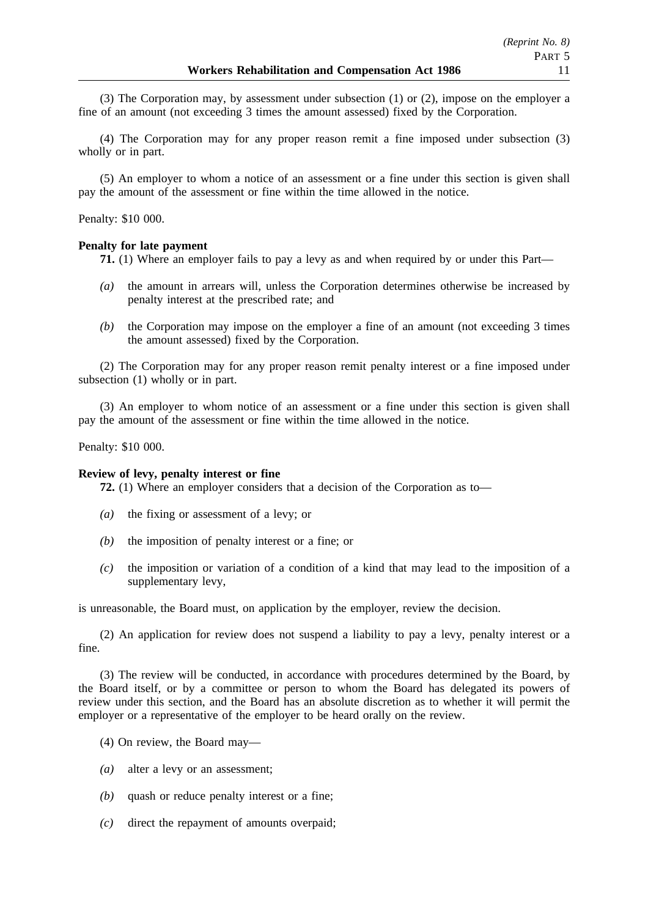(3) The Corporation may, by assessment under subsection (1) or (2), impose on the employer a fine of an amount (not exceeding 3 times the amount assessed) fixed by the Corporation.

(4) The Corporation may for any proper reason remit a fine imposed under subsection (3) wholly or in part.

(5) An employer to whom a notice of an assessment or a fine under this section is given shall pay the amount of the assessment or fine within the time allowed in the notice.

### Penalty: \$10 000.

## **Penalty for late payment**

**71.** (1) Where an employer fails to pay a levy as and when required by or under this Part—

- *(a)* the amount in arrears will, unless the Corporation determines otherwise be increased by penalty interest at the prescribed rate; and
- *(b)* the Corporation may impose on the employer a fine of an amount (not exceeding 3 times the amount assessed) fixed by the Corporation.

(2) The Corporation may for any proper reason remit penalty interest or a fine imposed under subsection (1) wholly or in part.

(3) An employer to whom notice of an assessment or a fine under this section is given shall pay the amount of the assessment or fine within the time allowed in the notice.

Penalty: \$10 000.

### **Review of levy, penalty interest or fine**

**72.** (1) Where an employer considers that a decision of the Corporation as to—

- *(a)* the fixing or assessment of a levy; or
- *(b)* the imposition of penalty interest or a fine; or
- *(c)* the imposition or variation of a condition of a kind that may lead to the imposition of a supplementary levy,

is unreasonable, the Board must, on application by the employer, review the decision.

(2) An application for review does not suspend a liability to pay a levy, penalty interest or a fine.

(3) The review will be conducted, in accordance with procedures determined by the Board, by the Board itself, or by a committee or person to whom the Board has delegated its powers of review under this section, and the Board has an absolute discretion as to whether it will permit the employer or a representative of the employer to be heard orally on the review.

- (4) On review, the Board may—
- *(a)* alter a levy or an assessment;
- *(b)* quash or reduce penalty interest or a fine;
- *(c)* direct the repayment of amounts overpaid;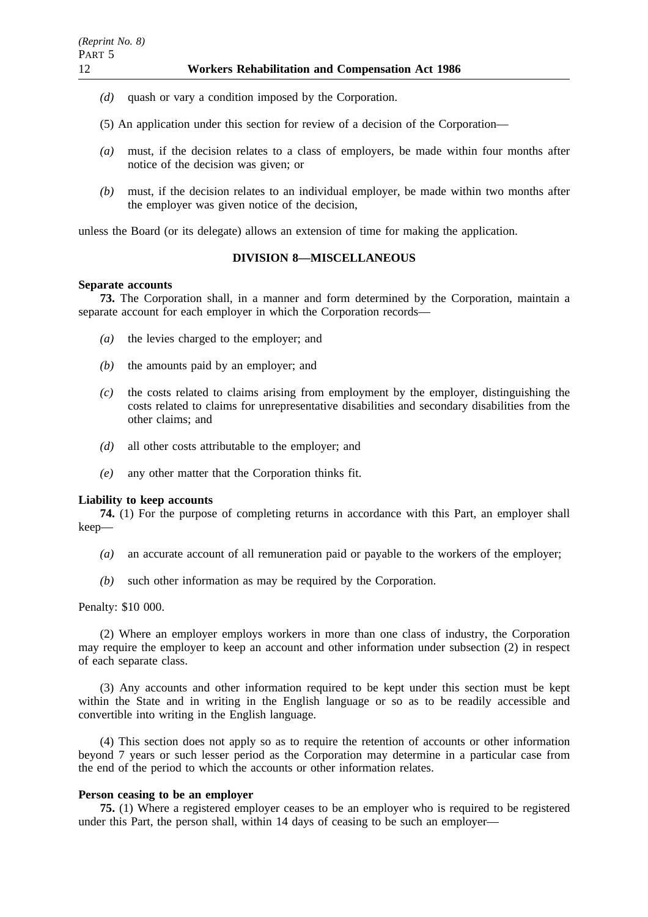- *(d)* quash or vary a condition imposed by the Corporation.
- (5) An application under this section for review of a decision of the Corporation—
- *(a)* must, if the decision relates to a class of employers, be made within four months after notice of the decision was given; or
- *(b)* must, if the decision relates to an individual employer, be made within two months after the employer was given notice of the decision,

unless the Board (or its delegate) allows an extension of time for making the application.

# **DIVISION 8—MISCELLANEOUS**

### **Separate accounts**

**73.** The Corporation shall, in a manner and form determined by the Corporation, maintain a separate account for each employer in which the Corporation records—

- *(a)* the levies charged to the employer; and
- *(b)* the amounts paid by an employer; and
- *(c)* the costs related to claims arising from employment by the employer, distinguishing the costs related to claims for unrepresentative disabilities and secondary disabilities from the other claims; and
- *(d)* all other costs attributable to the employer; and
- *(e)* any other matter that the Corporation thinks fit.

### **Liability to keep accounts**

**74.** (1) For the purpose of completing returns in accordance with this Part, an employer shall keep—

- *(a)* an accurate account of all remuneration paid or payable to the workers of the employer;
- *(b)* such other information as may be required by the Corporation.

### Penalty: \$10 000.

(2) Where an employer employs workers in more than one class of industry, the Corporation may require the employer to keep an account and other information under subsection (2) in respect of each separate class.

(3) Any accounts and other information required to be kept under this section must be kept within the State and in writing in the English language or so as to be readily accessible and convertible into writing in the English language.

(4) This section does not apply so as to require the retention of accounts or other information beyond 7 years or such lesser period as the Corporation may determine in a particular case from the end of the period to which the accounts or other information relates.

## **Person ceasing to be an employer**

**75.** (1) Where a registered employer ceases to be an employer who is required to be registered under this Part, the person shall, within 14 days of ceasing to be such an employer—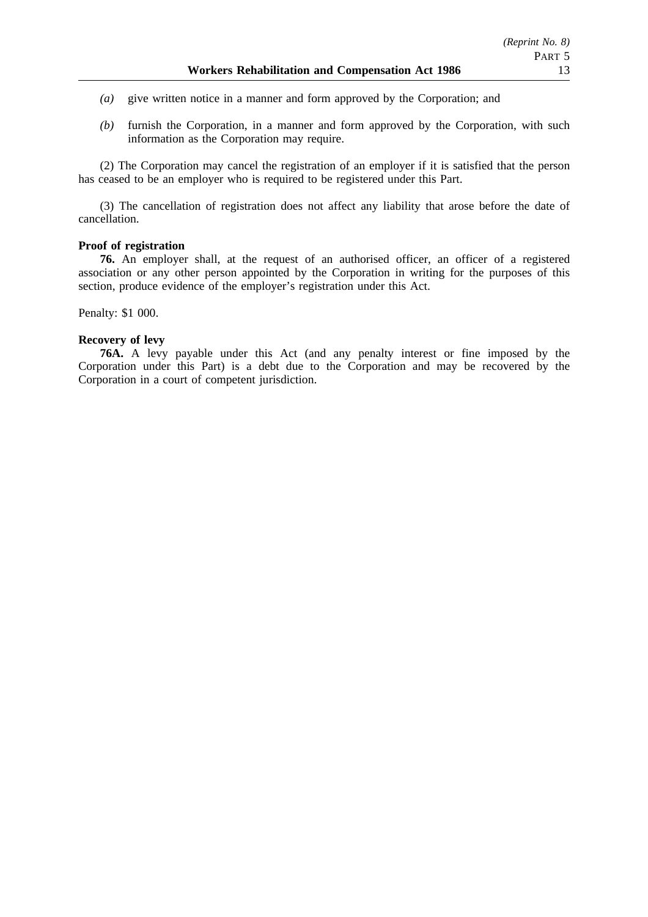- *(a)* give written notice in a manner and form approved by the Corporation; and
- *(b)* furnish the Corporation, in a manner and form approved by the Corporation, with such information as the Corporation may require.

(2) The Corporation may cancel the registration of an employer if it is satisfied that the person has ceased to be an employer who is required to be registered under this Part.

(3) The cancellation of registration does not affect any liability that arose before the date of cancellation.

### **Proof of registration**

**76.** An employer shall, at the request of an authorised officer, an officer of a registered association or any other person appointed by the Corporation in writing for the purposes of this section, produce evidence of the employer's registration under this Act.

Penalty: \$1 000.

### **Recovery of levy**

**76A.** A levy payable under this Act (and any penalty interest or fine imposed by the Corporation under this Part) is a debt due to the Corporation and may be recovered by the Corporation in a court of competent jurisdiction.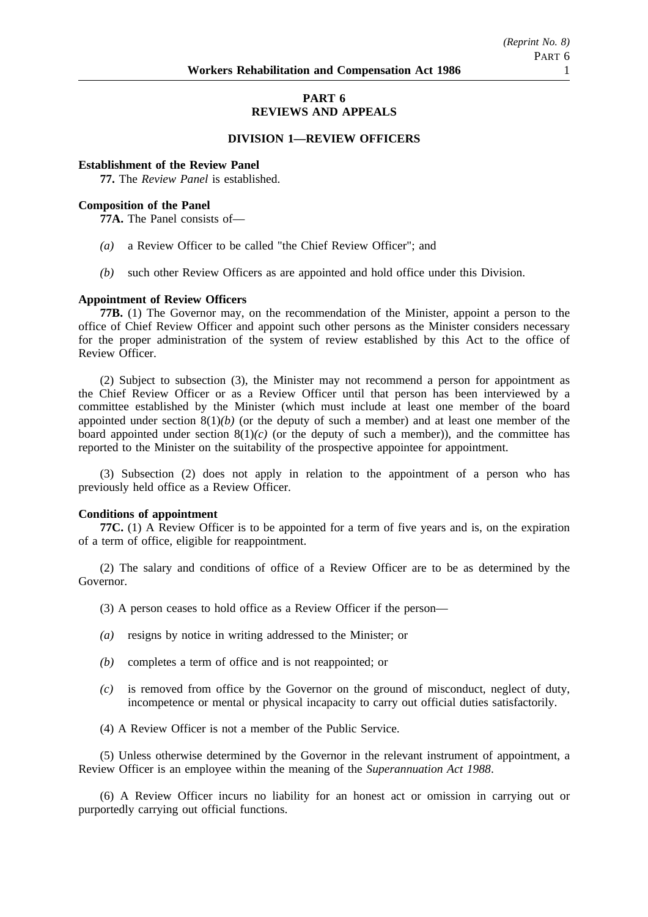# **PART 6 REVIEWS AND APPEALS**

### **DIVISION 1—REVIEW OFFICERS**

#### **Establishment of the Review Panel**

**77.** The *Review Panel* is established.

### **Composition of the Panel**

**77A.** The Panel consists of—

- *(a)* a Review Officer to be called "the Chief Review Officer"; and
- *(b)* such other Review Officers as are appointed and hold office under this Division.

#### **Appointment of Review Officers**

**77B.** (1) The Governor may, on the recommendation of the Minister, appoint a person to the office of Chief Review Officer and appoint such other persons as the Minister considers necessary for the proper administration of the system of review established by this Act to the office of Review Officer.

(2) Subject to subsection (3), the Minister may not recommend a person for appointment as the Chief Review Officer or as a Review Officer until that person has been interviewed by a committee established by the Minister (which must include at least one member of the board appointed under section 8(1)*(b)* (or the deputy of such a member) and at least one member of the board appointed under section  $8(1)(c)$  (or the deputy of such a member)), and the committee has reported to the Minister on the suitability of the prospective appointee for appointment.

(3) Subsection (2) does not apply in relation to the appointment of a person who has previously held office as a Review Officer.

#### **Conditions of appointment**

**77C.** (1) A Review Officer is to be appointed for a term of five years and is, on the expiration of a term of office, eligible for reappointment.

(2) The salary and conditions of office of a Review Officer are to be as determined by the Governor.

(3) A person ceases to hold office as a Review Officer if the person—

- *(a)* resigns by notice in writing addressed to the Minister; or
- *(b)* completes a term of office and is not reappointed; or
- *(c)* is removed from office by the Governor on the ground of misconduct, neglect of duty, incompetence or mental or physical incapacity to carry out official duties satisfactorily.
- (4) A Review Officer is not a member of the Public Service.

(5) Unless otherwise determined by the Governor in the relevant instrument of appointment, a Review Officer is an employee within the meaning of the *Superannuation Act 1988*.

(6) A Review Officer incurs no liability for an honest act or omission in carrying out or purportedly carrying out official functions.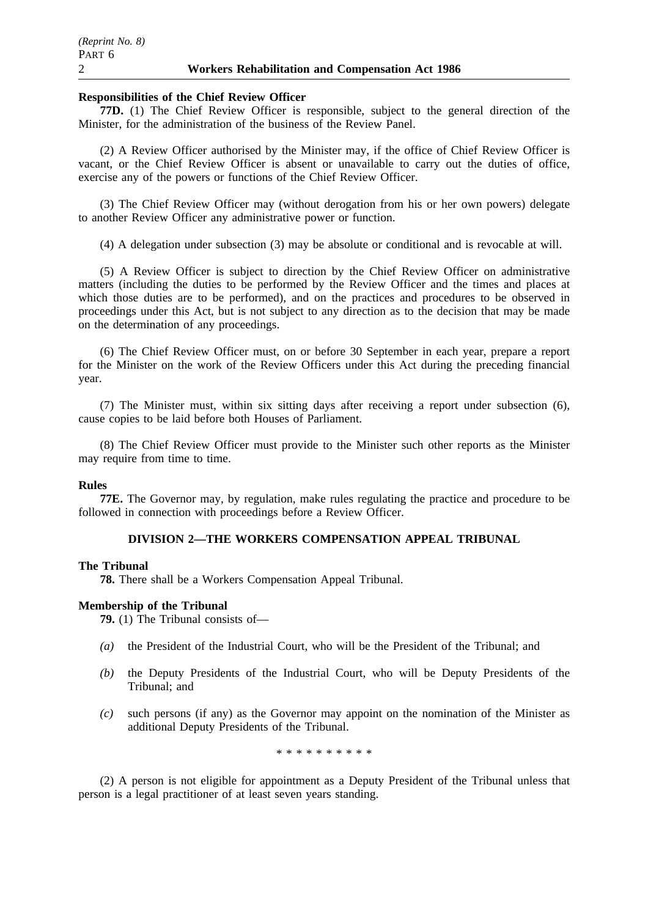### **Responsibilities of the Chief Review Officer**

**77D.** (1) The Chief Review Officer is responsible, subject to the general direction of the Minister, for the administration of the business of the Review Panel.

(2) A Review Officer authorised by the Minister may, if the office of Chief Review Officer is vacant, or the Chief Review Officer is absent or unavailable to carry out the duties of office, exercise any of the powers or functions of the Chief Review Officer.

(3) The Chief Review Officer may (without derogation from his or her own powers) delegate to another Review Officer any administrative power or function.

(4) A delegation under subsection (3) may be absolute or conditional and is revocable at will.

(5) A Review Officer is subject to direction by the Chief Review Officer on administrative matters (including the duties to be performed by the Review Officer and the times and places at which those duties are to be performed), and on the practices and procedures to be observed in proceedings under this Act, but is not subject to any direction as to the decision that may be made on the determination of any proceedings.

(6) The Chief Review Officer must, on or before 30 September in each year, prepare a report for the Minister on the work of the Review Officers under this Act during the preceding financial year.

(7) The Minister must, within six sitting days after receiving a report under subsection (6), cause copies to be laid before both Houses of Parliament.

(8) The Chief Review Officer must provide to the Minister such other reports as the Minister may require from time to time.

### **Rules**

**77E.** The Governor may, by regulation, make rules regulating the practice and procedure to be followed in connection with proceedings before a Review Officer.

### **DIVISION 2—THE WORKERS COMPENSATION APPEAL TRIBUNAL**

#### **The Tribunal**

**78.** There shall be a Workers Compensation Appeal Tribunal.

### **Membership of the Tribunal**

**79.** (1) The Tribunal consists of—

- *(a)* the President of the Industrial Court, who will be the President of the Tribunal; and
- *(b)* the Deputy Presidents of the Industrial Court, who will be Deputy Presidents of the Tribunal; and
- *(c)* such persons (if any) as the Governor may appoint on the nomination of the Minister as additional Deputy Presidents of the Tribunal.

\*\*\*\*\*\*\*\*\*\*

(2) A person is not eligible for appointment as a Deputy President of the Tribunal unless that person is a legal practitioner of at least seven years standing.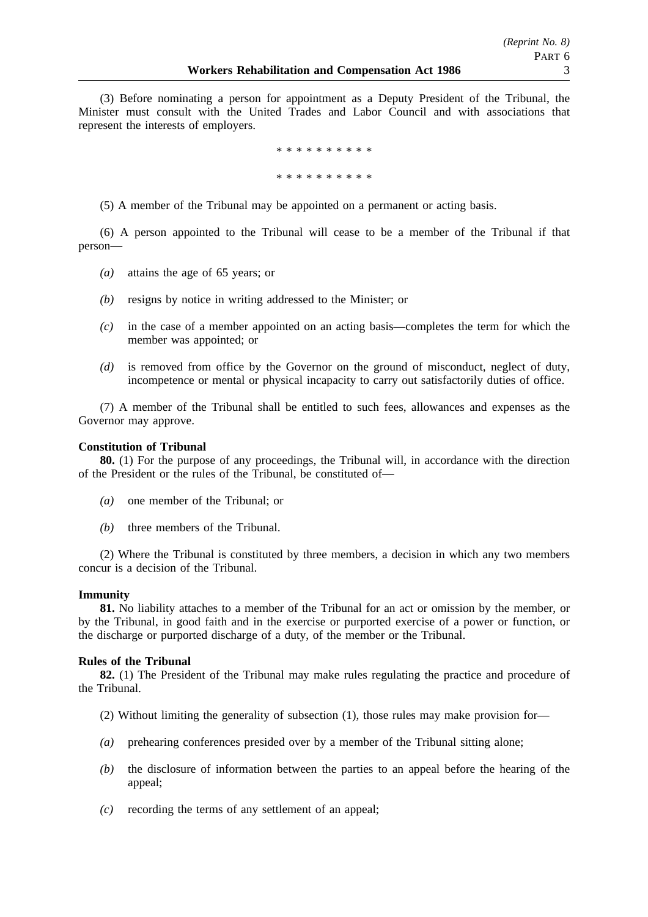(3) Before nominating a person for appointment as a Deputy President of the Tribunal, the Minister must consult with the United Trades and Labor Council and with associations that represent the interests of employers.

> \*\*\*\*\*\*\*\*\*\* \*\*\*\*\*\*\*\*\*\*

(5) A member of the Tribunal may be appointed on a permanent or acting basis.

(6) A person appointed to the Tribunal will cease to be a member of the Tribunal if that person—

- *(a)* attains the age of 65 years; or
- *(b)* resigns by notice in writing addressed to the Minister; or
- *(c)* in the case of a member appointed on an acting basis—completes the term for which the member was appointed; or
- *(d)* is removed from office by the Governor on the ground of misconduct, neglect of duty, incompetence or mental or physical incapacity to carry out satisfactorily duties of office.

(7) A member of the Tribunal shall be entitled to such fees, allowances and expenses as the Governor may approve.

### **Constitution of Tribunal**

**80.** (1) For the purpose of any proceedings, the Tribunal will, in accordance with the direction of the President or the rules of the Tribunal, be constituted of—

- *(a)* one member of the Tribunal; or
- *(b)* three members of the Tribunal.

(2) Where the Tribunal is constituted by three members, a decision in which any two members concur is a decision of the Tribunal.

### **Immunity**

**81.** No liability attaches to a member of the Tribunal for an act or omission by the member, or by the Tribunal, in good faith and in the exercise or purported exercise of a power or function, or the discharge or purported discharge of a duty, of the member or the Tribunal.

#### **Rules of the Tribunal**

**82.** (1) The President of the Tribunal may make rules regulating the practice and procedure of the Tribunal.

- (2) Without limiting the generality of subsection (1), those rules may make provision for—
- *(a)* prehearing conferences presided over by a member of the Tribunal sitting alone;
- *(b)* the disclosure of information between the parties to an appeal before the hearing of the appeal;
- *(c)* recording the terms of any settlement of an appeal;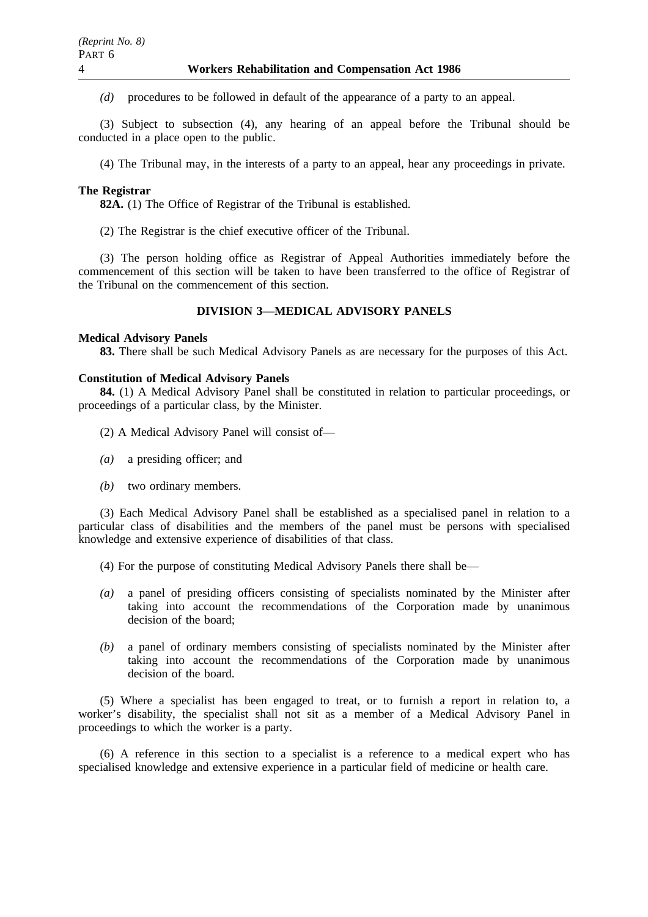*(d)* procedures to be followed in default of the appearance of a party to an appeal.

(3) Subject to subsection (4), any hearing of an appeal before the Tribunal should be conducted in a place open to the public.

(4) The Tribunal may, in the interests of a party to an appeal, hear any proceedings in private.

### **The Registrar**

**82A.** (1) The Office of Registrar of the Tribunal is established.

(2) The Registrar is the chief executive officer of the Tribunal.

(3) The person holding office as Registrar of Appeal Authorities immediately before the commencement of this section will be taken to have been transferred to the office of Registrar of the Tribunal on the commencement of this section.

## **DIVISION 3—MEDICAL ADVISORY PANELS**

#### **Medical Advisory Panels**

**83.** There shall be such Medical Advisory Panels as are necessary for the purposes of this Act.

#### **Constitution of Medical Advisory Panels**

**84.** (1) A Medical Advisory Panel shall be constituted in relation to particular proceedings, or proceedings of a particular class, by the Minister.

- (2) A Medical Advisory Panel will consist of—
- *(a)* a presiding officer; and
- *(b)* two ordinary members.

(3) Each Medical Advisory Panel shall be established as a specialised panel in relation to a particular class of disabilities and the members of the panel must be persons with specialised knowledge and extensive experience of disabilities of that class.

- (4) For the purpose of constituting Medical Advisory Panels there shall be—
- *(a)* a panel of presiding officers consisting of specialists nominated by the Minister after taking into account the recommendations of the Corporation made by unanimous decision of the board;
- *(b)* a panel of ordinary members consisting of specialists nominated by the Minister after taking into account the recommendations of the Corporation made by unanimous decision of the board.

(5) Where a specialist has been engaged to treat, or to furnish a report in relation to, a worker's disability, the specialist shall not sit as a member of a Medical Advisory Panel in proceedings to which the worker is a party.

(6) A reference in this section to a specialist is a reference to a medical expert who has specialised knowledge and extensive experience in a particular field of medicine or health care.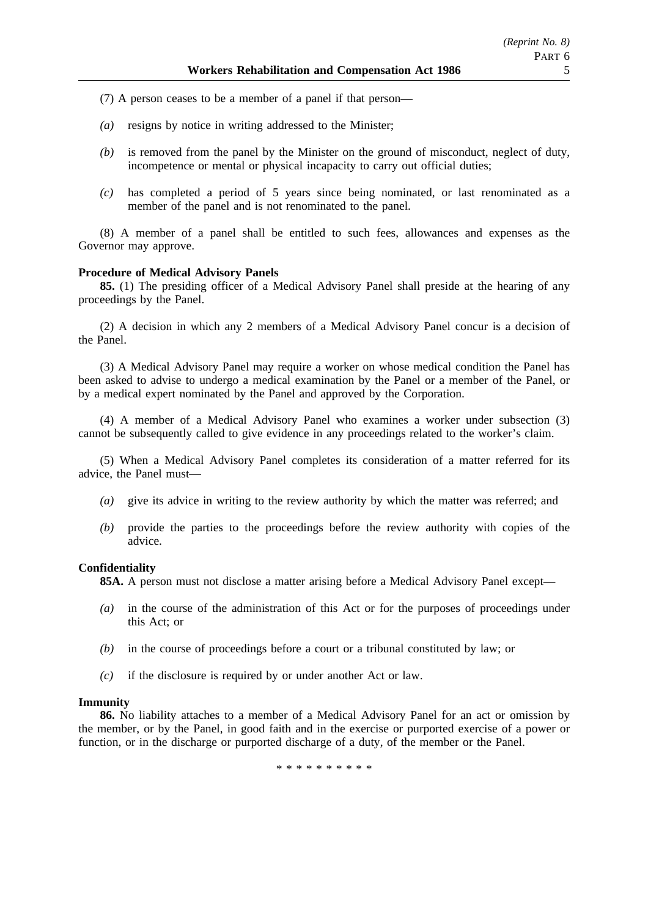- (7) A person ceases to be a member of a panel if that person—
- *(a)* resigns by notice in writing addressed to the Minister;
- *(b)* is removed from the panel by the Minister on the ground of misconduct, neglect of duty, incompetence or mental or physical incapacity to carry out official duties;
- *(c)* has completed a period of 5 years since being nominated, or last renominated as a member of the panel and is not renominated to the panel.

(8) A member of a panel shall be entitled to such fees, allowances and expenses as the Governor may approve.

### **Procedure of Medical Advisory Panels**

**85.** (1) The presiding officer of a Medical Advisory Panel shall preside at the hearing of any proceedings by the Panel.

(2) A decision in which any 2 members of a Medical Advisory Panel concur is a decision of the Panel.

(3) A Medical Advisory Panel may require a worker on whose medical condition the Panel has been asked to advise to undergo a medical examination by the Panel or a member of the Panel, or by a medical expert nominated by the Panel and approved by the Corporation.

(4) A member of a Medical Advisory Panel who examines a worker under subsection (3) cannot be subsequently called to give evidence in any proceedings related to the worker's claim.

(5) When a Medical Advisory Panel completes its consideration of a matter referred for its advice, the Panel must—

- *(a)* give its advice in writing to the review authority by which the matter was referred; and
- *(b)* provide the parties to the proceedings before the review authority with copies of the advice.

### **Confidentiality**

**85A.** A person must not disclose a matter arising before a Medical Advisory Panel except—

- *(a)* in the course of the administration of this Act or for the purposes of proceedings under this Act; or
- *(b)* in the course of proceedings before a court or a tribunal constituted by law; or
- *(c)* if the disclosure is required by or under another Act or law.

### **Immunity**

**86.** No liability attaches to a member of a Medical Advisory Panel for an act or omission by the member, or by the Panel, in good faith and in the exercise or purported exercise of a power or function, or in the discharge or purported discharge of a duty, of the member or the Panel.

\*\*\*\*\*\*\*\*\*\*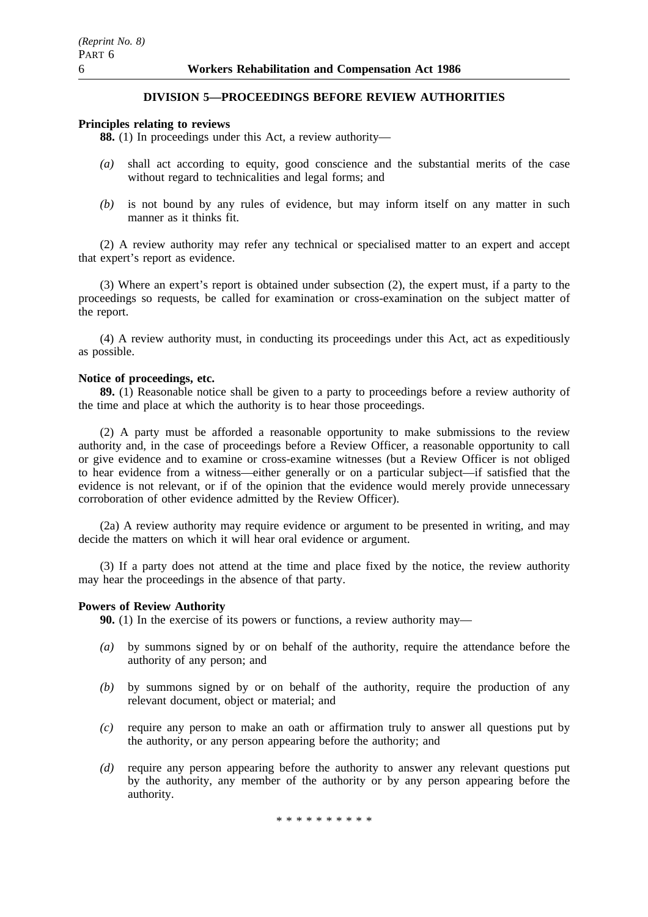# **DIVISION 5—PROCEEDINGS BEFORE REVIEW AUTHORITIES**

### **Principles relating to reviews**

**88.** (1) In proceedings under this Act, a review authority—

- *(a)* shall act according to equity, good conscience and the substantial merits of the case without regard to technicalities and legal forms; and
- *(b)* is not bound by any rules of evidence, but may inform itself on any matter in such manner as it thinks fit.

(2) A review authority may refer any technical or specialised matter to an expert and accept that expert's report as evidence.

(3) Where an expert's report is obtained under subsection (2), the expert must, if a party to the proceedings so requests, be called for examination or cross-examination on the subject matter of the report.

(4) A review authority must, in conducting its proceedings under this Act, act as expeditiously as possible.

#### **Notice of proceedings, etc.**

**89.** (1) Reasonable notice shall be given to a party to proceedings before a review authority of the time and place at which the authority is to hear those proceedings.

(2) A party must be afforded a reasonable opportunity to make submissions to the review authority and, in the case of proceedings before a Review Officer, a reasonable opportunity to call or give evidence and to examine or cross-examine witnesses (but a Review Officer is not obliged to hear evidence from a witness—either generally or on a particular subject—if satisfied that the evidence is not relevant, or if of the opinion that the evidence would merely provide unnecessary corroboration of other evidence admitted by the Review Officer).

(2a) A review authority may require evidence or argument to be presented in writing, and may decide the matters on which it will hear oral evidence or argument.

(3) If a party does not attend at the time and place fixed by the notice, the review authority may hear the proceedings in the absence of that party.

### **Powers of Review Authority**

**90.** (1) In the exercise of its powers or functions, a review authority may—

- *(a)* by summons signed by or on behalf of the authority, require the attendance before the authority of any person; and
- *(b)* by summons signed by or on behalf of the authority, require the production of any relevant document, object or material; and
- *(c)* require any person to make an oath or affirmation truly to answer all questions put by the authority, or any person appearing before the authority; and
- *(d)* require any person appearing before the authority to answer any relevant questions put by the authority, any member of the authority or by any person appearing before the authority.

\*\*\*\*\*\*\*\*\*\*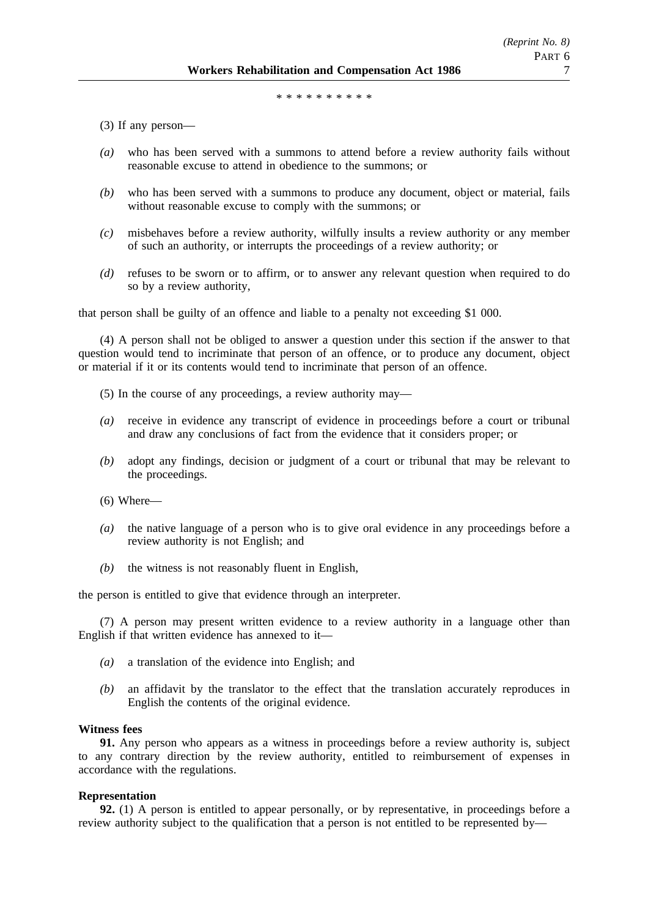\*\*\*\*\*\*\*\*\*\*\*\*\*\*\*

(3) If any person—

- *(a)* who has been served with a summons to attend before a review authority fails without reasonable excuse to attend in obedience to the summons; or
- *(b)* who has been served with a summons to produce any document, object or material, fails without reasonable excuse to comply with the summons; or
- *(c)* misbehaves before a review authority, wilfully insults a review authority or any member of such an authority, or interrupts the proceedings of a review authority; or
- *(d)* refuses to be sworn or to affirm, or to answer any relevant question when required to do so by a review authority,

that person shall be guilty of an offence and liable to a penalty not exceeding \$1 000.

(4) A person shall not be obliged to answer a question under this section if the answer to that question would tend to incriminate that person of an offence, or to produce any document, object or material if it or its contents would tend to incriminate that person of an offence.

- (5) In the course of any proceedings, a review authority may—
- *(a)* receive in evidence any transcript of evidence in proceedings before a court or tribunal and draw any conclusions of fact from the evidence that it considers proper; or
- *(b)* adopt any findings, decision or judgment of a court or tribunal that may be relevant to the proceedings.

 $(6)$  Where—

- *(a)* the native language of a person who is to give oral evidence in any proceedings before a review authority is not English; and
- *(b)* the witness is not reasonably fluent in English,

the person is entitled to give that evidence through an interpreter.

(7) A person may present written evidence to a review authority in a language other than English if that written evidence has annexed to it—

- *(a)* a translation of the evidence into English; and
- *(b)* an affidavit by the translator to the effect that the translation accurately reproduces in English the contents of the original evidence.

#### **Witness fees**

**91.** Any person who appears as a witness in proceedings before a review authority is, subject to any contrary direction by the review authority, entitled to reimbursement of expenses in accordance with the regulations.

### **Representation**

**92.** (1) A person is entitled to appear personally, or by representative, in proceedings before a review authority subject to the qualification that a person is not entitled to be represented by—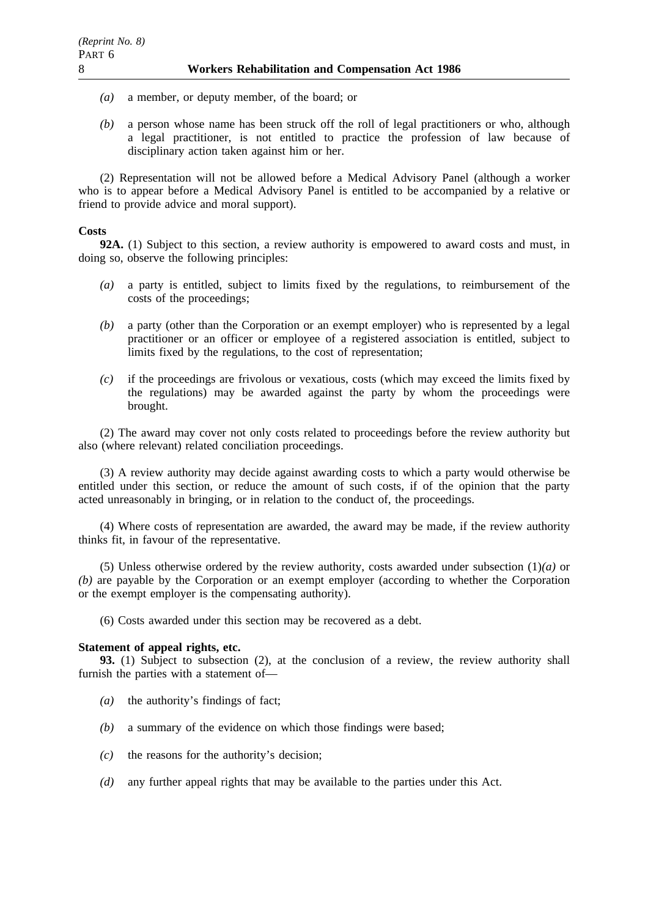- *(a)* a member, or deputy member, of the board; or
- *(b)* a person whose name has been struck off the roll of legal practitioners or who, although a legal practitioner, is not entitled to practice the profession of law because of disciplinary action taken against him or her.

(2) Representation will not be allowed before a Medical Advisory Panel (although a worker who is to appear before a Medical Advisory Panel is entitled to be accompanied by a relative or friend to provide advice and moral support).

### **Costs**

**92A.** (1) Subject to this section, a review authority is empowered to award costs and must, in doing so, observe the following principles:

- *(a)* a party is entitled, subject to limits fixed by the regulations, to reimbursement of the costs of the proceedings;
- *(b)* a party (other than the Corporation or an exempt employer) who is represented by a legal practitioner or an officer or employee of a registered association is entitled, subject to limits fixed by the regulations, to the cost of representation;
- *(c)* if the proceedings are frivolous or vexatious, costs (which may exceed the limits fixed by the regulations) may be awarded against the party by whom the proceedings were brought.

(2) The award may cover not only costs related to proceedings before the review authority but also (where relevant) related conciliation proceedings.

(3) A review authority may decide against awarding costs to which a party would otherwise be entitled under this section, or reduce the amount of such costs, if of the opinion that the party acted unreasonably in bringing, or in relation to the conduct of, the proceedings.

(4) Where costs of representation are awarded, the award may be made, if the review authority thinks fit, in favour of the representative.

(5) Unless otherwise ordered by the review authority, costs awarded under subsection (1)*(a)* or *(b)* are payable by the Corporation or an exempt employer (according to whether the Corporation or the exempt employer is the compensating authority).

(6) Costs awarded under this section may be recovered as a debt.

### **Statement of appeal rights, etc.**

**93.** (1) Subject to subsection (2), at the conclusion of a review, the review authority shall furnish the parties with a statement of—

- *(a)* the authority's findings of fact;
- *(b)* a summary of the evidence on which those findings were based;
- *(c)* the reasons for the authority's decision;
- *(d)* any further appeal rights that may be available to the parties under this Act.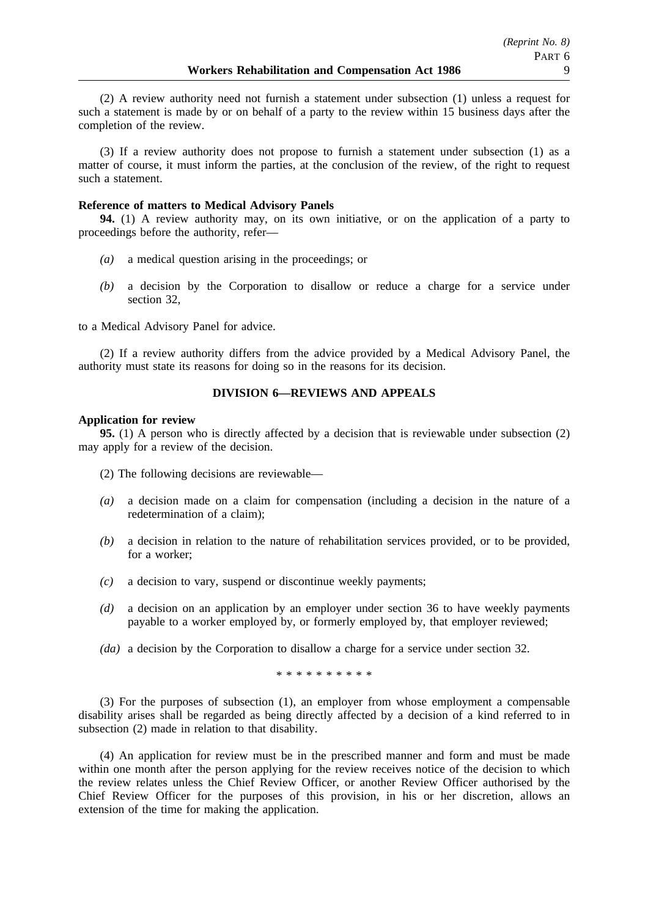(2) A review authority need not furnish a statement under subsection (1) unless a request for such a statement is made by or on behalf of a party to the review within 15 business days after the completion of the review.

(3) If a review authority does not propose to furnish a statement under subsection (1) as a matter of course, it must inform the parties, at the conclusion of the review, of the right to request such a statement.

### **Reference of matters to Medical Advisory Panels**

**94.** (1) A review authority may, on its own initiative, or on the application of a party to proceedings before the authority, refer—

- *(a)* a medical question arising in the proceedings; or
- *(b)* a decision by the Corporation to disallow or reduce a charge for a service under section 32,

to a Medical Advisory Panel for advice.

(2) If a review authority differs from the advice provided by a Medical Advisory Panel, the authority must state its reasons for doing so in the reasons for its decision.

### **DIVISION 6—REVIEWS AND APPEALS**

#### **Application for review**

**95.** (1) A person who is directly affected by a decision that is reviewable under subsection (2) may apply for a review of the decision.

- (2) The following decisions are reviewable—
- *(a)* a decision made on a claim for compensation (including a decision in the nature of a redetermination of a claim);
- *(b)* a decision in relation to the nature of rehabilitation services provided, or to be provided, for a worker;
- *(c)* a decision to vary, suspend or discontinue weekly payments;
- *(d)* a decision on an application by an employer under section 36 to have weekly payments payable to a worker employed by, or formerly employed by, that employer reviewed;
- *(da)* a decision by the Corporation to disallow a charge for a service under section 32.

\*\*\*\*\*\*\*\*\*\*

(3) For the purposes of subsection (1), an employer from whose employment a compensable disability arises shall be regarded as being directly affected by a decision of a kind referred to in subsection (2) made in relation to that disability.

(4) An application for review must be in the prescribed manner and form and must be made within one month after the person applying for the review receives notice of the decision to which the review relates unless the Chief Review Officer, or another Review Officer authorised by the Chief Review Officer for the purposes of this provision, in his or her discretion, allows an extension of the time for making the application.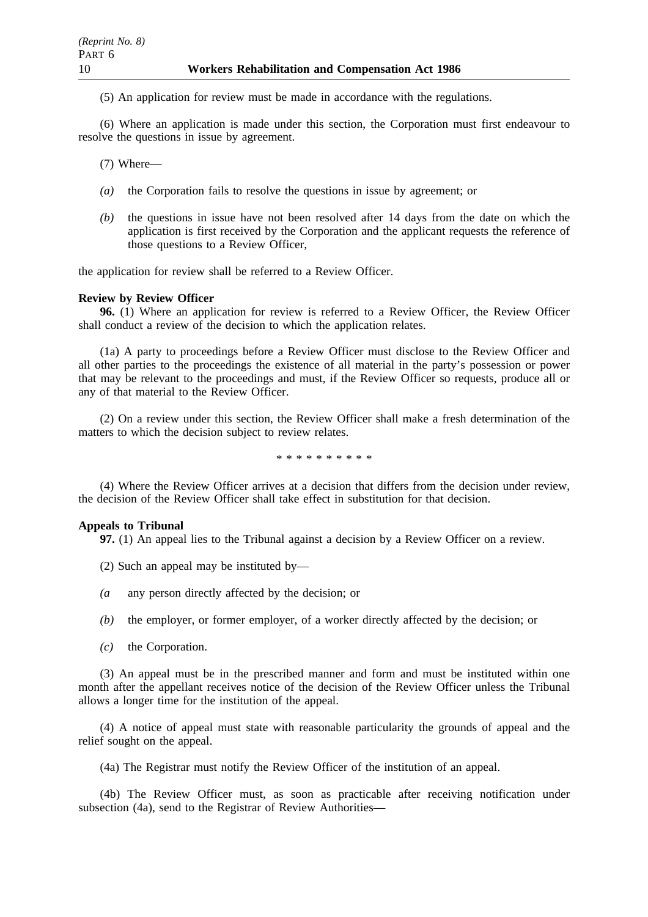(5) An application for review must be made in accordance with the regulations.

(6) Where an application is made under this section, the Corporation must first endeavour to resolve the questions in issue by agreement.

(7) Where—

- *(a)* the Corporation fails to resolve the questions in issue by agreement; or
- *(b)* the questions in issue have not been resolved after 14 days from the date on which the application is first received by the Corporation and the applicant requests the reference of those questions to a Review Officer,

the application for review shall be referred to a Review Officer.

#### **Review by Review Officer**

**96.** (1) Where an application for review is referred to a Review Officer, the Review Officer shall conduct a review of the decision to which the application relates.

(1a) A party to proceedings before a Review Officer must disclose to the Review Officer and all other parties to the proceedings the existence of all material in the party's possession or power that may be relevant to the proceedings and must, if the Review Officer so requests, produce all or any of that material to the Review Officer.

(2) On a review under this section, the Review Officer shall make a fresh determination of the matters to which the decision subject to review relates.

\*\*\*\*\*\*\*\*\*\*

(4) Where the Review Officer arrives at a decision that differs from the decision under review, the decision of the Review Officer shall take effect in substitution for that decision.

### **Appeals to Tribunal**

**97.** (1) An appeal lies to the Tribunal against a decision by a Review Officer on a review.

(2) Such an appeal may be instituted by—

- *(a* any person directly affected by the decision; or
- *(b)* the employer, or former employer, of a worker directly affected by the decision; or
- *(c)* the Corporation.

(3) An appeal must be in the prescribed manner and form and must be instituted within one month after the appellant receives notice of the decision of the Review Officer unless the Tribunal allows a longer time for the institution of the appeal.

(4) A notice of appeal must state with reasonable particularity the grounds of appeal and the relief sought on the appeal.

(4a) The Registrar must notify the Review Officer of the institution of an appeal.

(4b) The Review Officer must, as soon as practicable after receiving notification under subsection (4a), send to the Registrar of Review Authorities—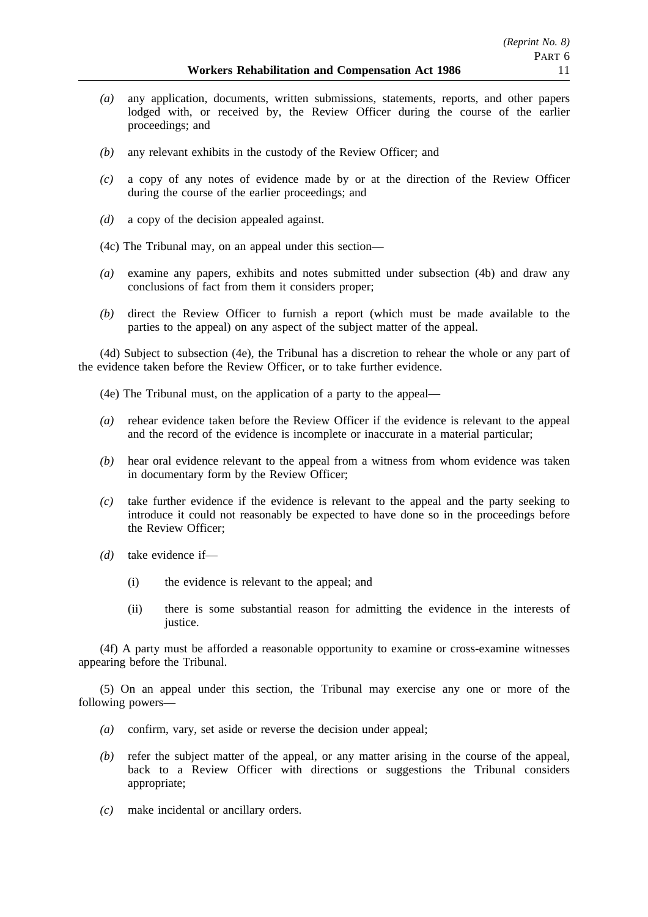- *(a)* any application, documents, written submissions, statements, reports, and other papers lodged with, or received by, the Review Officer during the course of the earlier proceedings; and
- *(b)* any relevant exhibits in the custody of the Review Officer; and
- *(c)* a copy of any notes of evidence made by or at the direction of the Review Officer during the course of the earlier proceedings; and
- *(d)* a copy of the decision appealed against.
- (4c) The Tribunal may, on an appeal under this section—
- *(a)* examine any papers, exhibits and notes submitted under subsection (4b) and draw any conclusions of fact from them it considers proper;
- *(b)* direct the Review Officer to furnish a report (which must be made available to the parties to the appeal) on any aspect of the subject matter of the appeal.

(4d) Subject to subsection (4e), the Tribunal has a discretion to rehear the whole or any part of the evidence taken before the Review Officer, or to take further evidence.

- (4e) The Tribunal must, on the application of a party to the appeal—
- *(a)* rehear evidence taken before the Review Officer if the evidence is relevant to the appeal and the record of the evidence is incomplete or inaccurate in a material particular;
- *(b)* hear oral evidence relevant to the appeal from a witness from whom evidence was taken in documentary form by the Review Officer;
- *(c)* take further evidence if the evidence is relevant to the appeal and the party seeking to introduce it could not reasonably be expected to have done so in the proceedings before the Review Officer;
- *(d)* take evidence if—
	- (i) the evidence is relevant to the appeal; and
	- (ii) there is some substantial reason for admitting the evidence in the interests of justice.

(4f) A party must be afforded a reasonable opportunity to examine or cross-examine witnesses appearing before the Tribunal.

(5) On an appeal under this section, the Tribunal may exercise any one or more of the following powers—

- *(a)* confirm, vary, set aside or reverse the decision under appeal;
- *(b)* refer the subject matter of the appeal, or any matter arising in the course of the appeal, back to a Review Officer with directions or suggestions the Tribunal considers appropriate;
- *(c)* make incidental or ancillary orders.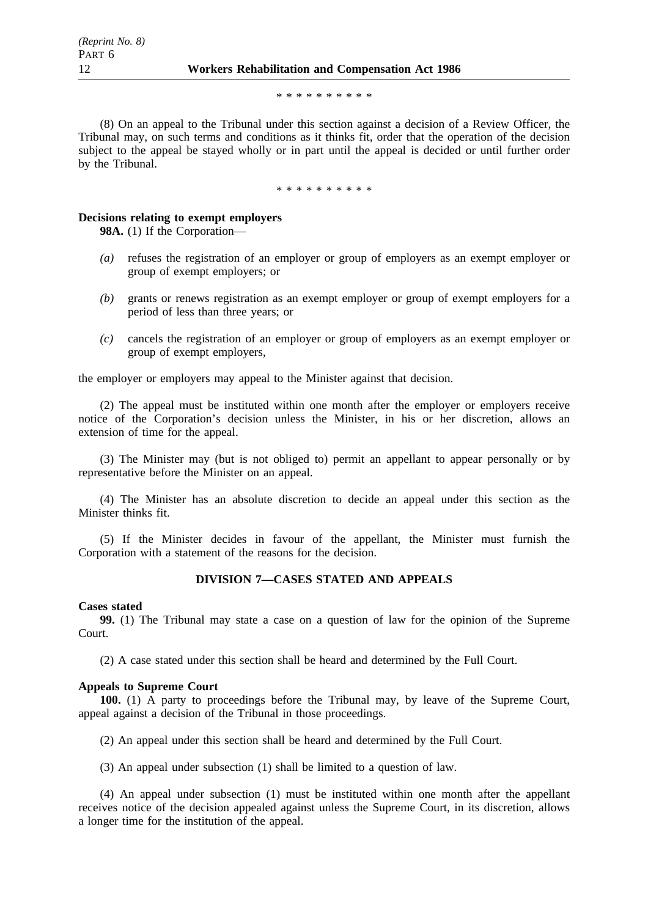#### \*\*\*\*\*\*\*\*\*\*

(8) On an appeal to the Tribunal under this section against a decision of a Review Officer, the Tribunal may, on such terms and conditions as it thinks fit, order that the operation of the decision subject to the appeal be stayed wholly or in part until the appeal is decided or until further order by the Tribunal.

\*\*\*\*\*\*\*\*\*\*

### **Decisions relating to exempt employers**

**98A.** (1) If the Corporation—

- *(a)* refuses the registration of an employer or group of employers as an exempt employer or group of exempt employers; or
- *(b)* grants or renews registration as an exempt employer or group of exempt employers for a period of less than three years; or
- *(c)* cancels the registration of an employer or group of employers as an exempt employer or group of exempt employers,

the employer or employers may appeal to the Minister against that decision.

(2) The appeal must be instituted within one month after the employer or employers receive notice of the Corporation's decision unless the Minister, in his or her discretion, allows an extension of time for the appeal.

(3) The Minister may (but is not obliged to) permit an appellant to appear personally or by representative before the Minister on an appeal.

(4) The Minister has an absolute discretion to decide an appeal under this section as the Minister thinks fit.

(5) If the Minister decides in favour of the appellant, the Minister must furnish the Corporation with a statement of the reasons for the decision.

# **DIVISION 7—CASES STATED AND APPEALS**

### **Cases stated**

**99.** (1) The Tribunal may state a case on a question of law for the opinion of the Supreme Court.

(2) A case stated under this section shall be heard and determined by the Full Court.

### **Appeals to Supreme Court**

**100.** (1) A party to proceedings before the Tribunal may, by leave of the Supreme Court, appeal against a decision of the Tribunal in those proceedings.

(2) An appeal under this section shall be heard and determined by the Full Court.

(3) An appeal under subsection (1) shall be limited to a question of law.

(4) An appeal under subsection (1) must be instituted within one month after the appellant receives notice of the decision appealed against unless the Supreme Court, in its discretion, allows a longer time for the institution of the appeal.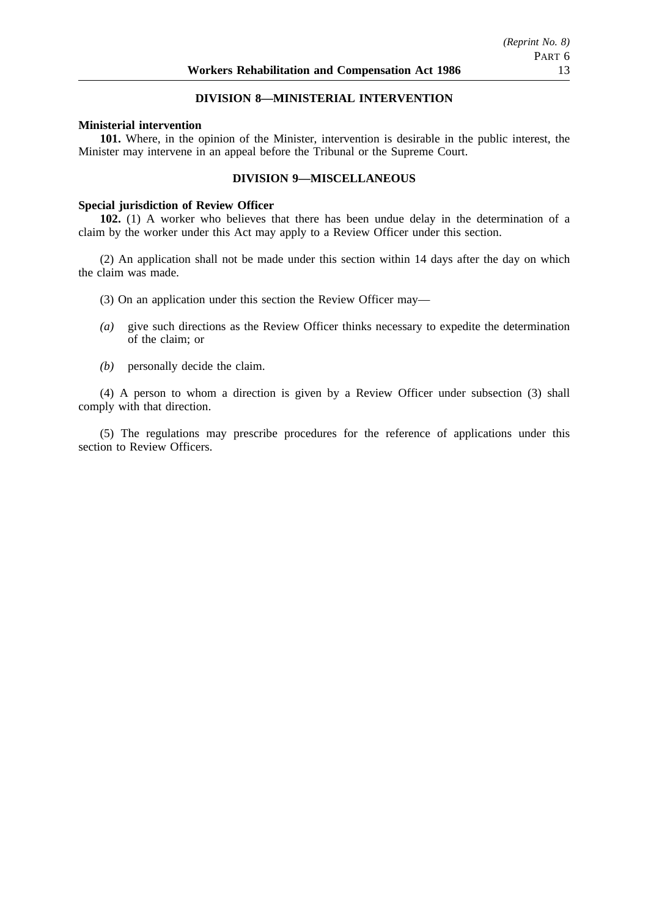### **DIVISION 8—MINISTERIAL INTERVENTION**

### **Ministerial intervention**

**101.** Where, in the opinion of the Minister, intervention is desirable in the public interest, the Minister may intervene in an appeal before the Tribunal or the Supreme Court.

### **DIVISION 9—MISCELLANEOUS**

#### **Special jurisdiction of Review Officer**

**102.** (1) A worker who believes that there has been undue delay in the determination of a claim by the worker under this Act may apply to a Review Officer under this section.

(2) An application shall not be made under this section within 14 days after the day on which the claim was made.

- (3) On an application under this section the Review Officer may—
- *(a)* give such directions as the Review Officer thinks necessary to expedite the determination of the claim; or
- *(b)* personally decide the claim.

(4) A person to whom a direction is given by a Review Officer under subsection (3) shall comply with that direction.

(5) The regulations may prescribe procedures for the reference of applications under this section to Review Officers.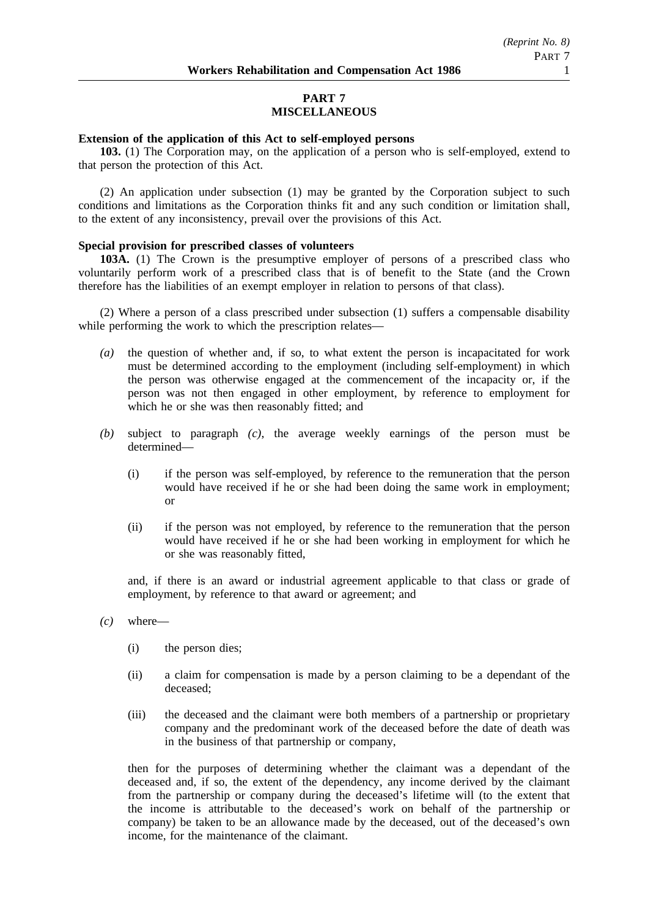# **PART 7 MISCELLANEOUS**

### **Extension of the application of this Act to self-employed persons**

**103.** (1) The Corporation may, on the application of a person who is self-employed, extend to that person the protection of this Act.

(2) An application under subsection (1) may be granted by the Corporation subject to such conditions and limitations as the Corporation thinks fit and any such condition or limitation shall, to the extent of any inconsistency, prevail over the provisions of this Act.

### **Special provision for prescribed classes of volunteers**

**103A.** (1) The Crown is the presumptive employer of persons of a prescribed class who voluntarily perform work of a prescribed class that is of benefit to the State (and the Crown therefore has the liabilities of an exempt employer in relation to persons of that class).

(2) Where a person of a class prescribed under subsection (1) suffers a compensable disability while performing the work to which the prescription relates—

- *(a)* the question of whether and, if so, to what extent the person is incapacitated for work must be determined according to the employment (including self-employment) in which the person was otherwise engaged at the commencement of the incapacity or, if the person was not then engaged in other employment, by reference to employment for which he or she was then reasonably fitted; and
- *(b)* subject to paragraph *(c)*, the average weekly earnings of the person must be determined—
	- (i) if the person was self-employed, by reference to the remuneration that the person would have received if he or she had been doing the same work in employment; or
	- (ii) if the person was not employed, by reference to the remuneration that the person would have received if he or she had been working in employment for which he or she was reasonably fitted,

and, if there is an award or industrial agreement applicable to that class or grade of employment, by reference to that award or agreement; and

- *(c)* where—
	- (i) the person dies;
	- (ii) a claim for compensation is made by a person claiming to be a dependant of the deceased;
	- (iii) the deceased and the claimant were both members of a partnership or proprietary company and the predominant work of the deceased before the date of death was in the business of that partnership or company,

then for the purposes of determining whether the claimant was a dependant of the deceased and, if so, the extent of the dependency, any income derived by the claimant from the partnership or company during the deceased's lifetime will (to the extent that the income is attributable to the deceased's work on behalf of the partnership or company) be taken to be an allowance made by the deceased, out of the deceased's own income, for the maintenance of the claimant.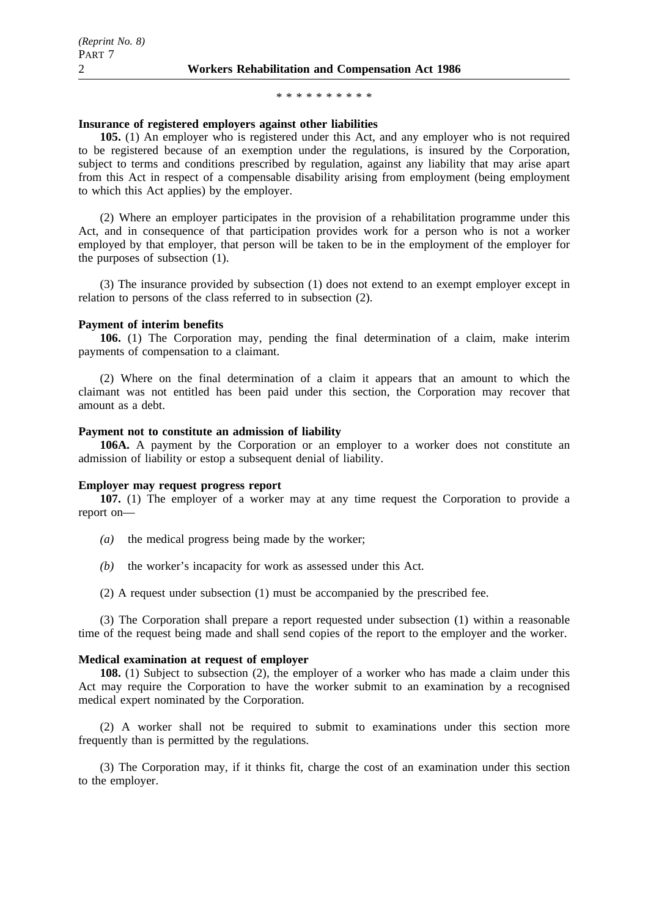#### \*\*\*\*\*\*\*\*\*\*

#### **Insurance of registered employers against other liabilities**

**105.** (1) An employer who is registered under this Act, and any employer who is not required to be registered because of an exemption under the regulations, is insured by the Corporation, subject to terms and conditions prescribed by regulation, against any liability that may arise apart from this Act in respect of a compensable disability arising from employment (being employment to which this Act applies) by the employer.

(2) Where an employer participates in the provision of a rehabilitation programme under this Act, and in consequence of that participation provides work for a person who is not a worker employed by that employer, that person will be taken to be in the employment of the employer for the purposes of subsection (1).

(3) The insurance provided by subsection (1) does not extend to an exempt employer except in relation to persons of the class referred to in subsection (2).

#### **Payment of interim benefits**

**106.** (1) The Corporation may, pending the final determination of a claim, make interim payments of compensation to a claimant.

(2) Where on the final determination of a claim it appears that an amount to which the claimant was not entitled has been paid under this section, the Corporation may recover that amount as a debt.

#### **Payment not to constitute an admission of liability**

**106A.** A payment by the Corporation or an employer to a worker does not constitute an admission of liability or estop a subsequent denial of liability.

#### **Employer may request progress report**

**107.** (1) The employer of a worker may at any time request the Corporation to provide a report on—

- *(a)* the medical progress being made by the worker;
- *(b)* the worker's incapacity for work as assessed under this Act.
- (2) A request under subsection (1) must be accompanied by the prescribed fee.

(3) The Corporation shall prepare a report requested under subsection (1) within a reasonable time of the request being made and shall send copies of the report to the employer and the worker.

#### **Medical examination at request of employer**

**108.** (1) Subject to subsection (2), the employer of a worker who has made a claim under this Act may require the Corporation to have the worker submit to an examination by a recognised medical expert nominated by the Corporation.

(2) A worker shall not be required to submit to examinations under this section more frequently than is permitted by the regulations.

(3) The Corporation may, if it thinks fit, charge the cost of an examination under this section to the employer.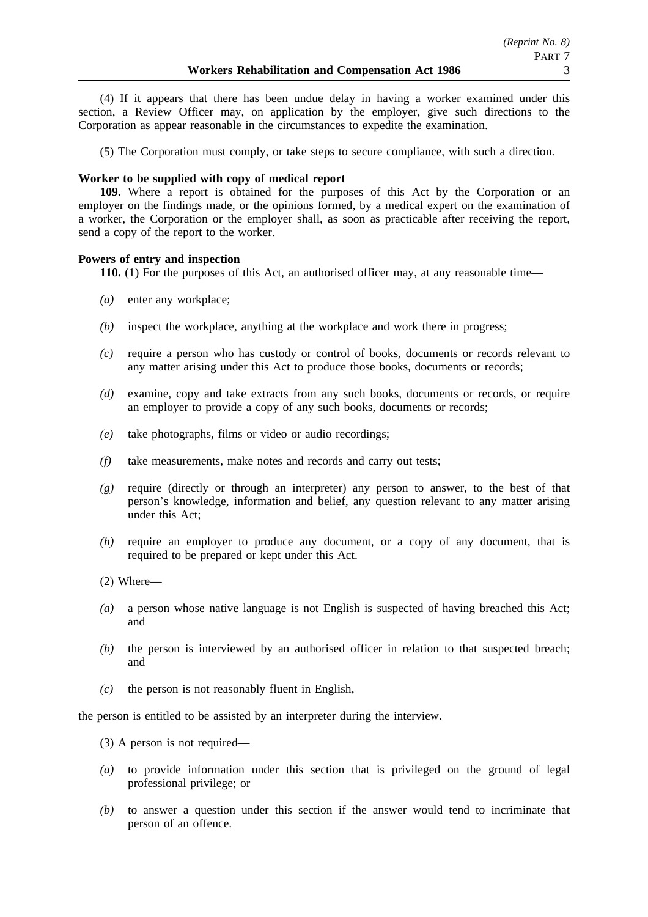(4) If it appears that there has been undue delay in having a worker examined under this section, a Review Officer may, on application by the employer, give such directions to the Corporation as appear reasonable in the circumstances to expedite the examination.

(5) The Corporation must comply, or take steps to secure compliance, with such a direction.

### **Worker to be supplied with copy of medical report**

**109.** Where a report is obtained for the purposes of this Act by the Corporation or an employer on the findings made, or the opinions formed, by a medical expert on the examination of a worker, the Corporation or the employer shall, as soon as practicable after receiving the report, send a copy of the report to the worker.

### **Powers of entry and inspection**

**110.** (1) For the purposes of this Act, an authorised officer may, at any reasonable time—

- *(a)* enter any workplace;
- *(b)* inspect the workplace, anything at the workplace and work there in progress;
- *(c)* require a person who has custody or control of books, documents or records relevant to any matter arising under this Act to produce those books, documents or records;
- *(d)* examine, copy and take extracts from any such books, documents or records, or require an employer to provide a copy of any such books, documents or records;
- *(e)* take photographs, films or video or audio recordings;
- *(f)* take measurements, make notes and records and carry out tests;
- *(g)* require (directly or through an interpreter) any person to answer, to the best of that person's knowledge, information and belief, any question relevant to any matter arising under this Act;
- *(h)* require an employer to produce any document, or a copy of any document, that is required to be prepared or kept under this Act.
- (2) Where—
- *(a)* a person whose native language is not English is suspected of having breached this Act; and
- *(b)* the person is interviewed by an authorised officer in relation to that suspected breach; and
- *(c)* the person is not reasonably fluent in English,

the person is entitled to be assisted by an interpreter during the interview.

- (3) A person is not required—
- *(a)* to provide information under this section that is privileged on the ground of legal professional privilege; or
- *(b)* to answer a question under this section if the answer would tend to incriminate that person of an offence.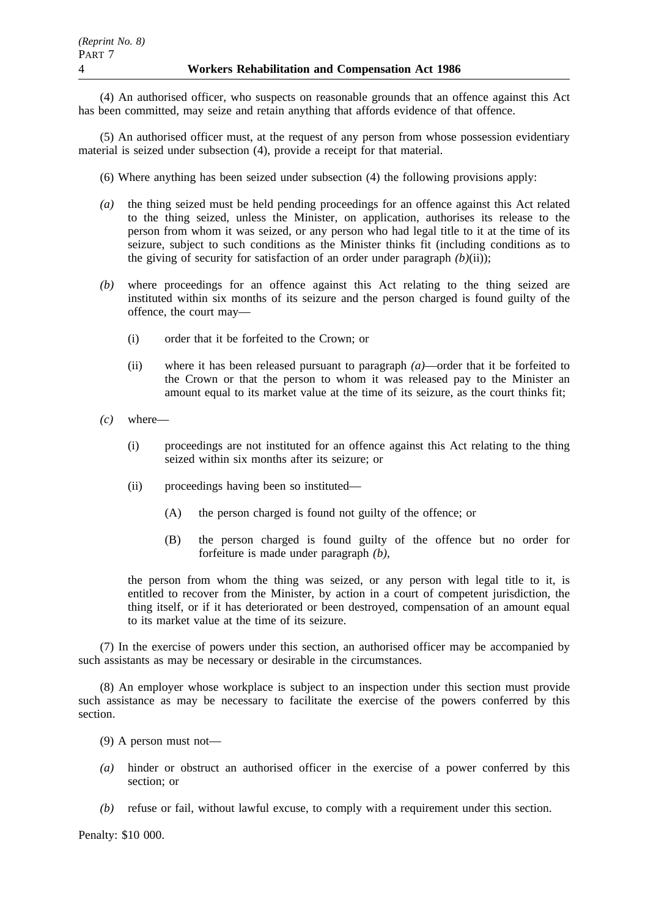(4) An authorised officer, who suspects on reasonable grounds that an offence against this Act has been committed, may seize and retain anything that affords evidence of that offence.

(5) An authorised officer must, at the request of any person from whose possession evidentiary material is seized under subsection (4), provide a receipt for that material.

- (6) Where anything has been seized under subsection (4) the following provisions apply:
- *(a)* the thing seized must be held pending proceedings for an offence against this Act related to the thing seized, unless the Minister, on application, authorises its release to the person from whom it was seized, or any person who had legal title to it at the time of its seizure, subject to such conditions as the Minister thinks fit (including conditions as to the giving of security for satisfaction of an order under paragraph  $(b)(ii)$ ;
- *(b)* where proceedings for an offence against this Act relating to the thing seized are instituted within six months of its seizure and the person charged is found guilty of the offence, the court may—
	- (i) order that it be forfeited to the Crown; or
	- (ii) where it has been released pursuant to paragraph *(a)*—order that it be forfeited to the Crown or that the person to whom it was released pay to the Minister an amount equal to its market value at the time of its seizure, as the court thinks fit;
- *(c)* where—
	- (i) proceedings are not instituted for an offence against this Act relating to the thing seized within six months after its seizure; or
	- (ii) proceedings having been so instituted—
		- (A) the person charged is found not guilty of the offence; or
		- (B) the person charged is found guilty of the offence but no order for forfeiture is made under paragraph *(b)*,

the person from whom the thing was seized, or any person with legal title to it, is entitled to recover from the Minister, by action in a court of competent jurisdiction, the thing itself, or if it has deteriorated or been destroyed, compensation of an amount equal to its market value at the time of its seizure.

(7) In the exercise of powers under this section, an authorised officer may be accompanied by such assistants as may be necessary or desirable in the circumstances.

(8) An employer whose workplace is subject to an inspection under this section must provide such assistance as may be necessary to facilitate the exercise of the powers conferred by this section.

- (9) A person must not—
- *(a)* hinder or obstruct an authorised officer in the exercise of a power conferred by this section; or
- *(b)* refuse or fail, without lawful excuse, to comply with a requirement under this section.

Penalty: \$10 000.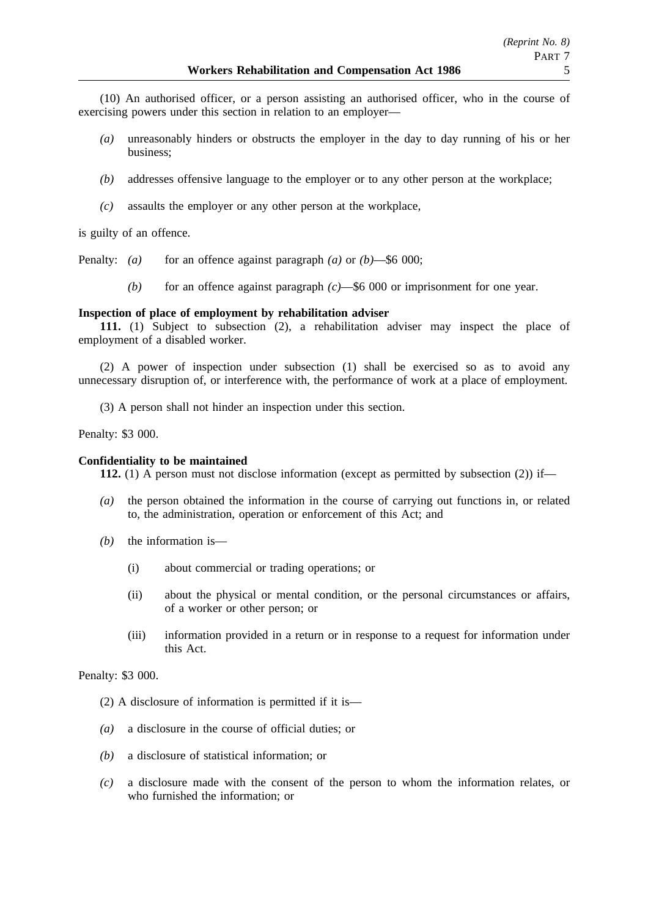(10) An authorised officer, or a person assisting an authorised officer, who in the course of exercising powers under this section in relation to an employer—

- *(a)* unreasonably hinders or obstructs the employer in the day to day running of his or her business;
- *(b)* addresses offensive language to the employer or to any other person at the workplace;
- *(c)* assaults the employer or any other person at the workplace,

is guilty of an offence.

Penalty: *(a)* for an offence against paragraph *(a)* or *(b)*—\$6 000;

*(b)* for an offence against paragraph *(c)*—\$6 000 or imprisonment for one year.

#### **Inspection of place of employment by rehabilitation adviser**

**111.** (1) Subject to subsection (2), a rehabilitation adviser may inspect the place of employment of a disabled worker.

(2) A power of inspection under subsection (1) shall be exercised so as to avoid any unnecessary disruption of, or interference with, the performance of work at a place of employment.

(3) A person shall not hinder an inspection under this section.

Penalty: \$3 000.

### **Confidentiality to be maintained**

**112.** (1) A person must not disclose information (except as permitted by subsection (2)) if—

- *(a)* the person obtained the information in the course of carrying out functions in, or related to, the administration, operation or enforcement of this Act; and
- *(b)* the information is—
	- (i) about commercial or trading operations; or
	- (ii) about the physical or mental condition, or the personal circumstances or affairs, of a worker or other person; or
	- (iii) information provided in a return or in response to a request for information under this Act.

Penalty: \$3 000.

- (2) A disclosure of information is permitted if it is—
- *(a)* a disclosure in the course of official duties; or
- *(b)* a disclosure of statistical information; or
- *(c)* a disclosure made with the consent of the person to whom the information relates, or who furnished the information; or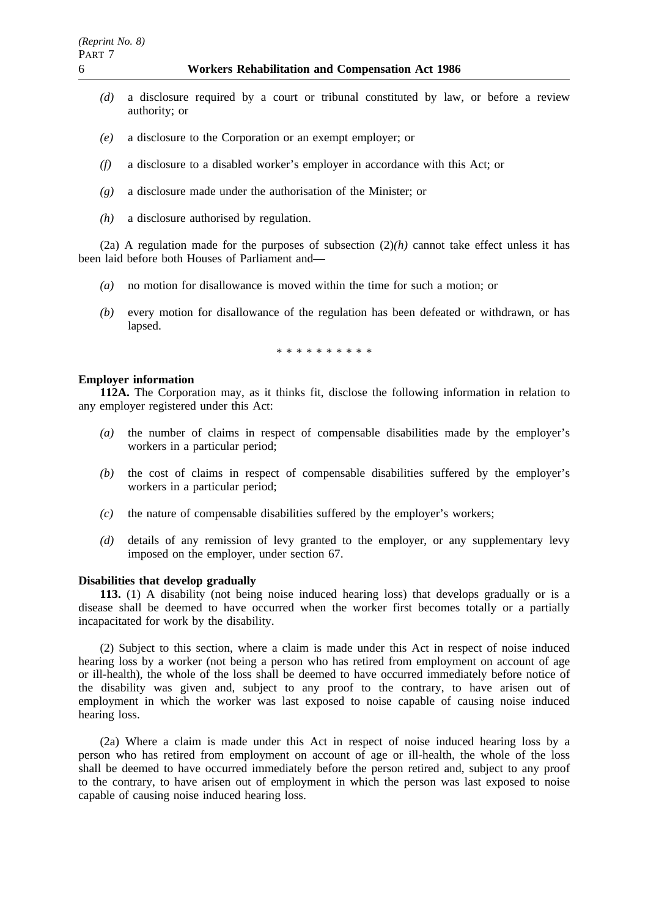- *(d)* a disclosure required by a court or tribunal constituted by law, or before a review authority; or
- *(e)* a disclosure to the Corporation or an exempt employer; or
- *(f)* a disclosure to a disabled worker's employer in accordance with this Act; or
- *(g)* a disclosure made under the authorisation of the Minister; or
- *(h)* a disclosure authorised by regulation.

(2a) A regulation made for the purposes of subsection  $(2)$ *(h)* cannot take effect unless it has been laid before both Houses of Parliament and—

- *(a)* no motion for disallowance is moved within the time for such a motion; or
- *(b)* every motion for disallowance of the regulation has been defeated or withdrawn, or has lapsed.

\*\*\*\*\*\*\*\*\*\*

### **Employer information**

**112A.** The Corporation may, as it thinks fit, disclose the following information in relation to any employer registered under this Act:

- *(a)* the number of claims in respect of compensable disabilities made by the employer's workers in a particular period;
- *(b)* the cost of claims in respect of compensable disabilities suffered by the employer's workers in a particular period;
- *(c)* the nature of compensable disabilities suffered by the employer's workers;
- *(d)* details of any remission of levy granted to the employer, or any supplementary levy imposed on the employer, under section 67.

### **Disabilities that develop gradually**

**113.** (1) A disability (not being noise induced hearing loss) that develops gradually or is a disease shall be deemed to have occurred when the worker first becomes totally or a partially incapacitated for work by the disability.

(2) Subject to this section, where a claim is made under this Act in respect of noise induced hearing loss by a worker (not being a person who has retired from employment on account of age or ill-health), the whole of the loss shall be deemed to have occurred immediately before notice of the disability was given and, subject to any proof to the contrary, to have arisen out of employment in which the worker was last exposed to noise capable of causing noise induced hearing loss.

(2a) Where a claim is made under this Act in respect of noise induced hearing loss by a person who has retired from employment on account of age or ill-health, the whole of the loss shall be deemed to have occurred immediately before the person retired and, subject to any proof to the contrary, to have arisen out of employment in which the person was last exposed to noise capable of causing noise induced hearing loss.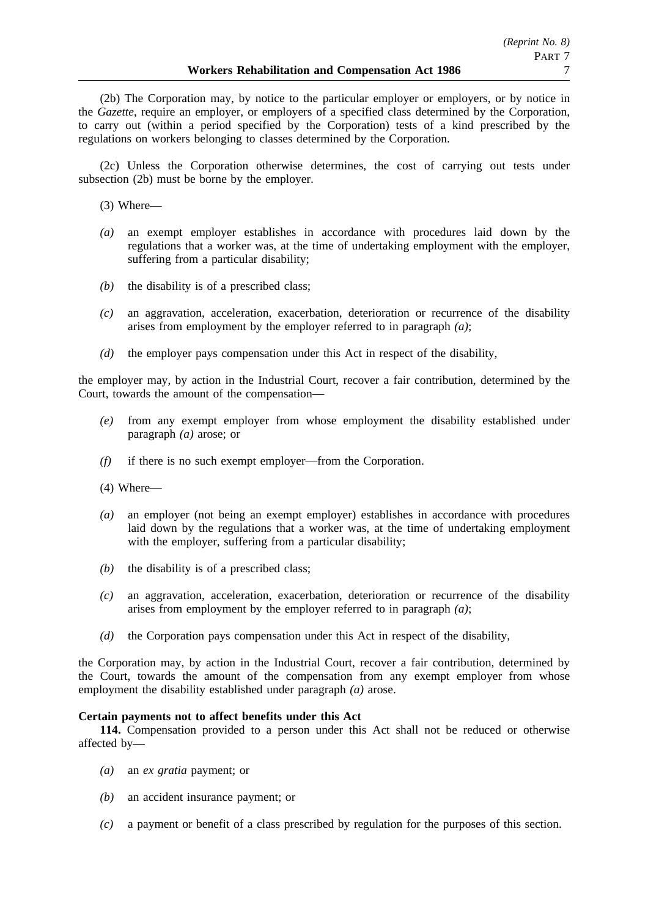(2b) The Corporation may, by notice to the particular employer or employers, or by notice in the *Gazette*, require an employer, or employers of a specified class determined by the Corporation, to carry out (within a period specified by the Corporation) tests of a kind prescribed by the regulations on workers belonging to classes determined by the Corporation.

(2c) Unless the Corporation otherwise determines, the cost of carrying out tests under subsection (2b) must be borne by the employer.

(3) Where—

- *(a)* an exempt employer establishes in accordance with procedures laid down by the regulations that a worker was, at the time of undertaking employment with the employer, suffering from a particular disability;
- *(b)* the disability is of a prescribed class;
- *(c)* an aggravation, acceleration, exacerbation, deterioration or recurrence of the disability arises from employment by the employer referred to in paragraph *(a)*;
- *(d)* the employer pays compensation under this Act in respect of the disability,

the employer may, by action in the Industrial Court, recover a fair contribution, determined by the Court, towards the amount of the compensation—

- *(e)* from any exempt employer from whose employment the disability established under paragraph *(a)* arose; or
- *(f)* if there is no such exempt employer—from the Corporation.
- (4) Where—
- *(a)* an employer (not being an exempt employer) establishes in accordance with procedures laid down by the regulations that a worker was, at the time of undertaking employment with the employer, suffering from a particular disability;
- *(b)* the disability is of a prescribed class;
- *(c)* an aggravation, acceleration, exacerbation, deterioration or recurrence of the disability arises from employment by the employer referred to in paragraph *(a)*;
- *(d)* the Corporation pays compensation under this Act in respect of the disability,

the Corporation may, by action in the Industrial Court, recover a fair contribution, determined by the Court, towards the amount of the compensation from any exempt employer from whose employment the disability established under paragraph *(a)* arose.

### **Certain payments not to affect benefits under this Act**

**114.** Compensation provided to a person under this Act shall not be reduced or otherwise affected by—

- *(a)* an *ex gratia* payment; or
- *(b)* an accident insurance payment; or
- *(c)* a payment or benefit of a class prescribed by regulation for the purposes of this section.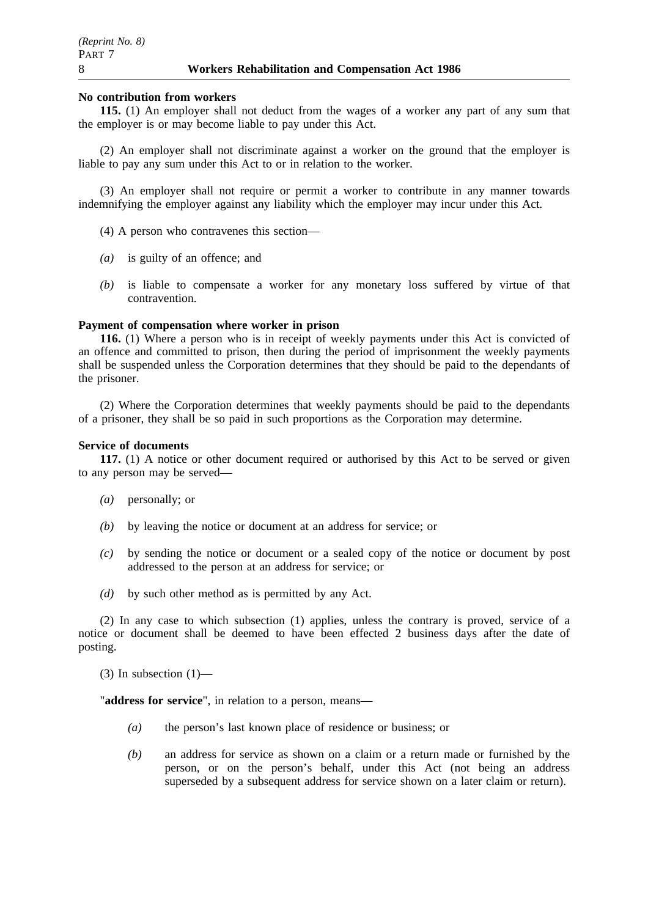### **No contribution from workers**

**115.** (1) An employer shall not deduct from the wages of a worker any part of any sum that the employer is or may become liable to pay under this Act.

(2) An employer shall not discriminate against a worker on the ground that the employer is liable to pay any sum under this Act to or in relation to the worker.

(3) An employer shall not require or permit a worker to contribute in any manner towards indemnifying the employer against any liability which the employer may incur under this Act.

(4) A person who contravenes this section—

- *(a)* is guilty of an offence; and
- *(b)* is liable to compensate a worker for any monetary loss suffered by virtue of that contravention.

#### **Payment of compensation where worker in prison**

**116.** (1) Where a person who is in receipt of weekly payments under this Act is convicted of an offence and committed to prison, then during the period of imprisonment the weekly payments shall be suspended unless the Corporation determines that they should be paid to the dependants of the prisoner.

(2) Where the Corporation determines that weekly payments should be paid to the dependants of a prisoner, they shall be so paid in such proportions as the Corporation may determine.

#### **Service of documents**

**117.** (1) A notice or other document required or authorised by this Act to be served or given to any person may be served—

- *(a)* personally; or
- *(b)* by leaving the notice or document at an address for service; or
- *(c)* by sending the notice or document or a sealed copy of the notice or document by post addressed to the person at an address for service; or
- *(d)* by such other method as is permitted by any Act.

(2) In any case to which subsection (1) applies, unless the contrary is proved, service of a notice or document shall be deemed to have been effected 2 business days after the date of posting.

(3) In subsection  $(1)$ —

"**address for service**", in relation to a person, means—

- *(a)* the person's last known place of residence or business; or
- *(b)* an address for service as shown on a claim or a return made or furnished by the person, or on the person's behalf, under this Act (not being an address superseded by a subsequent address for service shown on a later claim or return).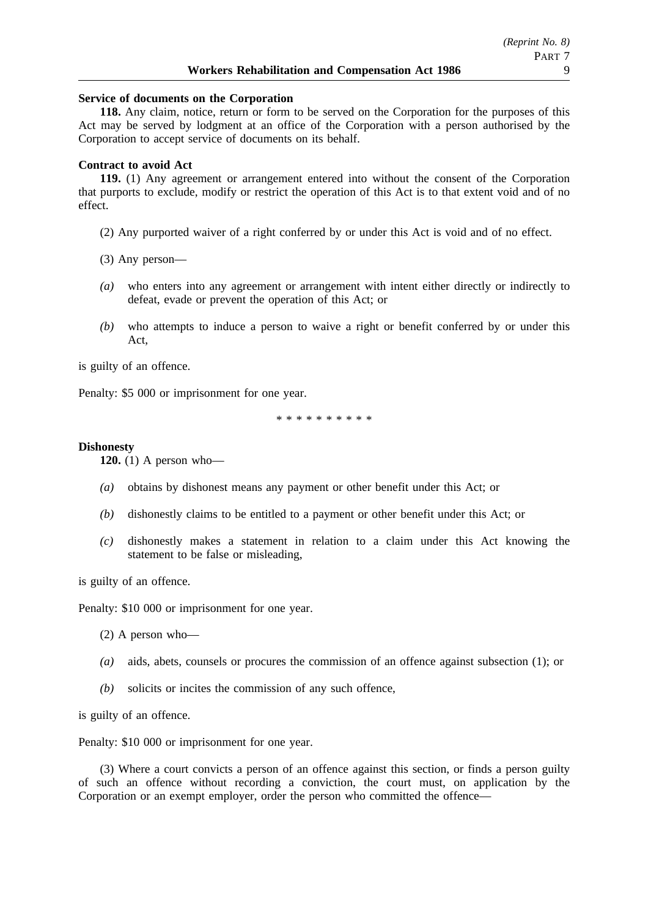### **Service of documents on the Corporation**

**118.** Any claim, notice, return or form to be served on the Corporation for the purposes of this Act may be served by lodgment at an office of the Corporation with a person authorised by the Corporation to accept service of documents on its behalf.

#### **Contract to avoid Act**

**119.** (1) Any agreement or arrangement entered into without the consent of the Corporation that purports to exclude, modify or restrict the operation of this Act is to that extent void and of no effect.

- (2) Any purported waiver of a right conferred by or under this Act is void and of no effect.
- (3) Any person—
- *(a)* who enters into any agreement or arrangement with intent either directly or indirectly to defeat, evade or prevent the operation of this Act; or
- *(b)* who attempts to induce a person to waive a right or benefit conferred by or under this Act,

is guilty of an offence.

Penalty: \$5 000 or imprisonment for one year.

\*\*\*\*\*\*\*\*\*\*

#### **Dishonesty**

**120.** (1) A person who—

- *(a)* obtains by dishonest means any payment or other benefit under this Act; or
- *(b)* dishonestly claims to be entitled to a payment or other benefit under this Act; or
- *(c)* dishonestly makes a statement in relation to a claim under this Act knowing the statement to be false or misleading,

is guilty of an offence.

Penalty: \$10 000 or imprisonment for one year.

- (2) A person who—
- *(a)* aids, abets, counsels or procures the commission of an offence against subsection (1); or
- *(b)* solicits or incites the commission of any such offence,

is guilty of an offence.

Penalty: \$10 000 or imprisonment for one year.

(3) Where a court convicts a person of an offence against this section, or finds a person guilty of such an offence without recording a conviction, the court must, on application by the Corporation or an exempt employer, order the person who committed the offence—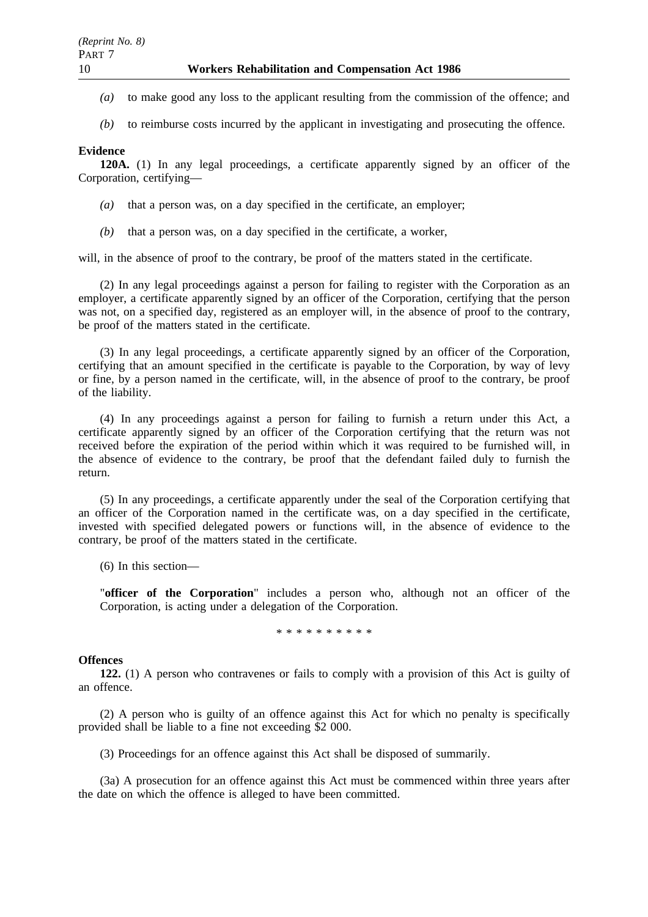- *(a)* to make good any loss to the applicant resulting from the commission of the offence; and
- *(b)* to reimburse costs incurred by the applicant in investigating and prosecuting the offence.

### **Evidence**

**120A.** (1) In any legal proceedings, a certificate apparently signed by an officer of the Corporation, certifying—

- *(a)* that a person was, on a day specified in the certificate, an employer;
- *(b)* that a person was, on a day specified in the certificate, a worker,

will, in the absence of proof to the contrary, be proof of the matters stated in the certificate.

(2) In any legal proceedings against a person for failing to register with the Corporation as an employer, a certificate apparently signed by an officer of the Corporation, certifying that the person was not, on a specified day, registered as an employer will, in the absence of proof to the contrary, be proof of the matters stated in the certificate.

(3) In any legal proceedings, a certificate apparently signed by an officer of the Corporation, certifying that an amount specified in the certificate is payable to the Corporation, by way of levy or fine, by a person named in the certificate, will, in the absence of proof to the contrary, be proof of the liability.

(4) In any proceedings against a person for failing to furnish a return under this Act, a certificate apparently signed by an officer of the Corporation certifying that the return was not received before the expiration of the period within which it was required to be furnished will, in the absence of evidence to the contrary, be proof that the defendant failed duly to furnish the return.

(5) In any proceedings, a certificate apparently under the seal of the Corporation certifying that an officer of the Corporation named in the certificate was, on a day specified in the certificate, invested with specified delegated powers or functions will, in the absence of evidence to the contrary, be proof of the matters stated in the certificate.

(6) In this section—

"**officer of the Corporation**" includes a person who, although not an officer of the Corporation, is acting under a delegation of the Corporation.

\*\*\*\*\*\*\*\*\*\*

### **Offences**

**122.** (1) A person who contravenes or fails to comply with a provision of this Act is guilty of an offence.

(2) A person who is guilty of an offence against this Act for which no penalty is specifically provided shall be liable to a fine not exceeding \$2 000.

(3) Proceedings for an offence against this Act shall be disposed of summarily.

(3a) A prosecution for an offence against this Act must be commenced within three years after the date on which the offence is alleged to have been committed.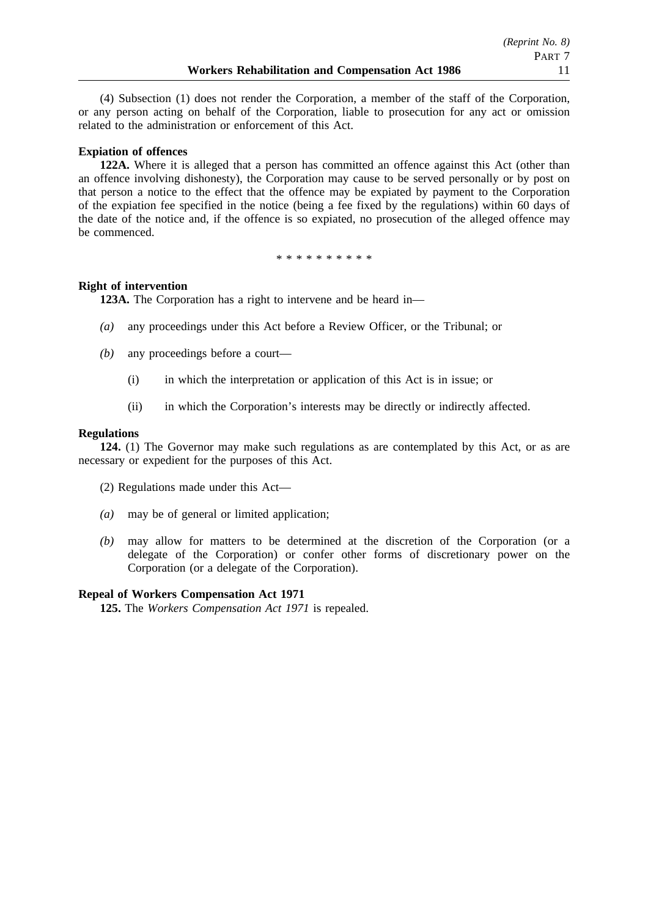(4) Subsection (1) does not render the Corporation, a member of the staff of the Corporation, or any person acting on behalf of the Corporation, liable to prosecution for any act or omission related to the administration or enforcement of this Act.

### **Expiation of offences**

**122A.** Where it is alleged that a person has committed an offence against this Act (other than an offence involving dishonesty), the Corporation may cause to be served personally or by post on that person a notice to the effect that the offence may be expiated by payment to the Corporation of the expiation fee specified in the notice (being a fee fixed by the regulations) within 60 days of the date of the notice and, if the offence is so expiated, no prosecution of the alleged offence may be commenced.

\*\*\*\*\*\*\*\*\*\*

### **Right of intervention**

**123A.** The Corporation has a right to intervene and be heard in—

- *(a)* any proceedings under this Act before a Review Officer, or the Tribunal; or
- *(b)* any proceedings before a court—
	- (i) in which the interpretation or application of this Act is in issue; or
	- (ii) in which the Corporation's interests may be directly or indirectly affected.

### **Regulations**

**124.** (1) The Governor may make such regulations as are contemplated by this Act, or as are necessary or expedient for the purposes of this Act.

(2) Regulations made under this Act—

- *(a)* may be of general or limited application;
- *(b)* may allow for matters to be determined at the discretion of the Corporation (or a delegate of the Corporation) or confer other forms of discretionary power on the Corporation (or a delegate of the Corporation).

### **Repeal of Workers Compensation Act 1971**

**125.** The *Workers Compensation Act 1971* is repealed.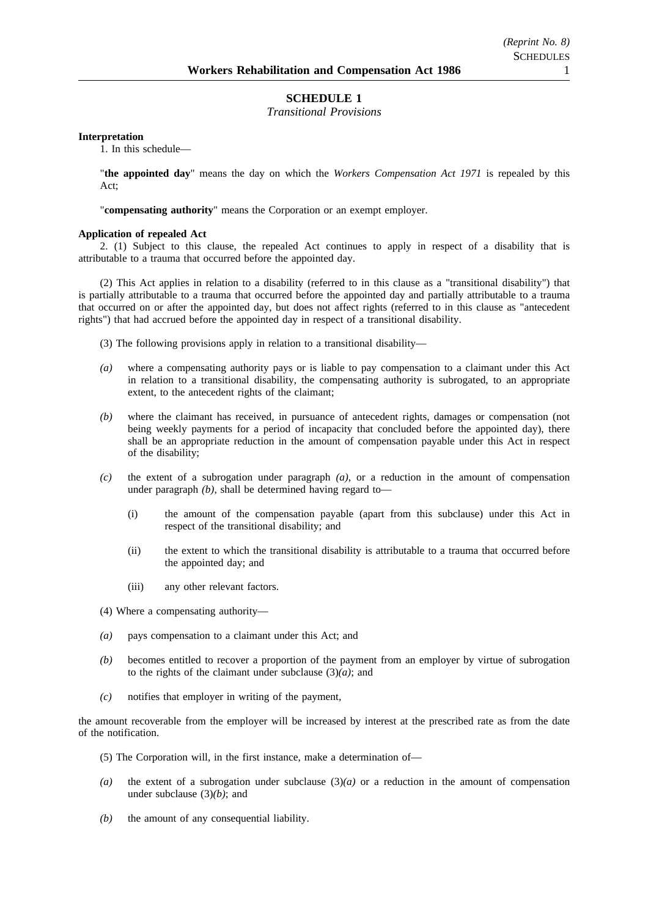### **SCHEDULE 1**

### *Transitional Provisions*

#### **Interpretation**

1. In this schedule—

"**the appointed day**" means the day on which the *Workers Compensation Act 1971* is repealed by this Act;

"**compensating authority**" means the Corporation or an exempt employer.

#### **Application of repealed Act**

2. (1) Subject to this clause, the repealed Act continues to apply in respect of a disability that is attributable to a trauma that occurred before the appointed day.

(2) This Act applies in relation to a disability (referred to in this clause as a "transitional disability") that is partially attributable to a trauma that occurred before the appointed day and partially attributable to a trauma that occurred on or after the appointed day, but does not affect rights (referred to in this clause as "antecedent rights") that had accrued before the appointed day in respect of a transitional disability.

(3) The following provisions apply in relation to a transitional disability—

- *(a)* where a compensating authority pays or is liable to pay compensation to a claimant under this Act in relation to a transitional disability, the compensating authority is subrogated, to an appropriate extent, to the antecedent rights of the claimant;
- *(b)* where the claimant has received, in pursuance of antecedent rights, damages or compensation (not being weekly payments for a period of incapacity that concluded before the appointed day), there shall be an appropriate reduction in the amount of compensation payable under this Act in respect of the disability;
- *(c)* the extent of a subrogation under paragraph *(a)*, or a reduction in the amount of compensation under paragraph *(b)*, shall be determined having regard to—
	- (i) the amount of the compensation payable (apart from this subclause) under this Act in respect of the transitional disability; and
	- (ii) the extent to which the transitional disability is attributable to a trauma that occurred before the appointed day; and
	- (iii) any other relevant factors.
- (4) Where a compensating authority—
- *(a)* pays compensation to a claimant under this Act; and
- *(b)* becomes entitled to recover a proportion of the payment from an employer by virtue of subrogation to the rights of the claimant under subclause  $(3)(a)$ ; and
- *(c)* notifies that employer in writing of the payment,

the amount recoverable from the employer will be increased by interest at the prescribed rate as from the date of the notification.

- (5) The Corporation will, in the first instance, make a determination of—
- *(a)* the extent of a subrogation under subclause (3)*(a)* or a reduction in the amount of compensation under subclause (3)*(b)*; and
- *(b)* the amount of any consequential liability.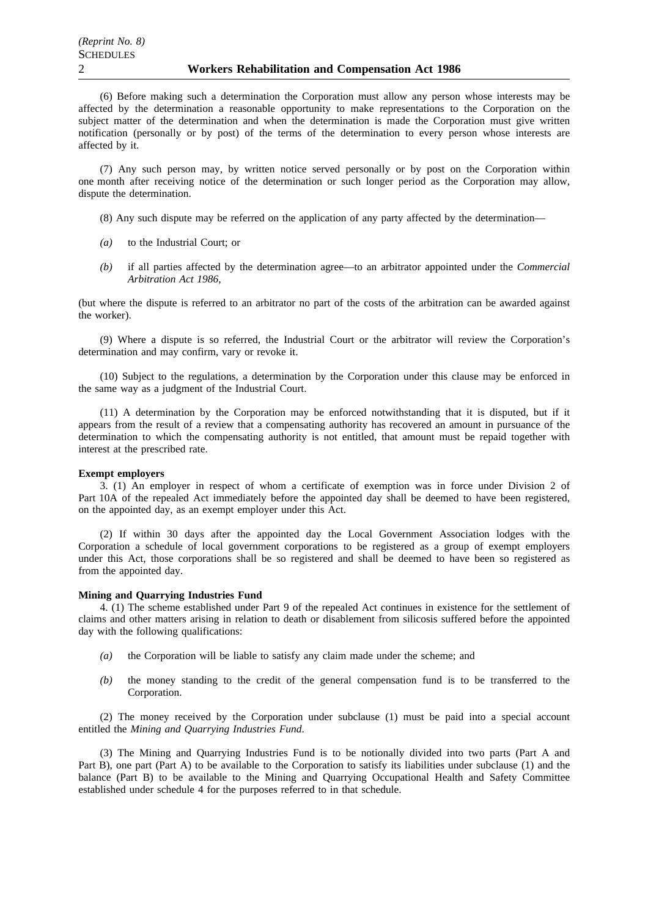(6) Before making such a determination the Corporation must allow any person whose interests may be affected by the determination a reasonable opportunity to make representations to the Corporation on the subject matter of the determination and when the determination is made the Corporation must give written notification (personally or by post) of the terms of the determination to every person whose interests are affected by it.

(7) Any such person may, by written notice served personally or by post on the Corporation within one month after receiving notice of the determination or such longer period as the Corporation may allow, dispute the determination.

- (8) Any such dispute may be referred on the application of any party affected by the determination—
- *(a)* to the Industrial Court; or
- *(b)* if all parties affected by the determination agree—to an arbitrator appointed under the *Commercial Arbitration Act 1986*,

(but where the dispute is referred to an arbitrator no part of the costs of the arbitration can be awarded against the worker).

(9) Where a dispute is so referred, the Industrial Court or the arbitrator will review the Corporation's determination and may confirm, vary or revoke it.

(10) Subject to the regulations, a determination by the Corporation under this clause may be enforced in the same way as a judgment of the Industrial Court.

(11) A determination by the Corporation may be enforced notwithstanding that it is disputed, but if it appears from the result of a review that a compensating authority has recovered an amount in pursuance of the determination to which the compensating authority is not entitled, that amount must be repaid together with interest at the prescribed rate.

#### **Exempt employers**

3. (1) An employer in respect of whom a certificate of exemption was in force under Division 2 of Part 10A of the repealed Act immediately before the appointed day shall be deemed to have been registered, on the appointed day, as an exempt employer under this Act.

(2) If within 30 days after the appointed day the Local Government Association lodges with the Corporation a schedule of local government corporations to be registered as a group of exempt employers under this Act, those corporations shall be so registered and shall be deemed to have been so registered as from the appointed day.

#### **Mining and Quarrying Industries Fund**

4. (1) The scheme established under Part 9 of the repealed Act continues in existence for the settlement of claims and other matters arising in relation to death or disablement from silicosis suffered before the appointed day with the following qualifications:

- *(a)* the Corporation will be liable to satisfy any claim made under the scheme; and
- *(b)* the money standing to the credit of the general compensation fund is to be transferred to the Corporation.

(2) The money received by the Corporation under subclause (1) must be paid into a special account entitled the *Mining and Quarrying Industries Fund*.

(3) The Mining and Quarrying Industries Fund is to be notionally divided into two parts (Part A and Part B), one part (Part A) to be available to the Corporation to satisfy its liabilities under subclause (1) and the balance (Part B) to be available to the Mining and Quarrying Occupational Health and Safety Committee established under schedule 4 for the purposes referred to in that schedule.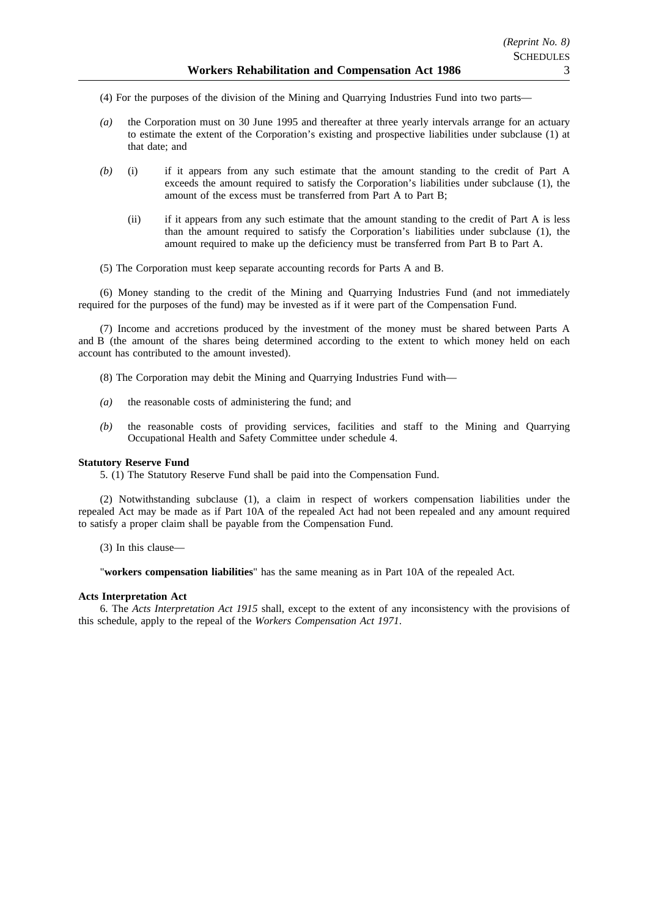(4) For the purposes of the division of the Mining and Quarrying Industries Fund into two parts—

- *(a)* the Corporation must on 30 June 1995 and thereafter at three yearly intervals arrange for an actuary to estimate the extent of the Corporation's existing and prospective liabilities under subclause (1) at that date; and
- *(b)* (i) if it appears from any such estimate that the amount standing to the credit of Part A exceeds the amount required to satisfy the Corporation's liabilities under subclause (1), the amount of the excess must be transferred from Part A to Part B;
	- (ii) if it appears from any such estimate that the amount standing to the credit of Part A is less than the amount required to satisfy the Corporation's liabilities under subclause (1), the amount required to make up the deficiency must be transferred from Part B to Part A.
- (5) The Corporation must keep separate accounting records for Parts A and B.

(6) Money standing to the credit of the Mining and Quarrying Industries Fund (and not immediately required for the purposes of the fund) may be invested as if it were part of the Compensation Fund.

(7) Income and accretions produced by the investment of the money must be shared between Parts A and B (the amount of the shares being determined according to the extent to which money held on each account has contributed to the amount invested).

- (8) The Corporation may debit the Mining and Quarrying Industries Fund with—
- *(a)* the reasonable costs of administering the fund; and
- *(b)* the reasonable costs of providing services, facilities and staff to the Mining and Quarrying Occupational Health and Safety Committee under schedule 4.

#### **Statutory Reserve Fund**

5. (1) The Statutory Reserve Fund shall be paid into the Compensation Fund.

(2) Notwithstanding subclause (1), a claim in respect of workers compensation liabilities under the repealed Act may be made as if Part 10A of the repealed Act had not been repealed and any amount required to satisfy a proper claim shall be payable from the Compensation Fund.

(3) In this clause—

"**workers compensation liabilities**" has the same meaning as in Part 10A of the repealed Act.

#### **Acts Interpretation Act**

6. The *Acts Interpretation Act 1915* shall, except to the extent of any inconsistency with the provisions of this schedule, apply to the repeal of the *Workers Compensation Act 1971*.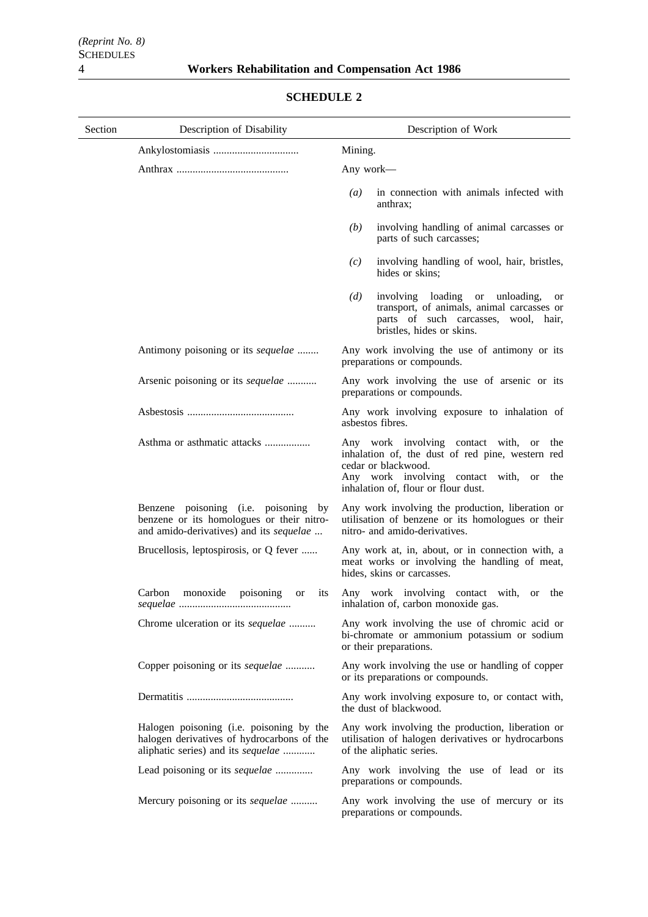| Section | Description of Disability                                                                                                    | Description of Work                                                                                                                                                                                     |
|---------|------------------------------------------------------------------------------------------------------------------------------|---------------------------------------------------------------------------------------------------------------------------------------------------------------------------------------------------------|
|         |                                                                                                                              | Mining.                                                                                                                                                                                                 |
|         |                                                                                                                              | Any work—                                                                                                                                                                                               |
|         |                                                                                                                              | in connection with animals infected with<br>$\left(a\right)$<br>anthrax;                                                                                                                                |
|         |                                                                                                                              | involving handling of animal carcasses or<br>(b)<br>parts of such carcasses;                                                                                                                            |
|         |                                                                                                                              | involving handling of wool, hair, bristles,<br>(c)<br>hides or skins;                                                                                                                                   |
|         |                                                                                                                              | involving loading or unloading,<br>(d)<br><b>or</b><br>transport, of animals, animal carcasses or<br>parts of such carcasses, wool, hair,<br>bristles, hides or skins.                                  |
|         | Antimony poisoning or its sequelae                                                                                           | Any work involving the use of antimony or its<br>preparations or compounds.                                                                                                                             |
|         | Arsenic poisoning or its sequelae                                                                                            | Any work involving the use of arsenic or its<br>preparations or compounds.                                                                                                                              |
|         |                                                                                                                              | Any work involving exposure to inhalation of<br>asbestos fibres.                                                                                                                                        |
|         | Asthma or asthmatic attacks                                                                                                  | Any work involving contact with, or the<br>inhalation of, the dust of red pine, western red<br>cedar or blackwood.<br>Any work involving contact with, or<br>the<br>inhalation of, flour or flour dust. |
|         | Benzene poisoning (i.e. poisoning by<br>benzene or its homologues or their nitro-<br>and amido-derivatives) and its sequelae | Any work involving the production, liberation or<br>utilisation of benzene or its homologues or their<br>nitro- and amido-derivatives.                                                                  |
|         | Brucellosis, leptospirosis, or Q fever                                                                                       | Any work at, in, about, or in connection with, a<br>meat works or involving the handling of meat,<br>hides, skins or carcasses.                                                                         |
|         | Carbon<br>monoxide<br>poisoning<br><i>its</i><br><b>or</b>                                                                   | Any work involving contact with, or the<br>inhalation of, carbon monoxide gas.                                                                                                                          |
|         | Chrome ulceration or its sequelae                                                                                            | Any work involving the use of chromic acid or<br>bi-chromate or ammonium potassium or sodium<br>or their preparations.                                                                                  |
|         | Copper poisoning or its sequelae                                                                                             | Any work involving the use or handling of copper<br>or its preparations or compounds.                                                                                                                   |
|         |                                                                                                                              | Any work involving exposure to, or contact with,<br>the dust of blackwood.                                                                                                                              |
|         | Halogen poisoning (i.e. poisoning by the<br>halogen derivatives of hydrocarbons of the<br>aliphatic series) and its sequelae | Any work involving the production, liberation or<br>utilisation of halogen derivatives or hydrocarbons<br>of the aliphatic series.                                                                      |
|         | Lead poisoning or its sequelae                                                                                               | Any work involving the use of lead or its<br>preparations or compounds.                                                                                                                                 |
|         | Mercury poisoning or its sequelae                                                                                            | Any work involving the use of mercury or its<br>preparations or compounds.                                                                                                                              |

# **SCHEDULE 2**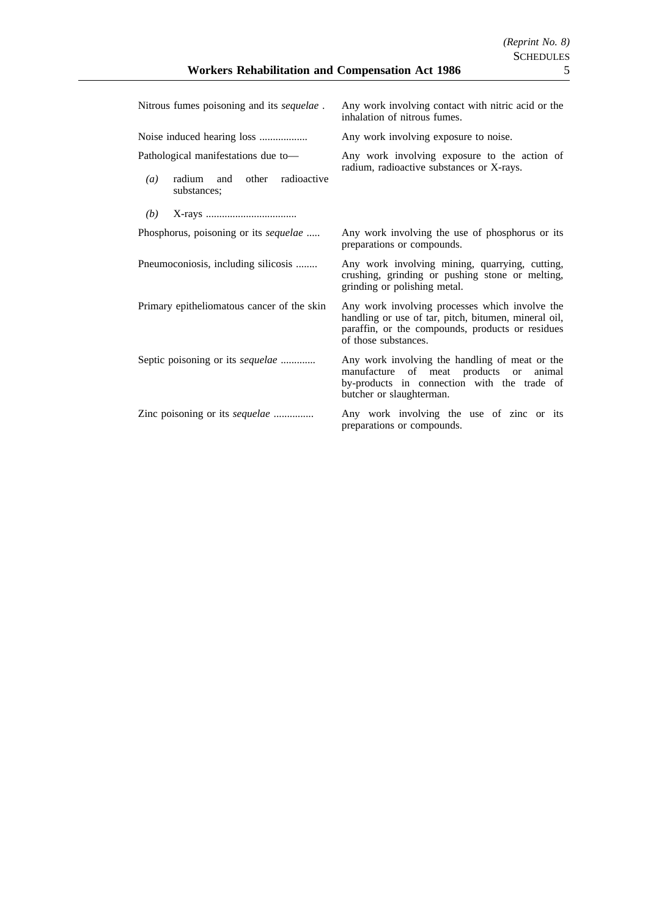| Nitrous fumes poisoning and its sequelae.                                                              | Any work involving contact with nitric acid or the<br>inhalation of nitrous fumes.                                                                                                 |
|--------------------------------------------------------------------------------------------------------|------------------------------------------------------------------------------------------------------------------------------------------------------------------------------------|
|                                                                                                        | Any work involving exposure to noise.                                                                                                                                              |
| Pathological manifestations due to-<br>radium and other radioactive<br>$\left(a\right)$<br>substances; | Any work involving exposure to the action of<br>radium, radioactive substances or X-rays.                                                                                          |
| (b)                                                                                                    |                                                                                                                                                                                    |
| Phosphorus, poisoning or its sequelae                                                                  | Any work involving the use of phosphorus or its<br>preparations or compounds.                                                                                                      |
| Pneumoconiosis, including silicosis                                                                    | Any work involving mining, quarrying, cutting,<br>crushing, grinding or pushing stone or melting,<br>grinding or polishing metal.                                                  |
| Primary epitheliomatous cancer of the skin                                                             | Any work involving processes which involve the<br>handling or use of tar, pitch, bitumen, mineral oil,<br>paraffin, or the compounds, products or residues<br>of those substances. |
| Septic poisoning or its sequelae                                                                       | Any work involving the handling of meat or the<br>manufacture of meat products or<br>animal<br>by-products in connection with the trade of<br>butcher or slaughterman.             |
| Zinc poisoning or its <i>sequelae</i>                                                                  | Any work involving the use of zinc or its<br>preparations or compounds.                                                                                                            |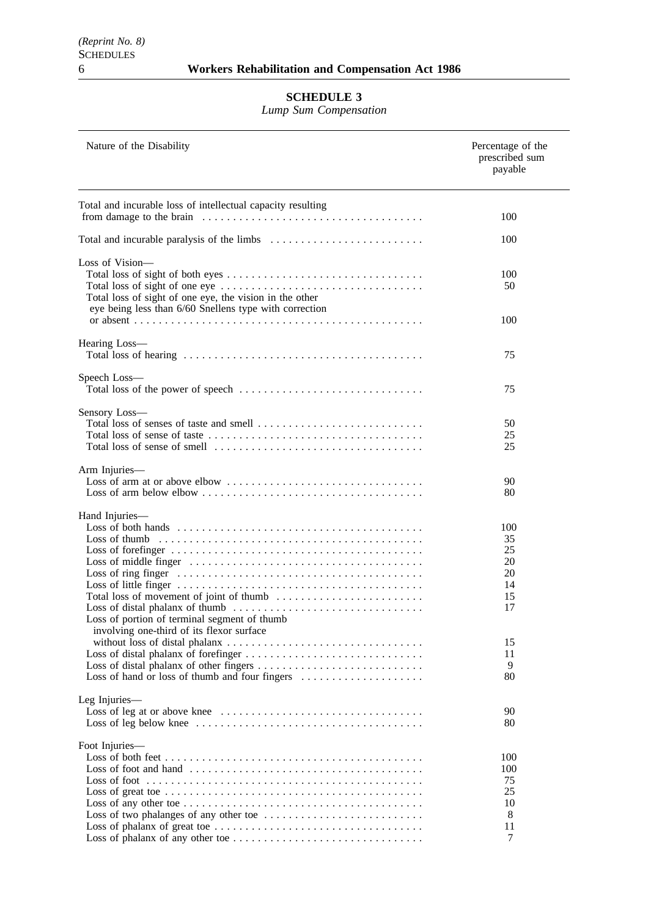### **SCHEDULE 3**

*Lump Sum Compensation*

| Nature of the Disability                                                                                          | Percentage of the<br>prescribed sum<br>payable |
|-------------------------------------------------------------------------------------------------------------------|------------------------------------------------|
| Total and incurable loss of intellectual capacity resulting                                                       |                                                |
|                                                                                                                   | 100                                            |
|                                                                                                                   | 100                                            |
| Loss of Vision-                                                                                                   |                                                |
| Total loss of sight of one eye, the vision in the other<br>eye being less than 6/60 Snellens type with correction | 100<br>50                                      |
|                                                                                                                   | 100                                            |
| Hearing Loss-                                                                                                     | 75                                             |
| Speech Loss-                                                                                                      |                                                |
|                                                                                                                   | 75                                             |
| Sensory Loss-                                                                                                     |                                                |
|                                                                                                                   | 50                                             |
|                                                                                                                   | 25<br>25                                       |
|                                                                                                                   |                                                |
| Arm Injuries-                                                                                                     |                                                |
|                                                                                                                   | 90                                             |
|                                                                                                                   | 80                                             |
| Hand Injuries—                                                                                                    |                                                |
|                                                                                                                   | 100                                            |
|                                                                                                                   | 35                                             |
|                                                                                                                   | 25                                             |
|                                                                                                                   | 20                                             |
|                                                                                                                   | 20                                             |
|                                                                                                                   | 14                                             |
|                                                                                                                   | 15                                             |
|                                                                                                                   | 17                                             |
| Loss of portion of terminal segment of thumb                                                                      |                                                |
| involving one-third of its flexor surface                                                                         |                                                |
|                                                                                                                   | 15                                             |
|                                                                                                                   | 11                                             |
|                                                                                                                   | 9                                              |
| Loss of hand or loss of thumb and four fingers                                                                    | 80                                             |
|                                                                                                                   |                                                |
| Leg Injuries-                                                                                                     |                                                |
|                                                                                                                   | 90                                             |
|                                                                                                                   | 80                                             |
| Foot Injuries-                                                                                                    |                                                |
|                                                                                                                   | 100                                            |
|                                                                                                                   | 100                                            |
|                                                                                                                   | 75                                             |
|                                                                                                                   | 25                                             |
|                                                                                                                   | 10                                             |
|                                                                                                                   | 8                                              |
|                                                                                                                   | 11                                             |
|                                                                                                                   | 7                                              |
|                                                                                                                   |                                                |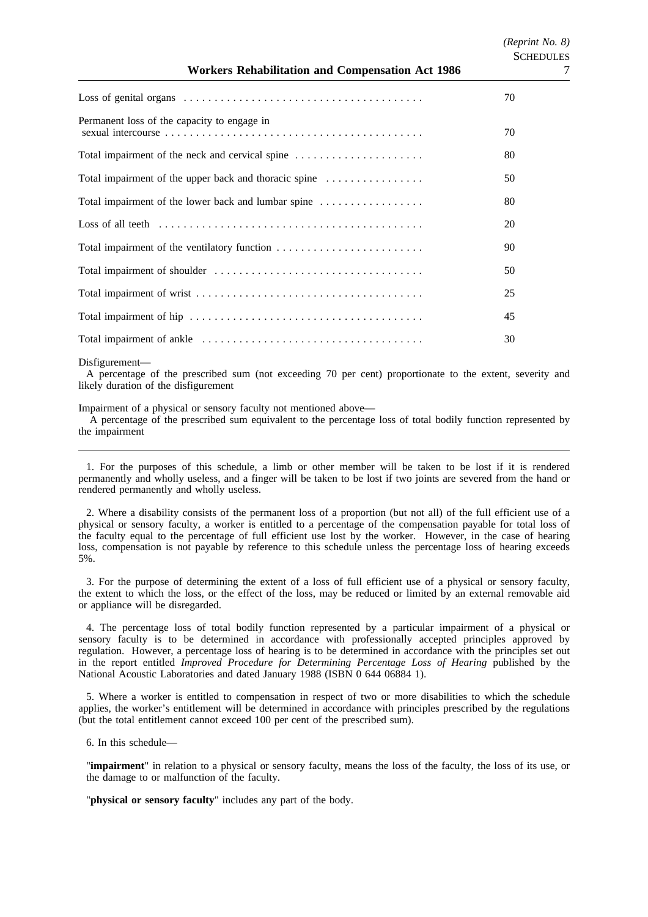|                                                       | 70 |
|-------------------------------------------------------|----|
| Permanent loss of the capacity to engage in           | 70 |
|                                                       | 80 |
| Total impairment of the upper back and thoracic spine | 50 |
| Total impairment of the lower back and lumbar spine   | 80 |
|                                                       | 20 |
|                                                       | 90 |
|                                                       | 50 |
|                                                       | 25 |
|                                                       | 45 |
|                                                       | 30 |

Disfigurement—

A percentage of the prescribed sum (not exceeding 70 per cent) proportionate to the extent, severity and likely duration of the disfigurement

Impairment of a physical or sensory faculty not mentioned above—

A percentage of the prescribed sum equivalent to the percentage loss of total bodily function represented by the impairment

1. For the purposes of this schedule, a limb or other member will be taken to be lost if it is rendered permanently and wholly useless, and a finger will be taken to be lost if two joints are severed from the hand or rendered permanently and wholly useless.

2. Where a disability consists of the permanent loss of a proportion (but not all) of the full efficient use of a physical or sensory faculty, a worker is entitled to a percentage of the compensation payable for total loss of the faculty equal to the percentage of full efficient use lost by the worker. However, in the case of hearing loss, compensation is not payable by reference to this schedule unless the percentage loss of hearing exceeds 5%.

3. For the purpose of determining the extent of a loss of full efficient use of a physical or sensory faculty, the extent to which the loss, or the effect of the loss, may be reduced or limited by an external removable aid or appliance will be disregarded.

4. The percentage loss of total bodily function represented by a particular impairment of a physical or sensory faculty is to be determined in accordance with professionally accepted principles approved by regulation. However, a percentage loss of hearing is to be determined in accordance with the principles set out in the report entitled *Improved Procedure for Determining Percentage Loss of Hearing* published by the National Acoustic Laboratories and dated January 1988 (ISBN 0 644 06884 1).

5. Where a worker is entitled to compensation in respect of two or more disabilities to which the schedule applies, the worker's entitlement will be determined in accordance with principles prescribed by the regulations (but the total entitlement cannot exceed 100 per cent of the prescribed sum).

6. In this schedule—

"**impairment**" in relation to a physical or sensory faculty, means the loss of the faculty, the loss of its use, or the damage to or malfunction of the faculty.

"**physical or sensory faculty**" includes any part of the body.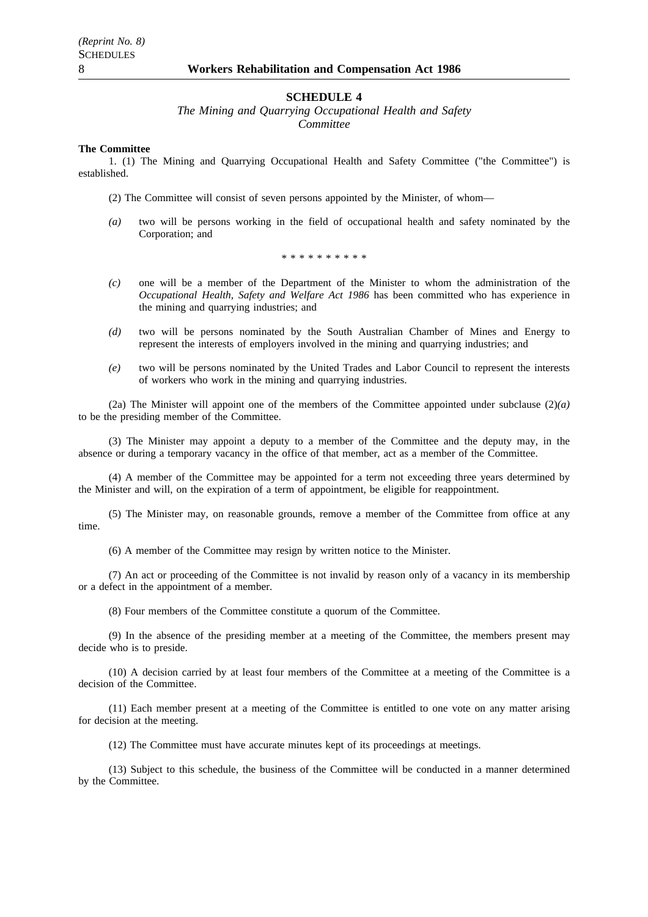#### **SCHEDULE 4**

*The Mining and Quarrying Occupational Health and Safety Committee*

#### **The Committee**

1. (1) The Mining and Quarrying Occupational Health and Safety Committee ("the Committee") is established.

(2) The Committee will consist of seven persons appointed by the Minister, of whom—

*(a)* two will be persons working in the field of occupational health and safety nominated by the Corporation; and

\*\*\*\*\*\*\*\*\*\*

- *(c)* one will be a member of the Department of the Minister to whom the administration of the *Occupational Health, Safety and Welfare Act 1986* has been committed who has experience in the mining and quarrying industries; and
- *(d)* two will be persons nominated by the South Australian Chamber of Mines and Energy to represent the interests of employers involved in the mining and quarrying industries; and
- *(e)* two will be persons nominated by the United Trades and Labor Council to represent the interests of workers who work in the mining and quarrying industries.

(2a) The Minister will appoint one of the members of the Committee appointed under subclause (2)*(a)* to be the presiding member of the Committee.

(3) The Minister may appoint a deputy to a member of the Committee and the deputy may, in the absence or during a temporary vacancy in the office of that member, act as a member of the Committee.

(4) A member of the Committee may be appointed for a term not exceeding three years determined by the Minister and will, on the expiration of a term of appointment, be eligible for reappointment.

(5) The Minister may, on reasonable grounds, remove a member of the Committee from office at any time.

(6) A member of the Committee may resign by written notice to the Minister.

(7) An act or proceeding of the Committee is not invalid by reason only of a vacancy in its membership or a defect in the appointment of a member.

(8) Four members of the Committee constitute a quorum of the Committee.

(9) In the absence of the presiding member at a meeting of the Committee, the members present may decide who is to preside.

(10) A decision carried by at least four members of the Committee at a meeting of the Committee is a decision of the Committee.

(11) Each member present at a meeting of the Committee is entitled to one vote on any matter arising for decision at the meeting.

(12) The Committee must have accurate minutes kept of its proceedings at meetings.

(13) Subject to this schedule, the business of the Committee will be conducted in a manner determined by the Committee.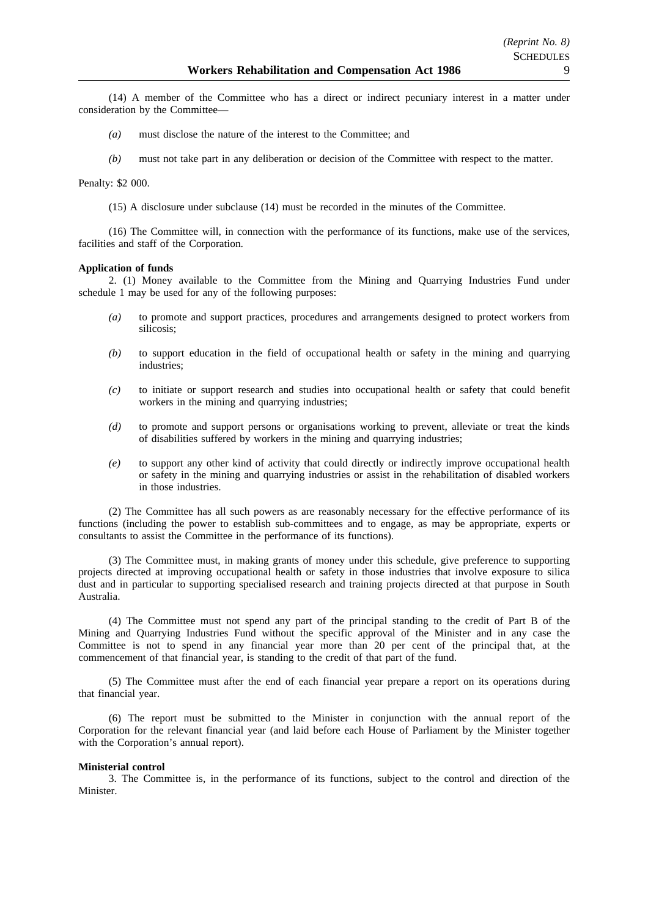(14) A member of the Committee who has a direct or indirect pecuniary interest in a matter under consideration by the Committee—

- *(a)* must disclose the nature of the interest to the Committee; and
- *(b)* must not take part in any deliberation or decision of the Committee with respect to the matter.

#### Penalty: \$2 000.

(15) A disclosure under subclause (14) must be recorded in the minutes of the Committee.

(16) The Committee will, in connection with the performance of its functions, make use of the services, facilities and staff of the Corporation.

#### **Application of funds**

2. (1) Money available to the Committee from the Mining and Quarrying Industries Fund under schedule 1 may be used for any of the following purposes:

- *(a)* to promote and support practices, procedures and arrangements designed to protect workers from silicosis;
- *(b)* to support education in the field of occupational health or safety in the mining and quarrying industries;
- *(c)* to initiate or support research and studies into occupational health or safety that could benefit workers in the mining and quarrying industries;
- *(d)* to promote and support persons or organisations working to prevent, alleviate or treat the kinds of disabilities suffered by workers in the mining and quarrying industries;
- *(e)* to support any other kind of activity that could directly or indirectly improve occupational health or safety in the mining and quarrying industries or assist in the rehabilitation of disabled workers in those industries.

(2) The Committee has all such powers as are reasonably necessary for the effective performance of its functions (including the power to establish sub-committees and to engage, as may be appropriate, experts or consultants to assist the Committee in the performance of its functions).

(3) The Committee must, in making grants of money under this schedule, give preference to supporting projects directed at improving occupational health or safety in those industries that involve exposure to silica dust and in particular to supporting specialised research and training projects directed at that purpose in South Australia.

(4) The Committee must not spend any part of the principal standing to the credit of Part B of the Mining and Quarrying Industries Fund without the specific approval of the Minister and in any case the Committee is not to spend in any financial year more than 20 per cent of the principal that, at the commencement of that financial year, is standing to the credit of that part of the fund.

(5) The Committee must after the end of each financial year prepare a report on its operations during that financial year.

(6) The report must be submitted to the Minister in conjunction with the annual report of the Corporation for the relevant financial year (and laid before each House of Parliament by the Minister together with the Corporation's annual report).

#### **Ministerial control**

3. The Committee is, in the performance of its functions, subject to the control and direction of the Minister.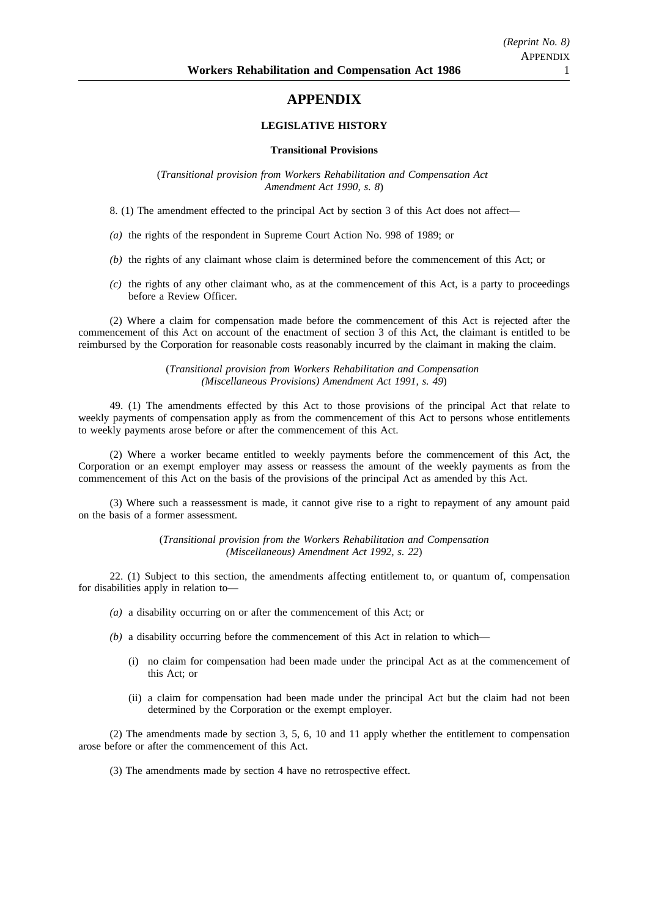# **APPENDIX**

#### **LEGISLATIVE HISTORY**

#### **Transitional Provisions**

(*Transitional provision from Workers Rehabilitation and Compensation Act Amendment Act 1990, s. 8*)

8. (1) The amendment effected to the principal Act by section 3 of this Act does not affect—

- *(a)* the rights of the respondent in Supreme Court Action No. 998 of 1989; or
- *(b)* the rights of any claimant whose claim is determined before the commencement of this Act; or
- *(c)* the rights of any other claimant who, as at the commencement of this Act, is a party to proceedings before a Review Officer.

(2) Where a claim for compensation made before the commencement of this Act is rejected after the commencement of this Act on account of the enactment of section 3 of this Act, the claimant is entitled to be reimbursed by the Corporation for reasonable costs reasonably incurred by the claimant in making the claim.

> (*Transitional provision from Workers Rehabilitation and Compensation (Miscellaneous Provisions) Amendment Act 1991, s. 49*)

49. (1) The amendments effected by this Act to those provisions of the principal Act that relate to weekly payments of compensation apply as from the commencement of this Act to persons whose entitlements to weekly payments arose before or after the commencement of this Act.

(2) Where a worker became entitled to weekly payments before the commencement of this Act, the Corporation or an exempt employer may assess or reassess the amount of the weekly payments as from the commencement of this Act on the basis of the provisions of the principal Act as amended by this Act.

(3) Where such a reassessment is made, it cannot give rise to a right to repayment of any amount paid on the basis of a former assessment.

> (*Transitional provision from the Workers Rehabilitation and Compensation (Miscellaneous) Amendment Act 1992, s. 22*)

22. (1) Subject to this section, the amendments affecting entitlement to, or quantum of, compensation for disabilities apply in relation to—

- *(a)* a disability occurring on or after the commencement of this Act; or
- *(b)* a disability occurring before the commencement of this Act in relation to which—
	- (i) no claim for compensation had been made under the principal Act as at the commencement of this Act; or
	- (ii) a claim for compensation had been made under the principal Act but the claim had not been determined by the Corporation or the exempt employer.

(2) The amendments made by section 3, 5, 6, 10 and 11 apply whether the entitlement to compensation arose before or after the commencement of this Act.

(3) The amendments made by section 4 have no retrospective effect.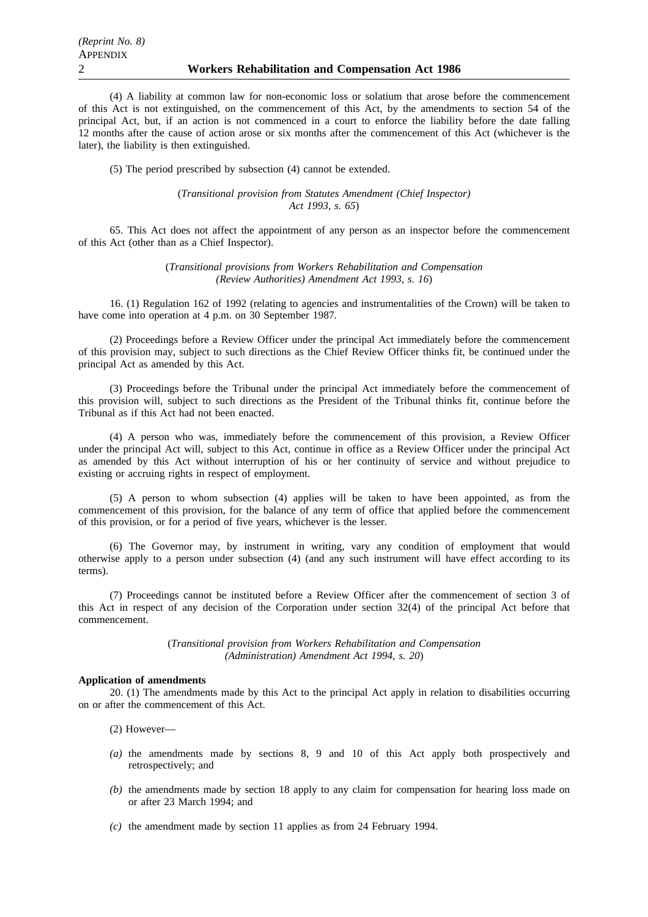(4) A liability at common law for non-economic loss or solatium that arose before the commencement of this Act is not extinguished, on the commencement of this Act, by the amendments to section 54 of the principal Act, but, if an action is not commenced in a court to enforce the liability before the date falling 12 months after the cause of action arose or six months after the commencement of this Act (whichever is the later), the liability is then extinguished.

(5) The period prescribed by subsection (4) cannot be extended.

(*Transitional provision from Statutes Amendment (Chief Inspector) Act 1993, s. 65*)

65. This Act does not affect the appointment of any person as an inspector before the commencement of this Act (other than as a Chief Inspector).

> (*Transitional provisions from Workers Rehabilitation and Compensation (Review Authorities) Amendment Act 1993, s. 16*)

16. (1) Regulation 162 of 1992 (relating to agencies and instrumentalities of the Crown) will be taken to have come into operation at 4 p.m. on 30 September 1987.

(2) Proceedings before a Review Officer under the principal Act immediately before the commencement of this provision may, subject to such directions as the Chief Review Officer thinks fit, be continued under the principal Act as amended by this Act.

(3) Proceedings before the Tribunal under the principal Act immediately before the commencement of this provision will, subject to such directions as the President of the Tribunal thinks fit, continue before the Tribunal as if this Act had not been enacted.

(4) A person who was, immediately before the commencement of this provision, a Review Officer under the principal Act will, subject to this Act, continue in office as a Review Officer under the principal Act as amended by this Act without interruption of his or her continuity of service and without prejudice to existing or accruing rights in respect of employment.

(5) A person to whom subsection (4) applies will be taken to have been appointed, as from the commencement of this provision, for the balance of any term of office that applied before the commencement of this provision, or for a period of five years, whichever is the lesser.

(6) The Governor may, by instrument in writing, vary any condition of employment that would otherwise apply to a person under subsection (4) (and any such instrument will have effect according to its terms).

(7) Proceedings cannot be instituted before a Review Officer after the commencement of section 3 of this Act in respect of any decision of the Corporation under section 32(4) of the principal Act before that commencement.

> (*Transitional provision from Workers Rehabilitation and Compensation (Administration) Amendment Act 1994, s. 20*)

#### **Application of amendments**

20. (1) The amendments made by this Act to the principal Act apply in relation to disabilities occurring on or after the commencement of this Act.

(2) However—

- *(a)* the amendments made by sections 8, 9 and 10 of this Act apply both prospectively and retrospectively; and
- *(b)* the amendments made by section 18 apply to any claim for compensation for hearing loss made on or after 23 March 1994; and
- *(c)* the amendment made by section 11 applies as from 24 February 1994.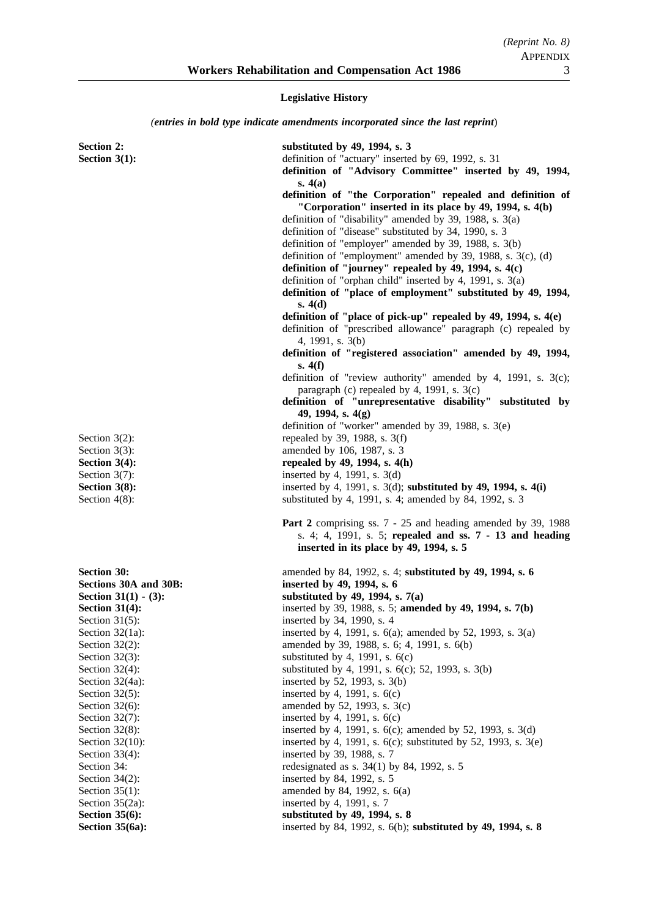**Legislative History**

*(entries in bold type indicate amendments incorporated since the last reprint*)

| <b>Section 2:</b><br>Section $3(1)$ :   | substituted by 49, 1994, s. 3<br>definition of "actuary" inserted by 69, 1992, s. 31<br>definition of "Advisory Committee" inserted by 49, 1994,<br>s. $4(a)$<br>definition of "the Corporation" repealed and definition of<br>"Corporation" inserted in its place by 49, 1994, s. 4(b)<br>definition of "disability" amended by 39, 1988, s. 3(a)<br>definition of "disease" substituted by 34, 1990, s. 3<br>definition of "employer" amended by 39, 1988, s. 3(b)<br>definition of "employment" amended by 39, 1988, s. $3(c)$ , (d)<br>definition of "journey" repealed by 49, 1994, s. 4(c)<br>definition of "orphan child" inserted by 4, 1991, s. $3(a)$<br>definition of "place of employment" substituted by 49, 1994,<br>s. 4(d)<br>definition of "place of pick-up" repealed by 49, 1994, s. 4(e)<br>definition of "prescribed allowance" paragraph (c) repealed by |
|-----------------------------------------|--------------------------------------------------------------------------------------------------------------------------------------------------------------------------------------------------------------------------------------------------------------------------------------------------------------------------------------------------------------------------------------------------------------------------------------------------------------------------------------------------------------------------------------------------------------------------------------------------------------------------------------------------------------------------------------------------------------------------------------------------------------------------------------------------------------------------------------------------------------------------------|
|                                         | 4, 1991, s. 3(b)<br>definition of "registered association" amended by 49, 1994,<br>s. 4(f)<br>definition of "review authority" amended by 4, 1991, s. 3(c);                                                                                                                                                                                                                                                                                                                                                                                                                                                                                                                                                                                                                                                                                                                    |
|                                         | paragraph (c) repealed by 4, 1991, s. $3(c)$<br>definition of "unrepresentative disability" substituted by<br>49, 1994, s. 4(g)<br>definition of "worker" amended by 39, 1988, s. 3(e)                                                                                                                                                                                                                                                                                                                                                                                                                                                                                                                                                                                                                                                                                         |
| Section $3(2)$ :                        | repealed by 39, 1988, s. 3(f)                                                                                                                                                                                                                                                                                                                                                                                                                                                                                                                                                                                                                                                                                                                                                                                                                                                  |
| Section $3(3)$ :                        | amended by 106, 1987, s. 3                                                                                                                                                                                                                                                                                                                                                                                                                                                                                                                                                                                                                                                                                                                                                                                                                                                     |
| Section $3(4)$ :                        | repealed by 49, 1994, s. 4(h)                                                                                                                                                                                                                                                                                                                                                                                                                                                                                                                                                                                                                                                                                                                                                                                                                                                  |
| Section $3(7)$ :                        | inserted by 4, 1991, s. $3(d)$                                                                                                                                                                                                                                                                                                                                                                                                                                                                                                                                                                                                                                                                                                                                                                                                                                                 |
| Section 3(8):                           | inserted by 4, 1991, s. $3(d)$ ; substituted by 49, 1994, s. $4(i)$                                                                                                                                                                                                                                                                                                                                                                                                                                                                                                                                                                                                                                                                                                                                                                                                            |
| Section $4(8)$ :                        | substituted by 4, 1991, s. 4; amended by 84, 1992, s. 3                                                                                                                                                                                                                                                                                                                                                                                                                                                                                                                                                                                                                                                                                                                                                                                                                        |
|                                         | Part 2 comprising ss. 7 - 25 and heading amended by 39, 1988<br>s. 4; 4, 1991, s. 5; repealed and ss. 7 - 13 and heading<br>inserted in its place by 49, 1994, s. 5                                                                                                                                                                                                                                                                                                                                                                                                                                                                                                                                                                                                                                                                                                            |
| <b>Section 30:</b>                      | amended by 84, 1992, s. 4; substituted by 49, 1994, s. 6                                                                                                                                                                                                                                                                                                                                                                                                                                                                                                                                                                                                                                                                                                                                                                                                                       |
| Sections 30A and 30B:                   | inserted by 49, 1994, s. 6                                                                                                                                                                                                                                                                                                                                                                                                                                                                                                                                                                                                                                                                                                                                                                                                                                                     |
| Section $31(1) - (3)$ :                 | substituted by 49, 1994, s. $7(a)$                                                                                                                                                                                                                                                                                                                                                                                                                                                                                                                                                                                                                                                                                                                                                                                                                                             |
| <b>Section 31(4):</b>                   | inserted by 39, 1988, s. 5; amended by 49, 1994, s. 7(b)                                                                                                                                                                                                                                                                                                                                                                                                                                                                                                                                                                                                                                                                                                                                                                                                                       |
| Section $31(5)$ :                       | inserted by 34, 1990, s. 4                                                                                                                                                                                                                                                                                                                                                                                                                                                                                                                                                                                                                                                                                                                                                                                                                                                     |
| Section $32(1a)$ :                      | inserted by 4, 1991, s. $6(a)$ ; amended by 52, 1993, s. $3(a)$                                                                                                                                                                                                                                                                                                                                                                                                                                                                                                                                                                                                                                                                                                                                                                                                                |
| Section $32(2)$ :                       | amended by 39, 1988, s. 6; 4, 1991, s. 6(b)                                                                                                                                                                                                                                                                                                                                                                                                                                                                                                                                                                                                                                                                                                                                                                                                                                    |
| Section $32(3)$ :                       | substituted by 4, 1991, s. $6(c)$                                                                                                                                                                                                                                                                                                                                                                                                                                                                                                                                                                                                                                                                                                                                                                                                                                              |
| Section $32(4)$ :                       | substituted by 4, 1991, s. 6(c); 52, 1993, s. 3(b)                                                                                                                                                                                                                                                                                                                                                                                                                                                                                                                                                                                                                                                                                                                                                                                                                             |
| Section 32(4a):                         | inserted by 52, 1993, s. 3(b)                                                                                                                                                                                                                                                                                                                                                                                                                                                                                                                                                                                                                                                                                                                                                                                                                                                  |
| Section $32(5)$ :                       | inserted by 4, 1991, s. $6(c)$                                                                                                                                                                                                                                                                                                                                                                                                                                                                                                                                                                                                                                                                                                                                                                                                                                                 |
| Section $32(6)$ :                       | amended by 52, 1993, s. 3(c)                                                                                                                                                                                                                                                                                                                                                                                                                                                                                                                                                                                                                                                                                                                                                                                                                                                   |
| Section $32(7)$ :                       | inserted by 4, 1991, s. $6(c)$                                                                                                                                                                                                                                                                                                                                                                                                                                                                                                                                                                                                                                                                                                                                                                                                                                                 |
| Section $32(8)$ :<br>Section $32(10)$ : | inserted by 4, 1991, s. $6(c)$ ; amended by 52, 1993, s. $3(d)$<br>inserted by 4, 1991, s. $6(c)$ ; substituted by 52, 1993, s. $3(e)$                                                                                                                                                                                                                                                                                                                                                                                                                                                                                                                                                                                                                                                                                                                                         |
| Section $33(4)$ :                       | inserted by 39, 1988, s. 7                                                                                                                                                                                                                                                                                                                                                                                                                                                                                                                                                                                                                                                                                                                                                                                                                                                     |
| Section 34:                             | redesignated as s. 34(1) by 84, 1992, s. 5                                                                                                                                                                                                                                                                                                                                                                                                                                                                                                                                                                                                                                                                                                                                                                                                                                     |
| Section $34(2)$ :                       | inserted by 84, 1992, s. 5                                                                                                                                                                                                                                                                                                                                                                                                                                                                                                                                                                                                                                                                                                                                                                                                                                                     |
| Section $35(1)$ :                       | amended by 84, 1992, s. 6(a)                                                                                                                                                                                                                                                                                                                                                                                                                                                                                                                                                                                                                                                                                                                                                                                                                                                   |
| Section $35(2a)$ :                      | inserted by 4, 1991, s. 7                                                                                                                                                                                                                                                                                                                                                                                                                                                                                                                                                                                                                                                                                                                                                                                                                                                      |
| Section $35(6)$ :                       | substituted by 49, 1994, s. 8                                                                                                                                                                                                                                                                                                                                                                                                                                                                                                                                                                                                                                                                                                                                                                                                                                                  |
| Section 35(6a):                         | inserted by 84, 1992, s. 6(b); substituted by 49, 1994, s. 8                                                                                                                                                                                                                                                                                                                                                                                                                                                                                                                                                                                                                                                                                                                                                                                                                   |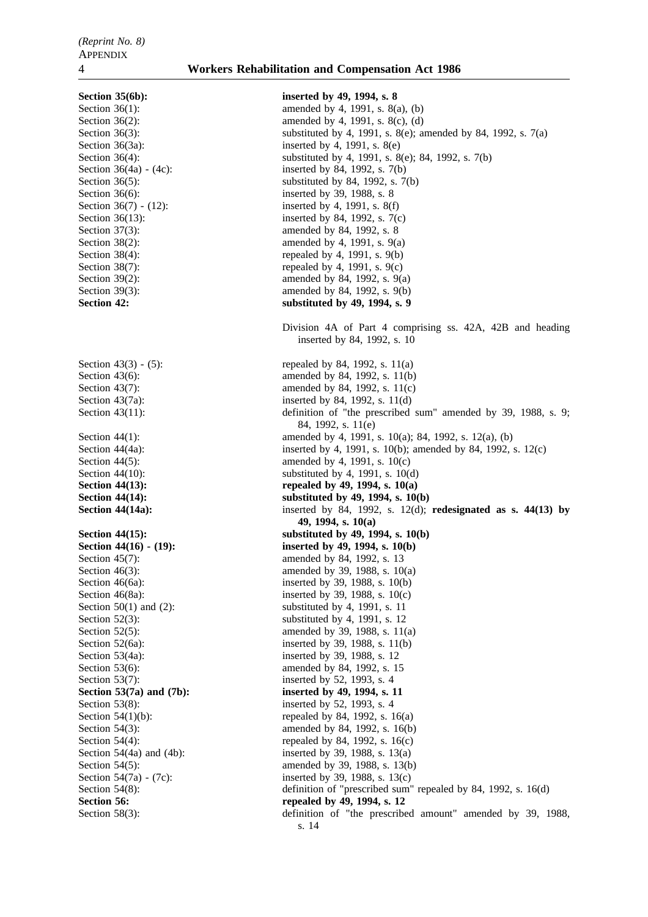Section 35(6b): inserted by 49, 1994, s. 8 Section  $36(1)$ : amended by 4, 1991, s.  $8(a)$ , (b) Section 36(2): amended by 4, 1991, s. 8(c), (d) Section 36(3): substituted by 4, 1991, s. 8(e); amended by 84, 1992, s. 7(a) Section 36(3a): inserted by 4, 1991, s. 8(e) Section 36(4): substituted by 4, 1991, s. 8(e); 84, 1992, s. 7(b) Section 36(4a) - (4c): inserted by 84, 1992, s. 7(b) Section  $36(5)$ : substituted by 84, 1992, s. 7(b) Section 36(6): inserted by 39, 1988, s. 8 Section 36(7) - (12): inserted by 4, 1991, s. 8(f) Section 36(13): inserted by 84, 1992, s. 7(c) Section 37(3): amended by 84, 1992, s. 8 Section  $38(2)$ : amended by 4, 1991, s. 9(a) Section  $38(4)$ : repealed by 4, 1991, s. 9(b) Section 38(7): repealed by 4, 1991, s.  $9(c)$ Section 39(2): amended by 84, 1992, s. 9(a) Section 39(3): amended by 84, 1992, s. 9(b) Section 42: substituted by 49, 1994, s. 9 Division 4A of Part 4 comprising ss. 42A, 42B and heading inserted by 84, 1992, s. 10 Section 43(3) - (5): repealed by 84, 1992, s.  $11(a)$ Section 43(6): amended by 84, 1992, s. 11(b) Section 43(7): amended by 84, 1992, s. 11(c) Section 43(7a): inserted by 84, 1992, s. 11(d) Section 43(11): definition of "the prescribed sum" amended by 39, 1988, s. 9; 84, 1992, s. 11(e) Section 44(1): amended by 4, 1991, s. 10(a); 84, 1992, s. 12(a), (b) Section 44(4a): inserted by 4, 1991, s. 10(b); amended by 84, 1992, s. 12(c) Section 44(5): amended by 4, 1991, s.  $10(c)$ Section  $44(10)$ : substituted by 4, 1991, s.  $10(d)$ **Section 44(13):** repealed by 49, 1994, s. 10(a) **Section 44(14): Section 44(14): Substituted by 49, 1994, s. 10(b) Section 44(14a):** inserted by 84, 1992, s. 12(d); **redesignated as s. 44(13) by 49, 1994, s. 10(a) Section 44(15):** substituted by 49, 1994, s. 10(b) **Section 44(16) - (19):** inserted by 49, 1994, s. 10(b) Section 45(7): amended by 84, 1992, s. 13 Section 46(3): amended by 39, 1988, s. 10(a) Section 46(6a): inserted by 39, 1988, s. 10(b) Section 46(8a): inserted by 39, 1988, s. 10(c) Section  $50(1)$  and  $(2)$ : substituted by 4, 1991, s. 11 Section  $52(3)$ : substituted by 4, 1991, s. 12 Section 52(5): amended by 39, 1988, s. 11(a) Section 52(6a): inserted by 39, 1988, s. 11(b) Section 53(4a): inserted by 39, 1988, s. 12 Section 53(6): amended by 84, 1992, s. 15 Section 53(7): inserted by 52, 1993, s. 4 Section 53(7a) and (7b): inserted by 49, 1994, s. 11 Section 53(8): inserted by 52, 1993, s. 4 Section 54(1)(b): repealed by 84, 1992, s.  $16(a)$ Section 54(3): amended by 84, 1992, s. 16(b) Section 54(4): repealed by 84, 1992, s.  $16(c)$ Section 54(4a) and (4b): inserted by 39, 1988, s. 13(a) Section 54(5): amended by 39, 1988, s. 13(b) Section 54(7a) - (7c): inserted by 39, 1988, s. 13(c) Section 54(8): definition of "prescribed sum" repealed by 84, 1992, s. 16(d) Section 56: **repealed by 49, 1994, s. 12** Section 58(3): definition of "the prescribed amount" amended by 39, 1988, s. 14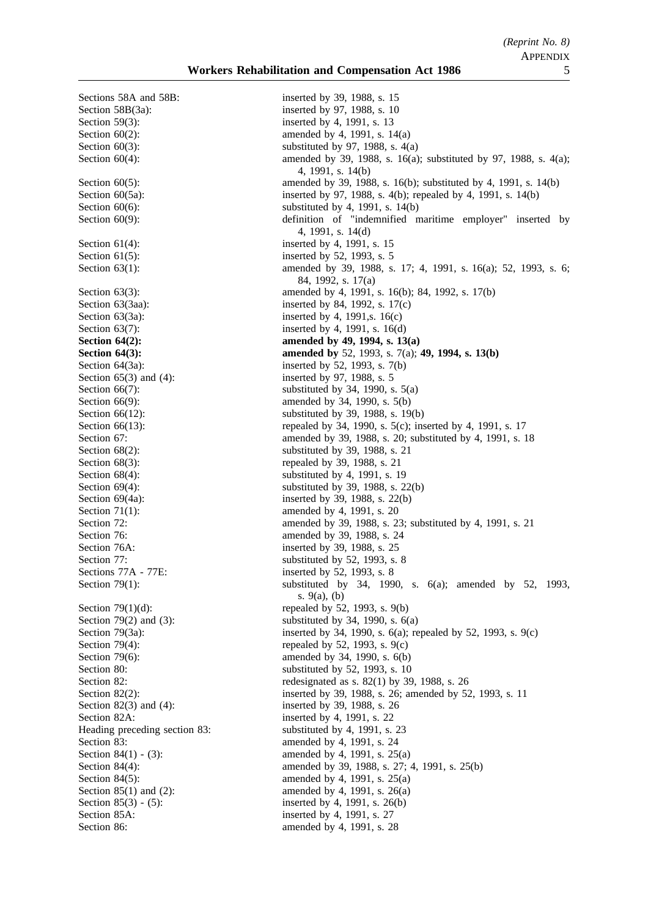Sections 58A and 58B: inserted by 39, 1988, s. 15 Section 59(3): inserted by 4, 1991, s. 13 Section 61(4): inserted by 4, 1991, s. 15 Section 61(5): inserted by 52, 1993, s. 5 Section 65(3) and (4): inserted by 97, 1988, s. 5 Sections 77A - 77E: inserted by 52, 1993, s. 8 Section 82A: inserted by 4, 1991, s. 22 Section 85A: inserted by 4, 1991, s. 27

Section 58B(3a): inserted by 97, 1988, s. 10 Section  $60(2)$ : amended by 4, 1991, s. 14(a) Section  $60(3)$ : substituted by 97, 1988, s.  $4(a)$ Section 60(4): amended by 39, 1988, s. 16(a); substituted by 97, 1988, s. 4(a); 4, 1991, s. 14(b) Section 60(5): amended by 39, 1988, s. 16(b); substituted by 4, 1991, s. 14(b) Section 60(5a): inserted by 97, 1988, s. 4(b); repealed by 4, 1991, s. 14(b) Section  $60(6)$ : substituted by 4, 1991, s. 14(b) Section 60(9): definition of "indemnified maritime employer" inserted by 4, 1991, s. 14(d) Section 63(1): amended by 39, 1988, s. 17; 4, 1991, s. 16(a); 52, 1993, s. 6; 84, 1992, s. 17(a) Section 63(3): amended by 4, 1991, s. 16(b); 84, 1992, s. 17(b) Section 63(3aa): inserted by 84, 1992, s. 17(c) Section 63(3a): inserted by 4, 1991, s. 16(c) Section 63(7): inserted by 4, 1991, s. 16(d) **Section 64(2): amended by 49, 1994, s. 13(a) Section 64(3): amended by** 52, 1993, s. 7(a); **49, 1994, s. 13(b)** Section  $64(3a)$ : inserted by 52, 1993, s. 7(b) Section  $66(7)$ : substituted by 34, 1990, s.  $5(a)$ Section 66(9): amended by 34, 1990, s. 5(b) Section 66(12): substituted by 39, 1988, s. 19(b) Section 66(13): repealed by 34, 1990, s. 5(c); inserted by 4, 1991, s. 17 Section 67: **amended** by 39, 1988, s. 20; substituted by 4, 1991, s. 18 Section 68(2): substituted by 39, 1988, s. 21 Section 68(3): repealed by 39, 1988, s. 21 Section 68(4): substituted by 4, 1991, s. 19 Section 69(4): substituted by 39, 1988, s. 22(b) Section 69(4a): inserted by 39, 1988, s. 22(b) Section 71(1): amended by 4, 1991, s. 20 Section 72: **amended** by 39, 1988, s. 23; substituted by 4, 1991, s. 21 Section 76: **amended** by 39, 1988, s. 24 Section 76A: inserted by 39, 1988, s. 25 Section 77: substituted by 52, 1993, s. 8 Section 79(1): substituted by 34, 1990, s. 6(a); amended by 52, 1993, s. 9(a), (b) Section  $79(1)(d)$ : repealed by 52, 1993, s. 9(b) Section 79(2) and (3): substituted by 34, 1990, s.  $6(a)$ Section 79(3a): inserted by 34, 1990, s. 6(a); repealed by 52, 1993, s. 9(c) Section 79(4): repealed by 52, 1993, s.  $9(c)$ Section 79(6): amended by 34, 1990, s. 6(b) Section 80: substituted by 52, 1993, s. 10 Section 82: redesignated as s. 82(1) by 39, 1988, s. 26 Section 82(2): inserted by 39, 1988, s. 26; amended by 52, 1993, s. 11 Section 82(3) and (4): inserted by 39, 1988, s. 26 Heading preceding section 83: substituted by 4, 1991, s. 23 Section 83: amended by 4, 1991, s. 24 Section 84(1) - (3): amended by 4, 1991, s. 25(a) Section 84(4): amended by 39, 1988, s. 27; 4, 1991, s. 25(b) Section 84(5): amended by 4, 1991, s. 25(a) Section 85(1) and (2): amended by 4, 1991, s. 26(a) Section 85(3) - (5): inserted by 4, 1991, s. 26(b) Section 86: amended by 4, 1991, s. 28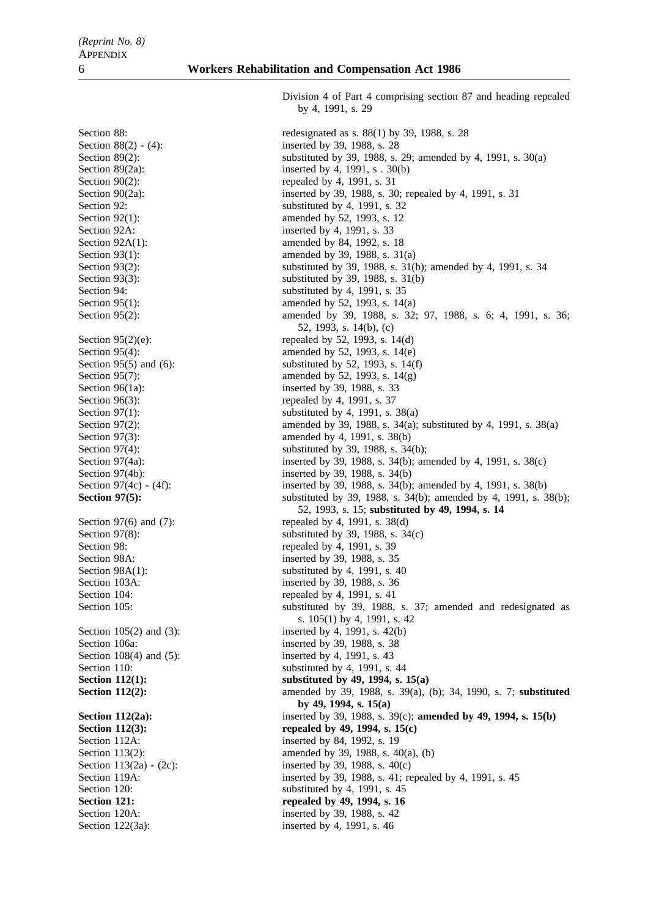by 4, 1991, s. 29

Section 88: The section 88: The section 88:  $\frac{88(1) \text{ by } 39, 1988, s. 28}{280}$ Section 88(2) - (4): inserted by 39, 1988, s. 28 Section 89(2): substituted by 39, 1988, s. 29; amended by 4, 1991, s. 30(a) Section 89(2a): inserted by 4, 1991, s .  $30(b)$ Section  $90(2)$ : repealed by 4, 1991, s. 31 Section 90(2a): inserted by 39, 1988, s. 30; repealed by 4, 1991, s. 31 Section 92: substituted by 4, 1991, s. 32 Section 92(1): amended by 52, 1993, s. 12 Section 92A: inserted by 4, 1991, s. 33 Section 92A(1): amended by 84, 1992, s. 18 Section 93(1): amended by 39, 1988, s. 31(a) Section 93(2): substituted by 39, 1988, s. 31(b); amended by 4, 1991, s. 34 Section 93(3): substituted by 39, 1988, s. 31(b) Section 94: substituted by 4, 1991, s. 35 Section 95(1): amended by 52, 1993, s. 14(a) Section 95(2): amended by 39, 1988, s. 32; 97, 1988, s. 6; 4, 1991, s. 36; 52, 1993, s. 14(b), (c) Section  $95(2)(e)$ : repealed by 52, 1993, s. 14(d) Section 95(4): amended by 52, 1993, s. 14(e) Section 95(5) and (6): substituted by 52, 1993, s. 14(f) Section 95(7): amended by 52, 1993, s. 14(g) Section 96(1a): inserted by 39, 1988, s. 33 Section 96(3): repealed by 4, 1991, s. 37 Section 97(1): substituted by 4, 1991, s.  $38(a)$ Section 97(2): amended by 39, 1988, s. 34(a); substituted by 4, 1991, s. 38(a) Section 97(3): amended by 4, 1991, s. 38(b) Section 97(4): substituted by 39, 1988, s. 34(b); Section 97(4a): inserted by 39, 1988, s. 34(b); amended by 4, 1991, s. 38(c) Section 97(4b): inserted by 39, 1988, s. 34(b) Section 97(4c) - (4f): inserted by 39, 1988, s. 34(b); amended by 4, 1991, s. 38(b) **Section 97(5):** substituted by 39, 1988, s. 34(b); amended by 4, 1991, s. 38(b); 52, 1993, s. 15; **substituted by 49, 1994, s. 14** Section 97(6) and (7): repealed by 4, 1991, s.  $38(d)$ Section 97(8): substituted by 39, 1988, s.  $34(c)$ Section 98: repealed by 4, 1991, s. 39 Section 98A: inserted by 39, 1988, s. 35 Section  $98A(1)$ : substituted by 4, 1991, s. 40 Section 103A: inserted by 39, 1988, s. 36 Section 104: repealed by 4, 1991, s. 41 Section 105: substituted by 39, 1988, s. 37; amended and redesignated as s. 105(1) by 4, 1991, s. 42 Section 105(2) and (3): inserted by 4, 1991, s. 42(b) Section 106a: inserted by 39, 1988, s. 38 Section 108(4) and (5): inserted by 4, 1991, s. 43 Section 110: substituted by 4, 1991, s. 44 **Section 112(1):** substituted by 49, 1994, s. 15(a) **Section 112(2):** amended by 39, 1988, s. 39(a), (b); 34, 1990, s. 7; **substituted by 49, 1994, s. 15(a) Section 112(2a):** inserted by 39, 1988, s. 39(c); **amended by 49, 1994, s. 15(b)** Section 112(3): repealed by 49, 1994, s. 15(c) Section 112A: inserted by 84, 1992, s. 19 Section 113(2): amended by 39, 1988, s. 40(a), (b) Section  $113(2a) - (2c)$ : inserted by 39, 1988, s.  $40(c)$ Section 119A: inserted by 39, 1988, s. 41; repealed by 4, 1991, s. 45 Section 120: substituted by 4, 1991, s. 45 **Section 121: repealed by 49, 1994, s. 16** Section 120A: inserted by 39, 1988, s. 42 Section 122(3a): inserted by 4, 1991, s. 46

Division 4 of Part 4 comprising section 87 and heading repealed